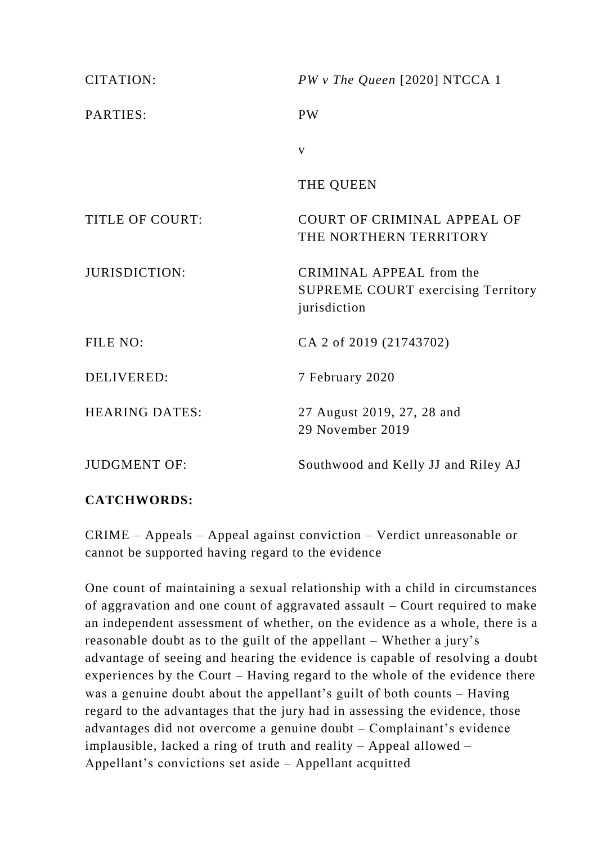| CITATION:             | $PWv$ The Queen [2020] NTCCA 1                                                        |
|-----------------------|---------------------------------------------------------------------------------------|
| PARTIES:              | <b>PW</b>                                                                             |
|                       | $\mathbf{V}$                                                                          |
|                       | THE QUEEN                                                                             |
| TITLE OF COURT:       | <b>COURT OF CRIMINAL APPEAL OF</b><br>THE NORTHERN TERRITORY                          |
| JURISDICTION:         | CRIMINAL APPEAL from the<br><b>SUPREME COURT exercising Territory</b><br>jurisdiction |
| FILE NO:              | CA 2 of 2019 (21743702)                                                               |
| <b>DELIVERED:</b>     | 7 February 2020                                                                       |
| <b>HEARING DATES:</b> | 27 August 2019, 27, 28 and<br>29 November 2019                                        |
| <b>JUDGMENT OF:</b>   | Southwood and Kelly JJ and Riley AJ                                                   |

# **CATCHWORDS:**

CRIME – Appeals – Appeal against conviction – Verdict unreasonable or cannot be supported having regard to the evidence

One count of maintaining a sexual relationship with a child in circumstances of aggravation and one count of aggravated assault – Court required to make an independent assessment of whether, on the evidence as a whole, there is a reasonable doubt as to the guilt of the appellant – Whether a jury's advantage of seeing and hearing the evidence is capable of resolving a doubt experiences by the Court – Having regard to the whole of the evidence there was a genuine doubt about the appellant's guilt of both counts – Having regard to the advantages that the jury had in assessing the evidence, those advantages did not overcome a genuine doubt – Complainant's evidence implausible, lacked a ring of truth and reality – Appeal allowed – Appellant's convictions set aside – Appellant acquitted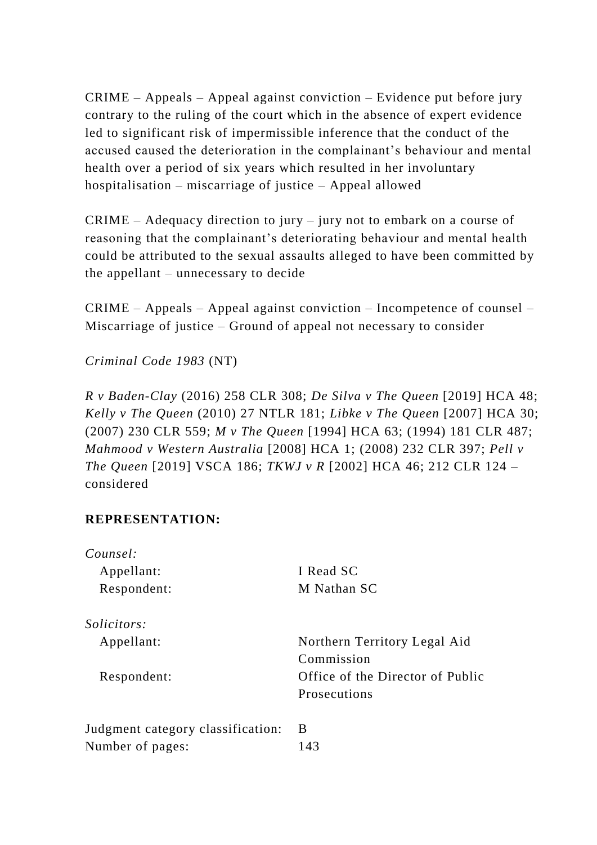CRIME – Appeals – Appeal against conviction – Evidence put before jury contrary to the ruling of the court which in the absence of expert evidence led to significant risk of impermissible inference that the conduct of the accused caused the deterioration in the complainant's behaviour and mental health over a period of six years which resulted in her involuntary hospitalisation – miscarriage of justice – Appeal allowed

CRIME – Adequacy direction to jury – jury not to embark on a course of reasoning that the complainant's deteriorating behaviour and mental health could be attributed to the sexual assaults alleged to have been committed by the appellant – unnecessary to decide

CRIME – Appeals – Appeal against conviction – Incompetence of counsel – Miscarriage of justice – Ground of appeal not necessary to consider

*Criminal Code 1983* (NT)

*R v Baden-Clay* (2016) 258 CLR 308; *De Silva v The Queen* [2019] HCA 48; *Kelly v The Queen* (2010) 27 NTLR 181; *Libke v The Queen* [2007] HCA 30; (2007) 230 CLR 559; *M v The Queen* [1994] HCA 63; (1994) 181 CLR 487; *Mahmood v Western Australia* [2008] HCA 1; (2008) 232 CLR 397; *Pell v The Queen* [2019] VSCA 186; *TKWJ v R* [2002] HCA 46; 212 CLR 124 – considered

## **REPRESENTATION:**

| Counsel:                          |                                  |
|-----------------------------------|----------------------------------|
| Appellant:                        | I Read SC                        |
| Respondent:                       | M Nathan SC                      |
| <i>Solicitors:</i>                |                                  |
| Appellant:                        | Northern Territory Legal Aid     |
|                                   | Commission                       |
| Respondent:                       | Office of the Director of Public |
|                                   | Prosecutions                     |
| Judgment category classification: | B                                |
| Number of pages:                  | 143                              |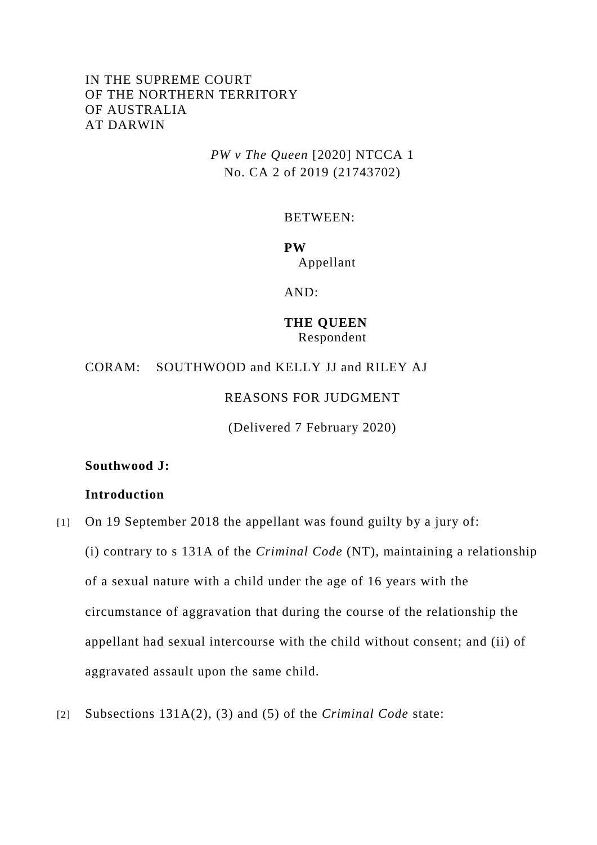## IN THE SUPREME COURT OF THE NORTHERN TERRITORY OF AUSTRALIA AT DARWIN

*PW v The Queen* [2020] NTCCA 1 No. CA 2 of 2019 (21743702)

BETWEEN:

**PW** Appellant

AND:

**THE QUEEN** Respondent

CORAM: SOUTHWOOD and KELLY JJ and RILEY AJ

REASONS FOR JUDGMENT

(Delivered 7 February 2020)

**Southwood J:**

#### **Introduction**

[1] On 19 September 2018 the appellant was found guilty by a jury of:

(i) contrary to s 131A of the *Criminal Code* (NT), maintaining a relationship of a sexual nature with a child under the age of 16 years with the circumstance of aggravation that during the course of the relationship the appellant had sexual intercourse with the child without consent; and (ii) of aggravated assault upon the same child.

[2] Subsections 131A(2), (3) and (5) of the *Criminal Code* state: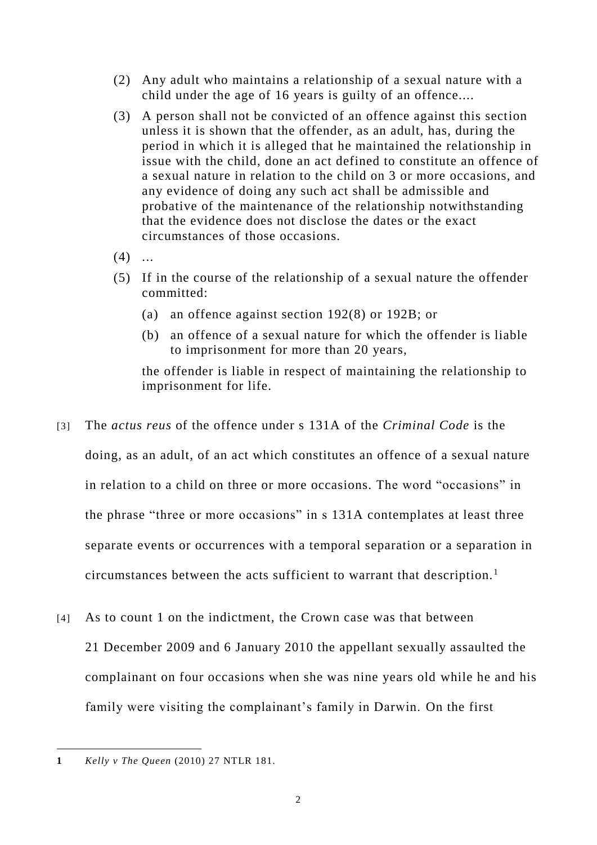- (2) Any adult who maintains a relationship of a sexual nature with a child under the age of 16 years is guilty of an offence....
- (3) A person shall not be convicted of an offence against this section unless it is shown that the offender, as an adult, has, during the period in which it is alleged that he maintained the relationship in issue with the child, done an act defined to constitute an offence of a sexual nature in relation to the child on 3 or more occasions, and any evidence of doing any such act shall be admissible and probative of the maintenance of the relationship notwithstanding that the evidence does not disclose the dates or the exact circumstances of those occasions.
- $(4)$  ...
- (5) If in the course of the relationship of a sexual nature the offender committed:
	- (a) an offence against section 192(8) or 192B; or
	- (b) an offence of a sexual nature for which the offender is liable to imprisonment for more than 20 years,

the offender is liable in respect of maintaining the relationship to imprisonment for life.

- [3] The *actus reus* of the offence under s 131A of the *Criminal Code* is the doing, as an adult, of an act which constitutes an offence of a sexual nature in relation to a child on three or more occasions. The word "occasions" in the phrase "three or more occasions" in s 131A contemplates at least three separate events or occurrences with a temporal separation or a separation in circumstances between the acts sufficient to warrant that description.<sup>1</sup>
- [4] As to count 1 on the indictment, the Crown case was that between 21 December 2009 and 6 January 2010 the appellant sexually assaulted the complainant on four occasions when she was nine years old while he and his family were visiting the complainant's family in Darwin. On the first

 $\overline{a}$ **1** *Kelly v The Queen* (2010) 27 NTLR 181.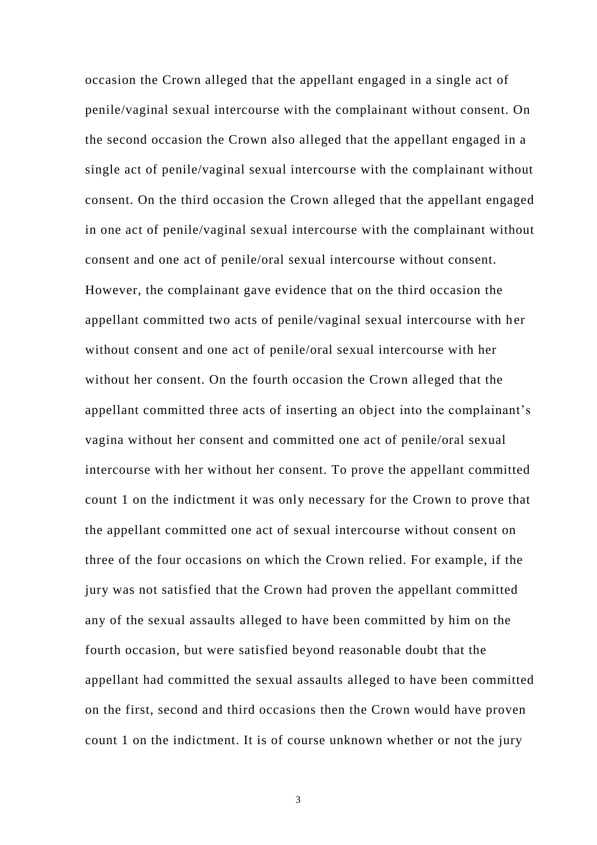occasion the Crown alleged that the appellant engaged in a single act of penile/vaginal sexual intercourse with the complainant without consent. On the second occasion the Crown also alleged that the appellant engaged in a single act of penile/vaginal sexual intercourse with the complainant without consent. On the third occasion the Crown alleged that the appellant engaged in one act of penile/vaginal sexual intercourse with the complainant without consent and one act of penile/oral sexual intercourse without consent. However, the complainant gave evidence that on the third occasion the appellant committed two acts of penile/vaginal sexual intercourse with her without consent and one act of penile/oral sexual intercourse with her without her consent. On the fourth occasion the Crown alleged that the appellant committed three acts of inserting an object into the complainant's vagina without her consent and committed one act of penile/oral sexual intercourse with her without her consent. To prove the appellant committed count 1 on the indictment it was only necessary for the Crown to prove that the appellant committed one act of sexual intercourse without consent on three of the four occasions on which the Crown relied. For example, if the jury was not satisfied that the Crown had proven the appellant committed any of the sexual assaults alleged to have been committed by him on the fourth occasion, but were satisfied beyond reasonable doubt that the appellant had committed the sexual assaults alleged to have been committed on the first, second and third occasions then the Crown would have proven count 1 on the indictment. It is of course unknown whether or not the jury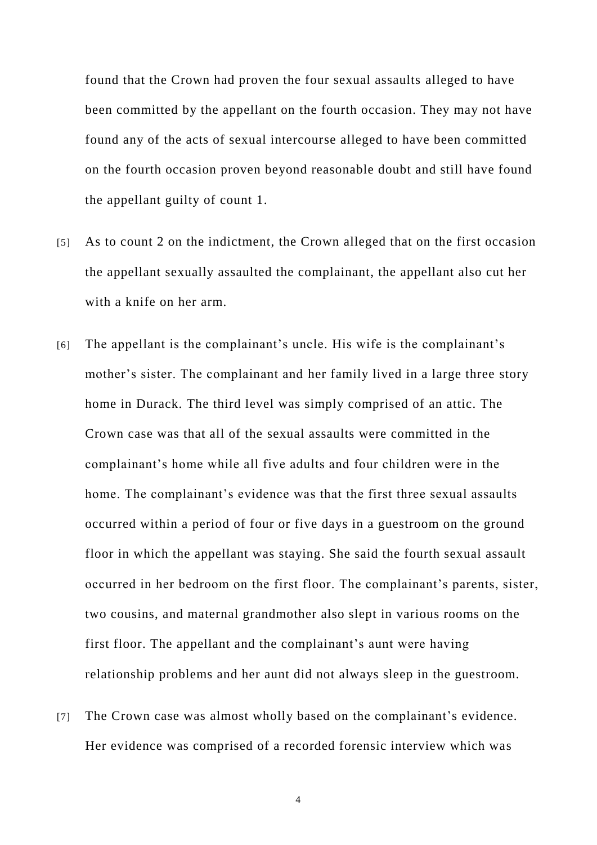found that the Crown had proven the four sexual assaults alleged to have been committed by the appellant on the fourth occasion. They may not have found any of the acts of sexual intercourse alleged to have been committed on the fourth occasion proven beyond reasonable doubt and still have found the appellant guilty of count 1.

- [5] As to count 2 on the indictment, the Crown alleged that on the first occasion the appellant sexually assaulted the complainant, the appellant also cut her with a knife on her arm.
- [6] The appellant is the complainant's uncle. His wife is the complainant's mother's sister. The complainant and her family lived in a large three story home in Durack. The third level was simply comprised of an attic. The Crown case was that all of the sexual assaults were committed in the complainant's home while all five adults and four children were in the home. The complainant's evidence was that the first three sexual assaults occurred within a period of four or five days in a guestroom on the ground floor in which the appellant was staying. She said the fourth sexual assault occurred in her bedroom on the first floor. The complainant's parents, sister, two cousins, and maternal grandmother also slept in various rooms on the first floor. The appellant and the complainant's aunt were having relationship problems and her aunt did not always sleep in the guestroom.
- [7] The Crown case was almost wholly based on the complainant's evidence. Her evidence was comprised of a recorded forensic interview which was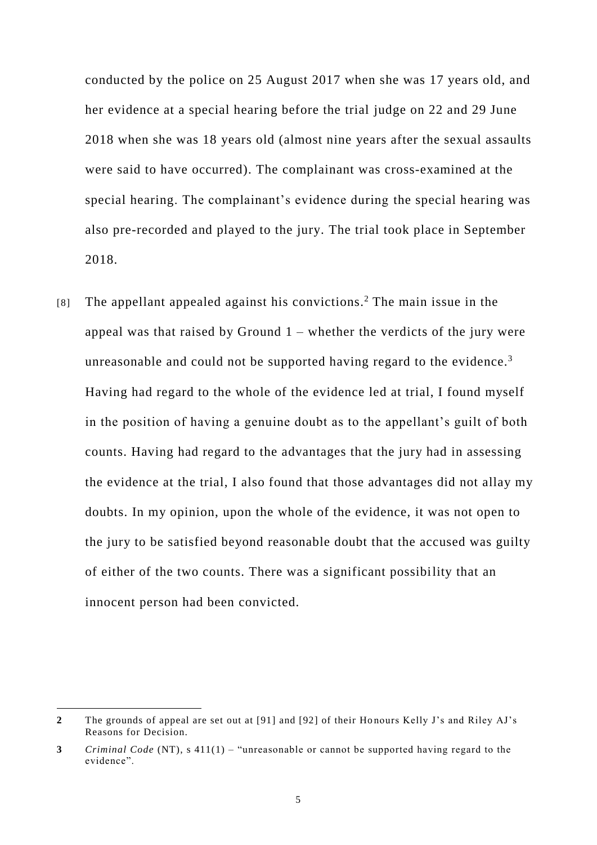conducted by the police on 25 August 2017 when she was 17 years old, and her evidence at a special hearing before the trial judge on 22 and 29 June 2018 when she was 18 years old (almost nine years after the sexual assaults were said to have occurred). The complainant was cross-examined at the special hearing. The complainant's evidence during the special hearing was also pre-recorded and played to the jury. The trial took place in September 2018.

[8] The appellant appealed against his convictions.<sup>2</sup> The main issue in the appeal was that raised by Ground  $1$  – whether the verdicts of the jury were unreasonable and could not be supported having regard to the evidence.<sup>3</sup> Having had regard to the whole of the evidence led at trial, I found myself in the position of having a genuine doubt as to the appellant's guilt of both counts. Having had regard to the advantages that the jury had in assessing the evidence at the trial, I also found that those advantages did not allay my doubts. In my opinion, upon the whole of the evidence, it was not open to the jury to be satisfied beyond reasonable doubt that the accused was guilty of either of the two counts. There was a significant possibility that an innocent person had been convicted.

 $\overline{a}$ 

**<sup>2</sup>** The grounds of appeal are set out at [91] and [92] of their Ho nours Kelly J's and Riley AJ's Reasons for Decision.

**<sup>3</sup>** *Criminal Code* (NT), s 411(1) – "unreasonable or cannot be supported having regard to the evidence".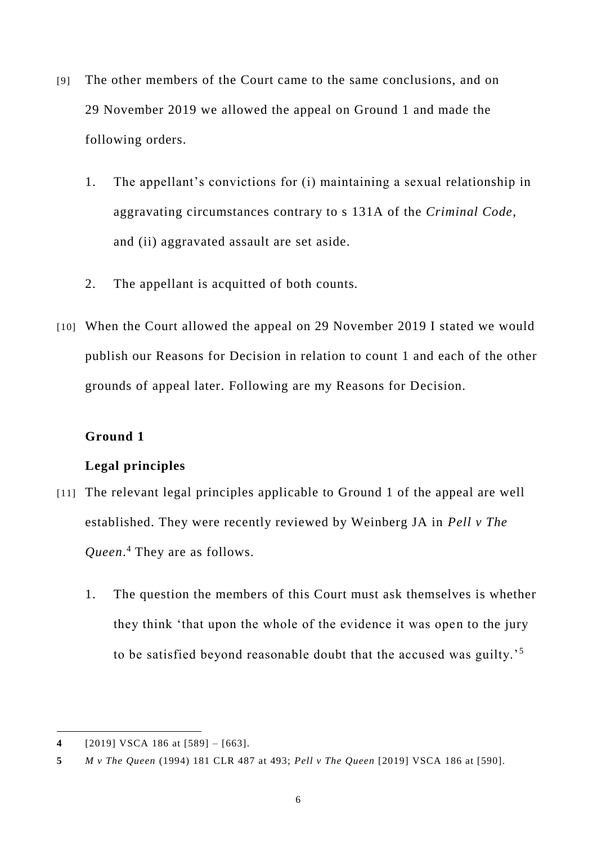- [9] The other members of the Court came to the same conclusions, and on 29 November 2019 we allowed the appeal on Ground 1 and made the following orders.
	- 1. The appellant's convictions for (i) maintaining a sexual relationship in aggravating circumstances contrary to s 131A of the *Criminal Code*, and (ii) aggravated assault are set aside.
	- 2. The appellant is acquitted of both counts.
- [10] When the Court allowed the appeal on 29 November 2019 I stated we would publish our Reasons for Decision in relation to count 1 and each of the other grounds of appeal later. Following are my Reasons for Decision.

## **Ground 1**

# **Legal principles**

- [11] The relevant legal principles applicable to Ground 1 of the appeal are well established. They were recently reviewed by Weinberg JA in *Pell v The Queen*. <sup>4</sup> They are as follows.
	- 1. The question the members of this Court must ask themselves is whether they think 'that upon the whole of the evidence it was open to the jury to be satisfied beyond reasonable doubt that the accused was guilty.'<sup>5</sup>

 $\overline{a}$ **4** [2019] VSCA 186 at [589] – [663].

**<sup>5</sup>** *M v The Queen* (1994) 181 CLR 487 at 493; *Pell v The Queen* [2019] VSCA 186 at [590].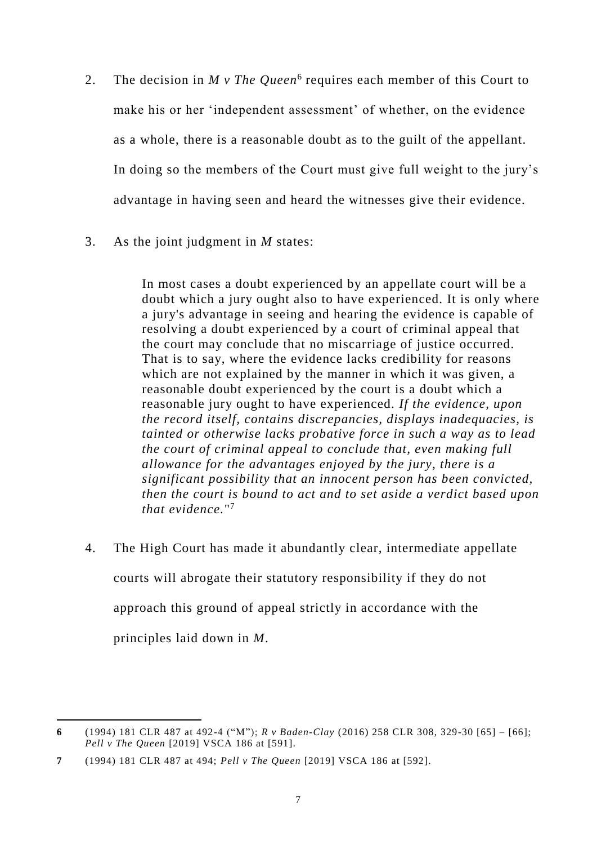- 2. The decision in *M v The Queen*<sup>6</sup> requires each member of this Court to make his or her 'independent assessment' of whether, on the evidence as a whole, there is a reasonable doubt as to the guilt of the appellant. In doing so the members of the Court must give full weight to the jury's advantage in having seen and heard the witnesses give their evidence.
- 3. As the joint judgment in *M* states:

In most cases a doubt experienced by an appellate court will be a doubt which a jury ought also to have experienced. It is only where a jury's advantage in seeing and hearing the evidence is capable of resolving a doubt experienced by a court of criminal appeal that the court may conclude that no miscarriage of justice occurred. That is to say, where the evidence lacks credibility for reasons which are not explained by the manner in which it was given, a reasonable doubt experienced by the court is a doubt which a reasonable jury ought to have experienced. *If the evidence, upon the record itself, contains discrepancies, displays inadequacies, is tainted or otherwise lacks probative force in such a way as to lead the court of criminal appeal to conclude that, even making full allowance for the advantages enjoyed by the jury, there is a significant possibility that an innocent person has been convicted, then the court is bound to act and to set aside a verdict based upon that evidence.*" 7

4. The High Court has made it abundantly clear, intermediate appellate courts will abrogate their statutory responsibility if they do not approach this ground of appeal strictly in accordance with the principles laid down in *M*.

 $\overline{a}$ **6** (1994) 181 CLR 487 at 492-4 ("M"); *R v Baden-Clay* (2016) 258 CLR 308, 329-30 [65] – [66]; *Pell v The Queen* [2019] VSCA 186 at [591].

**<sup>7</sup>** (1994) 181 CLR 487 at 494; *Pell v The Queen* [2019] VSCA 186 at [592].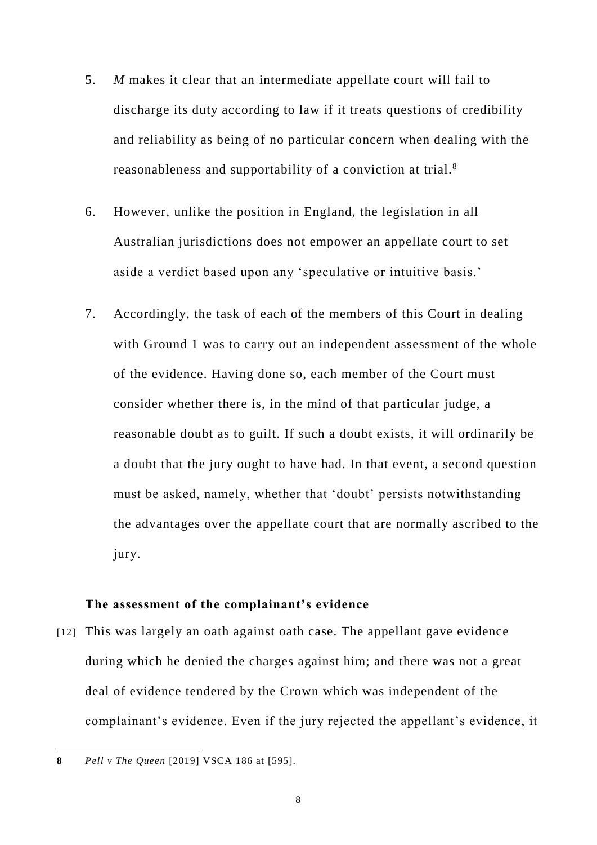- 5. *M* makes it clear that an intermediate appellate court will fail to discharge its duty according to law if it treats questions of credibility and reliability as being of no particular concern when dealing with the reasonableness and supportability of a conviction at trial.<sup>8</sup>
- 6. However, unlike the position in England, the legislation in all Australian jurisdictions does not empower an appellate court to set aside a verdict based upon any 'speculative or intuitive basis.'
- 7. Accordingly, the task of each of the members of this Court in dealing with Ground 1 was to carry out an independent assessment of the whole of the evidence. Having done so, each member of the Court must consider whether there is, in the mind of that particular judge, a reasonable doubt as to guilt. If such a doubt exists, it will ordinarily be a doubt that the jury ought to have had. In that event, a second question must be asked, namely, whether that 'doubt' persists notwithstanding the advantages over the appellate court that are normally ascribed to the jury.

#### **The assessment of the complainant's evidence**

[12] This was largely an oath against oath case. The appellant gave evidence during which he denied the charges against him; and there was not a great deal of evidence tendered by the Crown which was independent of the complainant's evidence. Even if the jury rejected the appellant's evidence, it

 $\overline{a}$ **8** *Pell v The Queen* [2019] VSCA 186 at [595].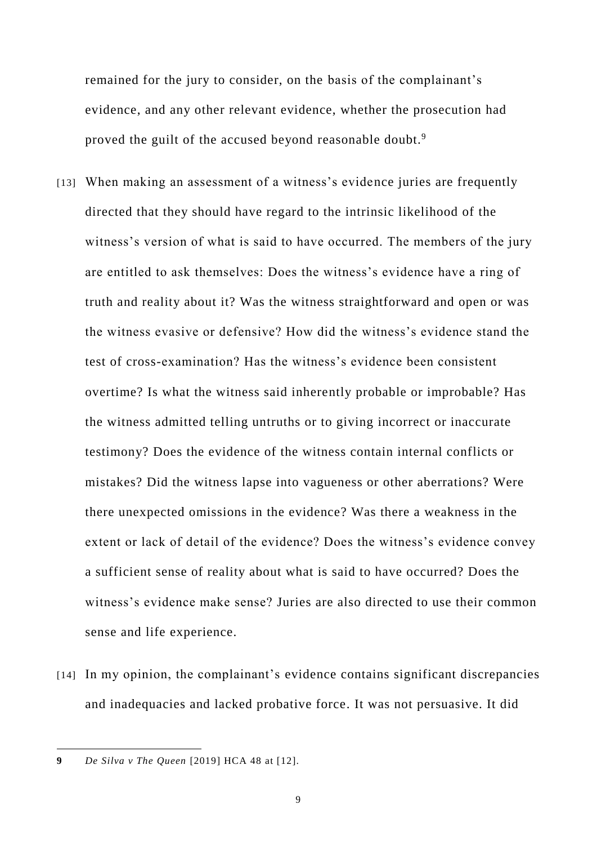remained for the jury to consider, on the basis of the complainant's evidence, and any other relevant evidence, whether the prosecution had proved the guilt of the accused beyond reasonable doubt.<sup>9</sup>

- [13] When making an assessment of a witness's evidence juries are frequently directed that they should have regard to the intrinsic likelihood of the witness's version of what is said to have occurred. The members of the jury are entitled to ask themselves: Does the witness's evidence have a ring of truth and reality about it? Was the witness straightforward and open or was the witness evasive or defensive? How did the witness's evidence stand the test of cross-examination? Has the witness's evidence been consistent overtime? Is what the witness said inherently probable or improbable? Has the witness admitted telling untruths or to giving incorrect or inaccurate testimony? Does the evidence of the witness contain internal conflicts or mistakes? Did the witness lapse into vagueness or other aberrations? Were there unexpected omissions in the evidence? Was there a weakness in the extent or lack of detail of the evidence? Does the witness's evidence convey a sufficient sense of reality about what is said to have occurred? Does the witness's evidence make sense? Juries are also directed to use their common sense and life experience.
- [14] In my opinion, the complainant's evidence contains significant discrepancies and inadequacies and lacked probative force. It was not persuasive. It did

 $\overline{a}$ **9** *De Silva v The Queen* [2019] HCA 48 at [12].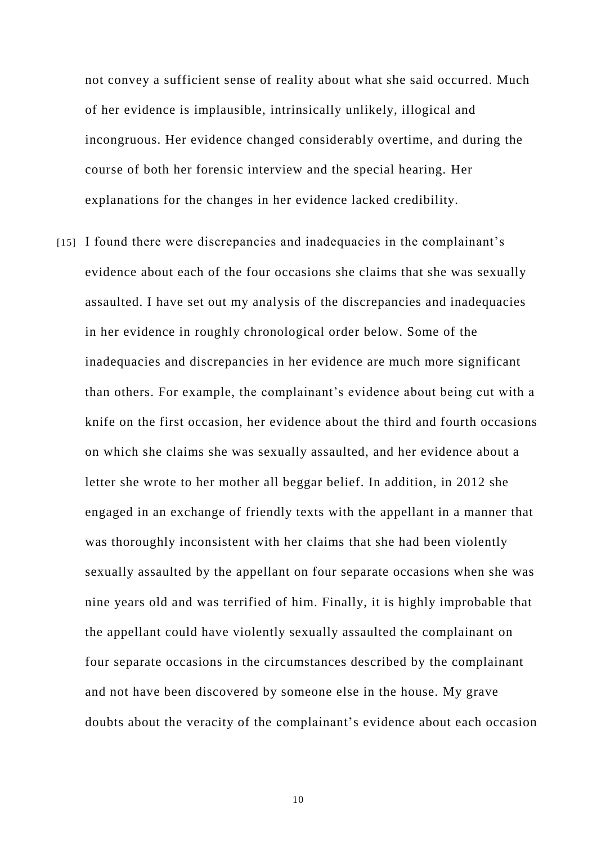not convey a sufficient sense of reality about what she said occurred. Much of her evidence is implausible, intrinsically unlikely, illogical and incongruous. Her evidence changed considerably overtime, and during the course of both her forensic interview and the special hearing. Her explanations for the changes in her evidence lacked credibility.

[15] I found there were discrepancies and inadequacies in the complainant's evidence about each of the four occasions she claims that she was sexually assaulted. I have set out my analysis of the discrepancies and inadequacies in her evidence in roughly chronological order below. Some of the inadequacies and discrepancies in her evidence are much more significant than others. For example, the complainant's evidence about being cut with a knife on the first occasion, her evidence about the third and fourth occasions on which she claims she was sexually assaulted, and her evidence about a letter she wrote to her mother all beggar belief. In addition, in 2012 she engaged in an exchange of friendly texts with the appellant in a manner that was thoroughly inconsistent with her claims that she had been violently sexually assaulted by the appellant on four separate occasions when she was nine years old and was terrified of him. Finally, it is highly improbable that the appellant could have violently sexually assaulted the complainant on four separate occasions in the circumstances described by the complainant and not have been discovered by someone else in the house. My grave doubts about the veracity of the complainant's evidence about each occasion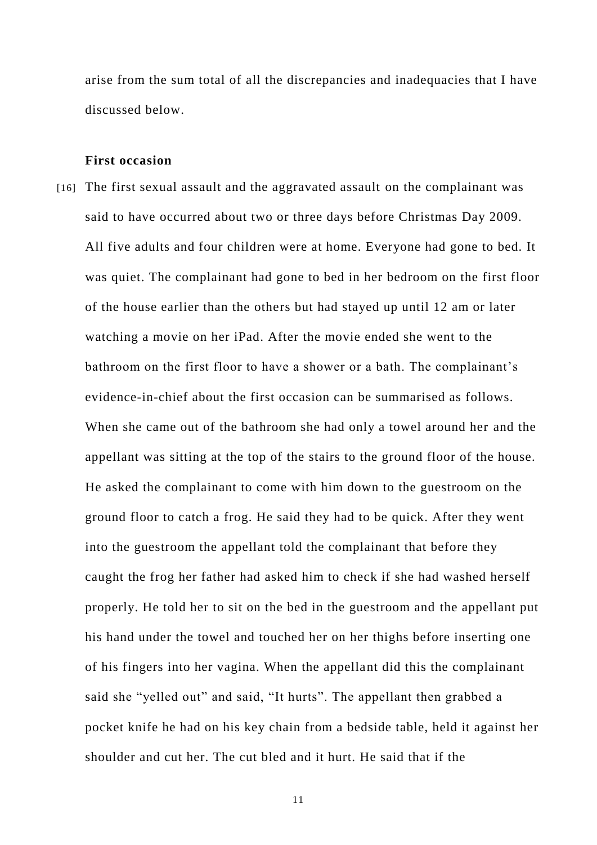arise from the sum total of all the discrepancies and inadequacies that I have discussed below.

#### **First occasion**

[16] The first sexual assault and the aggravated assault on the complainant was said to have occurred about two or three days before Christmas Day 2009. All five adults and four children were at home. Everyone had gone to bed. It was quiet. The complainant had gone to bed in her bedroom on the first floor of the house earlier than the others but had stayed up until 12 am or later watching a movie on her iPad. After the movie ended she went to the bathroom on the first floor to have a shower or a bath. The complainant's evidence-in-chief about the first occasion can be summarised as follows. When she came out of the bathroom she had only a towel around her and the appellant was sitting at the top of the stairs to the ground floor of the house. He asked the complainant to come with him down to the guestroom on the ground floor to catch a frog. He said they had to be quick. After they went into the guestroom the appellant told the complainant that before they caught the frog her father had asked him to check if she had washed herself properly. He told her to sit on the bed in the guestroom and the appellant put his hand under the towel and touched her on her thighs before inserting one of his fingers into her vagina. When the appellant did this the complainant said she "yelled out" and said, "It hurts". The appellant then grabbed a pocket knife he had on his key chain from a bedside table, held it against her shoulder and cut her. The cut bled and it hurt. He said that if the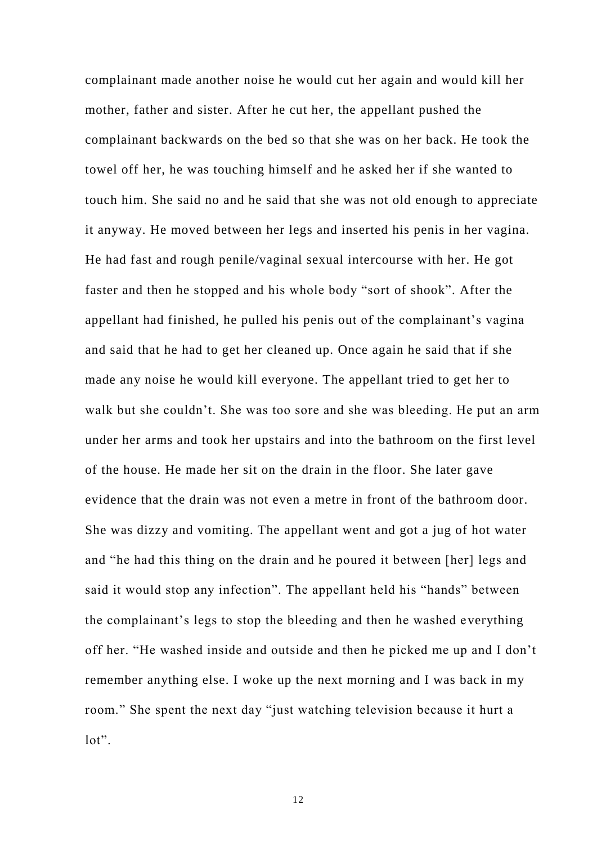complainant made another noise he would cut her again and would kill her mother, father and sister. After he cut her, the appellant pushed the complainant backwards on the bed so that she was on her back. He took the towel off her, he was touching himself and he asked her if she wanted to touch him. She said no and he said that she was not old enough to appreciate it anyway. He moved between her legs and inserted his penis in her vagina. He had fast and rough penile/vaginal sexual intercourse with her. He got faster and then he stopped and his whole body "sort of shook". After the appellant had finished, he pulled his penis out of the complainant's vagina and said that he had to get her cleaned up. Once again he said that if she made any noise he would kill everyone. The appellant tried to get her to walk but she couldn't. She was too sore and she was bleeding. He put an arm under her arms and took her upstairs and into the bathroom on the first level of the house. He made her sit on the drain in the floor. She later gave evidence that the drain was not even a metre in front of the bathroom door. She was dizzy and vomiting. The appellant went and got a jug of hot water and "he had this thing on the drain and he poured it between [her] legs and said it would stop any infection". The appellant held his "hands" between the complainant's legs to stop the bleeding and then he washed everything off her. "He washed inside and outside and then he picked me up and I don't remember anything else. I woke up the next morning and I was back in my room." She spent the next day "just watching television because it hurt a lot".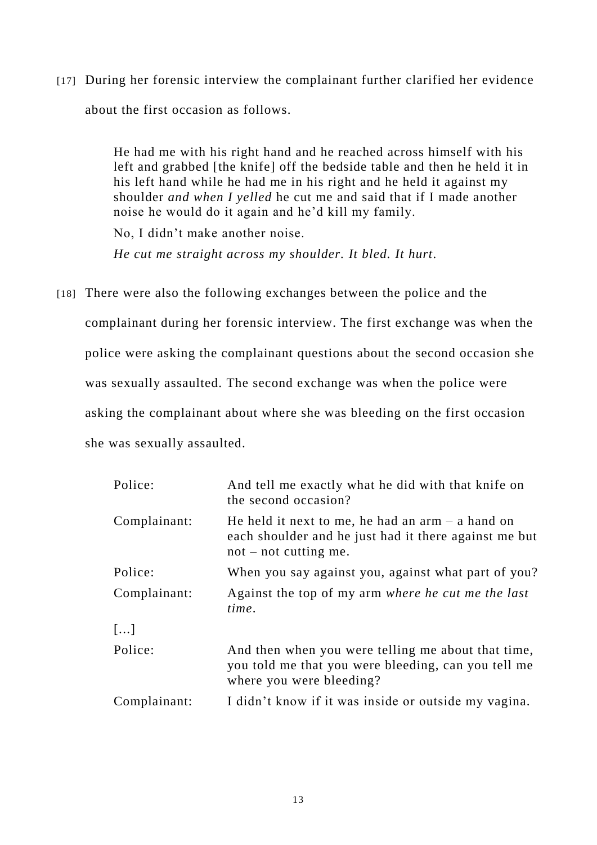[17] During her forensic interview the complainant further clarified her evidence about the first occasion as follows.

> He had me with his right hand and he reached across himself with his left and grabbed [the knife] off the bedside table and then he held it in his left hand while he had me in his right and he held it against my shoulder *and when I yelled* he cut me and said that if I made another noise he would do it again and he'd kill my family.

No, I didn't make another noise.

*He cut me straight across my shoulder. It bled. It hurt*.

[18] There were also the following exchanges between the police and the complainant during her forensic interview. The first exchange was when the police were asking the complainant questions about the second occasion she was sexually assaulted. The second exchange was when the police were asking the complainant about where she was bleeding on the first occasion she was sexually assaulted.

| Police:      | And tell me exactly what he did with that knife on<br>the second occasion?                                                             |
|--------------|----------------------------------------------------------------------------------------------------------------------------------------|
| Complainant: | He held it next to me, he had an $arm - a$ hand on<br>each shoulder and he just had it there against me but<br>$not$ – not cutting me. |
| Police:      | When you say against you, against what part of you?                                                                                    |
| Complainant: | Against the top of my arm where he cut me the last<br>time.                                                                            |
| []           |                                                                                                                                        |
| Police:      | And then when you were telling me about that time,<br>you told me that you were bleeding, can you tell me<br>where you were bleeding?  |
| Complainant: | I didn't know if it was inside or outside my vagina.                                                                                   |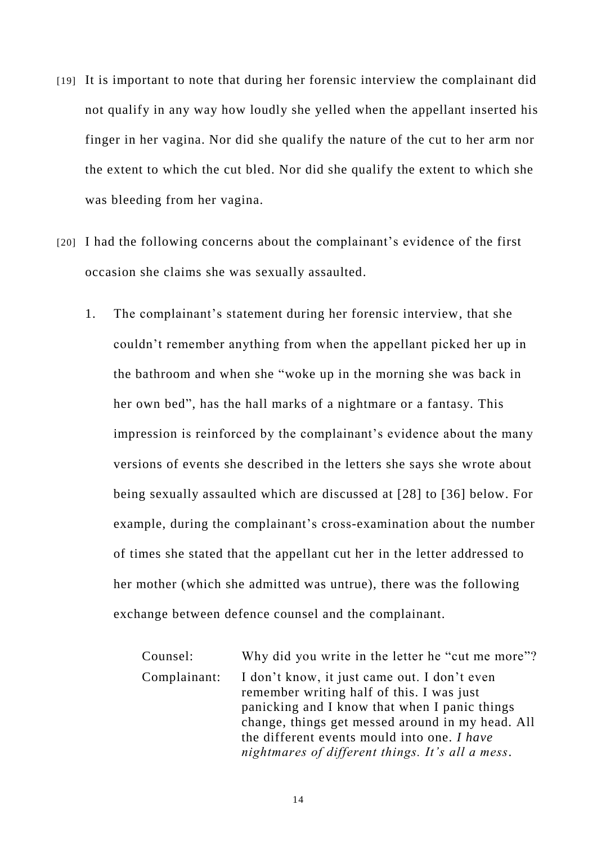- [19] It is important to note that during her forensic interview the complainant did not qualify in any way how loudly she yelled when the appellant inserted his finger in her vagina. Nor did she qualify the nature of the cut to her arm nor the extent to which the cut bled. Nor did she qualify the extent to which she was bleeding from her vagina.
- [20] I had the following concerns about the complainant's evidence of the first occasion she claims she was sexually assaulted.
	- 1. The complainant's statement during her forensic interview, that she couldn't remember anything from when the appellant picked her up in the bathroom and when she "woke up in the morning she was back in her own bed", has the hall marks of a nightmare or a fantasy. This impression is reinforced by the complainant's evidence about the many versions of events she described in the letters she says she wrote about being sexually assaulted which are discussed at [28] to [36] below. For example, during the complainant's cross-examination about the number of times she stated that the appellant cut her in the letter addressed to her mother (which she admitted was untrue), there was the following exchange between defence counsel and the complainant.

Counsel: Why did you write in the letter he "cut me more"? Complainant: I don't know, it just came out. I don't even remember writing half of this. I was just panicking and I know that when I panic things change, things get messed around in my head. All the different events mould into one. *I have nightmares of different things. It's all a mess*.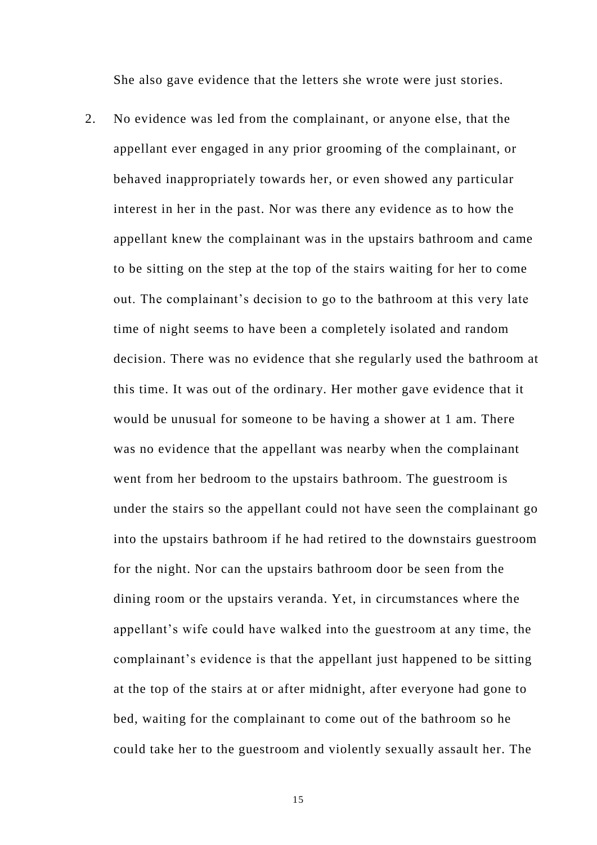She also gave evidence that the letters she wrote were just stories.

2. No evidence was led from the complainant, or anyone else, that the appellant ever engaged in any prior grooming of the complainant, or behaved inappropriately towards her, or even showed any particular interest in her in the past. Nor was there any evidence as to how the appellant knew the complainant was in the upstairs bathroom and came to be sitting on the step at the top of the stairs waiting for her to come out. The complainant's decision to go to the bathroom at this very late time of night seems to have been a completely isolated and random decision. There was no evidence that she regularly used the bathroom at this time. It was out of the ordinary. Her mother gave evidence that it would be unusual for someone to be having a shower at 1 am. There was no evidence that the appellant was nearby when the complainant went from her bedroom to the upstairs bathroom. The guestroom is under the stairs so the appellant could not have seen the complainant go into the upstairs bathroom if he had retired to the downstairs guestroom for the night. Nor can the upstairs bathroom door be seen from the dining room or the upstairs veranda. Yet, in circumstances where the appellant's wife could have walked into the guestroom at any time, the complainant's evidence is that the appellant just happened to be sitting at the top of the stairs at or after midnight, after everyone had gone to bed, waiting for the complainant to come out of the bathroom so he could take her to the guestroom and violently sexually assault her. The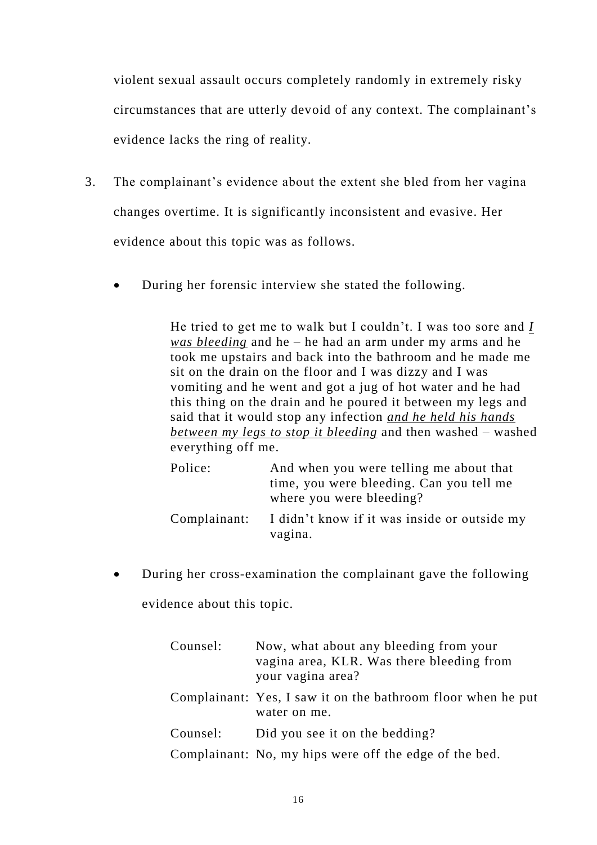violent sexual assault occurs completely randomly in extremely risky circumstances that are utterly devoid of any context. The complainant's evidence lacks the ring of reality.

- 3. The complainant's evidence about the extent she bled from her vagina changes overtime. It is significantly inconsistent and evasive. Her evidence about this topic was as follows.
	- During her forensic interview she stated the following.

He tried to get me to walk but I couldn't. I was too sore and *I was bleeding* and he – he had an arm under my arms and he took me upstairs and back into the bathroom and he made me sit on the drain on the floor and I was dizzy and I was vomiting and he went and got a jug of hot water and he had this thing on the drain and he poured it between my legs and said that it would stop any infection *and he held his hands between my legs to stop it bleeding* and then washed – washed everything off me.

| Police:      | And when you were telling me about that<br>time, you were bleeding. Can you tell me<br>where you were bleeding? |
|--------------|-----------------------------------------------------------------------------------------------------------------|
| Complainant: | I didn't know if it was inside or outside my<br>vagina.                                                         |

 During her cross-examination the complainant gave the following evidence about this topic.

> Counsel: Now, what about any bleeding from your vagina area, KLR. Was there bleeding from your vagina area? Complainant: Yes, I saw it on the bathroom floor when he put water on me. Counsel: Did you see it on the bedding? Complainant: No, my hips were off the edge of the bed.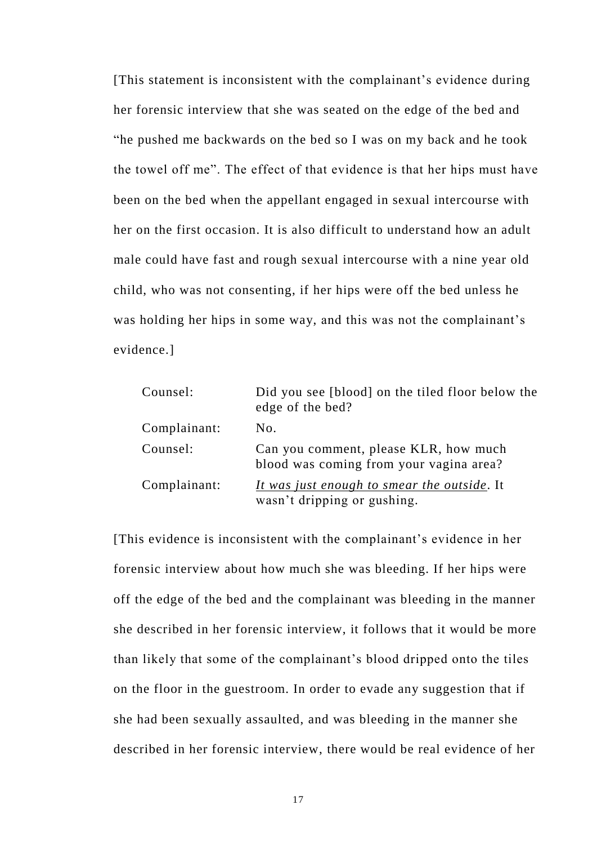[This statement is inconsistent with the complainant's evidence during her forensic interview that she was seated on the edge of the bed and "he pushed me backwards on the bed so I was on my back and he took the towel off me". The effect of that evidence is that her hips must have been on the bed when the appellant engaged in sexual intercourse with her on the first occasion. It is also difficult to understand how an adult male could have fast and rough sexual intercourse with a nine year old child, who was not consenting, if her hips were off the bed unless he was holding her hips in some way, and this was not the complainant's evidence.]

| Counsel:     | Did you see [blood] on the tiled floor below the<br>edge of the bed?               |
|--------------|------------------------------------------------------------------------------------|
| Complainant: | No.                                                                                |
| Counsel:     | Can you comment, please KLR, how much<br>blood was coming from your vagina area?   |
| Complainant: | <u>It was just enough to smear the outside</u> . It<br>wasn't dripping or gushing. |

[This evidence is inconsistent with the complainant's evidence in her forensic interview about how much she was bleeding. If her hips were off the edge of the bed and the complainant was bleeding in the manner she described in her forensic interview, it follows that it would be more than likely that some of the complainant's blood dripped onto the tiles on the floor in the guestroom. In order to evade any suggestion that if she had been sexually assaulted, and was bleeding in the manner she described in her forensic interview, there would be real evidence of her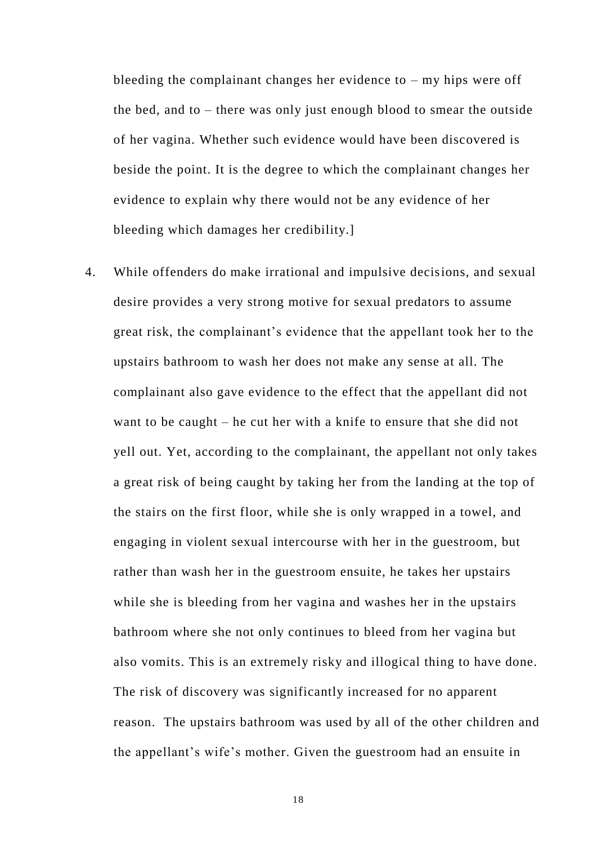bleeding the complainant changes her evidence to  $-$  my hips were off the bed, and to – there was only just enough blood to smear the outside of her vagina. Whether such evidence would have been discovered is beside the point. It is the degree to which the complainant changes her evidence to explain why there would not be any evidence of her bleeding which damages her credibility.]

4. While offenders do make irrational and impulsive decisions, and sexual desire provides a very strong motive for sexual predators to assume great risk, the complainant's evidence that the appellant took her to the upstairs bathroom to wash her does not make any sense at all. The complainant also gave evidence to the effect that the appellant did not want to be caught – he cut her with a knife to ensure that she did not yell out. Yet, according to the complainant, the appellant not only takes a great risk of being caught by taking her from the landing at the top of the stairs on the first floor, while she is only wrapped in a towel, and engaging in violent sexual intercourse with her in the guestroom, but rather than wash her in the guestroom ensuite, he takes her upstairs while she is bleeding from her vagina and washes her in the upstairs bathroom where she not only continues to bleed from her vagina but also vomits. This is an extremely risky and illogical thing to have done. The risk of discovery was significantly increased for no apparent reason. The upstairs bathroom was used by all of the other children and the appellant's wife's mother. Given the guestroom had an ensuite in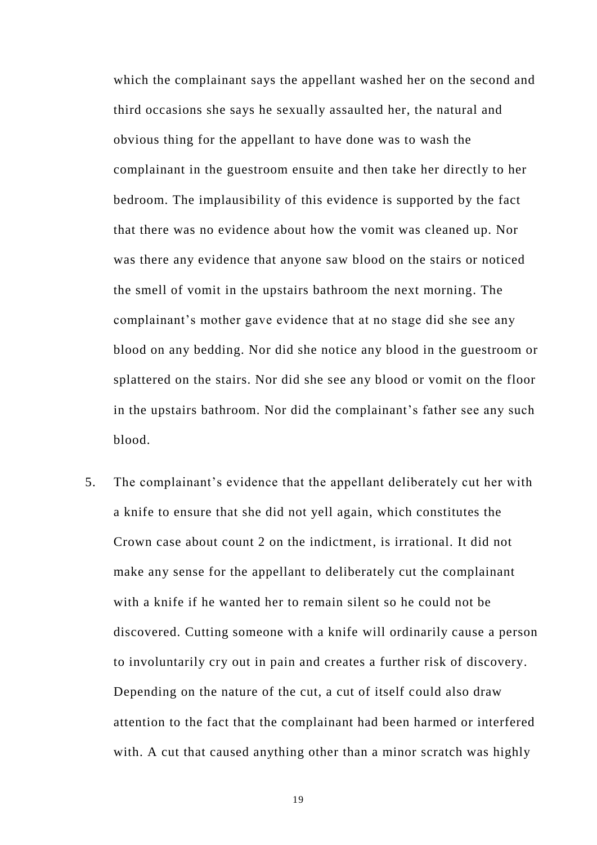which the complainant says the appellant washed her on the second and third occasions she says he sexually assaulted her, the natural and obvious thing for the appellant to have done was to wash the complainant in the guestroom ensuite and then take her directly to her bedroom. The implausibility of this evidence is supported by the fact that there was no evidence about how the vomit was cleaned up. Nor was there any evidence that anyone saw blood on the stairs or noticed the smell of vomit in the upstairs bathroom the next morning. The complainant's mother gave evidence that at no stage did she see any blood on any bedding. Nor did she notice any blood in the guestroom or splattered on the stairs. Nor did she see any blood or vomit on the floor in the upstairs bathroom. Nor did the complainant's father see any such blood.

5. The complainant's evidence that the appellant deliberately cut her with a knife to ensure that she did not yell again, which constitutes the Crown case about count 2 on the indictment, is irrational. It did not make any sense for the appellant to deliberately cut the complainant with a knife if he wanted her to remain silent so he could not be discovered. Cutting someone with a knife will ordinarily cause a person to involuntarily cry out in pain and creates a further risk of discovery. Depending on the nature of the cut, a cut of itself could also draw attention to the fact that the complainant had been harmed or interfered with. A cut that caused anything other than a minor scratch was highly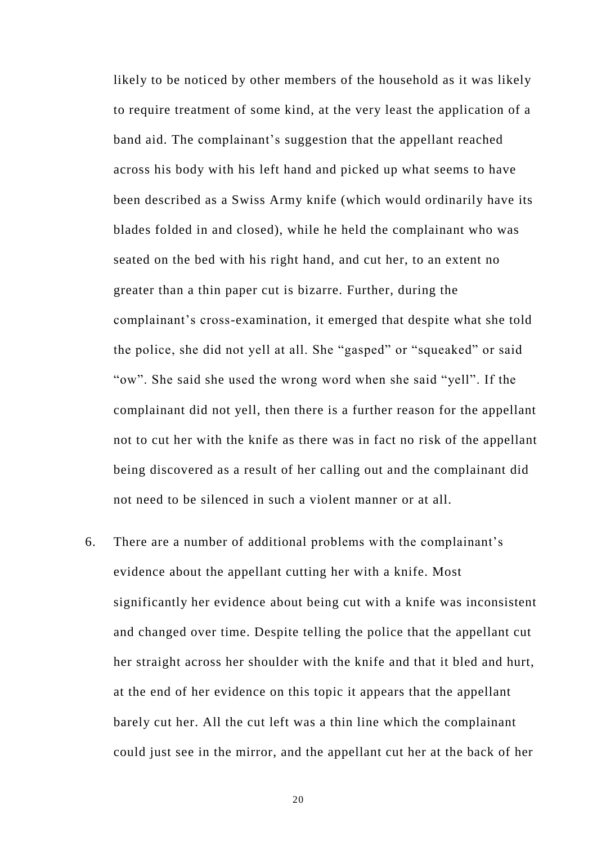likely to be noticed by other members of the household as it was likely to require treatment of some kind, at the very least the application of a band aid. The complainant's suggestion that the appellant reached across his body with his left hand and picked up what seems to have been described as a Swiss Army knife (which would ordinarily have its blades folded in and closed), while he held the complainant who was seated on the bed with his right hand, and cut her, to an extent no greater than a thin paper cut is bizarre. Further, during the complainant's cross-examination, it emerged that despite what she told the police, she did not yell at all. She "gasped" or "squeaked" or said "ow". She said she used the wrong word when she said "yell". If the complainant did not yell, then there is a further reason for the appellant not to cut her with the knife as there was in fact no risk of the appellant being discovered as a result of her calling out and the complainant did not need to be silenced in such a violent manner or at all.

6. There are a number of additional problems with the complainant's evidence about the appellant cutting her with a knife. Most significantly her evidence about being cut with a knife was inconsistent and changed over time. Despite telling the police that the appellant cut her straight across her shoulder with the knife and that it bled and hurt, at the end of her evidence on this topic it appears that the appellant barely cut her. All the cut left was a thin line which the complainant could just see in the mirror, and the appellant cut her at the back of her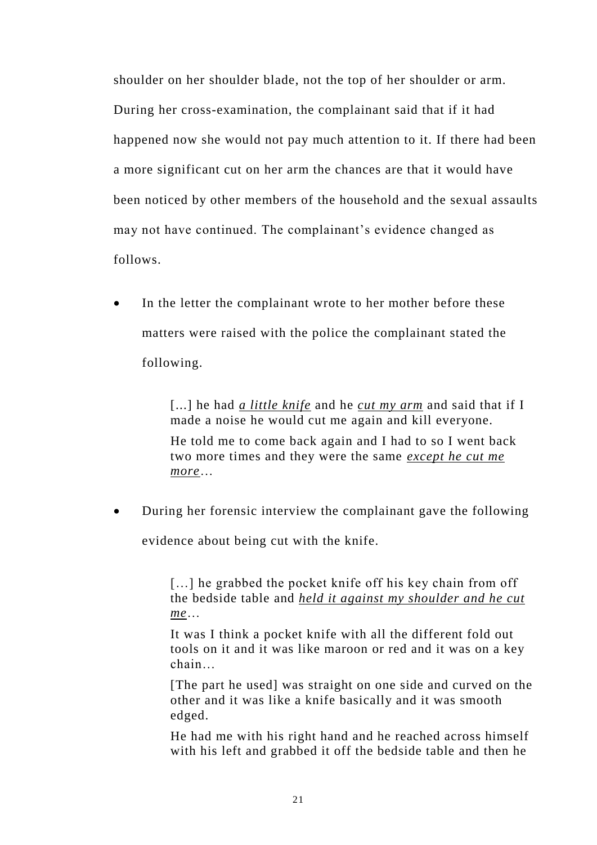shoulder on her shoulder blade, not the top of her shoulder or arm. During her cross-examination, the complainant said that if it had happened now she would not pay much attention to it. If there had been a more significant cut on her arm the chances are that it would have been noticed by other members of the household and the sexual assaults may not have continued. The complainant's evidence changed as follows.

• In the letter the complainant wrote to her mother before these matters were raised with the police the complainant stated the following.

> [...] he had *a little knife* and he *cut my arm* and said that if I made a noise he would cut me again and kill everyone.

He told me to come back again and I had to so I went back two more times and they were the same *except he cut me more*…

During her forensic interview the complainant gave the following

evidence about being cut with the knife.

[...] he grabbed the pocket knife off his key chain from off the bedside table and *held it against my shoulder and he cut me*…

It was I think a pocket knife with all the different fold out tools on it and it was like maroon or red and it was on a key chain…

[The part he used] was straight on one side and curved on the other and it was like a knife basically and it was smooth edged.

He had me with his right hand and he reached across himself with his left and grabbed it off the bedside table and then he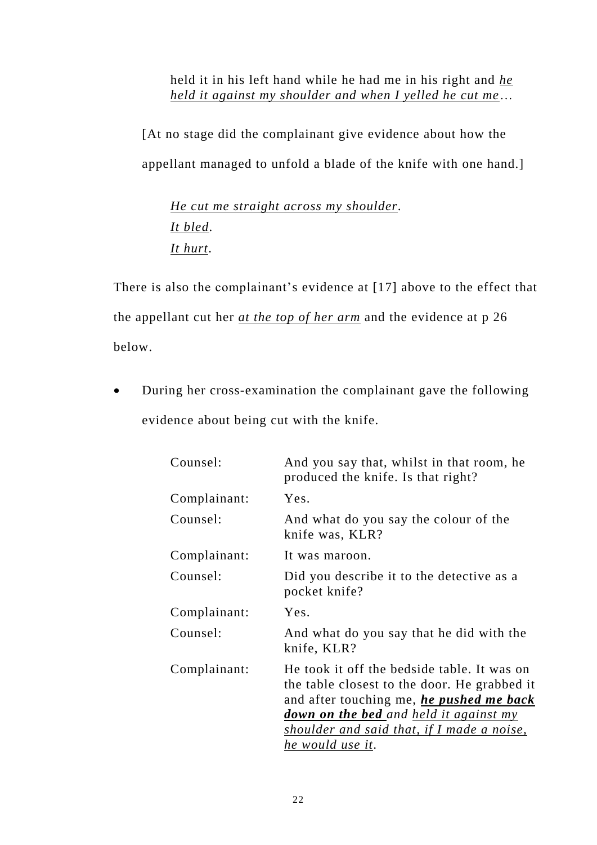held it in his left hand while he had me in his right and *he held it against my shoulder and when I yelled he cut me*…

[At no stage did the complainant give evidence about how the appellant managed to unfold a blade of the knife with one hand.]

*He cut me straight across my shoulder*. *It bled*. *It hurt*.

There is also the complainant's evidence at [17] above to the effect that the appellant cut her *at the top of her arm* and the evidence at p 26 below.

 During her cross-examination the complainant gave the following evidence about being cut with the knife.

| Counsel:     | And you say that, whilst in that room, he<br>produced the knife. Is that right?                                                                                                                                                                                   |
|--------------|-------------------------------------------------------------------------------------------------------------------------------------------------------------------------------------------------------------------------------------------------------------------|
| Complainant: | Yes.                                                                                                                                                                                                                                                              |
| Counsel:     | And what do you say the colour of the<br>knife was, KLR?                                                                                                                                                                                                          |
| Complainant: | It was maroon.                                                                                                                                                                                                                                                    |
| Counsel:     | Did you describe it to the detective as a<br>pocket knife?                                                                                                                                                                                                        |
| Complainant: | Yes.                                                                                                                                                                                                                                                              |
| Counsel:     | And what do you say that he did with the<br>knife, KLR?                                                                                                                                                                                                           |
| Complainant: | He took it off the bedside table. It was on<br>the table closest to the door. He grabbed it<br>and after touching me, <i>he pushed me back</i><br><b>down on the bed</b> and held it against my<br>shoulder and said that, if I made a noise,<br>he would use it. |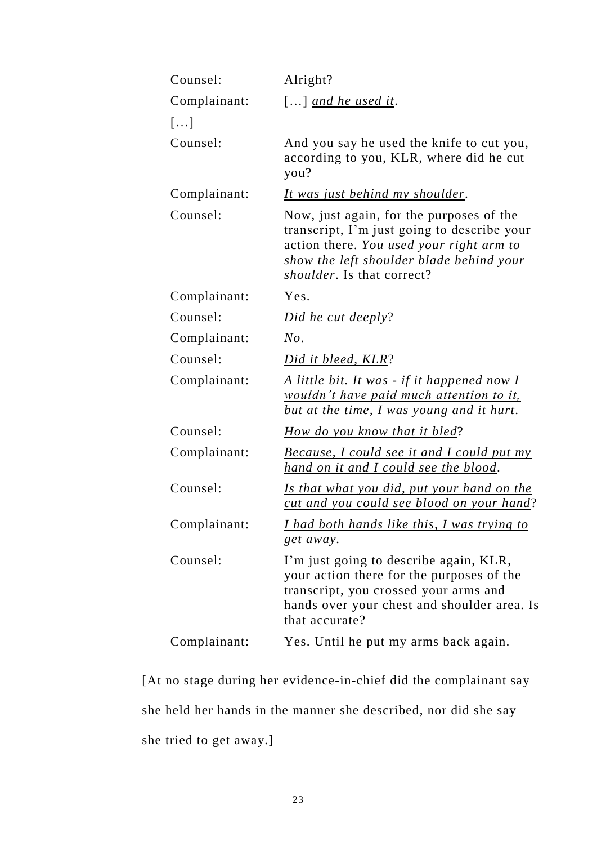| Counsel:     | Alright?                                                                                                                                                                                                              |
|--------------|-----------------------------------------------------------------------------------------------------------------------------------------------------------------------------------------------------------------------|
| Complainant: | $\left[\ldots\right]$ and he used it.                                                                                                                                                                                 |
| []           |                                                                                                                                                                                                                       |
| Counsel:     | And you say he used the knife to cut you,<br>according to you, KLR, where did he cut<br>you?                                                                                                                          |
| Complainant: | It was just behind my shoulder.                                                                                                                                                                                       |
| Counsel:     | Now, just again, for the purposes of the<br>transcript, I'm just going to describe your<br>action there. You used your right arm to<br>show the left shoulder blade behind your<br><i>shoulder</i> . Is that correct? |
| Complainant: | Yes.                                                                                                                                                                                                                  |
| Counsel:     | Did he cut deeply?                                                                                                                                                                                                    |
| Complainant: | No.                                                                                                                                                                                                                   |
| Counsel:     | Did it bleed, KLR?                                                                                                                                                                                                    |
| Complainant: | <u>A little bit. It was - if it happened now I</u><br>wouldn't have paid much attention to it,<br><u>but at the time, I was young and it hurt.</u>                                                                    |
| Counsel:     | How do you know that it bled?                                                                                                                                                                                         |
| Complainant: | <b>Because, I could see it and I could put my</b><br><u>hand on it and I could see the blood.</u>                                                                                                                     |
| Counsel:     | <u>Is that what you did, put your hand on the</u><br><u>cut and you could see blood on your hand?</u>                                                                                                                 |
| Complainant: | I had both hands like this, I was trying to<br>get away.                                                                                                                                                              |
| Counsel:     | I'm just going to describe again, KLR,<br>your action there for the purposes of the<br>transcript, you crossed your arms and<br>hands over your chest and shoulder area. Is<br>that accurate?                         |
| Complainant: | Yes. Until he put my arms back again.                                                                                                                                                                                 |

[At no stage during her evidence-in-chief did the complainant say she held her hands in the manner she described, nor did she say she tried to get away.]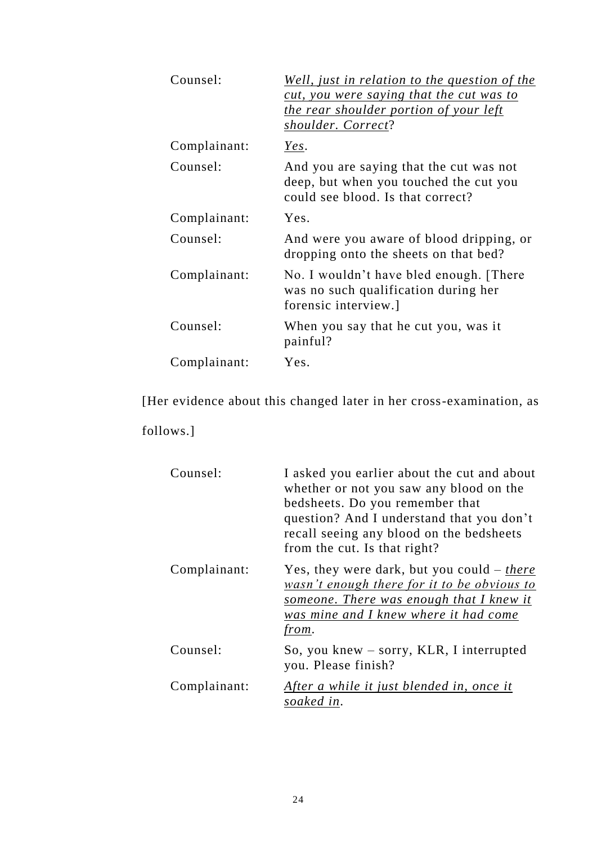| Counsel:     | <u>Well, just in relation to the question of the</u><br>cut, you were saying that the cut was to<br>the rear shoulder portion of your left<br>shoulder. Correct? |
|--------------|------------------------------------------------------------------------------------------------------------------------------------------------------------------|
| Complainant: | Yes.                                                                                                                                                             |
| Counsel:     | And you are saying that the cut was not<br>deep, but when you touched the cut you<br>could see blood. Is that correct?                                           |
| Complainant: | Yes.                                                                                                                                                             |
| Counsel:     | And were you aware of blood dripping, or<br>dropping onto the sheets on that bed?                                                                                |
| Complainant: | No. I wouldn't have bled enough. [There]<br>was no such qualification during her<br>forensic interview.]                                                         |
| Counsel:     | When you say that he cut you, was it<br>painful?                                                                                                                 |
| Complainant: | Yes.                                                                                                                                                             |

[Her evidence about this changed later in her cross-examination, as

follows.]

| Counsel:     | I asked you earlier about the cut and about<br>whether or not you saw any blood on the<br>bedsheets. Do you remember that<br>question? And I understand that you don't<br>recall seeing any blood on the bedsheets<br>from the cut. Is that right? |
|--------------|----------------------------------------------------------------------------------------------------------------------------------------------------------------------------------------------------------------------------------------------------|
| Complainant: | Yes, they were dark, but you could $-$ there<br>wasn't enough there for it to be obvious to<br>someone. There was enough that I knew it<br>was mine and I knew where it had come<br>from.                                                          |
| Counsel:     | So, you knew $-$ sorry, KLR, I interrupted<br>you. Please finish?                                                                                                                                                                                  |
| Complainant: | After a while it just blended in, once it<br>soaked in.                                                                                                                                                                                            |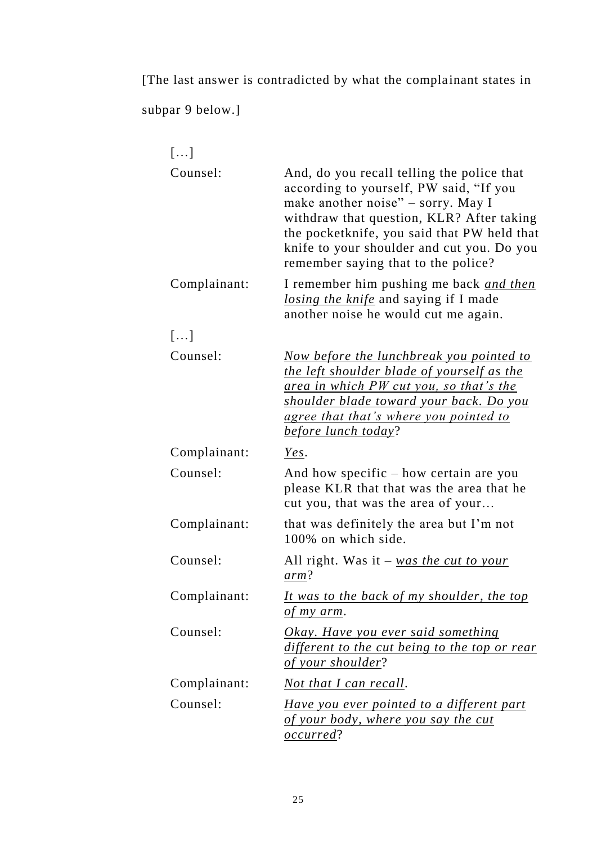[The last answer is contradicted by what the complainant states in

subpar 9 below.]

| []           |                                                                                                                                                                                                                                                                                                              |
|--------------|--------------------------------------------------------------------------------------------------------------------------------------------------------------------------------------------------------------------------------------------------------------------------------------------------------------|
| Counsel:     | And, do you recall telling the police that<br>according to yourself, PW said, "If you<br>make another noise" - sorry. May I<br>withdraw that question, KLR? After taking<br>the pocketknife, you said that PW held that<br>knife to your shoulder and cut you. Do you<br>remember saying that to the police? |
| Complainant: | I remember him pushing me back and then<br>losing the knife and saying if I made<br>another noise he would cut me again.                                                                                                                                                                                     |
| []           |                                                                                                                                                                                                                                                                                                              |
| Counsel:     | <u>Now before the lunchbreak you pointed to</u><br>the left shoulder blade of yourself as the<br><u>area in which PW cut you, so that's the</u><br>shoulder blade toward your back. Do you<br><u>agree that that's where you pointed to</u><br>before lunch today?                                           |
| Complainant: | Yes.                                                                                                                                                                                                                                                                                                         |
| Counsel:     | And how specific $-$ how certain are you<br>please KLR that that was the area that he<br>cut you, that was the area of your                                                                                                                                                                                  |
| Complainant: | that was definitely the area but I'm not<br>100% on which side.                                                                                                                                                                                                                                              |
| Counsel:     | All right. Was it $-\text{was the cut to your}$<br>arm?                                                                                                                                                                                                                                                      |
| Complainant: | It was to the back of my shoulder, the top<br>of my arm.                                                                                                                                                                                                                                                     |
| Counsel:     | <b>Okay.</b> Have you ever said something<br>different to the cut being to the top or rear<br>of your shoulder?                                                                                                                                                                                              |
| Complainant: | <u>Not that I can recall.</u>                                                                                                                                                                                                                                                                                |
| Counsel:     | Have you ever pointed to a different part<br>of your body, where you say the cut<br><i>occurred?</i>                                                                                                                                                                                                         |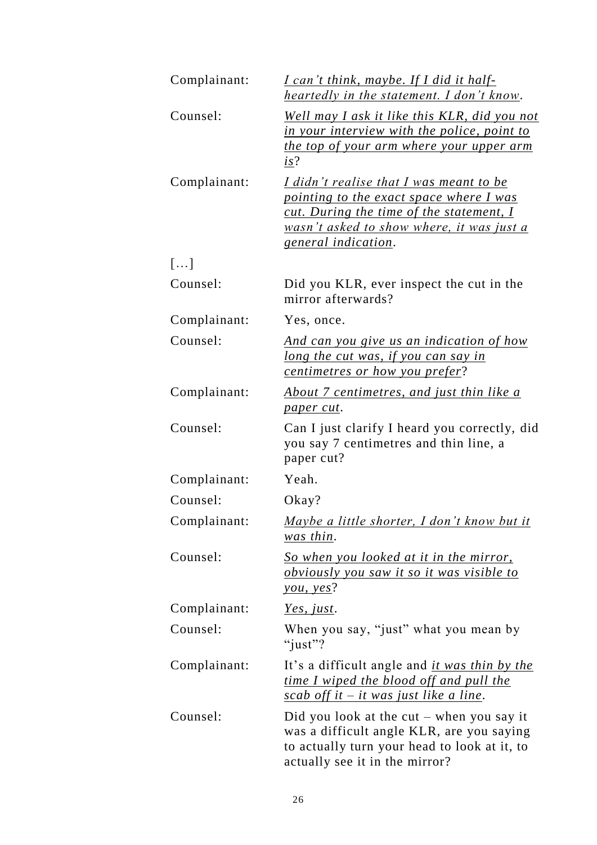| Complainant: | <u>I can't think, maybe. If I did it half-</u><br><u>heartedly in the statement. I don't know.</u>                                                                                                                       |
|--------------|--------------------------------------------------------------------------------------------------------------------------------------------------------------------------------------------------------------------------|
| Counsel:     | <u>Well may I ask it like this KLR, did you not</u><br>in your interview with the police, point to<br><u>the top of your arm where your upper arm</u><br>is?                                                             |
| Complainant: | I didn't realise that I was meant to be<br>pointing to the exact space where I was<br><u>cut. During the time of the statement, I</u><br><u>wasn't asked to show where, it was just a</u><br><u>general indication</u> . |
| []           |                                                                                                                                                                                                                          |
| Counsel:     | Did you KLR, ever inspect the cut in the<br>mirror afterwards?                                                                                                                                                           |
| Complainant: | Yes, once.                                                                                                                                                                                                               |
| Counsel:     | <u>And can you give us an indication of how</u><br>long the cut was, if you can say in<br>centimetres or how you prefer?                                                                                                 |
| Complainant: | <u>About 7 centimetres, and just thin like a</u><br>paper cut.                                                                                                                                                           |
| Counsel:     | Can I just clarify I heard you correctly, did<br>you say 7 centimetres and thin line, a<br>paper cut?                                                                                                                    |
| Complainant: | Yeah.                                                                                                                                                                                                                    |
| Counsel:     | Okay?                                                                                                                                                                                                                    |
| Complainant: | <u>Maybe a little shorter, I don't know but it</u><br>was thin.                                                                                                                                                          |
| Counsel:     | <u>So when you looked at it in the mirror,</u><br><u>obviously you saw it so it was visible to</u><br><u>you, yes</u> ?                                                                                                  |
| Complainant: | <u>Yes, just</u> .                                                                                                                                                                                                       |
| Counsel:     | When you say, "just" what you mean by<br>"just"?                                                                                                                                                                         |
| Complainant: | It's a difficult angle and <i>it was thin by the</i><br><u>time I wiped the blood off and pull the</u><br><u>scab off it – it was just like a line</u> .                                                                 |
| Counsel:     | Did you look at the cut $-$ when you say it<br>was a difficult angle KLR, are you saying<br>to actually turn your head to look at it, to<br>actually see it in the mirror?                                               |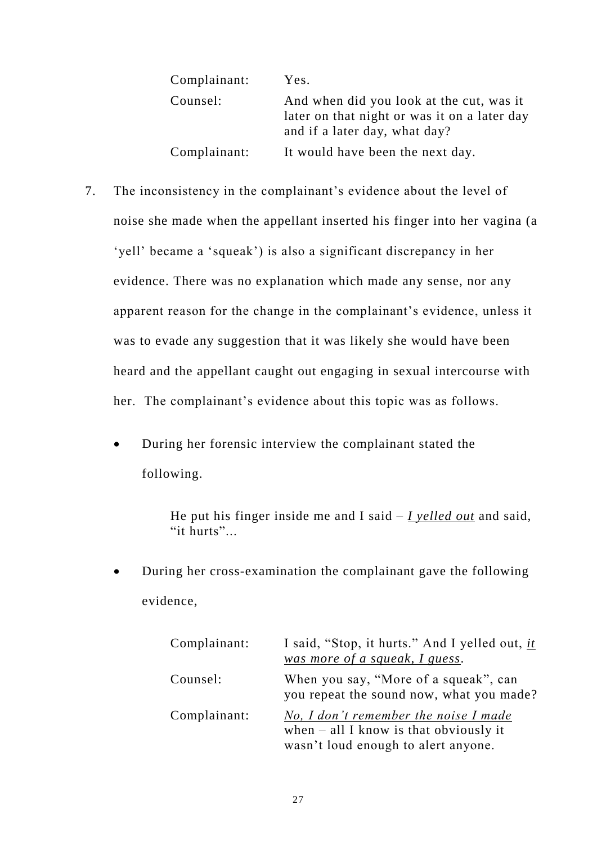| Complainant: | Yes.                                                                                                                      |
|--------------|---------------------------------------------------------------------------------------------------------------------------|
| Counsel:     | And when did you look at the cut, was it<br>later on that night or was it on a later day<br>and if a later day, what day? |
| Complainant: | It would have been the next day.                                                                                          |

- 7. The inconsistency in the complainant's evidence about the level of noise she made when the appellant inserted his finger into her vagina (a 'yell' became a 'squeak') is also a significant discrepancy in her evidence. There was no explanation which made any sense, nor any apparent reason for the change in the complainant's evidence, unless it was to evade any suggestion that it was likely she would have been heard and the appellant caught out engaging in sexual intercourse with her. The complainant's evidence about this topic was as follows.
	- During her forensic interview the complainant stated the following.

He put his finger inside me and I said – *I yelled out* and said, "it hurts"...

 During her cross-examination the complainant gave the following evidence,

| Complainant: | I said, "Stop, it hurts." And I yelled out, it<br>was more of a squeak, I guess.                                         |
|--------------|--------------------------------------------------------------------------------------------------------------------------|
| Counsel:     | When you say, "More of a squeak", can<br>you repeat the sound now, what you made?                                        |
| Complainant: | No, I don't remember the noise I made<br>when $-$ all I know is that obviously it<br>wasn't loud enough to alert anyone. |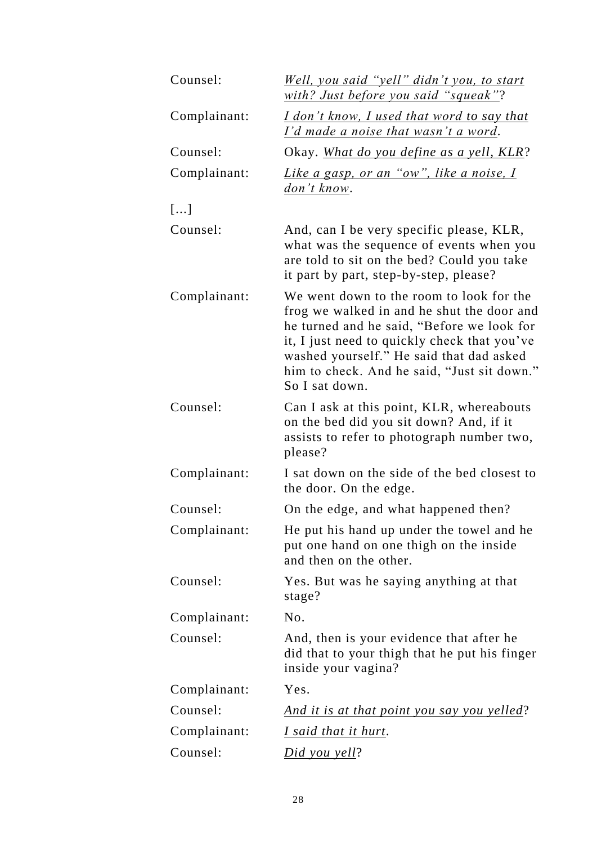| Counsel:     | <u>Well, you said "yell" didn't you, to start</u><br>with? Just before you said "squeak"?                                                                                                                                                                                                         |
|--------------|---------------------------------------------------------------------------------------------------------------------------------------------------------------------------------------------------------------------------------------------------------------------------------------------------|
| Complainant: | <u>I don't know, I used that word to say that</u><br><u>I'd made a noise that wasn't a word.</u>                                                                                                                                                                                                  |
| Counsel:     | Okay. What do you define as a yell, KLR?                                                                                                                                                                                                                                                          |
| Complainant: | Like a gasp, or an "ow", like a noise, I<br><u>don't know</u> .                                                                                                                                                                                                                                   |
| []           |                                                                                                                                                                                                                                                                                                   |
| Counsel:     | And, can I be very specific please, KLR,<br>what was the sequence of events when you<br>are told to sit on the bed? Could you take<br>it part by part, step-by-step, please?                                                                                                                      |
| Complainant: | We went down to the room to look for the<br>frog we walked in and he shut the door and<br>he turned and he said, "Before we look for<br>it, I just need to quickly check that you've<br>washed yourself." He said that dad asked<br>him to check. And he said, "Just sit down."<br>So I sat down. |
| Counsel:     | Can I ask at this point, KLR, whereabouts<br>on the bed did you sit down? And, if it<br>assists to refer to photograph number two,<br>please?                                                                                                                                                     |
| Complainant: | I sat down on the side of the bed closest to<br>the door. On the edge.                                                                                                                                                                                                                            |
| Counsel:     | On the edge, and what happened then?                                                                                                                                                                                                                                                              |
| Complainant: | He put his hand up under the towel and he<br>put one hand on one thigh on the inside<br>and then on the other.                                                                                                                                                                                    |
| Counsel:     | Yes. But was he saying anything at that<br>stage?                                                                                                                                                                                                                                                 |
| Complainant: | No.                                                                                                                                                                                                                                                                                               |
| Counsel:     | And, then is your evidence that after he<br>did that to your thigh that he put his finger<br>inside your vagina?                                                                                                                                                                                  |
| Complainant: | Yes.                                                                                                                                                                                                                                                                                              |
| Counsel:     | <u>And it is at that point you say you yelled?</u>                                                                                                                                                                                                                                                |
| Complainant: | I said that it hurt.                                                                                                                                                                                                                                                                              |
| Counsel:     | <u>Did you yell?</u>                                                                                                                                                                                                                                                                              |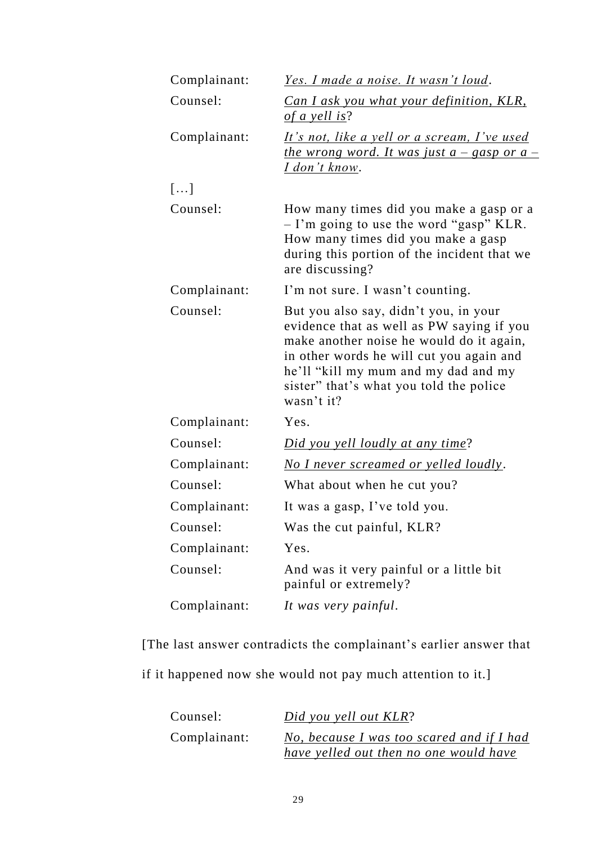| Complainant: | <u>Yes. I made a noise. It wasn't loud.</u>                                                                                                                                                                                                                                 |
|--------------|-----------------------------------------------------------------------------------------------------------------------------------------------------------------------------------------------------------------------------------------------------------------------------|
| Counsel:     | <b>Can I ask you what your definition, KLR,</b><br>of a yell is?                                                                                                                                                                                                            |
| Complainant: | <u>It's not, like a yell or a scream, I've used</u><br><u>the wrong word. It was just a – gasp or a –</u><br><u>I don't know</u> .                                                                                                                                          |
| []           |                                                                                                                                                                                                                                                                             |
| Counsel:     | How many times did you make a gasp or a<br>- I'm going to use the word "gasp" KLR.<br>How many times did you make a gasp<br>during this portion of the incident that we<br>are discussing?                                                                                  |
| Complainant: | I'm not sure. I wasn't counting.                                                                                                                                                                                                                                            |
| Counsel:     | But you also say, didn't you, in your<br>evidence that as well as PW saying if you<br>make another noise he would do it again,<br>in other words he will cut you again and<br>he'll "kill my mum and my dad and my<br>sister" that's what you told the police<br>wasn't it? |
| Complainant: | Yes.                                                                                                                                                                                                                                                                        |
| Counsel:     | Did you yell loudly at any time?                                                                                                                                                                                                                                            |
| Complainant: | No I never screamed or yelled loudly.                                                                                                                                                                                                                                       |
| Counsel:     | What about when he cut you?                                                                                                                                                                                                                                                 |
| Complainant: | It was a gasp, I've told you.                                                                                                                                                                                                                                               |
| Counsel:     | Was the cut painful, KLR?                                                                                                                                                                                                                                                   |
| Complainant: | Yes.                                                                                                                                                                                                                                                                        |
| Counsel:     | And was it very painful or a little bit<br>painful or extremely?                                                                                                                                                                                                            |
| Complainant: | It was very painful.                                                                                                                                                                                                                                                        |

[The last answer contradicts the complainant's earlier answer that

if it happened now she would not pay much attention to it.]

| Counsel:     | Did you yell out KLR?                     |
|--------------|-------------------------------------------|
| Complainant: | No, because I was too scared and if I had |
|              | have yelled out then no one would have    |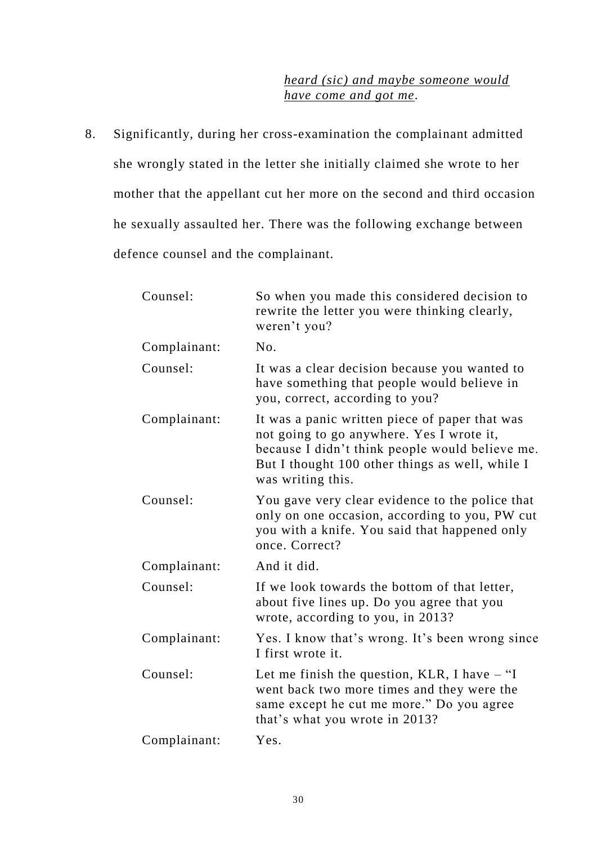## *heard (sic) and maybe someone would have come and got me*.

8. Significantly, during her cross-examination the complainant admitted she wrongly stated in the letter she initially claimed she wrote to her mother that the appellant cut her more on the second and third occasion he sexually assaulted her. There was the following exchange between defence counsel and the complainant.

| Counsel:     | So when you made this considered decision to<br>rewrite the letter you were thinking clearly,<br>weren't you?                                                                                                          |
|--------------|------------------------------------------------------------------------------------------------------------------------------------------------------------------------------------------------------------------------|
| Complainant: | N <sub>0</sub> .                                                                                                                                                                                                       |
| Counsel:     | It was a clear decision because you wanted to<br>have something that people would believe in<br>you, correct, according to you?                                                                                        |
| Complainant: | It was a panic written piece of paper that was<br>not going to go anywhere. Yes I wrote it,<br>because I didn't think people would believe me.<br>But I thought 100 other things as well, while I<br>was writing this. |
| Counsel:     | You gave very clear evidence to the police that<br>only on one occasion, according to you, PW cut<br>you with a knife. You said that happened only<br>once. Correct?                                                   |
| Complainant: | And it did.                                                                                                                                                                                                            |
| Counsel:     | If we look towards the bottom of that letter,<br>about five lines up. Do you agree that you<br>wrote, according to you, in 2013?                                                                                       |
| Complainant: | Yes. I know that's wrong. It's been wrong since<br>I first wrote it.                                                                                                                                                   |
| Counsel:     | Let me finish the question, KLR, I have $-$ "I<br>went back two more times and they were the<br>same except he cut me more." Do you agree<br>that's what you wrote in 2013?                                            |
| Complainant: | Yes.                                                                                                                                                                                                                   |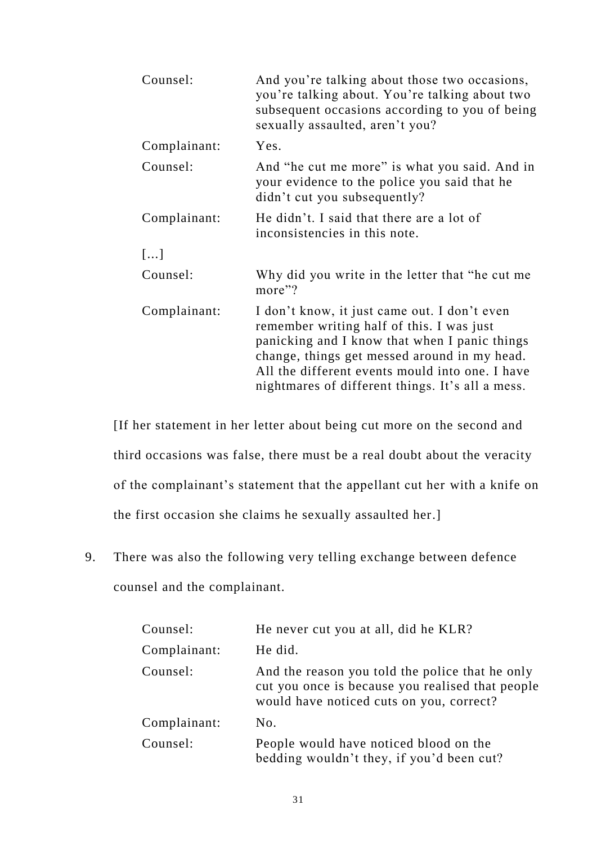| Counsel:     | And you're talking about those two occasions,<br>you're talking about. You're talking about two<br>subsequent occasions according to you of being<br>sexually assaulted, aren't you?                                                                                                              |
|--------------|---------------------------------------------------------------------------------------------------------------------------------------------------------------------------------------------------------------------------------------------------------------------------------------------------|
| Complainant: | Yes.                                                                                                                                                                                                                                                                                              |
| Counsel:     | And "he cut me more" is what you said. And in<br>your evidence to the police you said that he<br>didn't cut you subsequently?                                                                                                                                                                     |
| Complainant: | He didn't. I said that there are a lot of<br>inconsistencies in this note.                                                                                                                                                                                                                        |
| []           |                                                                                                                                                                                                                                                                                                   |
| Counsel:     | Why did you write in the letter that "he cut me<br>more"?                                                                                                                                                                                                                                         |
| Complainant: | I don't know, it just came out. I don't even<br>remember writing half of this. I was just<br>panicking and I know that when I panic things<br>change, things get messed around in my head.<br>All the different events mould into one. I have<br>nightmares of different things. It's all a mess. |

[If her statement in her letter about being cut more on the second and third occasions was false, there must be a real doubt about the veracity of the complainant's statement that the appellant cut her with a knife on the first occasion she claims he sexually assaulted her.]

9. There was also the following very telling exchange between defence counsel and the complainant.

| Counsel:     | He never cut you at all, did he KLR?                                                                                                            |
|--------------|-------------------------------------------------------------------------------------------------------------------------------------------------|
| Complainant: | He did.                                                                                                                                         |
| Counsel:     | And the reason you told the police that he only<br>cut you once is because you realised that people<br>would have noticed cuts on you, correct? |
| Complainant: | No.                                                                                                                                             |
| Counsel:     | People would have noticed blood on the<br>bedding wouldn't they, if you'd been cut?                                                             |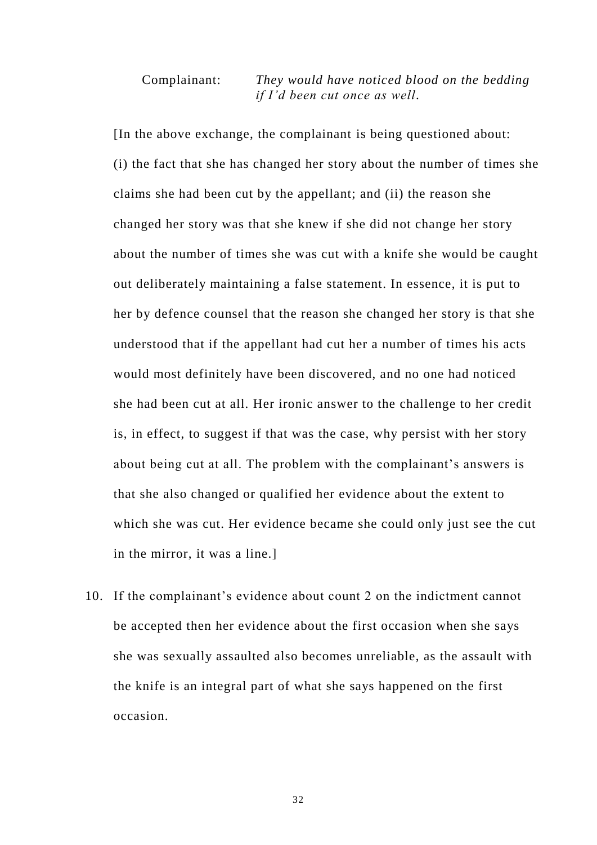### Complainant: *They would have noticed blood on the bedding if I'd been cut once as well*.

[In the above exchange, the complainant is being questioned about: (i) the fact that she has changed her story about the number of times she claims she had been cut by the appellant; and (ii) the reason she changed her story was that she knew if she did not change her story about the number of times she was cut with a knife she would be caught out deliberately maintaining a false statement. In essence, it is put to her by defence counsel that the reason she changed her story is that she understood that if the appellant had cut her a number of times his acts would most definitely have been discovered, and no one had noticed she had been cut at all. Her ironic answer to the challenge to her credit is, in effect, to suggest if that was the case, why persist with her story about being cut at all. The problem with the complainant's answers is that she also changed or qualified her evidence about the extent to which she was cut. Her evidence became she could only just see the cut in the mirror, it was a line.]

10. If the complainant's evidence about count 2 on the indictment cannot be accepted then her evidence about the first occasion when she says she was sexually assaulted also becomes unreliable, as the assault with the knife is an integral part of what she says happened on the first occasion.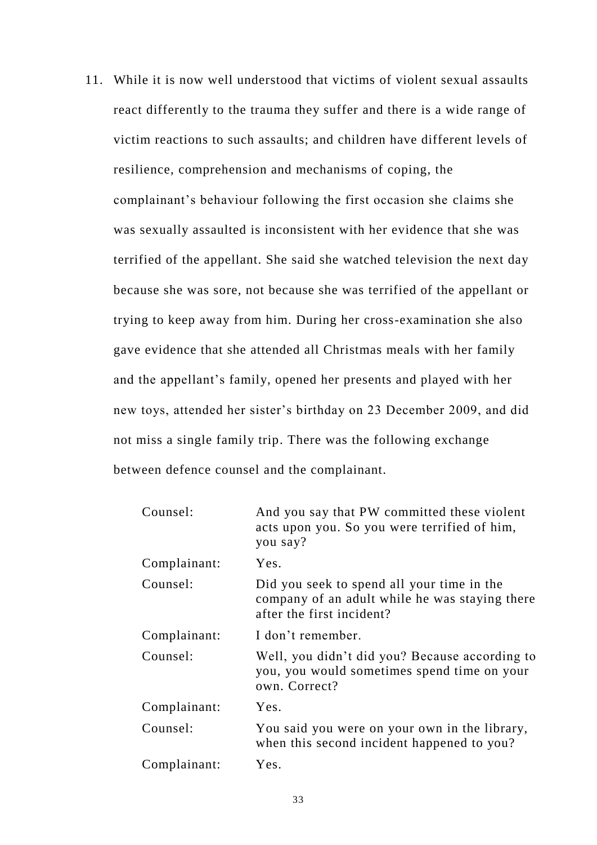11. While it is now well understood that victims of violent sexual assaults react differently to the trauma they suffer and there is a wide range of victim reactions to such assaults; and children have different levels of resilience, comprehension and mechanisms of coping, the complainant's behaviour following the first occasion she claims she was sexually assaulted is inconsistent with her evidence that she was terrified of the appellant. She said she watched television the next day because she was sore, not because she was terrified of the appellant or trying to keep away from him. During her cross-examination she also gave evidence that she attended all Christmas meals with her family and the appellant's family, opened her presents and played with her new toys, attended her sister's birthday on 23 December 2009, and did not miss a single family trip. There was the following exchange between defence counsel and the complainant.

| Counsel:     | And you say that PW committed these violent<br>acts upon you. So you were terrified of him,<br>you say?                   |
|--------------|---------------------------------------------------------------------------------------------------------------------------|
| Complainant: | Yes.                                                                                                                      |
| Counsel:     | Did you seek to spend all your time in the<br>company of an adult while he was staying there<br>after the first incident? |
| Complainant: | I don't remember.                                                                                                         |
| Counsel:     | Well, you didn't did you? Because according to<br>you, you would sometimes spend time on your<br>own. Correct?            |
| Complainant: | Yes.                                                                                                                      |
| Counsel:     | You said you were on your own in the library,<br>when this second incident happened to you?                               |
| Complainant: | Yes.                                                                                                                      |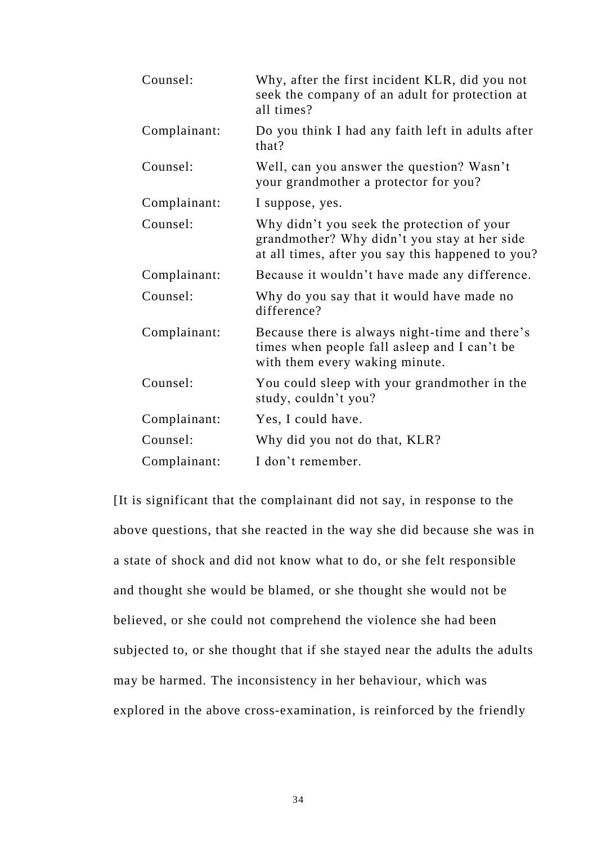| Counsel:     | Why, after the first incident KLR, did you not<br>seek the company of an adult for protection at<br>all times?                                  |
|--------------|-------------------------------------------------------------------------------------------------------------------------------------------------|
| Complainant: | Do you think I had any faith left in adults after<br>that?                                                                                      |
| Counsel:     | Well, can you answer the question? Wasn't<br>your grandmother a protector for you?                                                              |
| Complainant: | I suppose, yes.                                                                                                                                 |
| Counsel:     | Why didn't you seek the protection of your<br>grandmother? Why didn't you stay at her side<br>at all times, after you say this happened to you? |
| Complainant: | Because it wouldn't have made any difference.                                                                                                   |
| Counsel:     | Why do you say that it would have made no<br>difference?                                                                                        |
| Complainant: | Because there is always night-time and there's<br>times when people fall asleep and I can't be<br>with them every waking minute.                |
| Counsel:     | You could sleep with your grandmother in the<br>study, couldn't you?                                                                            |
| Complainant: | Yes, I could have.                                                                                                                              |
| Counsel:     | Why did you not do that, KLR?                                                                                                                   |
| Complainant: | I don't remember.                                                                                                                               |

[It is significant that the complainant did not say, in response to the above questions, that she reacted in the way she did because she was in a state of shock and did not know what to do, or she felt responsible and thought she would be blamed, or she thought she would not be believed, or she could not comprehend the violence she had been subjected to, or she thought that if she stayed near the adults the adults may be harmed. The inconsistency in her behaviour, which was explored in the above cross-examination, is reinforced by the friendly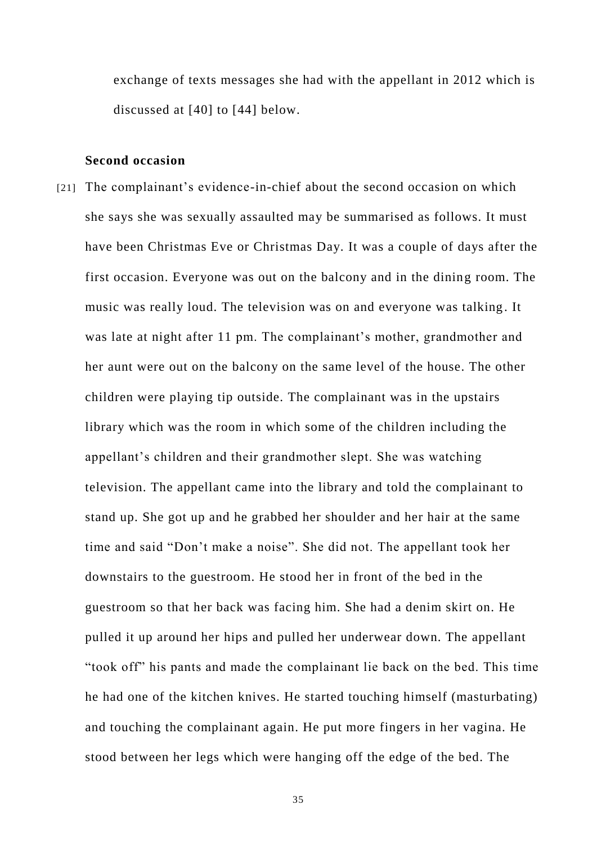exchange of texts messages she had with the appellant in 2012 which is discussed at [40] to [44] below.

### **Second occasion**

[21] The complainant's evidence-in-chief about the second occasion on which she says she was sexually assaulted may be summarised as follows. It must have been Christmas Eve or Christmas Day. It was a couple of days after the first occasion. Everyone was out on the balcony and in the dining room. The music was really loud. The television was on and everyone was talking. It was late at night after 11 pm. The complainant's mother, grandmother and her aunt were out on the balcony on the same level of the house. The other children were playing tip outside. The complainant was in the upstairs library which was the room in which some of the children including the appellant's children and their grandmother slept. She was watching television. The appellant came into the library and told the complainant to stand up. She got up and he grabbed her shoulder and her hair at the same time and said "Don't make a noise". She did not. The appellant took her downstairs to the guestroom. He stood her in front of the bed in the guestroom so that her back was facing him. She had a denim skirt on. He pulled it up around her hips and pulled her underwear down. The appellant "took off" his pants and made the complainant lie back on the bed. This time he had one of the kitchen knives. He started touching himself (masturbating) and touching the complainant again. He put more fingers in her vagina. He stood between her legs which were hanging off the edge of the bed. The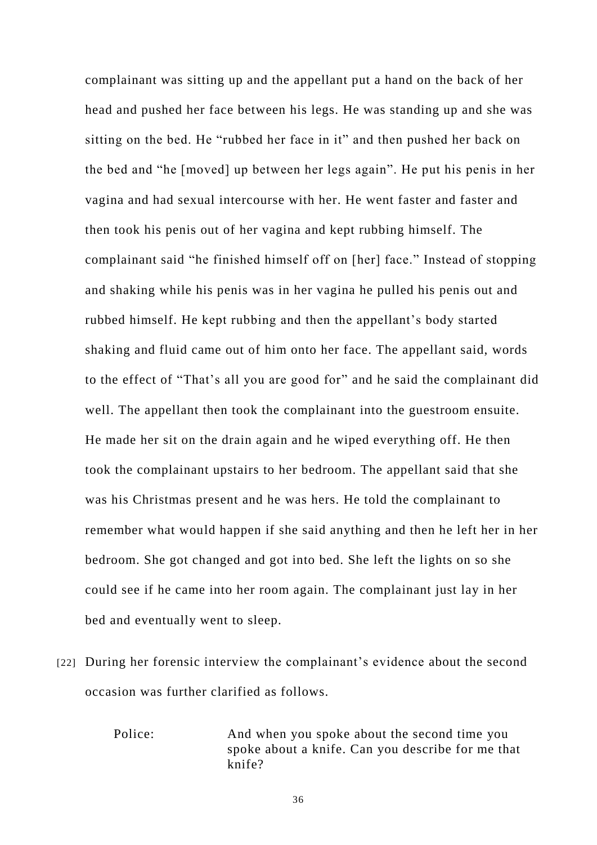complainant was sitting up and the appellant put a hand on the back of her head and pushed her face between his legs. He was standing up and she was sitting on the bed. He "rubbed her face in it" and then pushed her back on the bed and "he [moved] up between her legs again". He put his penis in her vagina and had sexual intercourse with her. He went faster and faster and then took his penis out of her vagina and kept rubbing himself. The complainant said "he finished himself off on [her] face." Instead of stopping and shaking while his penis was in her vagina he pulled his penis out and rubbed himself. He kept rubbing and then the appellant's body started shaking and fluid came out of him onto her face. The appellant said, words to the effect of "That's all you are good for" and he said the complainant did well. The appellant then took the complainant into the guestroom ensuite. He made her sit on the drain again and he wiped everything off. He then took the complainant upstairs to her bedroom. The appellant said that she was his Christmas present and he was hers. He told the complainant to remember what would happen if she said anything and then he left her in her bedroom. She got changed and got into bed. She left the lights on so she could see if he came into her room again. The complainant just lay in her bed and eventually went to sleep.

[22] During her forensic interview the complainant's evidence about the second occasion was further clarified as follows.

> Police: And when you spoke about the second time you spoke about a knife. Can you describe for me that knife?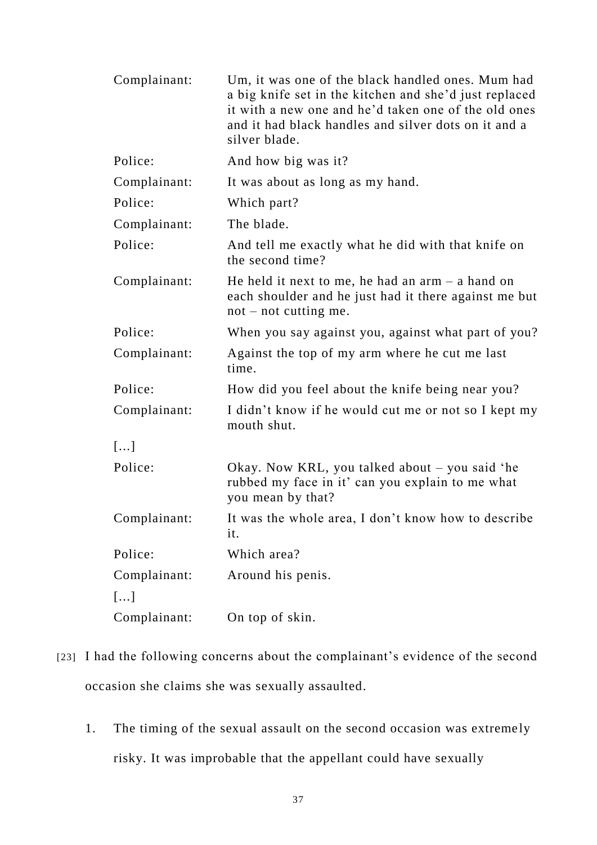| Complainant: | Um, it was one of the black handled ones. Mum had<br>a big knife set in the kitchen and she'd just replaced<br>it with a new one and he'd taken one of the old ones<br>and it had black handles and silver dots on it and a<br>silver blade. |
|--------------|----------------------------------------------------------------------------------------------------------------------------------------------------------------------------------------------------------------------------------------------|
| Police:      | And how big was it?                                                                                                                                                                                                                          |
| Complainant: | It was about as long as my hand.                                                                                                                                                                                                             |
| Police:      | Which part?                                                                                                                                                                                                                                  |
| Complainant: | The blade.                                                                                                                                                                                                                                   |
| Police:      | And tell me exactly what he did with that knife on<br>the second time?                                                                                                                                                                       |
| Complainant: | He held it next to me, he had an $arm - a$ hand on<br>each shoulder and he just had it there against me but<br>$not - not cutting me.$                                                                                                       |
| Police:      | When you say against you, against what part of you?                                                                                                                                                                                          |
| Complainant: | Against the top of my arm where he cut me last<br>time.                                                                                                                                                                                      |
| Police:      | How did you feel about the knife being near you?                                                                                                                                                                                             |
| Complainant: | I didn't know if he would cut me or not so I kept my<br>mouth shut.                                                                                                                                                                          |
| []           |                                                                                                                                                                                                                                              |
| Police:      | Okay. Now KRL, you talked about – you said 'he<br>rubbed my face in it' can you explain to me what<br>you mean by that?                                                                                                                      |
| Complainant: | It was the whole area, I don't know how to describe<br>it.                                                                                                                                                                                   |
| Police:      | Which area?                                                                                                                                                                                                                                  |
| Complainant: | Around his penis.                                                                                                                                                                                                                            |
| []           |                                                                                                                                                                                                                                              |
| Complainant: | On top of skin.                                                                                                                                                                                                                              |

- [23] I had the following concerns about the complainant's evidence of the second occasion she claims she was sexually assaulted.
	- 1. The timing of the sexual assault on the second occasion was extreme ly risky. It was improbable that the appellant could have sexually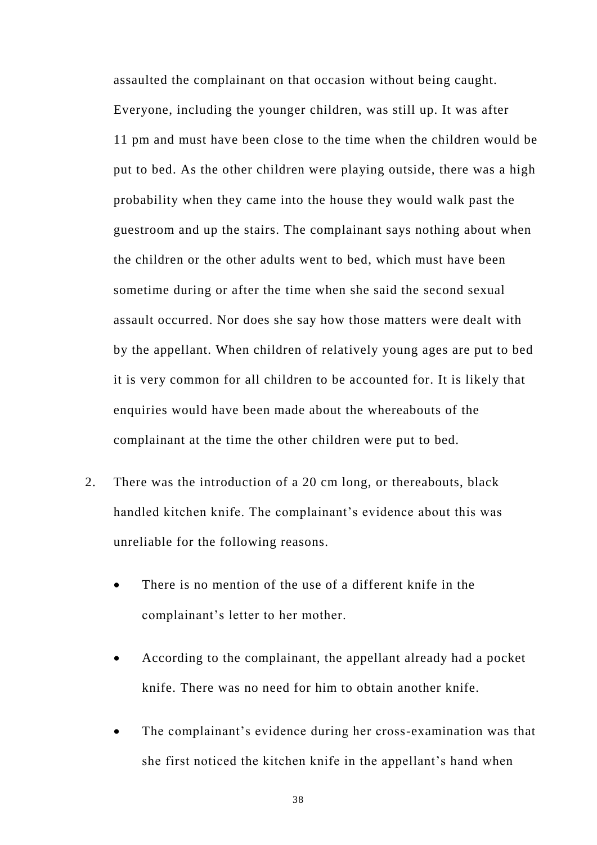assaulted the complainant on that occasion without being caught. Everyone, including the younger children, was still up. It was after 11 pm and must have been close to the time when the children would be put to bed. As the other children were playing outside, there was a high probability when they came into the house they would walk past the guestroom and up the stairs. The complainant says nothing about when the children or the other adults went to bed, which must have been sometime during or after the time when she said the second sexual assault occurred. Nor does she say how those matters were dealt with by the appellant. When children of relatively young ages are put to bed it is very common for all children to be accounted for. It is likely that enquiries would have been made about the whereabouts of the complainant at the time the other children were put to bed.

- 2. There was the introduction of a 20 cm long, or thereabouts, black handled kitchen knife. The complainant's evidence about this was unreliable for the following reasons.
	- There is no mention of the use of a different knife in the complainant's letter to her mother.
	- According to the complainant, the appellant already had a pocket knife. There was no need for him to obtain another knife.
	- The complainant's evidence during her cross-examination was that she first noticed the kitchen knife in the appellant's hand when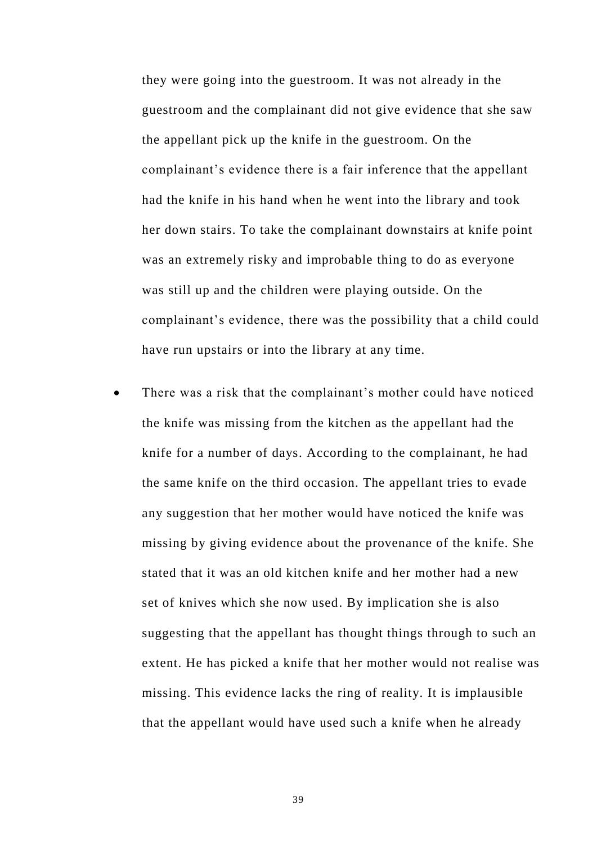they were going into the guestroom. It was not already in the guestroom and the complainant did not give evidence that she saw the appellant pick up the knife in the guestroom. On the complainant's evidence there is a fair inference that the appellant had the knife in his hand when he went into the library and took her down stairs. To take the complainant downstairs at knife point was an extremely risky and improbable thing to do as everyone was still up and the children were playing outside. On the complainant's evidence, there was the possibility that a child could have run upstairs or into the library at any time.

 There was a risk that the complainant's mother could have noticed the knife was missing from the kitchen as the appellant had the knife for a number of days. According to the complainant, he had the same knife on the third occasion. The appellant tries to evade any suggestion that her mother would have noticed the knife was missing by giving evidence about the provenance of the knife. She stated that it was an old kitchen knife and her mother had a new set of knives which she now used. By implication she is also suggesting that the appellant has thought things through to such an extent. He has picked a knife that her mother would not realise was missing. This evidence lacks the ring of reality. It is implausible that the appellant would have used such a knife when he already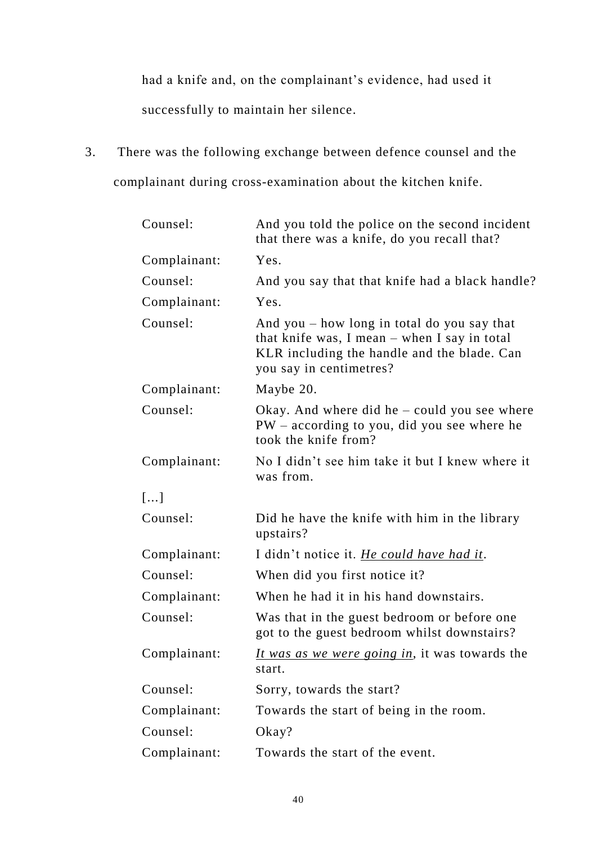had a knife and, on the complainant's evidence, had used it successfully to maintain her silence.

3. There was the following exchange between defence counsel and the complainant during cross-examination about the kitchen knife.

| Counsel:     | And you told the police on the second incident<br>that there was a knife, do you recall that?                                                                           |
|--------------|-------------------------------------------------------------------------------------------------------------------------------------------------------------------------|
| Complainant: | Yes.                                                                                                                                                                    |
| Counsel:     | And you say that that knife had a black handle?                                                                                                                         |
| Complainant: | Yes.                                                                                                                                                                    |
| Counsel:     | And you $-$ how long in total do you say that<br>that knife was, I mean – when I say in total<br>KLR including the handle and the blade. Can<br>you say in centimetres? |
| Complainant: | Maybe 20.                                                                                                                                                               |
| Counsel:     | Okay. And where did he $-$ could you see where<br>PW - according to you, did you see where he<br>took the knife from?                                                   |
| Complainant: | No I didn't see him take it but I knew where it<br>was from.                                                                                                            |
| []           |                                                                                                                                                                         |
| Counsel:     | Did he have the knife with him in the library<br>upstairs?                                                                                                              |
| Complainant: | I didn't notice it. He could have had it.                                                                                                                               |
| Counsel:     | When did you first notice it?                                                                                                                                           |
| Complainant: | When he had it in his hand downstairs.                                                                                                                                  |
| Counsel:     | Was that in the guest bedroom or before one<br>got to the guest bedroom whilst downstairs?                                                                              |
| Complainant: | <i>It was as we were going in</i> , it was towards the<br>start.                                                                                                        |
| Counsel:     | Sorry, towards the start?                                                                                                                                               |
| Complainant: | Towards the start of being in the room.                                                                                                                                 |
| Counsel:     | Okay?                                                                                                                                                                   |
| Complainant: | Towards the start of the event.                                                                                                                                         |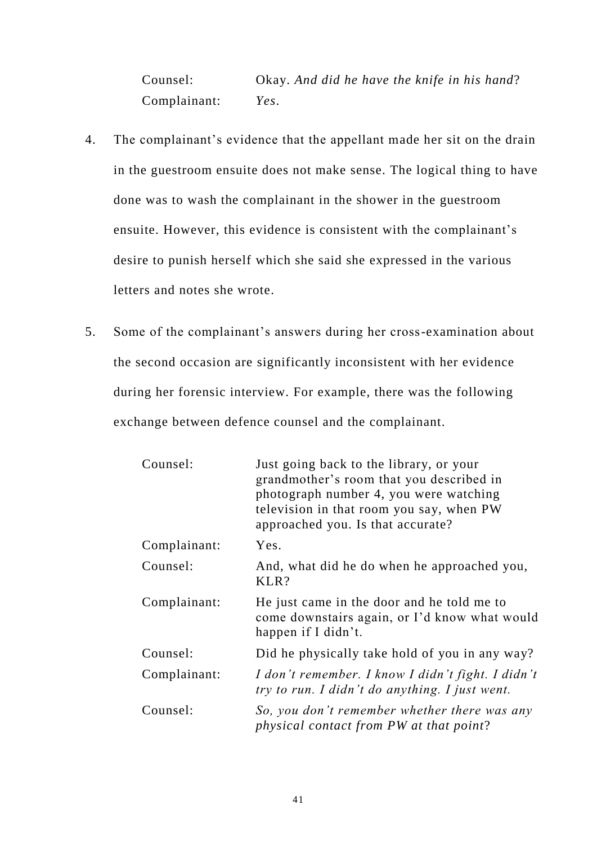Counsel: Okay. *And did he have the knife in his hand*? Complainant: *Yes*.

- 4. The complainant's evidence that the appellant made her sit on the drain in the guestroom ensuite does not make sense. The logical thing to have done was to wash the complainant in the shower in the guestroom ensuite. However, this evidence is consistent with the complainant's desire to punish herself which she said she expressed in the various letters and notes she wrote.
- 5. Some of the complainant's answers during her cross-examination about the second occasion are significantly inconsistent with her evidence during her forensic interview. For example, there was the following exchange between defence counsel and the complainant.

| Counsel:     | Just going back to the library, or your<br>grandmother's room that you described in<br>photograph number 4, you were watching<br>television in that room you say, when PW<br>approached you. Is that accurate? |
|--------------|----------------------------------------------------------------------------------------------------------------------------------------------------------------------------------------------------------------|
| Complainant: | Yes.                                                                                                                                                                                                           |
| Counsel:     | And, what did he do when he approached you,<br>KLR?                                                                                                                                                            |
| Complainant: | He just came in the door and he told me to<br>come downstairs again, or I'd know what would<br>happen if I didn't.                                                                                             |
| Counsel:     | Did he physically take hold of you in any way?                                                                                                                                                                 |
| Complainant: | I don't remember. I know I didn't fight. I didn't<br>try to run. I didn't do anything. I just went.                                                                                                            |
| Counsel:     | So, you don't remember whether there was any<br>physical contact from PW at that point?                                                                                                                        |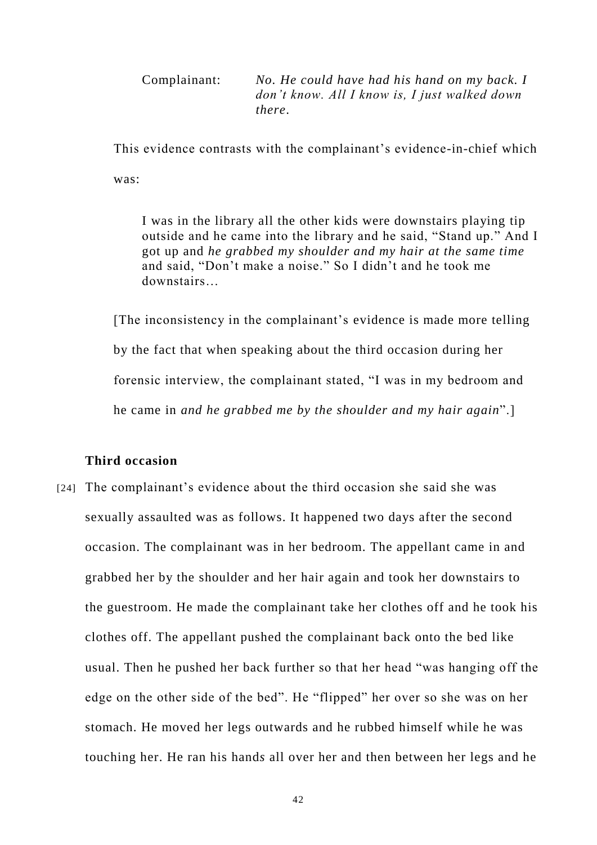Complainant: *No. He could have had his hand on my back. I don't know. All I know is, I just walked down there*.

This evidence contrasts with the complainant's evidence-in-chief which was:

I was in the library all the other kids were downstairs playing tip outside and he came into the library and he said, "Stand up." And I got up and *he grabbed my shoulder and my hair at the same time* and said, "Don't make a noise." So I didn't and he took me downstairs…

[The inconsistency in the complainant's evidence is made more telling by the fact that when speaking about the third occasion during her forensic interview, the complainant stated, "I was in my bedroom and he came in *and he grabbed me by the shoulder and my hair again*".]

# **Third occasion**

[24] The complainant's evidence about the third occasion she said she was sexually assaulted was as follows. It happened two days after the second occasion. The complainant was in her bedroom. The appellant came in and grabbed her by the shoulder and her hair again and took her downstairs to the guestroom. He made the complainant take her clothes off and he took his clothes off. The appellant pushed the complainant back onto the bed like usual. Then he pushed her back further so that her head "was hanging off the edge on the other side of the bed". He "flipped" her over so she was on her stomach. He moved her legs outwards and he rubbed himself while he was touching her. He ran his hand*s* all over her and then between her legs and he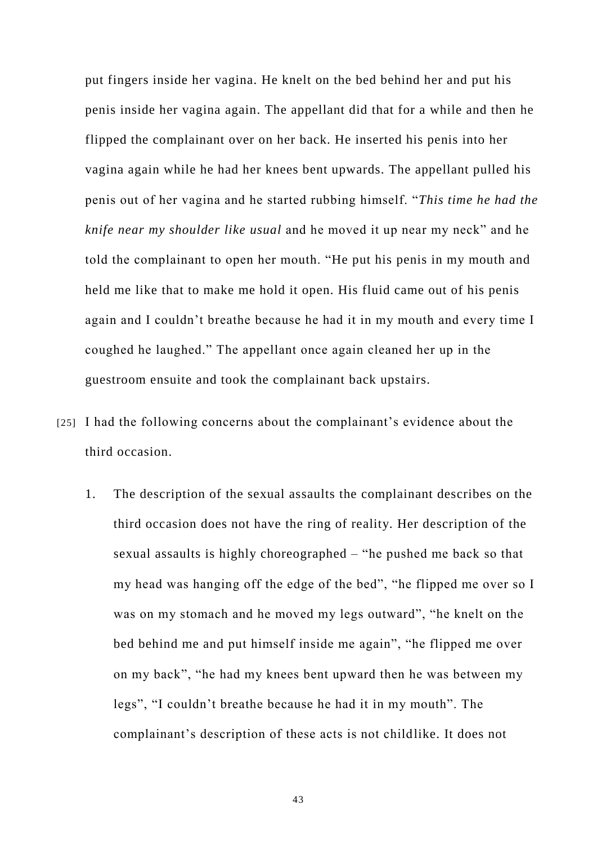put fingers inside her vagina. He knelt on the bed behind her and put his penis inside her vagina again. The appellant did that for a while and then he flipped the complainant over on her back. He inserted his penis into her vagina again while he had her knees bent upwards. The appellant pulled his penis out of her vagina and he started rubbing himself. "*This time he had the knife near my shoulder like usual* and he moved it up near my neck" and he told the complainant to open her mouth. "He put his penis in my mouth and held me like that to make me hold it open. His fluid came out of his penis again and I couldn't breathe because he had it in my mouth and every time I coughed he laughed." The appellant once again cleaned her up in the guestroom ensuite and took the complainant back upstairs.

- [25] I had the following concerns about the complainant's evidence about the third occasion.
	- 1. The description of the sexual assaults the complainant describes on the third occasion does not have the ring of reality. Her description of the sexual assaults is highly choreographed – "he pushed me back so that my head was hanging off the edge of the bed", "he flipped me over so I was on my stomach and he moved my legs outward", "he knelt on the bed behind me and put himself inside me again", "he flipped me over on my back", "he had my knees bent upward then he was between my legs", "I couldn't breathe because he had it in my mouth". The complainant's description of these acts is not childlike. It does not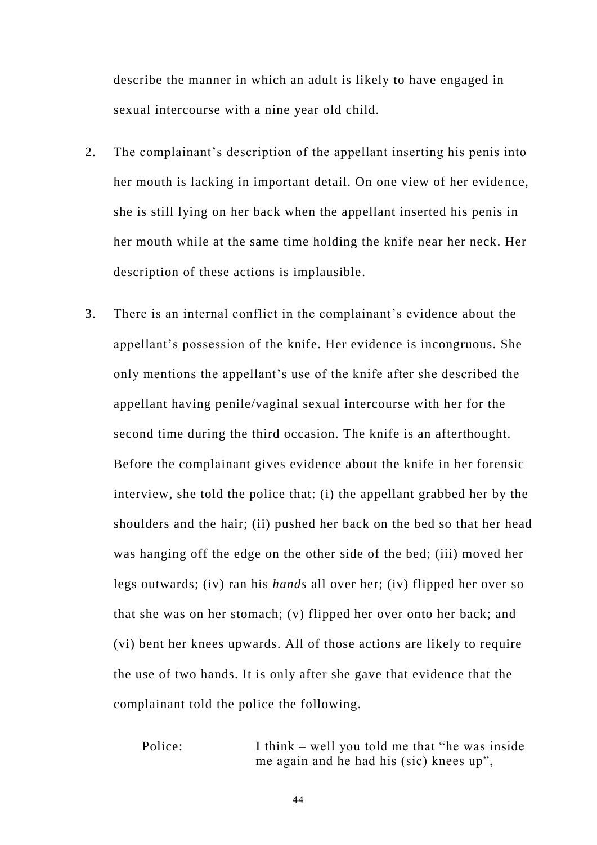describe the manner in which an adult is likely to have engaged in sexual intercourse with a nine year old child.

- 2. The complainant's description of the appellant inserting his penis into her mouth is lacking in important detail. On one view of her evidence, she is still lying on her back when the appellant inserted his penis in her mouth while at the same time holding the knife near her neck. Her description of these actions is implausible.
- 3. There is an internal conflict in the complainant's evidence about the appellant's possession of the knife. Her evidence is incongruous. She only mentions the appellant's use of the knife after she described the appellant having penile/vaginal sexual intercourse with her for the second time during the third occasion. The knife is an afterthought. Before the complainant gives evidence about the knife in her forensic interview, she told the police that: (i) the appellant grabbed her by the shoulders and the hair; (ii) pushed her back on the bed so that her head was hanging off the edge on the other side of the bed; (iii) moved her legs outwards; (iv) ran his *hands* all over her; (iv) flipped her over so that she was on her stomach; (v) flipped her over onto her back; and (vi) bent her knees upwards. All of those actions are likely to require the use of two hands. It is only after she gave that evidence that the complainant told the police the following.

Police: I think – well you told me that "he was inside me again and he had his (sic) knees up",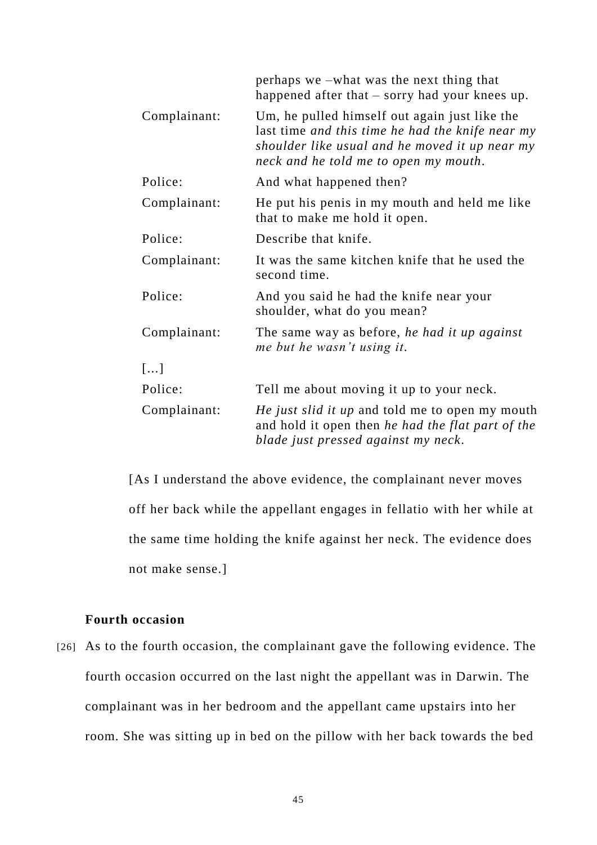|              | perhaps we –what was the next thing that<br>happened after that – sorry had your knees up.                                                                                                   |
|--------------|----------------------------------------------------------------------------------------------------------------------------------------------------------------------------------------------|
| Complainant: | Um, he pulled himself out again just like the<br>last time and this time he had the knife near my<br>shoulder like usual and he moved it up near my<br>neck and he told me to open my mouth. |
| Police:      | And what happened then?                                                                                                                                                                      |
| Complainant: | He put his penis in my mouth and held me like<br>that to make me hold it open.                                                                                                               |
| Police:      | Describe that knife.                                                                                                                                                                         |
| Complainant: | It was the same kitchen knife that he used the<br>second time.                                                                                                                               |
| Police:      | And you said he had the knife near your<br>shoulder, what do you mean?                                                                                                                       |
| Complainant: | The same way as before, he had it up against<br>me but he wasn't using it.                                                                                                                   |
| []           |                                                                                                                                                                                              |
| Police:      | Tell me about moving it up to your neck.                                                                                                                                                     |
| Complainant: | <i>He just slid it up</i> and told me to open my mouth<br>and hold it open then he had the flat part of the<br>blade just pressed against my neck.                                           |

[As I understand the above evidence, the complainant never moves off her back while the appellant engages in fellatio with her while at the same time holding the knife against her neck. The evidence does not make sense.]

## **Fourth occasion**

[26] As to the fourth occasion, the complainant gave the following evidence. The fourth occasion occurred on the last night the appellant was in Darwin. The complainant was in her bedroom and the appellant came upstairs into her room. She was sitting up in bed on the pillow with her back towards the bed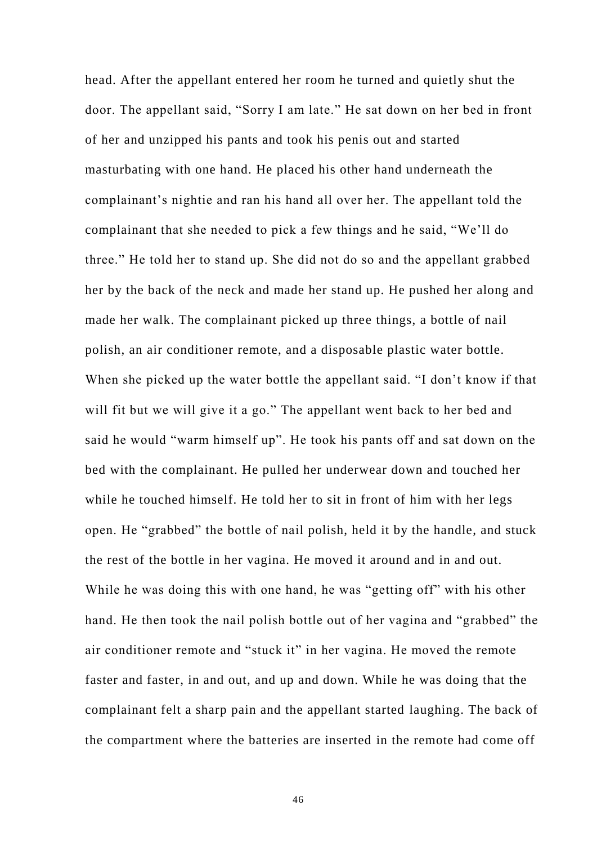head. After the appellant entered her room he turned and quietly shut the door. The appellant said, "Sorry I am late." He sat down on her bed in front of her and unzipped his pants and took his penis out and started masturbating with one hand. He placed his other hand underneath the complainant's nightie and ran his hand all over her. The appellant told the complainant that she needed to pick a few things and he said, "We'll do three." He told her to stand up. She did not do so and the appellant grabbed her by the back of the neck and made her stand up. He pushed her along and made her walk. The complainant picked up three things, a bottle of nail polish, an air conditioner remote, and a disposable plastic water bottle. When she picked up the water bottle the appellant said. "I don't know if that will fit but we will give it a go." The appellant went back to her bed and said he would "warm himself up". He took his pants off and sat down on the bed with the complainant. He pulled her underwear down and touched her while he touched himself. He told her to sit in front of him with her legs open. He "grabbed" the bottle of nail polish, held it by the handle, and stuck the rest of the bottle in her vagina. He moved it around and in and out. While he was doing this with one hand, he was "getting off" with his other hand. He then took the nail polish bottle out of her vagina and "grabbed" the air conditioner remote and "stuck it" in her vagina. He moved the remote faster and faster, in and out, and up and down. While he was doing that the complainant felt a sharp pain and the appellant started laughing. The back of the compartment where the batteries are inserted in the remote had come off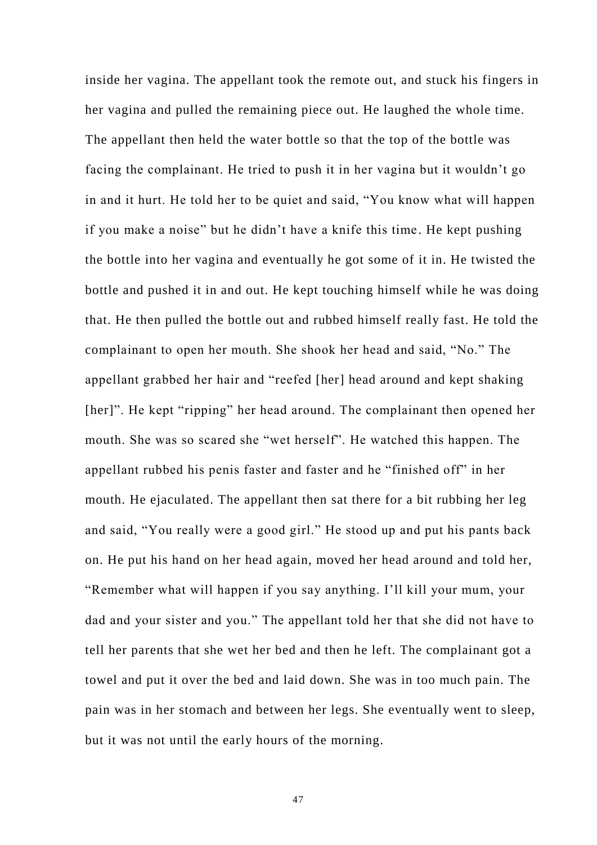inside her vagina. The appellant took the remote out, and stuck his fingers in her vagina and pulled the remaining piece out. He laughed the whole time. The appellant then held the water bottle so that the top of the bottle was facing the complainant. He tried to push it in her vagina but it wouldn't go in and it hurt. He told her to be quiet and said, "You know what will happen if you make a noise" but he didn't have a knife this time. He kept pushing the bottle into her vagina and eventually he got some of it in. He twisted the bottle and pushed it in and out. He kept touching himself while he was doing that. He then pulled the bottle out and rubbed himself really fast. He told the complainant to open her mouth. She shook her head and said, "No." The appellant grabbed her hair and "reefed [her] head around and kept shaking [her]". He kept "ripping" her head around. The complainant then opened her mouth. She was so scared she "wet herself". He watched this happen. The appellant rubbed his penis faster and faster and he "finished off" in her mouth. He ejaculated. The appellant then sat there for a bit rubbing her leg and said, "You really were a good girl." He stood up and put his pants back on. He put his hand on her head again, moved her head around and told her, "Remember what will happen if you say anything. I'll kill your mum, your dad and your sister and you." The appellant told her that she did not have to tell her parents that she wet her bed and then he left. The complainant got a towel and put it over the bed and laid down. She was in too much pain. The pain was in her stomach and between her legs. She eventually went to sleep, but it was not until the early hours of the morning.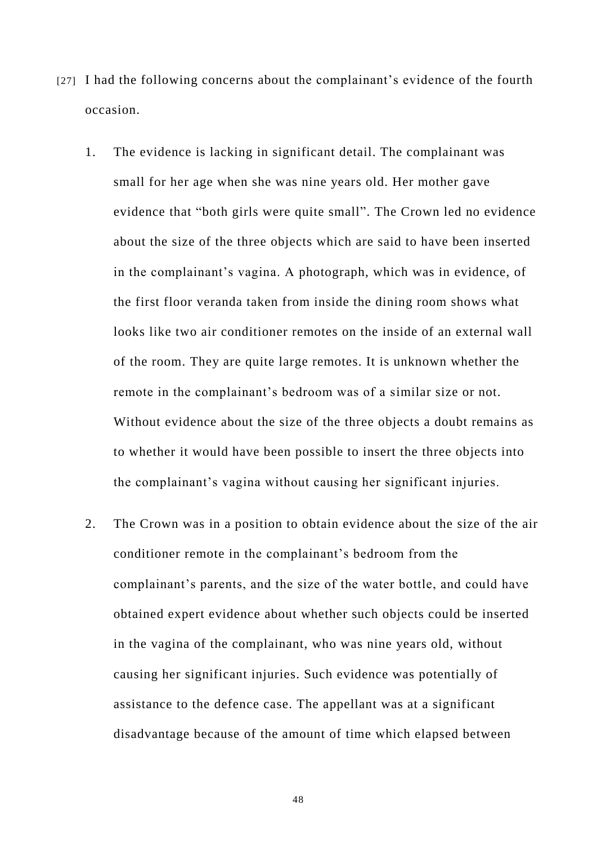- [27] I had the following concerns about the complainant's evidence of the fourth occasion.
	- 1. The evidence is lacking in significant detail. The complainant was small for her age when she was nine years old. Her mother gave evidence that "both girls were quite small". The Crown led no evidence about the size of the three objects which are said to have been inserted in the complainant's vagina. A photograph, which was in evidence, of the first floor veranda taken from inside the dining room shows what looks like two air conditioner remotes on the inside of an external wall of the room. They are quite large remotes. It is unknown whether the remote in the complainant's bedroom was of a similar size or not. Without evidence about the size of the three objects a doubt remains as to whether it would have been possible to insert the three objects into the complainant's vagina without causing her significant injuries.
	- 2. The Crown was in a position to obtain evidence about the size of the air conditioner remote in the complainant's bedroom from the complainant's parents, and the size of the water bottle, and could have obtained expert evidence about whether such objects could be inserted in the vagina of the complainant, who was nine years old, without causing her significant injuries. Such evidence was potentially of assistance to the defence case. The appellant was at a significant disadvantage because of the amount of time which elapsed between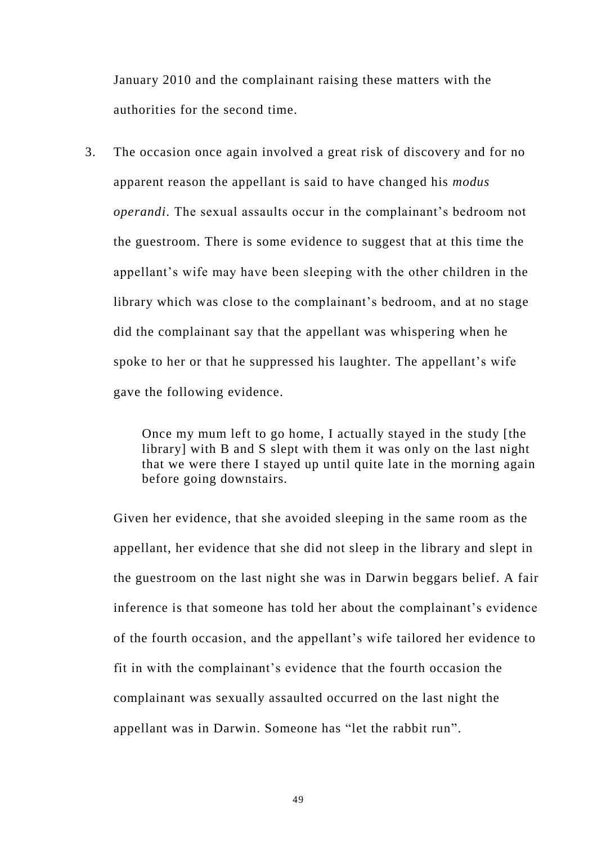January 2010 and the complainant raising these matters with the authorities for the second time.

3. The occasion once again involved a great risk of discovery and for no apparent reason the appellant is said to have changed his *modus operandi*. The sexual assaults occur in the complainant's bedroom not the guestroom. There is some evidence to suggest that at this time the appellant's wife may have been sleeping with the other children in the library which was close to the complainant's bedroom, and at no stage did the complainant say that the appellant was whispering when he spoke to her or that he suppressed his laughter. The appellant's wife gave the following evidence.

> Once my mum left to go home, I actually stayed in the study [the library] with B and S slept with them it was only on the last night that we were there I stayed up until quite late in the morning again before going downstairs.

Given her evidence, that she avoided sleeping in the same room as the appellant, her evidence that she did not sleep in the library and slept in the guestroom on the last night she was in Darwin beggars belief. A fair inference is that someone has told her about the complainant's evidence of the fourth occasion, and the appellant's wife tailored her evidence to fit in with the complainant's evidence that the fourth occasion the complainant was sexually assaulted occurred on the last night the appellant was in Darwin. Someone has "let the rabbit run".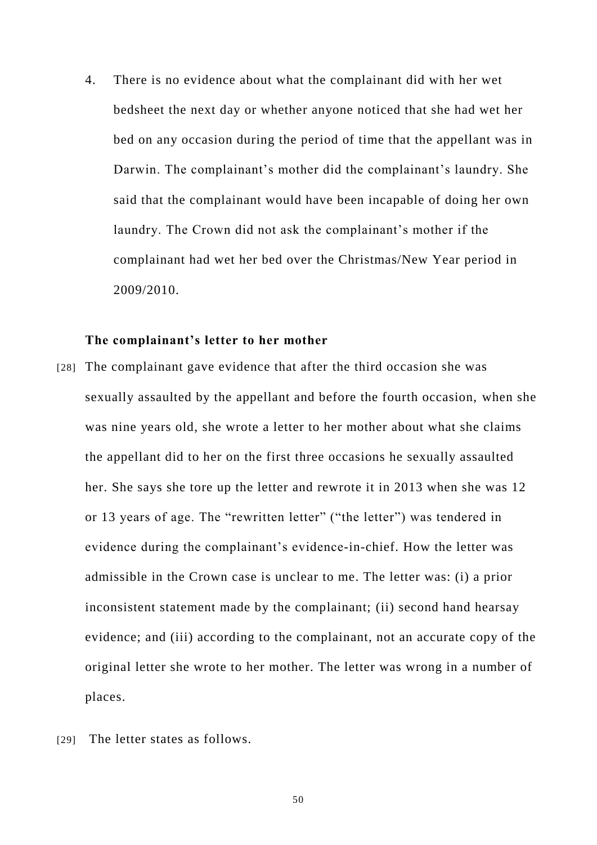4. There is no evidence about what the complainant did with her wet bedsheet the next day or whether anyone noticed that she had wet her bed on any occasion during the period of time that the appellant was in Darwin. The complainant's mother did the complainant's laundry. She said that the complainant would have been incapable of doing her own laundry. The Crown did not ask the complainant's mother if the complainant had wet her bed over the Christmas/New Year period in 2009/2010.

#### **The complainant's letter to her mother**

- [28] The complainant gave evidence that after the third occasion she was sexually assaulted by the appellant and before the fourth occasion, when she was nine years old, she wrote a letter to her mother about what she claims the appellant did to her on the first three occasions he sexually assaulted her. She says she tore up the letter and rewrote it in 2013 when she was 12 or 13 years of age. The "rewritten letter" ("the letter") was tendered in evidence during the complainant's evidence-in-chief. How the letter was admissible in the Crown case is unclear to me. The letter was: (i) a prior inconsistent statement made by the complainant; (ii) second hand hearsay evidence; and (iii) according to the complainant, not an accurate copy of the original letter she wrote to her mother. The letter was wrong in a number of places.
- [29] The letter states as follows.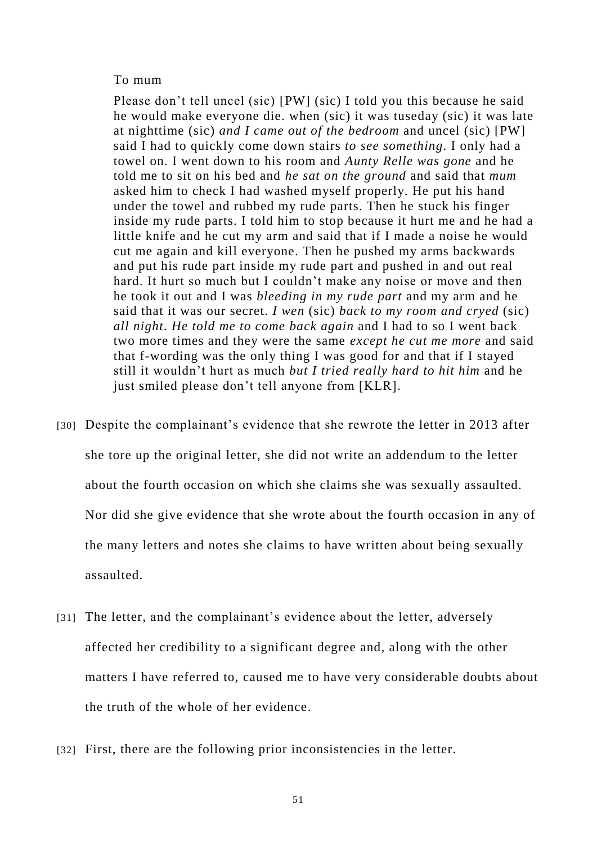#### To mum

Please don't tell uncel (sic) [PW] (sic) I told you this because he said he would make everyone die. when (sic) it was tuseday (sic) it was late at nighttime (sic) *and I came out of the bedroom* and uncel (sic) [PW] said I had to quickly come down stairs *to see something*. I only had a towel on. I went down to his room and *Aunty Relle was gone* and he told me to sit on his bed and *he sat on the ground* and said that *mum* asked him to check I had washed myself properly. He put his hand under the towel and rubbed my rude parts. Then he stuck his finger inside my rude parts. I told him to stop because it hurt me and he had a little knife and he cut my arm and said that if I made a noise he would cut me again and kill everyone. Then he pushed my arms backwards and put his rude part inside my rude part and pushed in and out real hard. It hurt so much but I couldn't make any noise or move and then he took it out and I was *bleeding in my rude part* and my arm and he said that it was our secret. *I wen* (sic) *back to my room and cryed* (sic) *all night*. *He told me to come back again* and I had to so I went back two more times and they were the same *except he cut me more* and said that f-wording was the only thing I was good for and that if I stayed still it wouldn't hurt as much *but I tried really hard to hit him* and he just smiled please don't tell anyone from [KLR].

- [30] Despite the complainant's evidence that she rewrote the letter in 2013 after she tore up the original letter, she did not write an addendum to the letter about the fourth occasion on which she claims she was sexually assaulted. Nor did she give evidence that she wrote about the fourth occasion in any of the many letters and notes she claims to have written about being sexually assaulted.
- [31] The letter, and the complainant's evidence about the letter, adversely affected her credibility to a significant degree and, along with the other matters I have referred to, caused me to have very considerable doubts about the truth of the whole of her evidence.
- [32] First, there are the following prior inconsistencies in the letter.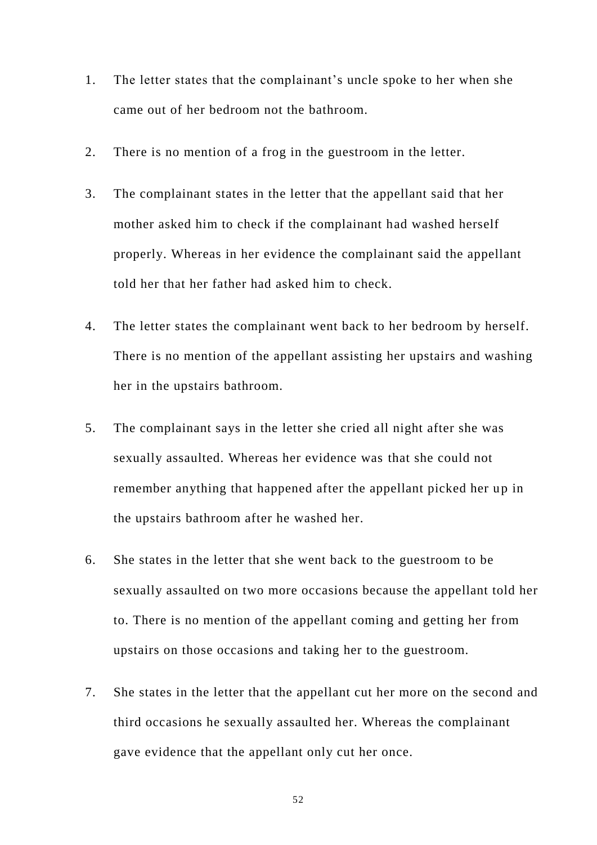- 1. The letter states that the complainant's uncle spoke to her when she came out of her bedroom not the bathroom.
- 2. There is no mention of a frog in the guestroom in the letter.
- 3. The complainant states in the letter that the appellant said that her mother asked him to check if the complainant had washed herself properly. Whereas in her evidence the complainant said the appellant told her that her father had asked him to check.
- 4. The letter states the complainant went back to her bedroom by herself. There is no mention of the appellant assisting her upstairs and washing her in the upstairs bathroom.
- 5. The complainant says in the letter she cried all night after she was sexually assaulted. Whereas her evidence was that she could not remember anything that happened after the appellant picked her up in the upstairs bathroom after he washed her.
- 6. She states in the letter that she went back to the guestroom to be sexually assaulted on two more occasions because the appellant told her to. There is no mention of the appellant coming and getting her from upstairs on those occasions and taking her to the guestroom.
- 7. She states in the letter that the appellant cut her more on the second and third occasions he sexually assaulted her. Whereas the complainant gave evidence that the appellant only cut her once.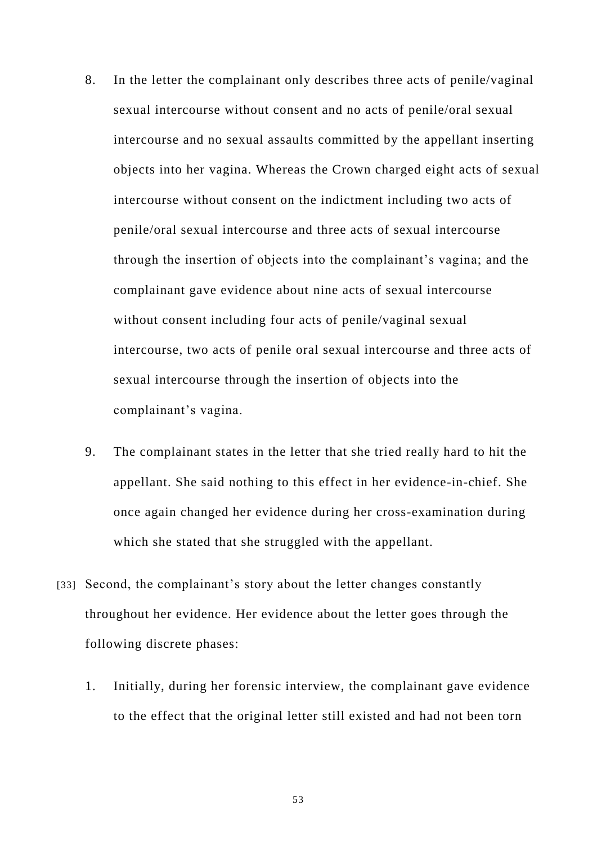- 8. In the letter the complainant only describes three acts of penile/vaginal sexual intercourse without consent and no acts of penile/oral sexual intercourse and no sexual assaults committed by the appellant inserting objects into her vagina. Whereas the Crown charged eight acts of sexual intercourse without consent on the indictment including two acts of penile/oral sexual intercourse and three acts of sexual intercourse through the insertion of objects into the complainant's vagina; and the complainant gave evidence about nine acts of sexual intercourse without consent including four acts of penile/vaginal sexual intercourse, two acts of penile oral sexual intercourse and three acts of sexual intercourse through the insertion of objects into the complainant's vagina.
- 9. The complainant states in the letter that she tried really hard to hit the appellant. She said nothing to this effect in her evidence-in-chief. She once again changed her evidence during her cross-examination during which she stated that she struggled with the appellant.
- [33] Second, the complainant's story about the letter changes constantly throughout her evidence. Her evidence about the letter goes through the following discrete phases:
	- 1. Initially, during her forensic interview, the complainant gave evidence to the effect that the original letter still existed and had not been torn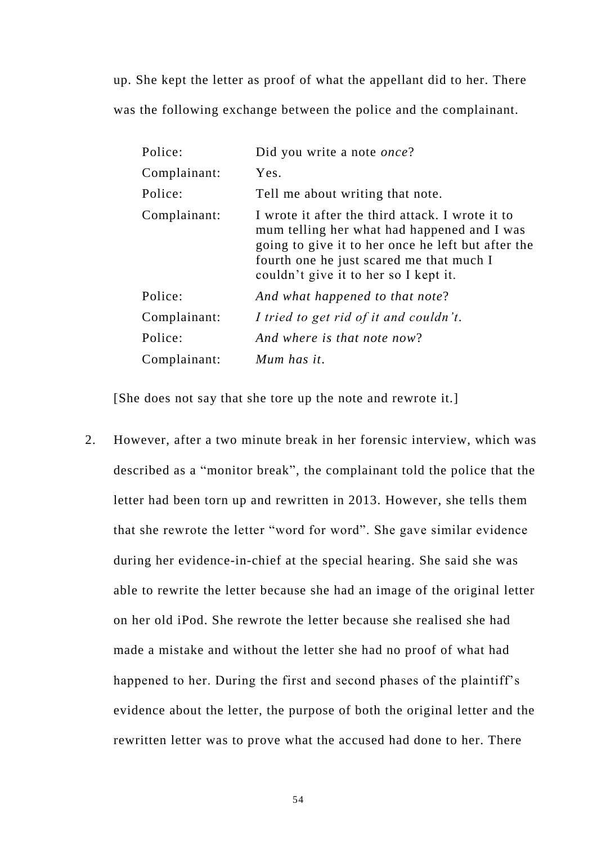up. She kept the letter as proof of what the appellant did to her. There was the following exchange between the police and the complainant.

| Police:      | Did you write a note once?                                                                                                                                                                                                                 |
|--------------|--------------------------------------------------------------------------------------------------------------------------------------------------------------------------------------------------------------------------------------------|
| Complainant: | Yes.                                                                                                                                                                                                                                       |
| Police:      | Tell me about writing that note.                                                                                                                                                                                                           |
| Complainant: | I wrote it after the third attack. I wrote it to<br>mum telling her what had happened and I was<br>going to give it to her once he left but after the<br>fourth one he just scared me that much I<br>couldn't give it to her so I kept it. |
| Police:      | And what happened to that note?                                                                                                                                                                                                            |
| Complainant: | I tried to get rid of it and couldn't.                                                                                                                                                                                                     |
| Police:      | And where is that note now?                                                                                                                                                                                                                |
| Complainant: | Mum has it.                                                                                                                                                                                                                                |

[She does not say that she tore up the note and rewrote it.]

2. However, after a two minute break in her forensic interview, which was described as a "monitor break", the complainant told the police that the letter had been torn up and rewritten in 2013. However, she tells them that she rewrote the letter "word for word". She gave similar evidence during her evidence-in-chief at the special hearing. She said she was able to rewrite the letter because she had an image of the original letter on her old iPod. She rewrote the letter because she realised she had made a mistake and without the letter she had no proof of what had happened to her. During the first and second phases of the plaintiff's evidence about the letter, the purpose of both the original letter and the rewritten letter was to prove what the accused had done to her. There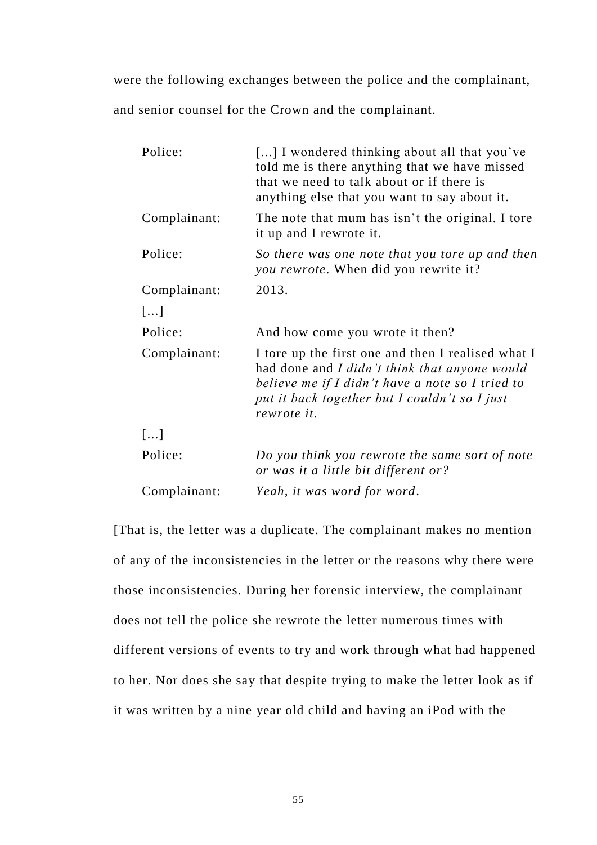were the following exchanges between the police and the complainant, and senior counsel for the Crown and the complainant.

| Police:      | [] I wondered thinking about all that you've<br>told me is there anything that we have missed<br>that we need to talk about or if there is<br>anything else that you want to say about it.                              |
|--------------|-------------------------------------------------------------------------------------------------------------------------------------------------------------------------------------------------------------------------|
| Complainant: | The note that mum has isn't the original. I tore<br>it up and I rewrote it.                                                                                                                                             |
| Police:      | So there was one note that you tore up and then<br>you rewrote. When did you rewrite it?                                                                                                                                |
| Complainant: | 2013.                                                                                                                                                                                                                   |
| []           |                                                                                                                                                                                                                         |
| Police:      | And how come you wrote it then?                                                                                                                                                                                         |
| Complainant: | I tore up the first one and then I realised what I<br>had done and I didn't think that anyone would<br>believe me if I didn't have a note so I tried to<br>put it back together but I couldn't so I just<br>rewrote it. |
| []           |                                                                                                                                                                                                                         |
| Police:      | Do you think you rewrote the same sort of note<br>or was it a little bit different or?                                                                                                                                  |
| Complainant: | Yeah, it was word for word.                                                                                                                                                                                             |

[That is, the letter was a duplicate. The complainant makes no mention of any of the inconsistencies in the letter or the reasons why there were those inconsistencies. During her forensic interview, the complainant does not tell the police she rewrote the letter numerous times with different versions of events to try and work through what had happened to her. Nor does she say that despite trying to make the letter look as if it was written by a nine year old child and having an iPod with the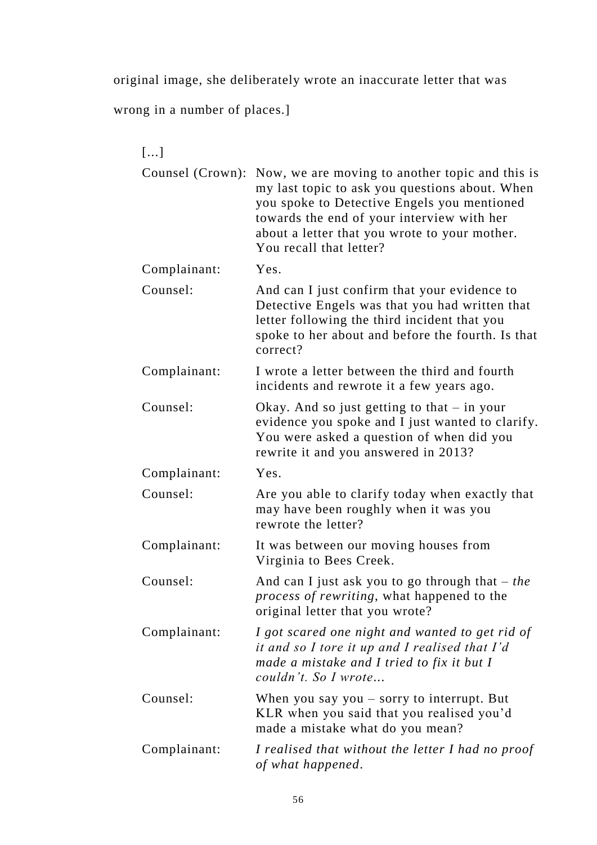original image, she deliberately wrote an inaccurate letter that was

wrong in a number of places.]

| []               |                                                                                                                                                                                                                                                                            |
|------------------|----------------------------------------------------------------------------------------------------------------------------------------------------------------------------------------------------------------------------------------------------------------------------|
| Counsel (Crown): | Now, we are moving to another topic and this is<br>my last topic to ask you questions about. When<br>you spoke to Detective Engels you mentioned<br>towards the end of your interview with her<br>about a letter that you wrote to your mother.<br>You recall that letter? |
| Complainant:     | Yes.                                                                                                                                                                                                                                                                       |
| Counsel:         | And can I just confirm that your evidence to<br>Detective Engels was that you had written that<br>letter following the third incident that you<br>spoke to her about and before the fourth. Is that<br>correct?                                                            |
| Complainant:     | I wrote a letter between the third and fourth<br>incidents and rewrote it a few years ago.                                                                                                                                                                                 |
| Counsel:         | Okay. And so just getting to that $-$ in your<br>evidence you spoke and I just wanted to clarify.<br>You were asked a question of when did you<br>rewrite it and you answered in 2013?                                                                                     |
| Complainant:     | Yes.                                                                                                                                                                                                                                                                       |
| Counsel:         | Are you able to clarify today when exactly that<br>may have been roughly when it was you<br>rewrote the letter?                                                                                                                                                            |
| Complainant:     | It was between our moving houses from<br>Virginia to Bees Creek.                                                                                                                                                                                                           |
| Counsel:         | And can I just ask you to go through that $-$ the<br>process of rewriting, what happened to the<br>original letter that you wrote?                                                                                                                                         |
| Complainant:     | I got scared one night and wanted to get rid of<br>it and so I tore it up and I realised that I'd<br>made a mistake and I tried to fix it but I<br>couldn't. So I wrote                                                                                                    |
| Counsel:         | When you say you $-$ sorry to interrupt. But<br>KLR when you said that you realised you'd<br>made a mistake what do you mean?                                                                                                                                              |
| Complainant:     | I realised that without the letter I had no proof<br>of what happened.                                                                                                                                                                                                     |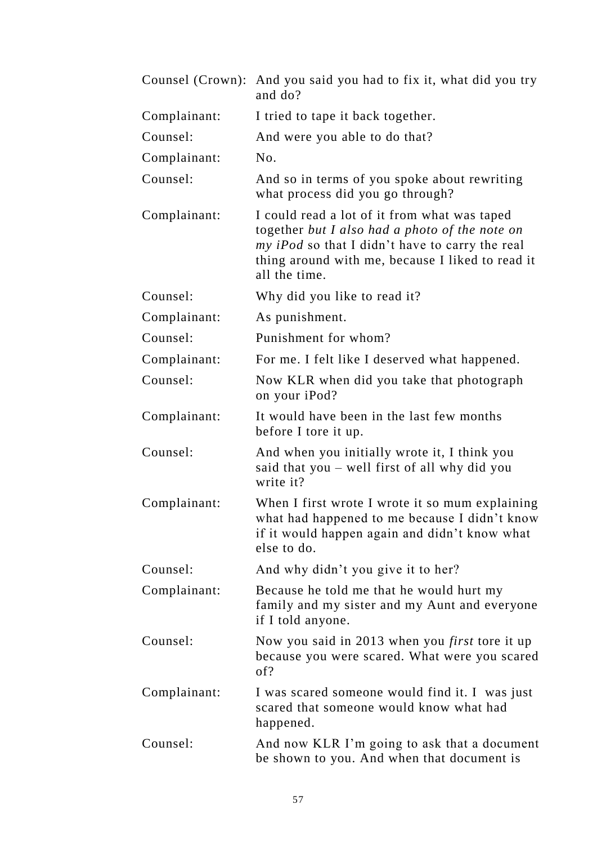|              | Counsel (Crown): And you said you had to fix it, what did you try<br>and do?                                                                                                                                           |
|--------------|------------------------------------------------------------------------------------------------------------------------------------------------------------------------------------------------------------------------|
| Complainant: | I tried to tape it back together.                                                                                                                                                                                      |
| Counsel:     | And were you able to do that?                                                                                                                                                                                          |
| Complainant: | No.                                                                                                                                                                                                                    |
| Counsel:     | And so in terms of you spoke about rewriting<br>what process did you go through?                                                                                                                                       |
| Complainant: | I could read a lot of it from what was taped<br>together but I also had a photo of the note on<br>my iPod so that I didn't have to carry the real<br>thing around with me, because I liked to read it<br>all the time. |
| Counsel:     | Why did you like to read it?                                                                                                                                                                                           |
| Complainant: | As punishment.                                                                                                                                                                                                         |
| Counsel:     | Punishment for whom?                                                                                                                                                                                                   |
| Complainant: | For me. I felt like I deserved what happened.                                                                                                                                                                          |
| Counsel:     | Now KLR when did you take that photograph<br>on your iPod?                                                                                                                                                             |
| Complainant: | It would have been in the last few months<br>before I tore it up.                                                                                                                                                      |
| Counsel:     | And when you initially wrote it, I think you<br>said that you – well first of all why did you<br>write it?                                                                                                             |
| Complainant: | When I first wrote I wrote it so mum explaining<br>what had happened to me because I didn't know<br>if it would happen again and didn't know what<br>else to do.                                                       |
| Counsel:     | And why didn't you give it to her?                                                                                                                                                                                     |
| Complainant: | Because he told me that he would hurt my<br>family and my sister and my Aunt and everyone<br>if I told anyone.                                                                                                         |
| Counsel:     | Now you said in 2013 when you <i>first</i> tore it up<br>because you were scared. What were you scared<br>of?                                                                                                          |
| Complainant: | I was scared someone would find it. I was just<br>scared that someone would know what had<br>happened.                                                                                                                 |
| Counsel:     | And now KLR I'm going to ask that a document<br>be shown to you. And when that document is                                                                                                                             |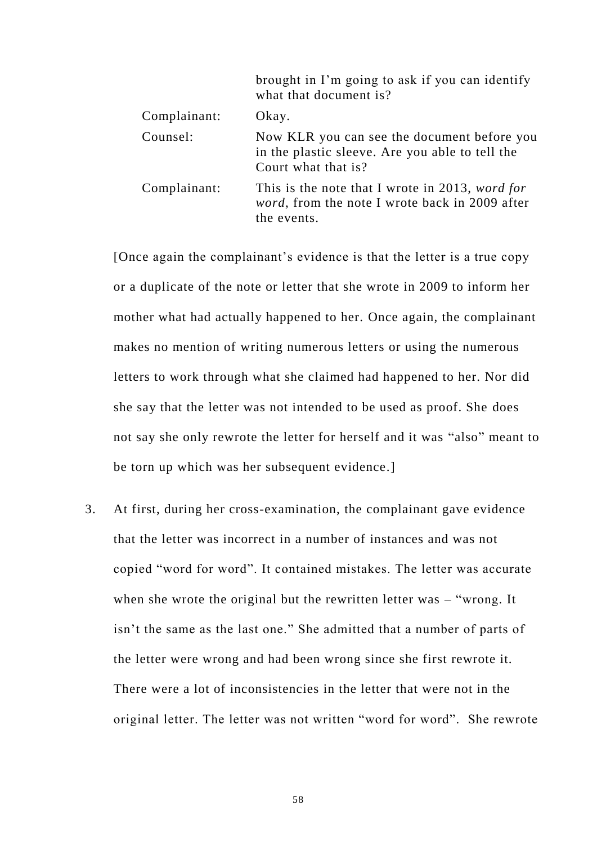|              | brought in I'm going to ask if you can identify<br>what that document is?                                                |
|--------------|--------------------------------------------------------------------------------------------------------------------------|
| Complainant: | Okay.                                                                                                                    |
| Counsel:     | Now KLR you can see the document before you<br>in the plastic sleeve. Are you able to tell the<br>Court what that is?    |
| Complainant: | This is the note that I wrote in 2013, word for<br><i>word</i> , from the note I wrote back in 2009 after<br>the events. |

[Once again the complainant's evidence is that the letter is a true copy or a duplicate of the note or letter that she wrote in 2009 to inform her mother what had actually happened to her. Once again, the complainant makes no mention of writing numerous letters or using the numerous letters to work through what she claimed had happened to her. Nor did she say that the letter was not intended to be used as proof. She does not say she only rewrote the letter for herself and it was "also" meant to be torn up which was her subsequent evidence.]

3. At first, during her cross-examination, the complainant gave evidence that the letter was incorrect in a number of instances and was not copied "word for word". It contained mistakes. The letter was accurate when she wrote the original but the rewritten letter was – "wrong. It isn't the same as the last one." She admitted that a number of parts of the letter were wrong and had been wrong since she first rewrote it. There were a lot of inconsistencies in the letter that were not in the original letter. The letter was not written "word for word". She rewrote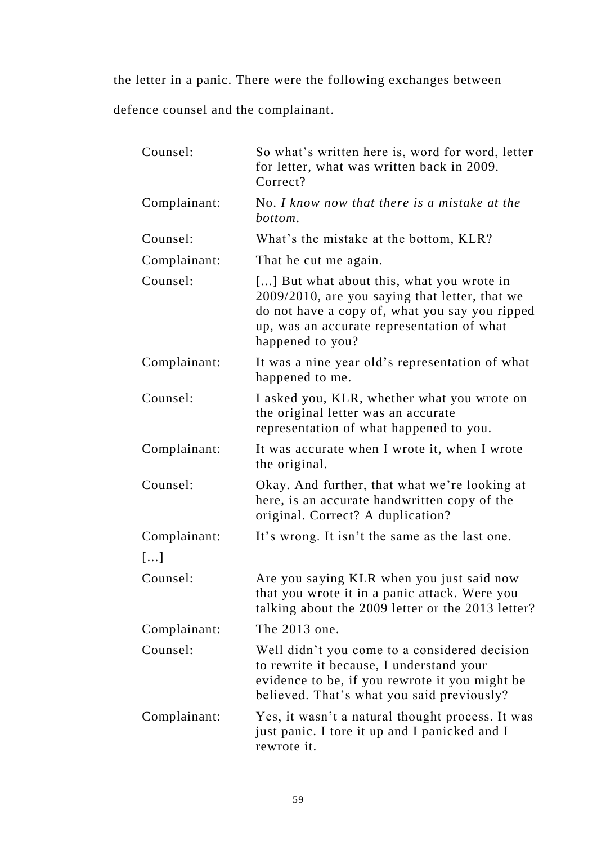the letter in a panic. There were the following exchanges between defence counsel and the complainant.

| Counsel:     | So what's written here is, word for word, letter<br>for letter, what was written back in 2009.<br>Correct?                                                                                                      |
|--------------|-----------------------------------------------------------------------------------------------------------------------------------------------------------------------------------------------------------------|
| Complainant: | No. I know now that there is a mistake at the<br>bottom.                                                                                                                                                        |
| Counsel:     | What's the mistake at the bottom, KLR?                                                                                                                                                                          |
| Complainant: | That he cut me again.                                                                                                                                                                                           |
| Counsel:     | [] But what about this, what you wrote in<br>2009/2010, are you saying that letter, that we<br>do not have a copy of, what you say you ripped<br>up, was an accurate representation of what<br>happened to you? |
| Complainant: | It was a nine year old's representation of what<br>happened to me.                                                                                                                                              |
| Counsel:     | I asked you, KLR, whether what you wrote on<br>the original letter was an accurate<br>representation of what happened to you.                                                                                   |
| Complainant: | It was accurate when I wrote it, when I wrote<br>the original.                                                                                                                                                  |
| Counsel:     | Okay. And further, that what we're looking at<br>here, is an accurate handwritten copy of the<br>original. Correct? A duplication?                                                                              |
| Complainant: | It's wrong. It isn't the same as the last one.                                                                                                                                                                  |
| []           |                                                                                                                                                                                                                 |
| Counsel:     | Are you saying KLR when you just said now<br>that you wrote it in a panic attack. Were you<br>talking about the 2009 letter or the 2013 letter?                                                                 |
| Complainant: | The 2013 one.                                                                                                                                                                                                   |
| Counsel:     | Well didn't you come to a considered decision<br>to rewrite it because, I understand your<br>evidence to be, if you rewrote it you might be<br>believed. That's what you said previously?                       |
| Complainant: | Yes, it wasn't a natural thought process. It was<br>just panic. I tore it up and I panicked and I<br>rewrote it.                                                                                                |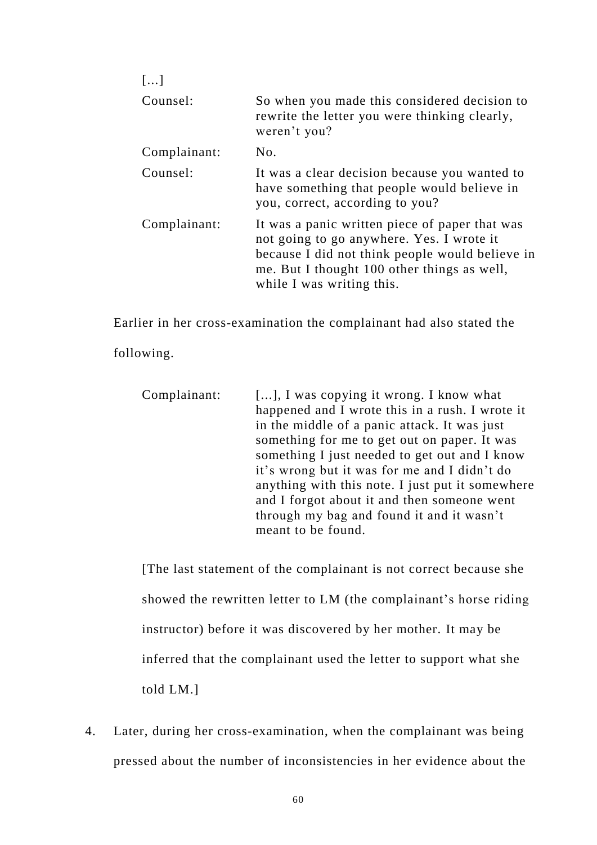| $\left[\ldots\right]$ |                                                                                                                                                                                                                            |
|-----------------------|----------------------------------------------------------------------------------------------------------------------------------------------------------------------------------------------------------------------------|
| Counsel:              | So when you made this considered decision to<br>rewrite the letter you were thinking clearly,<br>weren't you?                                                                                                              |
| Complainant:          | No.                                                                                                                                                                                                                        |
| Counsel:              | It was a clear decision because you wanted to<br>have something that people would believe in<br>you, correct, according to you?                                                                                            |
| Complainant:          | It was a panic written piece of paper that was<br>not going to go anywhere. Yes. I wrote it<br>because I did not think people would believe in<br>me. But I thought 100 other things as well,<br>while I was writing this. |

Earlier in her cross-examination the complainant had also stated the

following.

| Complainant: | [], I was copying it wrong. I know what          |
|--------------|--------------------------------------------------|
|              | happened and I wrote this in a rush. I wrote it  |
|              | in the middle of a panic attack. It was just     |
|              | something for me to get out on paper. It was     |
|              | something I just needed to get out and I know    |
|              | it's wrong but it was for me and I didn't do     |
|              | anything with this note. I just put it somewhere |
|              | and I forgot about it and then someone went      |
|              | through my bag and found it and it wasn't        |
|              | meant to be found.                               |

[The last statement of the complainant is not correct because she showed the rewritten letter to LM (the complainant's horse riding instructor) before it was discovered by her mother. It may be inferred that the complainant used the letter to support what she told LM.]

4. Later, during her cross-examination, when the complainant was being pressed about the number of inconsistencies in her evidence about the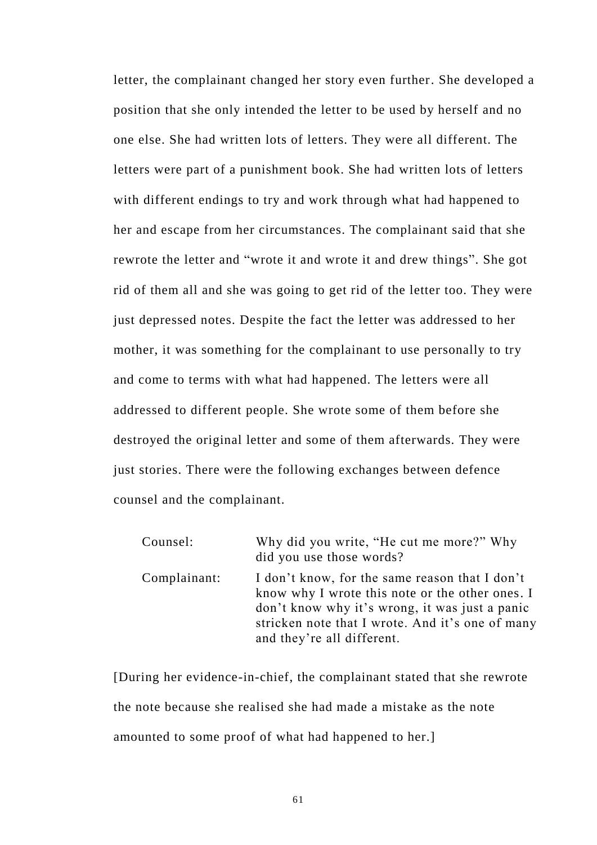letter, the complainant changed her story even further. She developed a position that she only intended the letter to be used by herself and no one else. She had written lots of letters. They were all different. The letters were part of a punishment book. She had written lots of letters with different endings to try and work through what had happened to her and escape from her circumstances. The complainant said that she rewrote the letter and "wrote it and wrote it and drew things". She got rid of them all and she was going to get rid of the letter too. They were just depressed notes. Despite the fact the letter was addressed to her mother, it was something for the complainant to use personally to try and come to terms with what had happened. The letters were all addressed to different people. She wrote some of them before she destroyed the original letter and some of them afterwards. They were just stories. There were the following exchanges between defence counsel and the complainant.

| Counsel:     | Why did you write, "He cut me more?" Why<br>did you use those words?                                                                                                                                                                  |
|--------------|---------------------------------------------------------------------------------------------------------------------------------------------------------------------------------------------------------------------------------------|
| Complainant: | I don't know, for the same reason that I don't<br>know why I wrote this note or the other ones. I<br>don't know why it's wrong, it was just a panic<br>stricken note that I wrote. And it's one of many<br>and they're all different. |

[During her evidence-in-chief, the complainant stated that she rewrote the note because she realised she had made a mistake as the note amounted to some proof of what had happened to her.]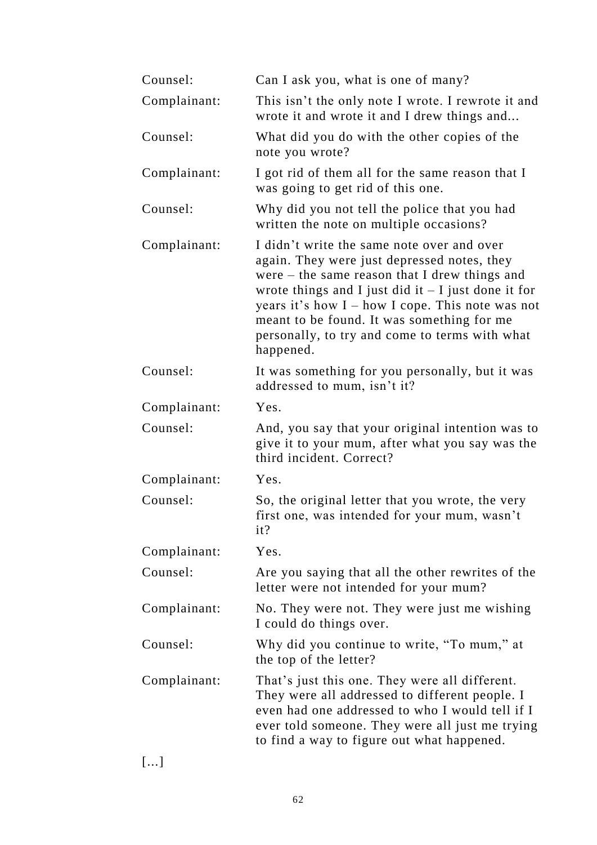| Counsel:     | Can I ask you, what is one of many?                                                                                                                                                                                                                                                                                                                                      |
|--------------|--------------------------------------------------------------------------------------------------------------------------------------------------------------------------------------------------------------------------------------------------------------------------------------------------------------------------------------------------------------------------|
| Complainant: | This isn't the only note I wrote. I rewrote it and<br>wrote it and wrote it and I drew things and                                                                                                                                                                                                                                                                        |
| Counsel:     | What did you do with the other copies of the<br>note you wrote?                                                                                                                                                                                                                                                                                                          |
| Complainant: | I got rid of them all for the same reason that I<br>was going to get rid of this one.                                                                                                                                                                                                                                                                                    |
| Counsel:     | Why did you not tell the police that you had<br>written the note on multiple occasions?                                                                                                                                                                                                                                                                                  |
| Complainant: | I didn't write the same note over and over<br>again. They were just depressed notes, they<br>were $-$ the same reason that I drew things and<br>wrote things and I just did it $-I$ just done it for<br>years it's how $I - how I cone$ . This note was not<br>meant to be found. It was something for me<br>personally, to try and come to terms with what<br>happened. |
| Counsel:     | It was something for you personally, but it was<br>addressed to mum, isn't it?                                                                                                                                                                                                                                                                                           |
| Complainant: | Yes.                                                                                                                                                                                                                                                                                                                                                                     |
| Counsel:     | And, you say that your original intention was to<br>give it to your mum, after what you say was the<br>third incident. Correct?                                                                                                                                                                                                                                          |
| Complainant: | Yes.                                                                                                                                                                                                                                                                                                                                                                     |
| Counsel:     | So, the original letter that you wrote, the very<br>first one, was intended for your mum, wasn't<br>it?                                                                                                                                                                                                                                                                  |
| Complainant: | Yes.                                                                                                                                                                                                                                                                                                                                                                     |
| Counsel:     | Are you saying that all the other rewrites of the<br>letter were not intended for your mum?                                                                                                                                                                                                                                                                              |
| Complainant: | No. They were not. They were just me wishing<br>I could do things over.                                                                                                                                                                                                                                                                                                  |
| Counsel:     | Why did you continue to write, "To mum," at<br>the top of the letter?                                                                                                                                                                                                                                                                                                    |
| Complainant: | That's just this one. They were all different.<br>They were all addressed to different people. I<br>even had one addressed to who I would tell if I<br>ever told someone. They were all just me trying<br>to find a way to figure out what happened.                                                                                                                     |

[...]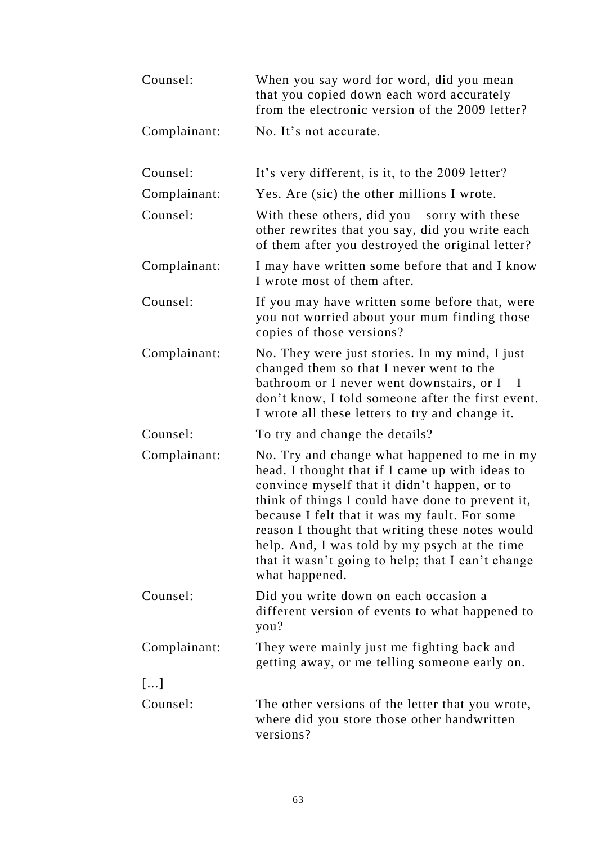| Counsel:     | When you say word for word, did you mean<br>that you copied down each word accurately<br>from the electronic version of the 2009 letter?                                                                                                                                                                                                                                                                                        |
|--------------|---------------------------------------------------------------------------------------------------------------------------------------------------------------------------------------------------------------------------------------------------------------------------------------------------------------------------------------------------------------------------------------------------------------------------------|
| Complainant: | No. It's not accurate.                                                                                                                                                                                                                                                                                                                                                                                                          |
| Counsel:     | It's very different, is it, to the 2009 letter?                                                                                                                                                                                                                                                                                                                                                                                 |
| Complainant: | Yes. Are (sic) the other millions I wrote.                                                                                                                                                                                                                                                                                                                                                                                      |
| Counsel:     | With these others, did you $-$ sorry with these<br>other rewrites that you say, did you write each<br>of them after you destroyed the original letter?                                                                                                                                                                                                                                                                          |
| Complainant: | I may have written some before that and I know<br>I wrote most of them after.                                                                                                                                                                                                                                                                                                                                                   |
| Counsel:     | If you may have written some before that, were<br>you not worried about your mum finding those<br>copies of those versions?                                                                                                                                                                                                                                                                                                     |
| Complainant: | No. They were just stories. In my mind, I just<br>changed them so that I never went to the<br>bathroom or I never went downstairs, or $I - I$<br>don't know, I told someone after the first event.<br>I wrote all these letters to try and change it.                                                                                                                                                                           |
| Counsel:     | To try and change the details?                                                                                                                                                                                                                                                                                                                                                                                                  |
| Complainant: | No. Try and change what happened to me in my<br>head. I thought that if I came up with ideas to<br>convince myself that it didn't happen, or to<br>think of things I could have done to prevent it,<br>because I felt that it was my fault. For some<br>reason I thought that writing these notes would<br>help. And, I was told by my psych at the time<br>that it wasn't going to help; that I can't change<br>what happened. |
| Counsel:     | Did you write down on each occasion a<br>different version of events to what happened to<br>you?                                                                                                                                                                                                                                                                                                                                |
| Complainant: | They were mainly just me fighting back and<br>getting away, or me telling someone early on.                                                                                                                                                                                                                                                                                                                                     |
| []           |                                                                                                                                                                                                                                                                                                                                                                                                                                 |
| Counsel:     | The other versions of the letter that you wrote,<br>where did you store those other handwritten<br>versions?                                                                                                                                                                                                                                                                                                                    |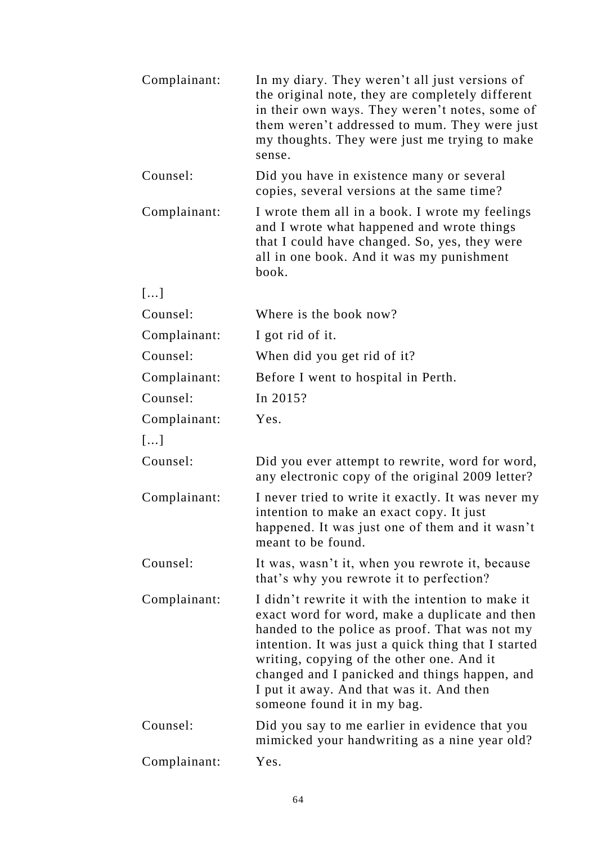| Complainant: | In my diary. They weren't all just versions of<br>the original note, they are completely different<br>in their own ways. They weren't notes, some of<br>them weren't addressed to mum. They were just<br>my thoughts. They were just me trying to make<br>sense.                                                                                                                      |
|--------------|---------------------------------------------------------------------------------------------------------------------------------------------------------------------------------------------------------------------------------------------------------------------------------------------------------------------------------------------------------------------------------------|
| Counsel:     | Did you have in existence many or several<br>copies, several versions at the same time?                                                                                                                                                                                                                                                                                               |
| Complainant: | I wrote them all in a book. I wrote my feelings<br>and I wrote what happened and wrote things<br>that I could have changed. So, yes, they were<br>all in one book. And it was my punishment<br>book.                                                                                                                                                                                  |
| []           |                                                                                                                                                                                                                                                                                                                                                                                       |
| Counsel:     | Where is the book now?                                                                                                                                                                                                                                                                                                                                                                |
| Complainant: | I got rid of it.                                                                                                                                                                                                                                                                                                                                                                      |
| Counsel:     | When did you get rid of it?                                                                                                                                                                                                                                                                                                                                                           |
| Complainant: | Before I went to hospital in Perth.                                                                                                                                                                                                                                                                                                                                                   |
| Counsel:     | In 2015?                                                                                                                                                                                                                                                                                                                                                                              |
| Complainant: | Yes.                                                                                                                                                                                                                                                                                                                                                                                  |
| []           |                                                                                                                                                                                                                                                                                                                                                                                       |
| Counsel:     | Did you ever attempt to rewrite, word for word,<br>any electronic copy of the original 2009 letter?                                                                                                                                                                                                                                                                                   |
| Complainant: | I never tried to write it exactly. It was never my<br>intention to make an exact copy. It just<br>happened. It was just one of them and it wasn't<br>meant to be found.                                                                                                                                                                                                               |
| Counsel:     | It was, wasn't it, when you rewrote it, because<br>that's why you rewrote it to perfection?                                                                                                                                                                                                                                                                                           |
| Complainant: | I didn't rewrite it with the intention to make it<br>exact word for word, make a duplicate and then<br>handed to the police as proof. That was not my<br>intention. It was just a quick thing that I started<br>writing, copying of the other one. And it<br>changed and I panicked and things happen, and<br>I put it away. And that was it. And then<br>someone found it in my bag. |
| Counsel:     | Did you say to me earlier in evidence that you<br>mimicked your handwriting as a nine year old?                                                                                                                                                                                                                                                                                       |
| Complainant: | Yes.                                                                                                                                                                                                                                                                                                                                                                                  |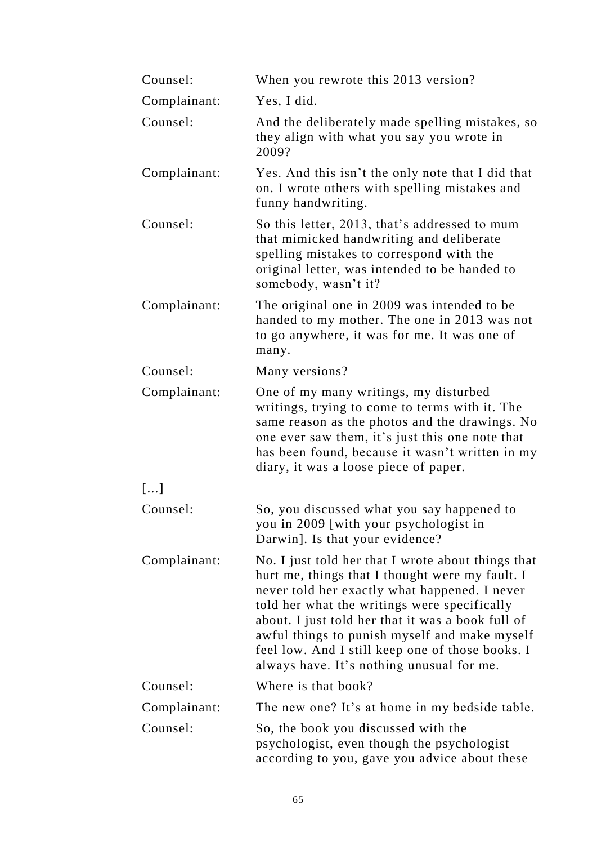| Counsel:     | When you rewrote this 2013 version?                                                                                                                                                                                                                                                                                                                                                                           |
|--------------|---------------------------------------------------------------------------------------------------------------------------------------------------------------------------------------------------------------------------------------------------------------------------------------------------------------------------------------------------------------------------------------------------------------|
| Complainant: | Yes, I did.                                                                                                                                                                                                                                                                                                                                                                                                   |
| Counsel:     | And the deliberately made spelling mistakes, so<br>they align with what you say you wrote in<br>2009?                                                                                                                                                                                                                                                                                                         |
| Complainant: | Yes. And this isn't the only note that I did that<br>on. I wrote others with spelling mistakes and<br>funny handwriting.                                                                                                                                                                                                                                                                                      |
| Counsel:     | So this letter, 2013, that's addressed to mum<br>that mimicked handwriting and deliberate<br>spelling mistakes to correspond with the<br>original letter, was intended to be handed to<br>somebody, wasn't it?                                                                                                                                                                                                |
| Complainant: | The original one in 2009 was intended to be<br>handed to my mother. The one in 2013 was not<br>to go anywhere, it was for me. It was one of<br>many.                                                                                                                                                                                                                                                          |
| Counsel:     | Many versions?                                                                                                                                                                                                                                                                                                                                                                                                |
| Complainant: | One of my many writings, my disturbed<br>writings, trying to come to terms with it. The<br>same reason as the photos and the drawings. No<br>one ever saw them, it's just this one note that<br>has been found, because it wasn't written in my<br>diary, it was a loose piece of paper.                                                                                                                      |
| []           |                                                                                                                                                                                                                                                                                                                                                                                                               |
| Counsel:     | So, you discussed what you say happened to<br>you in 2009 [with your psychologist in<br>Darwin]. Is that your evidence?                                                                                                                                                                                                                                                                                       |
| Complainant: | No. I just told her that I wrote about things that<br>hurt me, things that I thought were my fault. I<br>never told her exactly what happened. I never<br>told her what the writings were specifically<br>about. I just told her that it was a book full of<br>awful things to punish myself and make myself<br>feel low. And I still keep one of those books. I<br>always have. It's nothing unusual for me. |
| Counsel:     | Where is that book?                                                                                                                                                                                                                                                                                                                                                                                           |
| Complainant: | The new one? It's at home in my bedside table.                                                                                                                                                                                                                                                                                                                                                                |
| Counsel:     | So, the book you discussed with the<br>psychologist, even though the psychologist<br>according to you, gave you advice about these                                                                                                                                                                                                                                                                            |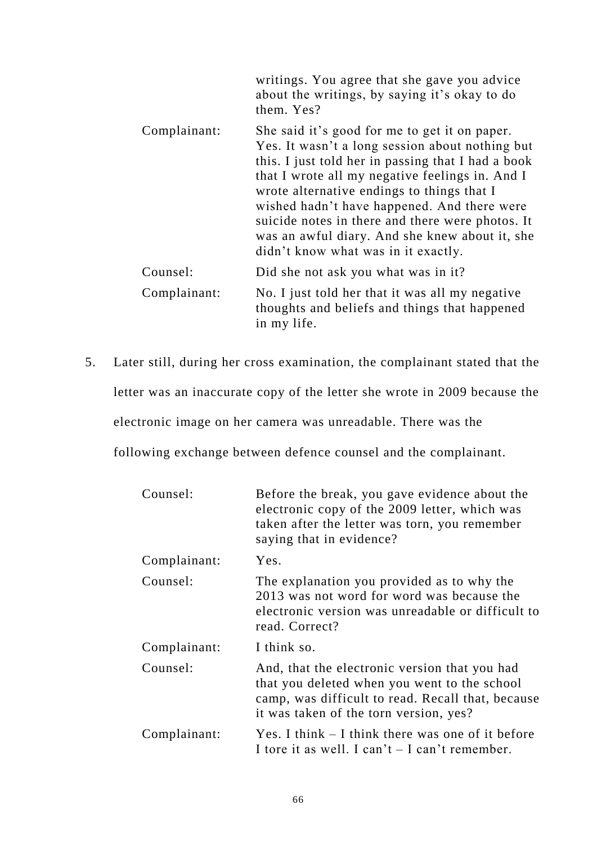|              | writings. You agree that she gave you advice<br>about the writings, by saying it's okay to do<br>them. Yes?                                                                                                                                                                                                                                                                                                                                         |
|--------------|-----------------------------------------------------------------------------------------------------------------------------------------------------------------------------------------------------------------------------------------------------------------------------------------------------------------------------------------------------------------------------------------------------------------------------------------------------|
| Complainant: | She said it's good for me to get it on paper.<br>Yes. It wasn't a long session about nothing but<br>this. I just told her in passing that I had a book<br>that I wrote all my negative feelings in. And I<br>wrote alternative endings to things that I<br>wished hadn't have happened. And there were<br>suicide notes in there and there were photos. It<br>was an awful diary. And she knew about it, she<br>didn't know what was in it exactly. |
| Counsel:     | Did she not ask you what was in it?                                                                                                                                                                                                                                                                                                                                                                                                                 |
| Complainant: | No. I just told her that it was all my negative<br>thoughts and beliefs and things that happened<br>in my life.                                                                                                                                                                                                                                                                                                                                     |

5. Later still, during her cross examination, the complainant stated that the letter was an inaccurate copy of the letter she wrote in 2009 because the electronic image on her camera was unreadable. There was the

following exchange between defence counsel and the complainant.

| Counsel:     | Before the break, you gave evidence about the<br>electronic copy of the 2009 letter, which was<br>taken after the letter was torn, you remember<br>saying that in evidence?                  |
|--------------|----------------------------------------------------------------------------------------------------------------------------------------------------------------------------------------------|
| Complainant: | Yes.                                                                                                                                                                                         |
| Counsel:     | The explanation you provided as to why the<br>2013 was not word for word was because the<br>electronic version was unreadable or difficult to<br>read. Correct?                              |
| Complainant: | I think so.                                                                                                                                                                                  |
| Counsel:     | And, that the electronic version that you had<br>that you deleted when you went to the school<br>camp, was difficult to read. Recall that, because<br>it was taken of the torn version, yes? |
| Complainant: | Yes. I think $-$ I think there was one of it before<br>I tore it as well. I can't $-$ I can't remember.                                                                                      |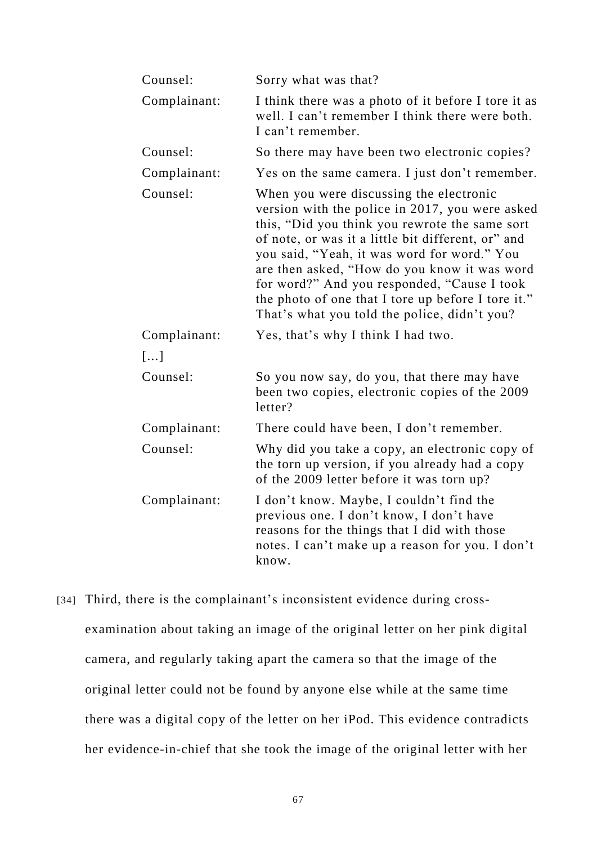| Counsel:     | Sorry what was that?                                                                                                                                                                                                                                                                                                                                                                                                                                   |
|--------------|--------------------------------------------------------------------------------------------------------------------------------------------------------------------------------------------------------------------------------------------------------------------------------------------------------------------------------------------------------------------------------------------------------------------------------------------------------|
| Complainant: | I think there was a photo of it before I tore it as<br>well. I can't remember I think there were both.<br>I can't remember.                                                                                                                                                                                                                                                                                                                            |
| Counsel:     | So there may have been two electronic copies?                                                                                                                                                                                                                                                                                                                                                                                                          |
| Complainant: | Yes on the same camera. I just don't remember.                                                                                                                                                                                                                                                                                                                                                                                                         |
| Counsel:     | When you were discussing the electronic<br>version with the police in 2017, you were asked<br>this, "Did you think you rewrote the same sort<br>of note, or was it a little bit different, or" and<br>you said, "Yeah, it was word for word." You<br>are then asked, "How do you know it was word<br>for word?" And you responded, "Cause I took<br>the photo of one that I tore up before I tore it."<br>That's what you told the police, didn't you? |
| Complainant: | Yes, that's why I think I had two.                                                                                                                                                                                                                                                                                                                                                                                                                     |
| []           |                                                                                                                                                                                                                                                                                                                                                                                                                                                        |
| Counsel:     | So you now say, do you, that there may have<br>been two copies, electronic copies of the 2009<br>letter?                                                                                                                                                                                                                                                                                                                                               |
| Complainant: | There could have been, I don't remember.                                                                                                                                                                                                                                                                                                                                                                                                               |
| Counsel:     | Why did you take a copy, an electronic copy of<br>the torn up version, if you already had a copy<br>of the 2009 letter before it was torn up?                                                                                                                                                                                                                                                                                                          |
| Complainant: | I don't know. Maybe, I couldn't find the<br>previous one. I don't know, I don't have<br>reasons for the things that I did with those<br>notes. I can't make up a reason for you. I don't<br>know.                                                                                                                                                                                                                                                      |

[34] Third, there is the complainant's inconsistent evidence during crossexamination about taking an image of the original letter on her pink digital camera, and regularly taking apart the camera so that the image of the original letter could not be found by anyone else while at the same time there was a digital copy of the letter on her iPod. This evidence contradicts her evidence-in-chief that she took the image of the original letter with her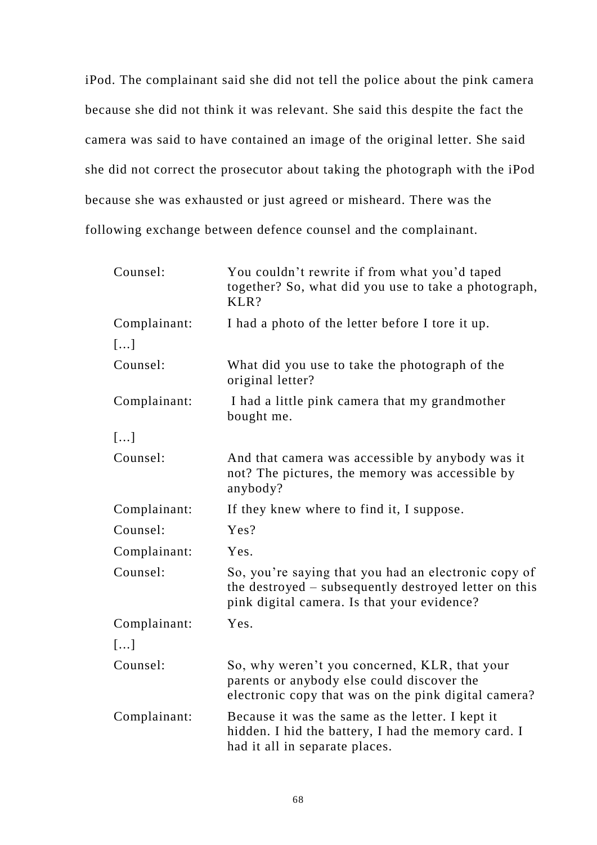iPod. The complainant said she did not tell the police about the pink camera because she did not think it was relevant. She said this despite the fact the camera was said to have contained an image of the original letter. She said she did not correct the prosecutor about taking the photograph with the iPod because she was exhausted or just agreed or misheard. There was the following exchange between defence counsel and the complainant.

| Counsel:     | You couldn't rewrite if from what you'd taped<br>together? So, what did you use to take a photograph,<br>KLR?                                                |
|--------------|--------------------------------------------------------------------------------------------------------------------------------------------------------------|
| Complainant: | I had a photo of the letter before I tore it up.                                                                                                             |
| []           |                                                                                                                                                              |
| Counsel:     | What did you use to take the photograph of the<br>original letter?                                                                                           |
| Complainant: | I had a little pink camera that my grandmother<br>bought me.                                                                                                 |
| []           |                                                                                                                                                              |
| Counsel:     | And that camera was accessible by anybody was it<br>not? The pictures, the memory was accessible by<br>anybody?                                              |
| Complainant: | If they knew where to find it, I suppose.                                                                                                                    |
| Counsel:     | Yes?                                                                                                                                                         |
| Complainant: | Yes.                                                                                                                                                         |
| Counsel:     | So, you're saying that you had an electronic copy of<br>the destroyed – subsequently destroyed letter on this<br>pink digital camera. Is that your evidence? |
| Complainant: | Yes.                                                                                                                                                         |
| []           |                                                                                                                                                              |
| Counsel:     | So, why weren't you concerned, KLR, that your<br>parents or anybody else could discover the<br>electronic copy that was on the pink digital camera?          |
| Complainant: | Because it was the same as the letter. I kept it<br>hidden. I hid the battery, I had the memory card. I<br>had it all in separate places.                    |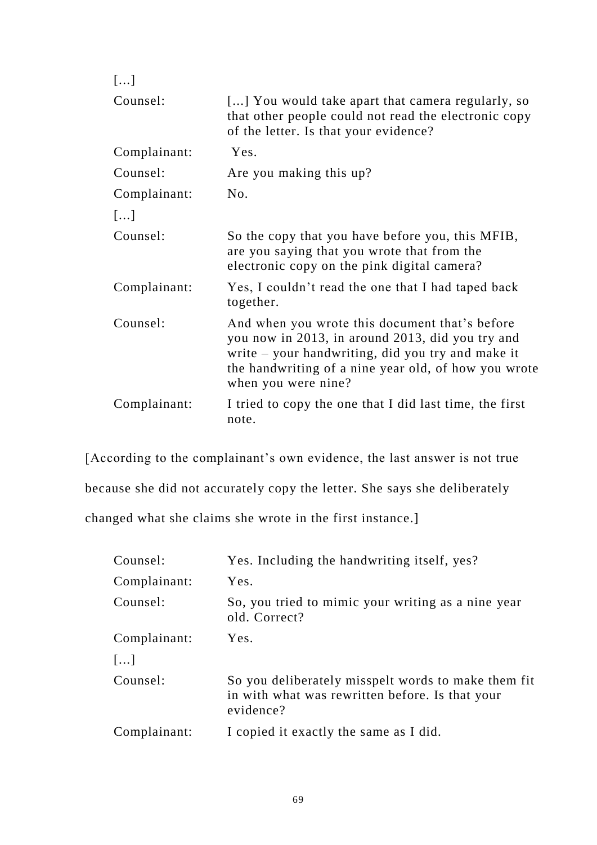| []           |                                                                                                                                                                                                                                        |
|--------------|----------------------------------------------------------------------------------------------------------------------------------------------------------------------------------------------------------------------------------------|
| Counsel:     | [] You would take apart that camera regularly, so<br>that other people could not read the electronic copy<br>of the letter. Is that your evidence?                                                                                     |
| Complainant: | Yes.                                                                                                                                                                                                                                   |
| Counsel:     | Are you making this up?                                                                                                                                                                                                                |
| Complainant: | No.                                                                                                                                                                                                                                    |
| []           |                                                                                                                                                                                                                                        |
| Counsel:     | So the copy that you have before you, this MFIB,<br>are you saying that you wrote that from the<br>electronic copy on the pink digital camera?                                                                                         |
| Complainant: | Yes, I couldn't read the one that I had taped back<br>together.                                                                                                                                                                        |
| Counsel:     | And when you wrote this document that's before<br>you now in 2013, in around 2013, did you try and<br>write - your handwriting, did you try and make it<br>the handwriting of a nine year old, of how you wrote<br>when you were nine? |
| Complainant: | I tried to copy the one that I did last time, the first<br>note.                                                                                                                                                                       |

[According to the complainant's own evidence, the last answer is not true because she did not accurately copy the letter. She says she deliberately changed what she claims she wrote in the first instance.]

| Counsel:         | Yes. Including the handwriting itself, yes?                                                                         |
|------------------|---------------------------------------------------------------------------------------------------------------------|
| Complainant:     | Yes.                                                                                                                |
| Counsel:         | So, you tried to mimic your writing as a nine year<br>old. Correct?                                                 |
| Complainant:     | Yes.                                                                                                                |
| $\lceil  \rceil$ |                                                                                                                     |
| Counsel:         | So you deliberately misspelt words to make them fit<br>in with what was rewritten before. Is that your<br>evidence? |
| Complainant:     | I copied it exactly the same as I did.                                                                              |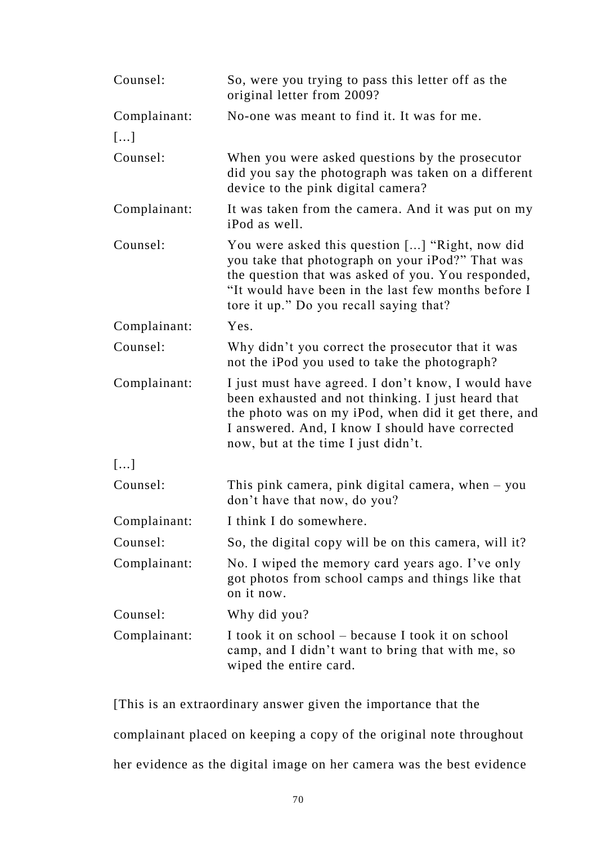| Counsel:     | So, were you trying to pass this letter off as the<br>original letter from 2009?                                                                                                                                                                            |
|--------------|-------------------------------------------------------------------------------------------------------------------------------------------------------------------------------------------------------------------------------------------------------------|
| Complainant: | No-one was meant to find it. It was for me.                                                                                                                                                                                                                 |
| []           |                                                                                                                                                                                                                                                             |
| Counsel:     | When you were asked questions by the prosecutor<br>did you say the photograph was taken on a different<br>device to the pink digital camera?                                                                                                                |
| Complainant: | It was taken from the camera. And it was put on my<br>iPod as well.                                                                                                                                                                                         |
| Counsel:     | You were asked this question [] "Right, now did<br>you take that photograph on your iPod?" That was<br>the question that was asked of you. You responded,<br>"It would have been in the last few months before I<br>tore it up." Do you recall saying that? |
| Complainant: | Yes.                                                                                                                                                                                                                                                        |
| Counsel:     | Why didn't you correct the prosecutor that it was<br>not the iPod you used to take the photograph?                                                                                                                                                          |
| Complainant: | I just must have agreed. I don't know, I would have<br>been exhausted and not thinking. I just heard that<br>the photo was on my iPod, when did it get there, and<br>I answered. And, I know I should have corrected<br>now, but at the time I just didn't. |
| []           |                                                                                                                                                                                                                                                             |
| Counsel:     | This pink camera, pink digital camera, when $-$ you<br>don't have that now, do you?                                                                                                                                                                         |
| Complainant: | I think I do somewhere.                                                                                                                                                                                                                                     |
| Counsel:     | So, the digital copy will be on this camera, will it?                                                                                                                                                                                                       |
| Complainant: | No. I wiped the memory card years ago. I've only<br>got photos from school camps and things like that<br>on it now.                                                                                                                                         |
| Counsel:     | Why did you?                                                                                                                                                                                                                                                |
| Complainant: | I took it on school – because I took it on school<br>camp, and I didn't want to bring that with me, so<br>wiped the entire card.                                                                                                                            |

[This is an extraordinary answer given the importance that the complainant placed on keeping a copy of the original note throughout her evidence as the digital image on her camera was the best evidence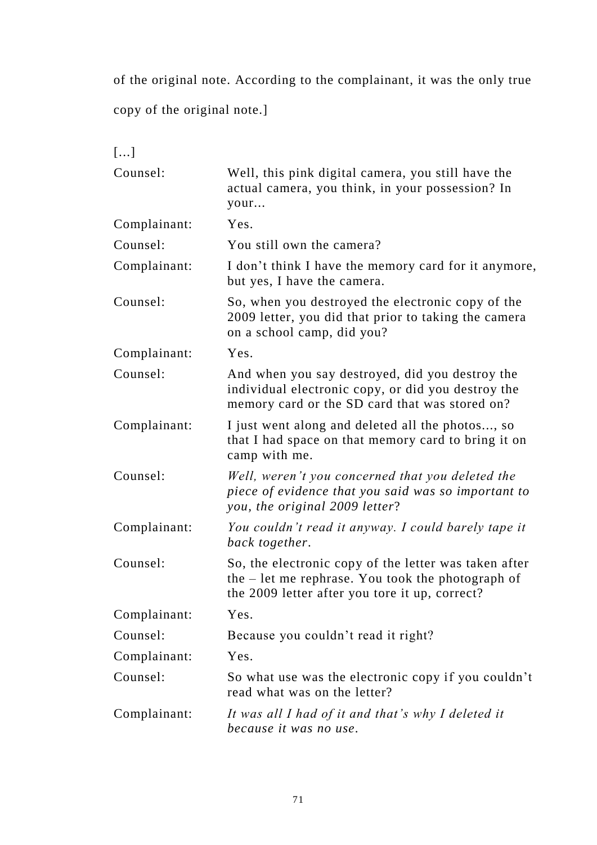of the original note. According to the complainant, it was the only true

copy of the original note.]

| []           |                                                                                                                                                                |
|--------------|----------------------------------------------------------------------------------------------------------------------------------------------------------------|
| Counsel:     | Well, this pink digital camera, you still have the<br>actual camera, you think, in your possession? In<br>your                                                 |
| Complainant: | Yes.                                                                                                                                                           |
| Counsel:     | You still own the camera?                                                                                                                                      |
| Complainant: | I don't think I have the memory card for it anymore,<br>but yes, I have the camera.                                                                            |
| Counsel:     | So, when you destroyed the electronic copy of the<br>2009 letter, you did that prior to taking the camera<br>on a school camp, did you?                        |
| Complainant: | Yes.                                                                                                                                                           |
| Counsel:     | And when you say destroyed, did you destroy the<br>individual electronic copy, or did you destroy the<br>memory card or the SD card that was stored on?        |
| Complainant: | I just went along and deleted all the photos, so<br>that I had space on that memory card to bring it on<br>camp with me.                                       |
| Counsel:     | Well, weren't you concerned that you deleted the<br>piece of evidence that you said was so important to<br>you, the original 2009 letter?                      |
| Complainant: | You couldn't read it anyway. I could barely tape it<br>back together.                                                                                          |
| Counsel:     | So, the electronic copy of the letter was taken after<br>the $-$ let me rephrase. You took the photograph of<br>the 2009 letter after you tore it up, correct? |
| Complainant: | Yes.                                                                                                                                                           |
| Counsel:     | Because you couldn't read it right?                                                                                                                            |
| Complainant: | Yes.                                                                                                                                                           |
| Counsel:     | So what use was the electronic copy if you couldn't<br>read what was on the letter?                                                                            |
| Complainant: | It was all I had of it and that's why I deleted it<br>because it was no use.                                                                                   |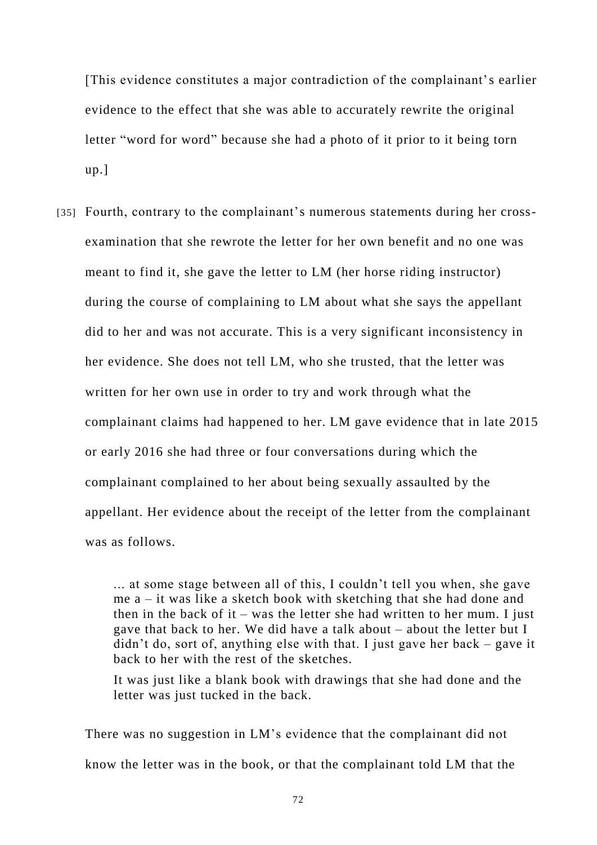[This evidence constitutes a major contradiction of the complainant's earlier evidence to the effect that she was able to accurately rewrite the original letter "word for word" because she had a photo of it prior to it being torn up.]

[35] Fourth, contrary to the complainant's numerous statements during her crossexamination that she rewrote the letter for her own benefit and no one was meant to find it, she gave the letter to LM (her horse riding instructor) during the course of complaining to LM about what she says the appellant did to her and was not accurate. This is a very significant inconsistency in her evidence. She does not tell LM, who she trusted, that the letter was written for her own use in order to try and work through what the complainant claims had happened to her. LM gave evidence that in late 2015 or early 2016 she had three or four conversations during which the complainant complained to her about being sexually assaulted by the appellant. Her evidence about the receipt of the letter from the complainant was as follows.

> ... at some stage between all of this, I couldn't tell you when, she gave me a – it was like a sketch book with sketching that she had done and then in the back of it – was the letter she had written to her mum. I just gave that back to her. We did have a talk about – about the letter but I didn't do, sort of, anything else with that. I just gave her back – gave it back to her with the rest of the sketches.

It was just like a blank book with drawings that she had done and the letter was just tucked in the back.

There was no suggestion in LM's evidence that the complainant did not know the letter was in the book, or that the complainant told LM that the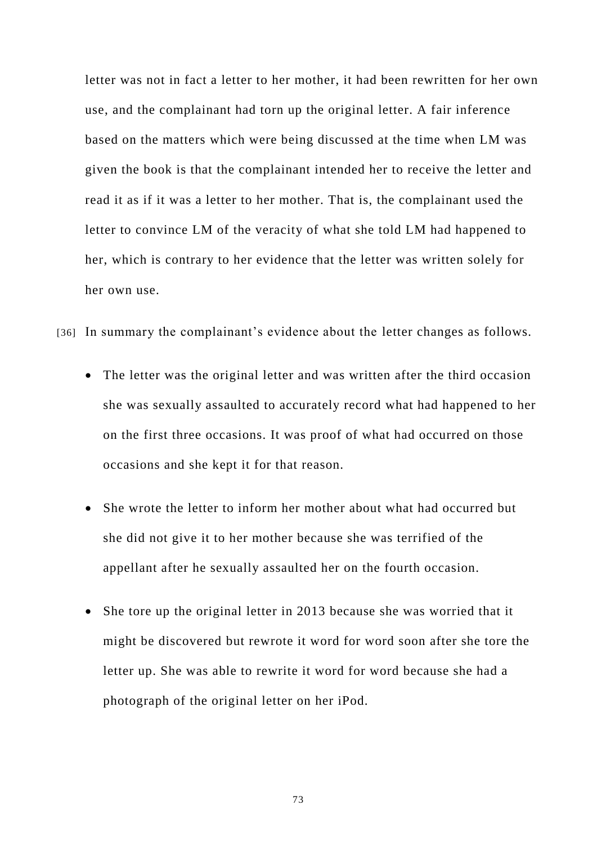letter was not in fact a letter to her mother, it had been rewritten for her own use, and the complainant had torn up the original letter. A fair inference based on the matters which were being discussed at the time when LM was given the book is that the complainant intended her to receive the letter and read it as if it was a letter to her mother. That is, the complainant used the letter to convince LM of the veracity of what she told LM had happened to her, which is contrary to her evidence that the letter was written solely for her own use.

- [36] In summary the complainant's evidence about the letter changes as follows.
	- The letter was the original letter and was written after the third occasion she was sexually assaulted to accurately record what had happened to her on the first three occasions. It was proof of what had occurred on those occasions and she kept it for that reason.
	- She wrote the letter to inform her mother about what had occurred but she did not give it to her mother because she was terrified of the appellant after he sexually assaulted her on the fourth occasion.
	- She tore up the original letter in 2013 because she was worried that it might be discovered but rewrote it word for word soon after she tore the letter up. She was able to rewrite it word for word because she had a photograph of the original letter on her iPod.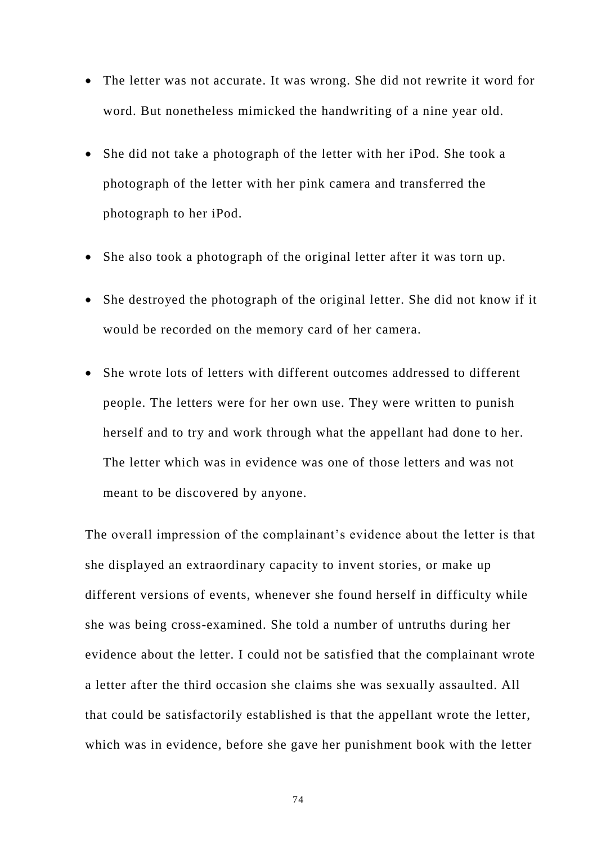- The letter was not accurate. It was wrong. She did not rewrite it word for word. But nonetheless mimicked the handwriting of a nine year old.
- She did not take a photograph of the letter with her iPod. She took a photograph of the letter with her pink camera and transferred the photograph to her iPod.
- She also took a photograph of the original letter after it was torn up.
- She destroyed the photograph of the original letter. She did not know if it would be recorded on the memory card of her camera.
- She wrote lots of letters with different outcomes addressed to different people. The letters were for her own use. They were written to punish herself and to try and work through what the appellant had done to her. The letter which was in evidence was one of those letters and was not meant to be discovered by anyone.

The overall impression of the complainant's evidence about the letter is that she displayed an extraordinary capacity to invent stories, or make up different versions of events, whenever she found herself in difficulty while she was being cross-examined. She told a number of untruths during her evidence about the letter. I could not be satisfied that the complainant wrote a letter after the third occasion she claims she was sexually assaulted. All that could be satisfactorily established is that the appellant wrote the letter, which was in evidence, before she gave her punishment book with the letter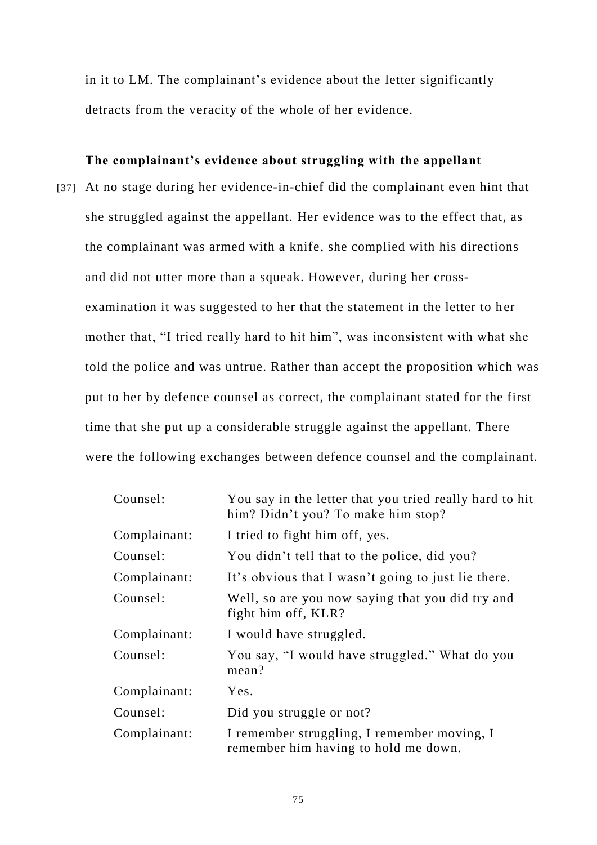in it to LM. The complainant's evidence about the letter significantly detracts from the veracity of the whole of her evidence.

# **The complainant's evidence about struggling with the appellant**

[37] At no stage during her evidence-in-chief did the complainant even hint that she struggled against the appellant. Her evidence was to the effect that, as the complainant was armed with a knife, she complied with his directions and did not utter more than a squeak. However, during her crossexamination it was suggested to her that the statement in the letter to her mother that, "I tried really hard to hit him", was inconsistent with what she told the police and was untrue. Rather than accept the proposition which was put to her by defence counsel as correct, the complainant stated for the first time that she put up a considerable struggle against the appellant. There were the following exchanges between defence counsel and the complainant.

| Counsel:     | You say in the letter that you tried really hard to hit<br>him? Didn't you? To make him stop? |
|--------------|-----------------------------------------------------------------------------------------------|
| Complainant: | I tried to fight him off, yes.                                                                |
| Counsel:     | You didn't tell that to the police, did you?                                                  |
| Complainant: | It's obvious that I wasn't going to just lie there.                                           |
| Counsel:     | Well, so are you now saying that you did try and<br>fight him off, KLR?                       |
| Complainant: | I would have struggled.                                                                       |
| Counsel:     | You say, "I would have struggled." What do you<br>mean?                                       |
| Complainant: | Yes.                                                                                          |
| Counsel:     | Did you struggle or not?                                                                      |
| Complainant: | I remember struggling, I remember moving, I<br>remember him having to hold me down.           |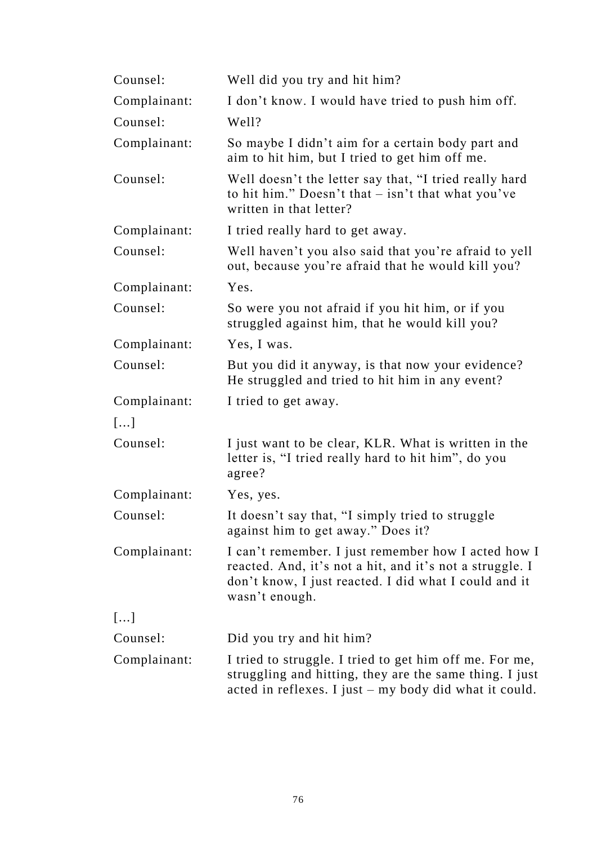| Counsel:     | Well did you try and hit him?                                                                                                                                                              |
|--------------|--------------------------------------------------------------------------------------------------------------------------------------------------------------------------------------------|
| Complainant: | I don't know. I would have tried to push him off.                                                                                                                                          |
| Counsel:     | Well?                                                                                                                                                                                      |
| Complainant: | So maybe I didn't aim for a certain body part and<br>aim to hit him, but I tried to get him off me.                                                                                        |
| Counsel:     | Well doesn't the letter say that, "I tried really hard<br>to hit him." Doesn't that $-$ isn't that what you've<br>written in that letter?                                                  |
| Complainant: | I tried really hard to get away.                                                                                                                                                           |
| Counsel:     | Well haven't you also said that you're afraid to yell<br>out, because you're afraid that he would kill you?                                                                                |
| Complainant: | Yes.                                                                                                                                                                                       |
| Counsel:     | So were you not afraid if you hit him, or if you<br>struggled against him, that he would kill you?                                                                                         |
| Complainant: | Yes, I was.                                                                                                                                                                                |
| Counsel:     | But you did it anyway, is that now your evidence?<br>He struggled and tried to hit him in any event?                                                                                       |
| Complainant: | I tried to get away.                                                                                                                                                                       |
| []           |                                                                                                                                                                                            |
| Counsel:     | I just want to be clear, KLR. What is written in the<br>letter is, "I tried really hard to hit him", do you<br>agree?                                                                      |
| Complainant: | Yes, yes.                                                                                                                                                                                  |
| Counsel:     | It doesn't say that, "I simply tried to struggle<br>against him to get away." Does it?                                                                                                     |
| Complainant: | I can't remember. I just remember how I acted how I<br>reacted. And, it's not a hit, and it's not a struggle. I<br>don't know, I just reacted. I did what I could and it<br>wasn't enough. |
| []           |                                                                                                                                                                                            |
| Counsel:     | Did you try and hit him?                                                                                                                                                                   |
| Complainant: | I tried to struggle. I tried to get him off me. For me,<br>struggling and hitting, they are the same thing. I just<br>acted in reflexes. I just - my body did what it could.               |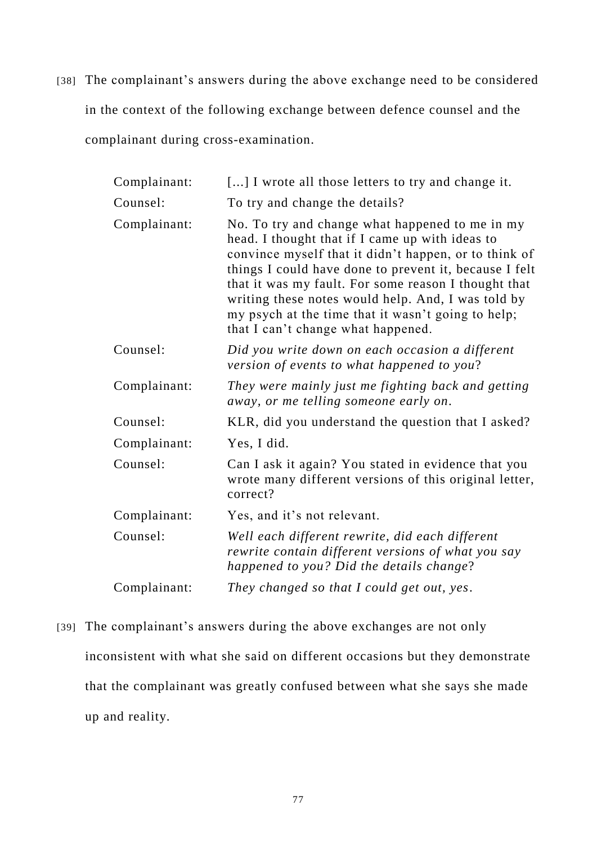[38] The complainant's answers during the above exchange need to be considered in the context of the following exchange between defence counsel and the complainant during cross-examination.

| Complainant: | [] I wrote all those letters to try and change it.                                                                                                                                                                                                                                                                                                                                                                              |
|--------------|---------------------------------------------------------------------------------------------------------------------------------------------------------------------------------------------------------------------------------------------------------------------------------------------------------------------------------------------------------------------------------------------------------------------------------|
| Counsel:     | To try and change the details?                                                                                                                                                                                                                                                                                                                                                                                                  |
| Complainant: | No. To try and change what happened to me in my<br>head. I thought that if I came up with ideas to<br>convince myself that it didn't happen, or to think of<br>things I could have done to prevent it, because I felt<br>that it was my fault. For some reason I thought that<br>writing these notes would help. And, I was told by<br>my psych at the time that it wasn't going to help;<br>that I can't change what happened. |
| Counsel:     | Did you write down on each occasion a different<br>version of events to what happened to you?                                                                                                                                                                                                                                                                                                                                   |
| Complainant: | They were mainly just me fighting back and getting<br>away, or me telling someone early on.                                                                                                                                                                                                                                                                                                                                     |
| Counsel:     | KLR, did you understand the question that I asked?                                                                                                                                                                                                                                                                                                                                                                              |
| Complainant: | Yes, I did.                                                                                                                                                                                                                                                                                                                                                                                                                     |
| Counsel:     | Can I ask it again? You stated in evidence that you<br>wrote many different versions of this original letter,<br>correct?                                                                                                                                                                                                                                                                                                       |
| Complainant: | Yes, and it's not relevant.                                                                                                                                                                                                                                                                                                                                                                                                     |
| Counsel:     | Well each different rewrite, did each different<br>rewrite contain different versions of what you say<br>happened to you? Did the details change?                                                                                                                                                                                                                                                                               |
| Complainant: | They changed so that I could get out, yes.                                                                                                                                                                                                                                                                                                                                                                                      |

[39] The complainant's answers during the above exchanges are not only inconsistent with what she said on different occasions but they demonstrate that the complainant was greatly confused between what she says she made up and reality.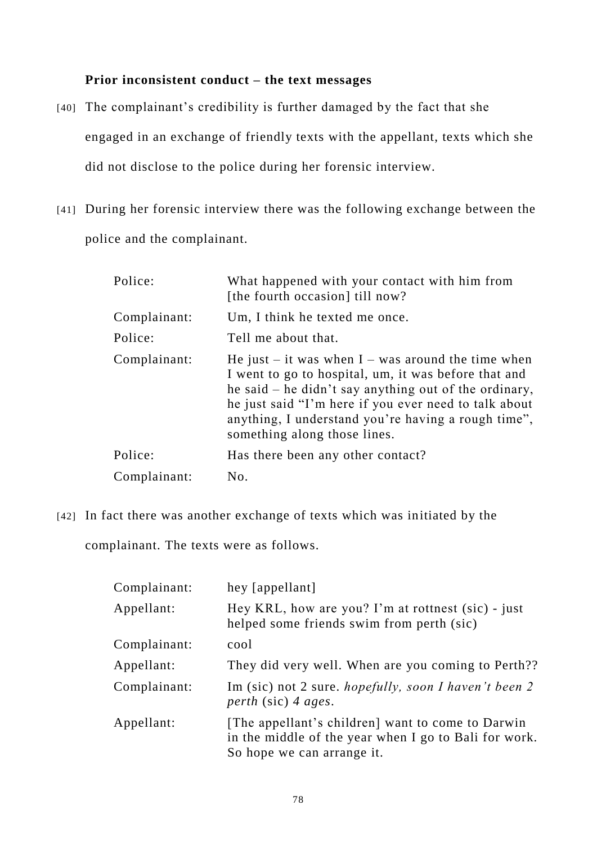# **Prior inconsistent conduct – the text messages**

- [40] The complainant's credibility is further damaged by the fact that she engaged in an exchange of friendly texts with the appellant, texts which she did not disclose to the police during her forensic interview.
- [41] During her forensic interview there was the following exchange between the police and the complainant.

| Police:      | What happened with your contact with him from<br>[the fourth occasion] till now?                                                                                                                                                                                                                                      |
|--------------|-----------------------------------------------------------------------------------------------------------------------------------------------------------------------------------------------------------------------------------------------------------------------------------------------------------------------|
| Complainant: | Um, I think he texted me once.                                                                                                                                                                                                                                                                                        |
| Police:      | Tell me about that.                                                                                                                                                                                                                                                                                                   |
| Complainant: | He just – it was when $I$ – was around the time when<br>I went to go to hospital, um, it was before that and<br>he said – he didn't say anything out of the ordinary,<br>he just said "I'm here if you ever need to talk about<br>anything, I understand you're having a rough time",<br>something along those lines. |
| Police:      | Has there been any other contact?                                                                                                                                                                                                                                                                                     |
| Complainant: | No.                                                                                                                                                                                                                                                                                                                   |
|              |                                                                                                                                                                                                                                                                                                                       |

[42] In fact there was another exchange of texts which was initiated by the

complainant. The texts were as follows.

| Complainant: | hey [appellant]                                                                                                                          |
|--------------|------------------------------------------------------------------------------------------------------------------------------------------|
| Appellant:   | Hey KRL, how are you? I'm at rottnest (sic) - just<br>helped some friends swim from perth (sic)                                          |
| Complainant: | cool                                                                                                                                     |
| Appellant:   | They did very well. When are you coming to Perth??                                                                                       |
| Complainant: | Im (sic) not 2 sure. <i>hopefully, soon I haven't been 2</i><br>perth (sic) 4 ages.                                                      |
| Appellant:   | [The appellant's children] want to come to Darwin<br>in the middle of the year when I go to Bali for work.<br>So hope we can arrange it. |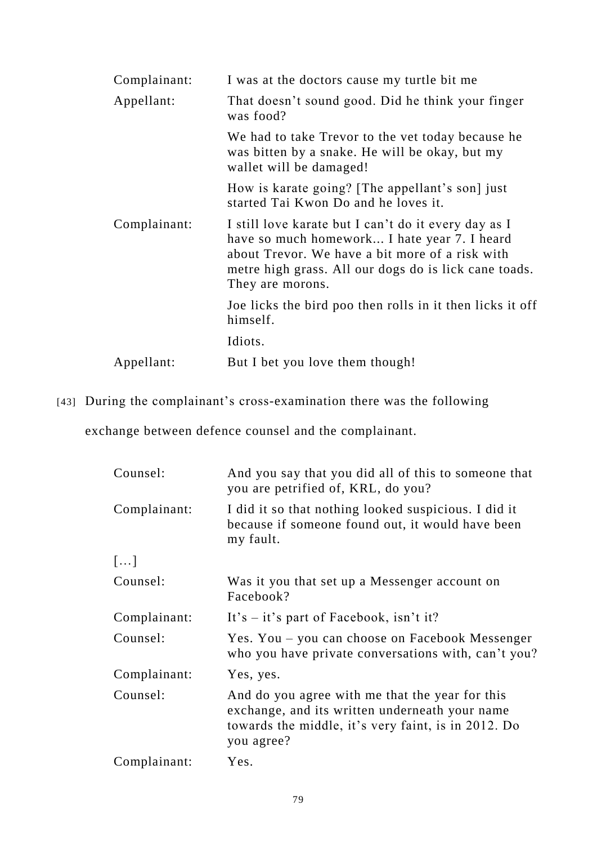| Complainant: | I was at the doctors cause my turtle bit me                                                                                                                                                                                          |
|--------------|--------------------------------------------------------------------------------------------------------------------------------------------------------------------------------------------------------------------------------------|
| Appellant:   | That doesn't sound good. Did he think your finger<br>was food?                                                                                                                                                                       |
|              | We had to take Trevor to the vet today because he<br>was bitten by a snake. He will be okay, but my<br>wallet will be damaged!                                                                                                       |
|              | How is karate going? [The appellant's son] just<br>started Tai Kwon Do and he loves it.                                                                                                                                              |
| Complainant: | I still love karate but I can't do it every day as I<br>have so much homework I hate year 7. I heard<br>about Trevor. We have a bit more of a risk with<br>metre high grass. All our dogs do is lick cane toads.<br>They are morons. |
|              | Joe licks the bird poo then rolls in it then licks it off<br>himself.                                                                                                                                                                |
|              | Idiots.                                                                                                                                                                                                                              |
| Appellant:   | But I bet you love them though!                                                                                                                                                                                                      |

[43] During the complainant's cross-examination there was the following

exchange between defence counsel and the complainant.

| Counsel:     | And you say that you did all of this to someone that<br>you are petrified of, KRL, do you?                                                                             |
|--------------|------------------------------------------------------------------------------------------------------------------------------------------------------------------------|
| Complainant: | I did it so that nothing looked suspicious. I did it<br>because if someone found out, it would have been<br>my fault.                                                  |
| $[\dots]$    |                                                                                                                                                                        |
| Counsel:     | Was it you that set up a Messenger account on<br>Facebook?                                                                                                             |
| Complainant: | It's $-$ it's part of Facebook, isn't it?                                                                                                                              |
| Counsel:     | Yes. You – you can choose on Facebook Messenger<br>who you have private conversations with, can't you?                                                                 |
| Complainant: | Yes, yes.                                                                                                                                                              |
| Counsel:     | And do you agree with me that the year for this<br>exchange, and its written underneath your name<br>towards the middle, it's very faint, is in 2012. Do<br>you agree? |
| Complainant: | Yes.                                                                                                                                                                   |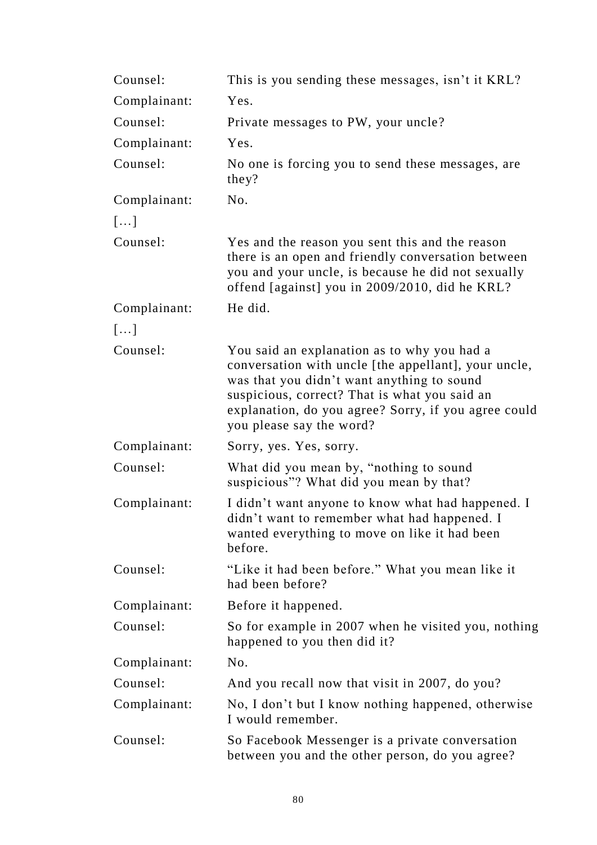| Counsel:     | This is you sending these messages, isn't it KRL?                                                                                                                                                                                                                                      |
|--------------|----------------------------------------------------------------------------------------------------------------------------------------------------------------------------------------------------------------------------------------------------------------------------------------|
| Complainant: | Yes.                                                                                                                                                                                                                                                                                   |
| Counsel:     | Private messages to PW, your uncle?                                                                                                                                                                                                                                                    |
| Complainant: | Yes.                                                                                                                                                                                                                                                                                   |
| Counsel:     | No one is forcing you to send these messages, are<br>they?                                                                                                                                                                                                                             |
| Complainant: | No.                                                                                                                                                                                                                                                                                    |
| []           |                                                                                                                                                                                                                                                                                        |
| Counsel:     | Yes and the reason you sent this and the reason<br>there is an open and friendly conversation between<br>you and your uncle, is because he did not sexually<br>offend [against] you in 2009/2010, did he KRL?                                                                          |
| Complainant: | He did.                                                                                                                                                                                                                                                                                |
| []           |                                                                                                                                                                                                                                                                                        |
| Counsel:     | You said an explanation as to why you had a<br>conversation with uncle [the appellant], your uncle,<br>was that you didn't want anything to sound<br>suspicious, correct? That is what you said an<br>explanation, do you agree? Sorry, if you agree could<br>you please say the word? |
| Complainant: | Sorry, yes. Yes, sorry.                                                                                                                                                                                                                                                                |
| Counsel:     | What did you mean by, "nothing to sound<br>suspicious"? What did you mean by that?                                                                                                                                                                                                     |
| Complainant: | I didn't want anyone to know what had happened. I<br>didn't want to remember what had happened. I<br>wanted everything to move on like it had been<br>before.                                                                                                                          |
| Counsel:     | "Like it had been before." What you mean like it<br>had been before?                                                                                                                                                                                                                   |
| Complainant: | Before it happened.                                                                                                                                                                                                                                                                    |
| Counsel:     | So for example in 2007 when he visited you, nothing<br>happened to you then did it?                                                                                                                                                                                                    |
| Complainant: | No.                                                                                                                                                                                                                                                                                    |
| Counsel:     | And you recall now that visit in 2007, do you?                                                                                                                                                                                                                                         |
| Complainant: | No, I don't but I know nothing happened, otherwise<br>I would remember.                                                                                                                                                                                                                |
| Counsel:     | So Facebook Messenger is a private conversation<br>between you and the other person, do you agree?                                                                                                                                                                                     |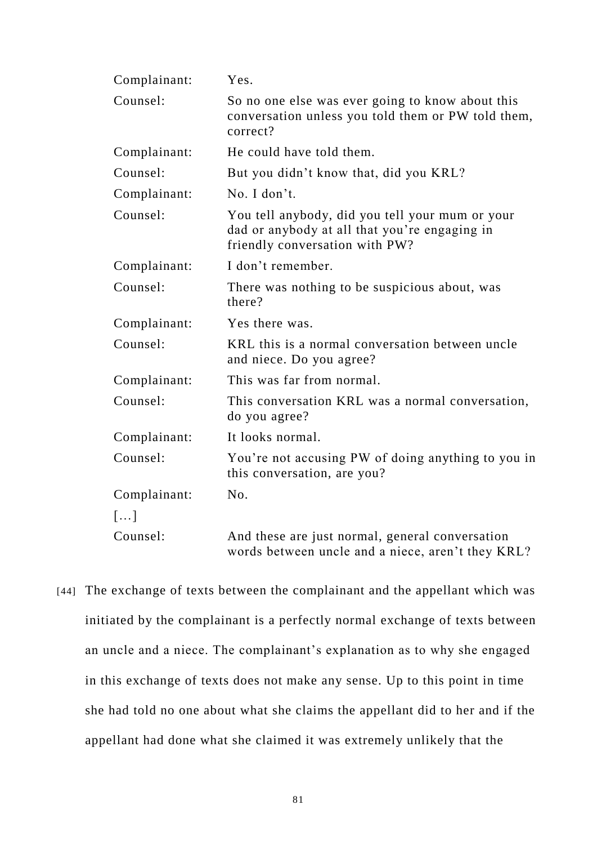| Complainant:          | Yes.                                                                                                                               |
|-----------------------|------------------------------------------------------------------------------------------------------------------------------------|
| Counsel:              | So no one else was ever going to know about this<br>conversation unless you told them or PW told them,<br>correct?                 |
| Complainant:          | He could have told them.                                                                                                           |
| Counsel:              | But you didn't know that, did you KRL?                                                                                             |
| Complainant:          | No. I don't.                                                                                                                       |
| Counsel:              | You tell anybody, did you tell your mum or your<br>dad or anybody at all that you're engaging in<br>friendly conversation with PW? |
| Complainant:          | I don't remember.                                                                                                                  |
| Counsel:              | There was nothing to be suspicious about, was<br>there?                                                                            |
| Complainant:          | Yes there was.                                                                                                                     |
| Counsel:              | KRL this is a normal conversation between uncle<br>and niece. Do you agree?                                                        |
| Complainant:          | This was far from normal.                                                                                                          |
| Counsel:              | This conversation KRL was a normal conversation,<br>do you agree?                                                                  |
| Complainant:          | It looks normal.                                                                                                                   |
| Counsel:              | You're not accusing PW of doing anything to you in<br>this conversation, are you?                                                  |
| Complainant:          | No.                                                                                                                                |
| $\lceil \dots \rceil$ |                                                                                                                                    |
| Counsel:              | And these are just normal, general conversation<br>words between uncle and a niece, aren't they KRL?                               |

[44] The exchange of texts between the complainant and the appellant which was initiated by the complainant is a perfectly normal exchange of texts between an uncle and a niece. The complainant's explanation as to why she engaged in this exchange of texts does not make any sense. Up to this point in time she had told no one about what she claims the appellant did to her and if the appellant had done what she claimed it was extremely unlikely that the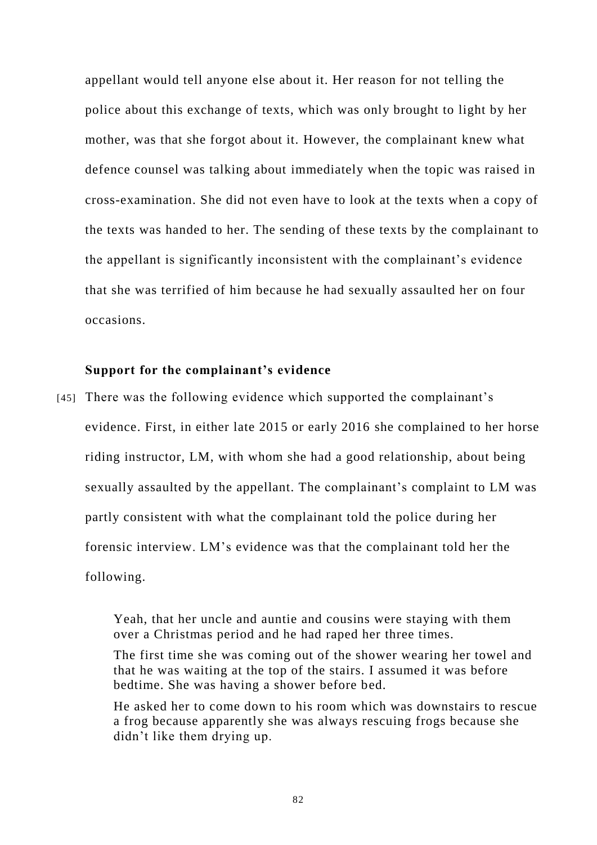appellant would tell anyone else about it. Her reason for not telling the police about this exchange of texts, which was only brought to light by her mother, was that she forgot about it. However, the complainant knew what defence counsel was talking about immediately when the topic was raised in cross-examination. She did not even have to look at the texts when a copy of the texts was handed to her. The sending of these texts by the complainant to the appellant is significantly inconsistent with the complainant's evidence that she was terrified of him because he had sexually assaulted her on four occasions.

# **Support for the complainant's evidence**

[45] There was the following evidence which supported the complainant's evidence. First, in either late 2015 or early 2016 she complained to her horse riding instructor, LM, with whom she had a good relationship, about being sexually assaulted by the appellant. The complainant's complaint to LM was partly consistent with what the complainant told the police during her forensic interview. LM's evidence was that the complainant told her the following.

> Yeah, that her uncle and auntie and cousins were staying with them over a Christmas period and he had raped her three times.

The first time she was coming out of the shower wearing her towel and that he was waiting at the top of the stairs. I assumed it was before bedtime. She was having a shower before bed.

He asked her to come down to his room which was downstairs to rescue a frog because apparently she was always rescuing frogs because she didn't like them drying up.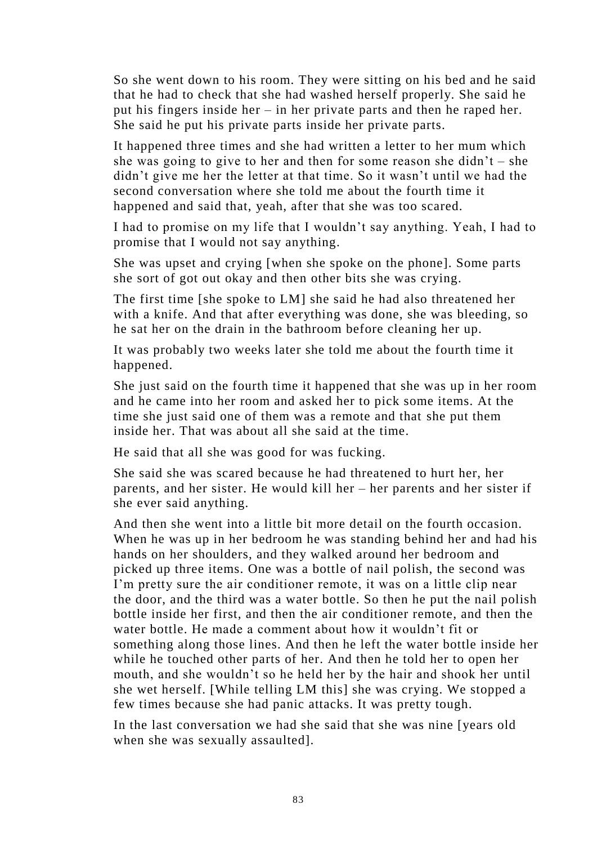So she went down to his room. They were sitting on his bed and he said that he had to check that she had washed herself properly. She said he put his fingers inside her – in her private parts and then he raped her. She said he put his private parts inside her private parts.

It happened three times and she had written a letter to her mum which she was going to give to her and then for some reason she didn't – she didn't give me her the letter at that time. So it wasn't until we had the second conversation where she told me about the fourth time it happened and said that, yeah, after that she was too scared.

I had to promise on my life that I wouldn't say anything. Yeah, I had to promise that I would not say anything.

She was upset and crying [when she spoke on the phone]. Some parts she sort of got out okay and then other bits she was crying.

The first time [she spoke to LM] she said he had also threatened her with a knife. And that after everything was done, she was bleeding, so he sat her on the drain in the bathroom before cleaning her up.

It was probably two weeks later she told me about the fourth time it happened.

She just said on the fourth time it happened that she was up in her room and he came into her room and asked her to pick some items. At the time she just said one of them was a remote and that she put them inside her. That was about all she said at the time.

He said that all she was good for was fucking.

She said she was scared because he had threatened to hurt her, her parents, and her sister. He would kill her – her parents and her sister if she ever said anything.

And then she went into a little bit more detail on the fourth occasion. When he was up in her bedroom he was standing behind her and had his hands on her shoulders, and they walked around her bedroom and picked up three items. One was a bottle of nail polish, the second was I'm pretty sure the air conditioner remote, it was on a little clip near the door, and the third was a water bottle. So then he put the nail polish bottle inside her first, and then the air conditioner remote, and then the water bottle. He made a comment about how it wouldn't fit or something along those lines. And then he left the water bottle inside her while he touched other parts of her. And then he told her to open her mouth, and she wouldn't so he held her by the hair and shook her until she wet herself. [While telling LM this] she was crying. We stopped a few times because she had panic attacks. It was pretty tough.

In the last conversation we had she said that she was nine [years old when she was sexually assaulted].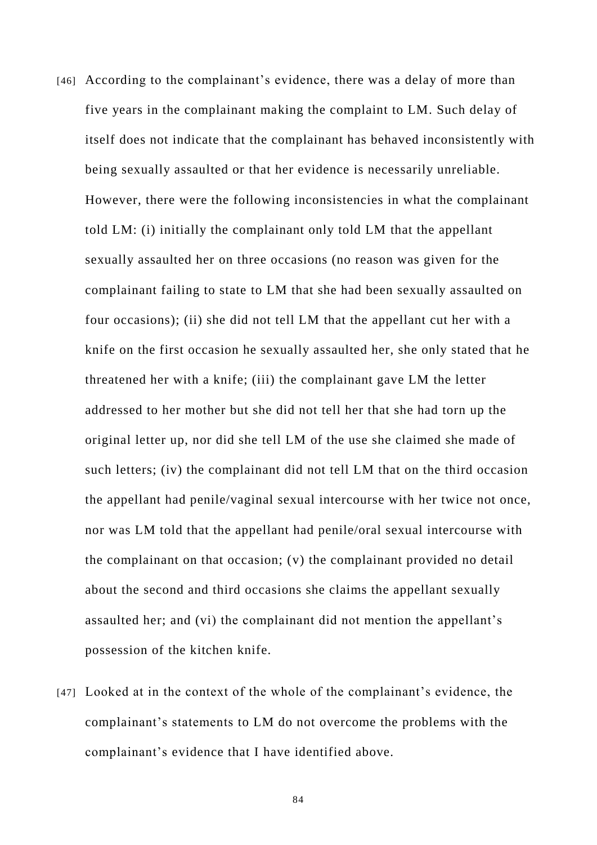- [46] According to the complainant's evidence, there was a delay of more than five years in the complainant making the complaint to LM. Such delay of itself does not indicate that the complainant has behaved inconsistently with being sexually assaulted or that her evidence is necessarily unreliable. However, there were the following inconsistencies in what the complainant told LM: (i) initially the complainant only told LM that the appellant sexually assaulted her on three occasions (no reason was given for the complainant failing to state to LM that she had been sexually assaulted on four occasions); (ii) she did not tell LM that the appellant cut her with a knife on the first occasion he sexually assaulted her, she only stated that he threatened her with a knife; (iii) the complainant gave LM the letter addressed to her mother but she did not tell her that she had torn up the original letter up, nor did she tell LM of the use she claimed she made of such letters; (iv) the complainant did not tell LM that on the third occasion the appellant had penile/vaginal sexual intercourse with her twice not once, nor was LM told that the appellant had penile/oral sexual intercourse with the complainant on that occasion; (v) the complainant provided no detail about the second and third occasions she claims the appellant sexually assaulted her; and (vi) the complainant did not mention the appellant's possession of the kitchen knife.
- [47] Looked at in the context of the whole of the complainant's evidence, the complainant's statements to LM do not overcome the problems with the complainant's evidence that I have identified above.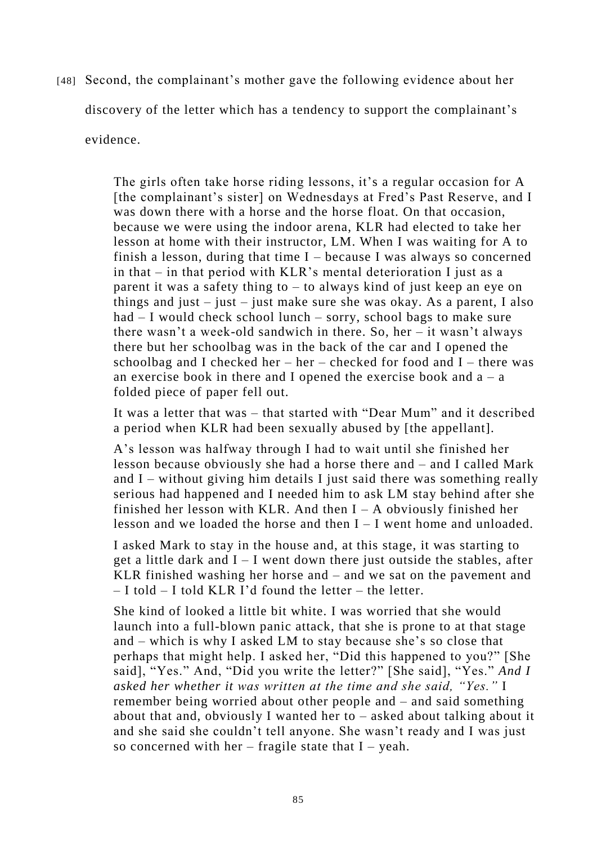[48] Second, the complainant's mother gave the following evidence about her discovery of the letter which has a tendency to support the complainant's evidence.

> The girls often take horse riding lessons, it's a regular occasion for A [the complainant's sister] on Wednesdays at Fred's Past Reserve, and I was down there with a horse and the horse float. On that occasion, because we were using the indoor arena, KLR had elected to take her lesson at home with their instructor, LM. When I was waiting for A to finish a lesson, during that time  $I$  – because I was always so concerned in that – in that period with KLR's mental deterioration I just as a parent it was a safety thing to – to always kind of just keep an eye on things and just – just – just make sure she was okay. As a parent, I also had – I would check school lunch – sorry, school bags to make sure there wasn't a week-old sandwich in there. So, her – it wasn't always there but her schoolbag was in the back of the car and I opened the schoolbag and I checked her – her – checked for food and  $I$  – there was an exercise book in there and I opened the exercise book and  $a - a$ folded piece of paper fell out.

> It was a letter that was – that started with "Dear Mum" and it described a period when KLR had been sexually abused by [the appellant].

> A's lesson was halfway through I had to wait until she finished her lesson because obviously she had a horse there and – and I called Mark and  $I$  – without giving him details I just said there was something really serious had happened and I needed him to ask LM stay behind after she finished her lesson with KLR. And then  $I - A$  obviously finished her lesson and we loaded the horse and then I – I went home and unloaded.

> I asked Mark to stay in the house and, at this stage, it was starting to get a little dark and  $I - I$  went down there just outside the stables, after KLR finished washing her horse and – and we sat on the pavement and  $-$  I told  $-$  I told KLR I'd found the letter – the letter.

> She kind of looked a little bit white. I was worried that she would launch into a full-blown panic attack, that she is prone to at that stage and – which is why I asked LM to stay because she's so close that perhaps that might help. I asked her, "Did this happened to you?" [She said], "Yes." And, "Did you write the letter?" [She said], "Yes." *And I asked her whether it was written at the time and she said, "Yes."* I remember being worried about other people and – and said something about that and, obviously I wanted her to – asked about talking about it and she said she couldn't tell anyone. She wasn't ready and I was just so concerned with her – fragile state that  $I$  – yeah.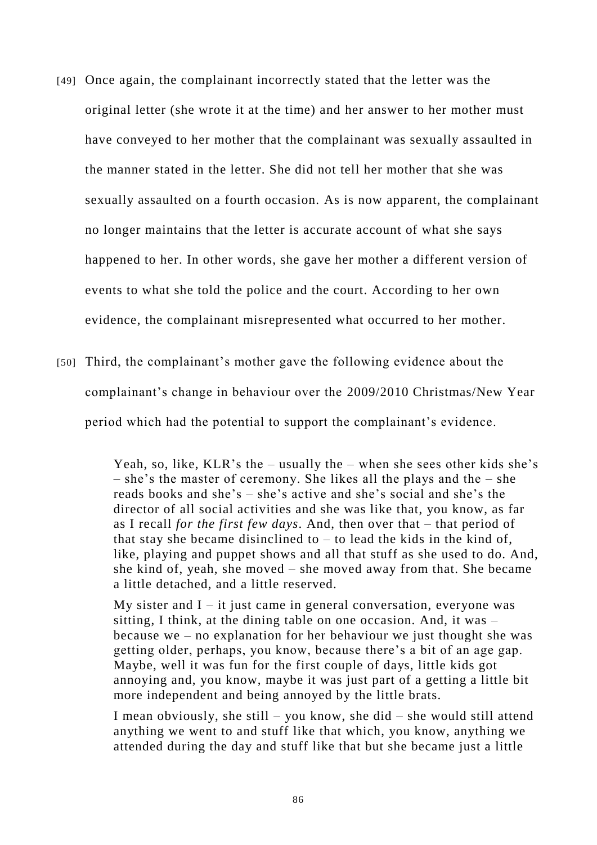- [49] Once again, the complainant incorrectly stated that the letter was the original letter (she wrote it at the time) and her answer to her mother must have conveyed to her mother that the complainant was sexually assaulted in the manner stated in the letter. She did not tell her mother that she was sexually assaulted on a fourth occasion. As is now apparent, the complainant no longer maintains that the letter is accurate account of what she says happened to her. In other words, she gave her mother a different version of events to what she told the police and the court. According to her own evidence, the complainant misrepresented what occurred to her mother.
- [50] Third, the complainant's mother gave the following evidence about the complainant's change in behaviour over the 2009/2010 Christmas/New Year period which had the potential to support the complainant's evidence.

Yeah, so, like, KLR's the – usually the – when she sees other kids she's – she's the master of ceremony. She likes all the plays and the – she reads books and she's – she's active and she's social and she's the director of all social activities and she was like that, you know, as far as I recall *for the first few days*. And, then over that – that period of that stay she became disinclined to  $-$  to lead the kids in the kind of, like, playing and puppet shows and all that stuff as she used to do. And, she kind of, yeah, she moved – she moved away from that. She became a little detached, and a little reserved.

My sister and  $I - it$  just came in general conversation, everyone was sitting, I think, at the dining table on one occasion. And, it was – because we – no explanation for her behaviour we just thought she was getting older, perhaps, you know, because there's a bit of an age gap. Maybe, well it was fun for the first couple of days, little kids got annoying and, you know, maybe it was just part of a getting a little bit more independent and being annoyed by the little brats.

I mean obviously, she still – you know, she did – she would still attend anything we went to and stuff like that which, you know, anything we attended during the day and stuff like that but she became just a little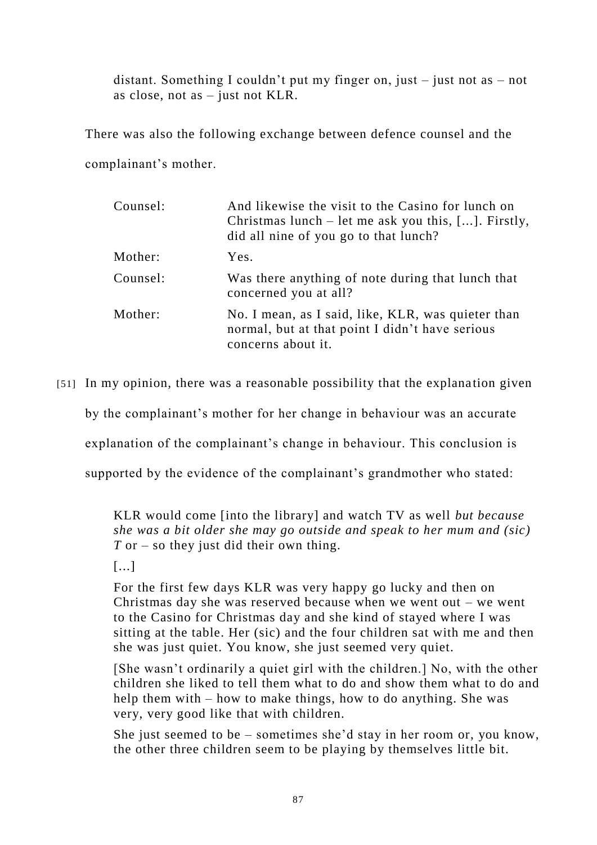distant. Something I couldn't put my finger on, just – just not as – not as close, not as – just not KLR.

There was also the following exchange between defence counsel and the complainant's mother.

| Counsel: | And likewise the visit to the Casino for lunch on<br>Christmas lunch – let me ask you this, []. Firstly,<br>did all nine of you go to that lunch? |
|----------|---------------------------------------------------------------------------------------------------------------------------------------------------|
| Mother:  | Yes.                                                                                                                                              |
| Counsel: | Was there anything of note during that lunch that<br>concerned you at all?                                                                        |
| Mother:  | No. I mean, as I said, like, KLR, was quieter than<br>normal, but at that point I didn't have serious<br>concerns about it.                       |

[51] In my opinion, there was a reasonable possibility that the explana tion given

by the complainant's mother for her change in behaviour was an accurate

explanation of the complainant's change in behaviour. This conclusion is

supported by the evidence of the complainant's grandmother who stated:

KLR would come [into the library] and watch TV as well *but because she was a bit older she may go outside and speak to her mum and (sic) T* or – so they just did their own thing.

[...]

For the first few days KLR was very happy go lucky and then on Christmas day she was reserved because when we went out – we went to the Casino for Christmas day and she kind of stayed where I was sitting at the table. Her (sic) and the four children sat with me and then she was just quiet. You know, she just seemed very quiet.

[She wasn't ordinarily a quiet girl with the children.] No, with the other children she liked to tell them what to do and show them what to do and help them with – how to make things, how to do anything. She was very, very good like that with children.

She just seemed to be – sometimes she'd stay in her room or, you know, the other three children seem to be playing by themselves little bit.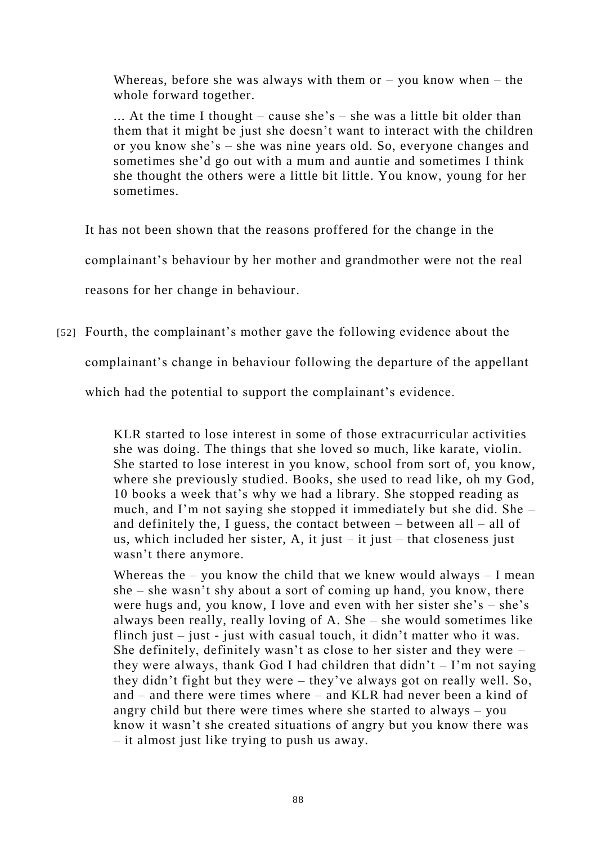Whereas, before she was always with them or  $-$  you know when  $-$  the whole forward together.

... At the time I thought – cause she's – she was a little bit older than them that it might be just she doesn't want to interact with the children or you know she's – she was nine years old. So, everyone changes and sometimes she'd go out with a mum and auntie and sometimes I think she thought the others were a little bit little. You know, young for her sometimes.

It has not been shown that the reasons proffered for the change in the

complainant's behaviour by her mother and grandmother were not the real

reasons for her change in behaviour.

[52] Fourth, the complainant's mother gave the following evidence about the

complainant's change in behaviour following the departure of the appellant

which had the potential to support the complainant's evidence.

KLR started to lose interest in some of those extracurricular activities she was doing. The things that she loved so much, like karate, violin. She started to lose interest in you know, school from sort of, you know, where she previously studied. Books, she used to read like, oh my God, 10 books a week that's why we had a library. She stopped reading as much, and I'm not saying she stopped it immediately but she did. She – and definitely the, I guess, the contact between  $-$  between all  $-$  all of us, which included her sister, A, it just  $-$  it just  $-$  that closeness just wasn't there anymore.

Whereas the  $-$  you know the child that we knew would always  $-$  I mean she – she wasn't shy about a sort of coming up hand, you know, there were hugs and, you know, I love and even with her sister she's – she's always been really, really loving of A. She – she would sometimes like flinch just – just - just with casual touch, it didn't matter who it was. She definitely, definitely wasn't as close to her sister and they were – they were always, thank God I had children that  $\text{d}$  didn't  $-$  I'm not saying they didn't fight but they were – they've always got on really well. So, and – and there were times where – and KLR had never been a kind of angry child but there were times where she started to always – you know it wasn't she created situations of angry but you know there was – it almost just like trying to push us away.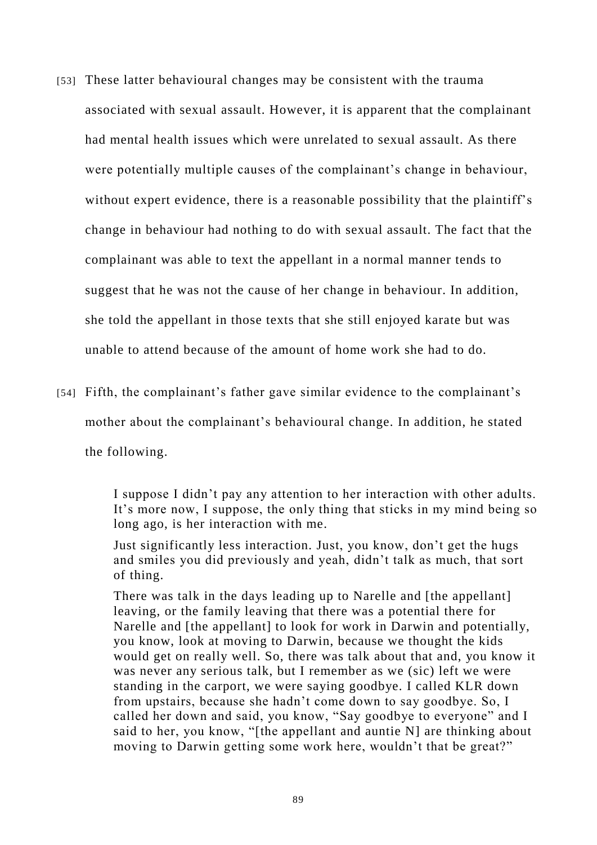- [53] These latter behavioural changes may be consistent with the trauma associated with sexual assault. However, it is apparent that the complainant had mental health issues which were unrelated to sexual assault. As there were potentially multiple causes of the complainant's change in behaviour, without expert evidence, there is a reasonable possibility that the plaintiff's change in behaviour had nothing to do with sexual assault. The fact that the complainant was able to text the appellant in a normal manner tends to suggest that he was not the cause of her change in behaviour. In addition, she told the appellant in those texts that she still enjoyed karate but was unable to attend because of the amount of home work she had to do.
- [54] Fifth, the complainant's father gave similar evidence to the complainant's mother about the complainant's behavioural change. In addition, he stated the following.

I suppose I didn't pay any attention to her interaction with other adults. It's more now, I suppose, the only thing that sticks in my mind being so long ago, is her interaction with me.

Just significantly less interaction. Just, you know, don't get the hugs and smiles you did previously and yeah, didn't talk as much, that sort of thing.

There was talk in the days leading up to Narelle and [the appellant] leaving, or the family leaving that there was a potential there for Narelle and [the appellant] to look for work in Darwin and potentially, you know, look at moving to Darwin, because we thought the kids would get on really well. So, there was talk about that and, you know it was never any serious talk, but I remember as we (sic) left we were standing in the carport, we were saying goodbye. I called KLR down from upstairs, because she hadn't come down to say goodbye. So, I called her down and said, you know, "Say goodbye to everyone" and I said to her, you know, "[the appellant and auntie N] are thinking about moving to Darwin getting some work here, wouldn't that be great?"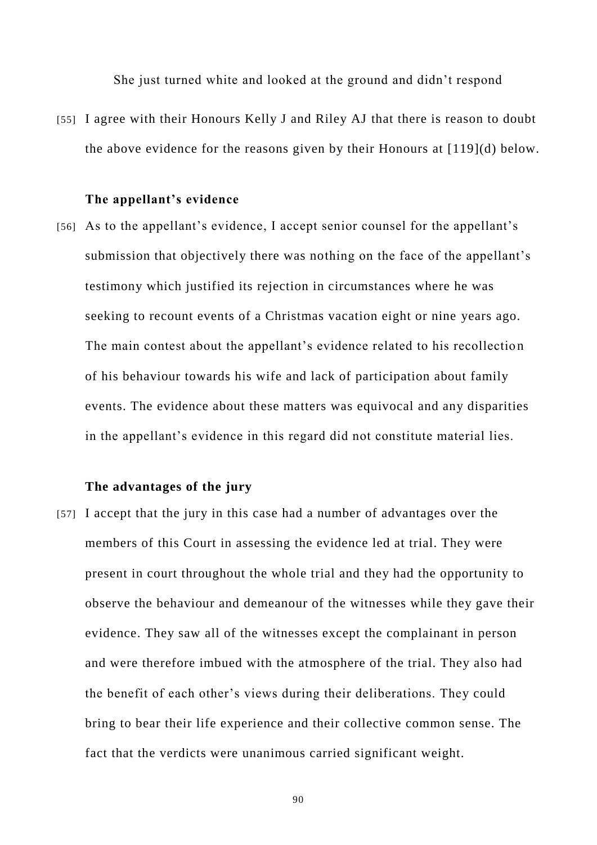She just turned white and looked at the ground and didn't respond

[55] I agree with their Honours Kelly J and Riley AJ that there is reason to doubt the above evidence for the reasons given by their Honours at [119](d) below.

#### **The appellant's evidence**

[56] As to the appellant's evidence, I accept senior counsel for the appellant's submission that objectively there was nothing on the face of the appellant's testimony which justified its rejection in circumstances where he was seeking to recount events of a Christmas vacation eight or nine years ago. The main contest about the appellant's evidence related to his recollection of his behaviour towards his wife and lack of participation about family events. The evidence about these matters was equivocal and any disparities in the appellant's evidence in this regard did not constitute material lies.

## **The advantages of the jury**

[57] I accept that the jury in this case had a number of advantages over the members of this Court in assessing the evidence led at trial. They were present in court throughout the whole trial and they had the opportunity to observe the behaviour and demeanour of the witnesses while they gave their evidence. They saw all of the witnesses except the complainant in person and were therefore imbued with the atmosphere of the trial. They also had the benefit of each other's views during their deliberations. They could bring to bear their life experience and their collective common sense. The fact that the verdicts were unanimous carried significant weight.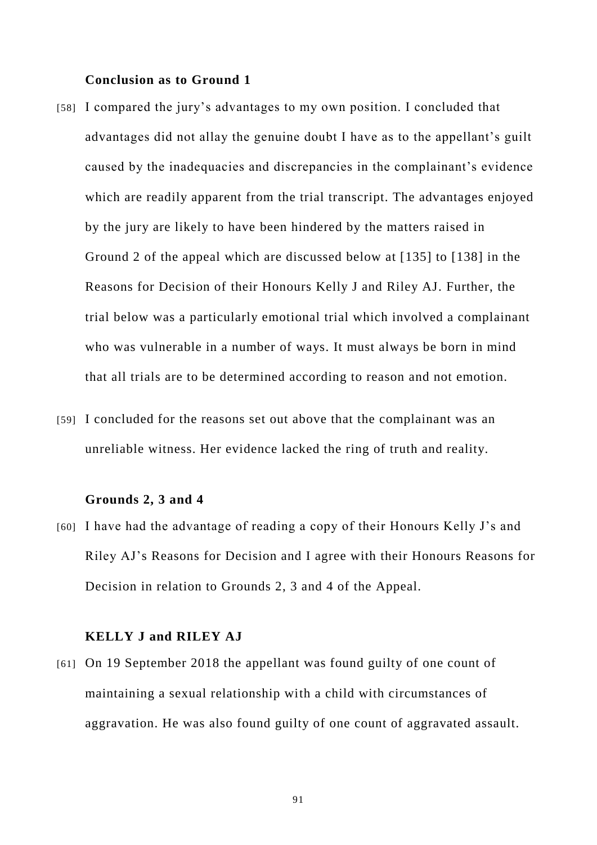## **Conclusion as to Ground 1**

- [58] I compared the jury's advantages to my own position. I concluded that advantages did not allay the genuine doubt I have as to the appellant's guilt caused by the inadequacies and discrepancies in the complainant's evidence which are readily apparent from the trial transcript. The advantages enjoyed by the jury are likely to have been hindered by the matters raised in Ground 2 of the appeal which are discussed below at [135] to [138] in the Reasons for Decision of their Honours Kelly J and Riley AJ. Further, the trial below was a particularly emotional trial which involved a complainant who was vulnerable in a number of ways. It must always be born in mind that all trials are to be determined according to reason and not emotion.
- [59] I concluded for the reasons set out above that the complainant was an unreliable witness. Her evidence lacked the ring of truth and reality.

#### **Grounds 2, 3 and 4**

[60] I have had the advantage of reading a copy of their Honours Kelly J's and Riley AJ's Reasons for Decision and I agree with their Honours Reasons for Decision in relation to Grounds 2, 3 and 4 of the Appeal.

## **KELLY J and RILEY AJ**

[61] On 19 September 2018 the appellant was found guilty of one count of maintaining a sexual relationship with a child with circumstances of aggravation. He was also found guilty of one count of aggravated assault.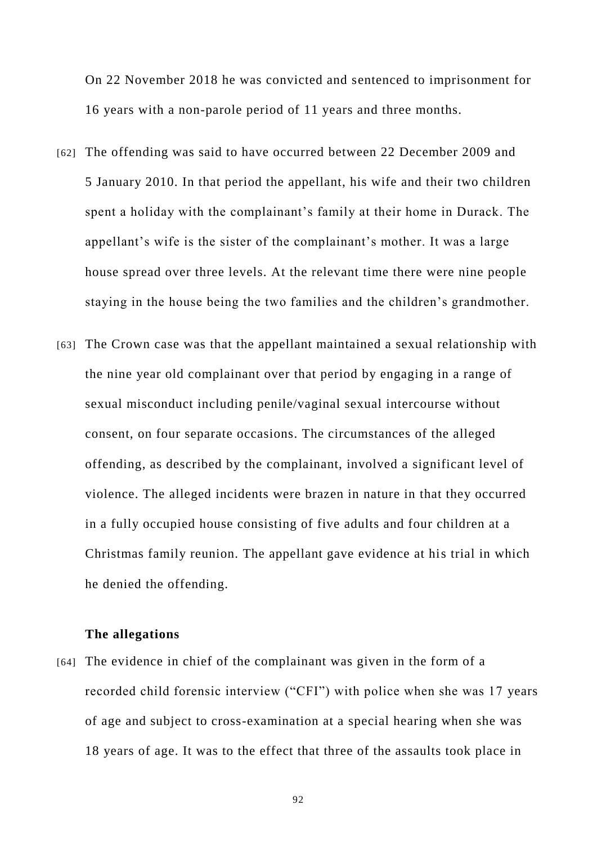On 22 November 2018 he was convicted and sentenced to imprisonment for 16 years with a non-parole period of 11 years and three months.

- [62] The offending was said to have occurred between 22 December 2009 and 5 January 2010. In that period the appellant, his wife and their two children spent a holiday with the complainant's family at their home in Durack. The appellant's wife is the sister of the complainant's mother. It was a large house spread over three levels. At the relevant time there were nine people staying in the house being the two families and the children's grandmother.
- [63] The Crown case was that the appellant maintained a sexual relationship with the nine year old complainant over that period by engaging in a range of sexual misconduct including penile/vaginal sexual intercourse without consent, on four separate occasions. The circumstances of the alleged offending, as described by the complainant, involved a significant level of violence. The alleged incidents were brazen in nature in that they occurred in a fully occupied house consisting of five adults and four children at a Christmas family reunion. The appellant gave evidence at his trial in which he denied the offending.

## **The allegations**

[64] The evidence in chief of the complainant was given in the form of a recorded child forensic interview ("CFI") with police when she was 17 years of age and subject to cross-examination at a special hearing when she was 18 years of age. It was to the effect that three of the assaults took place in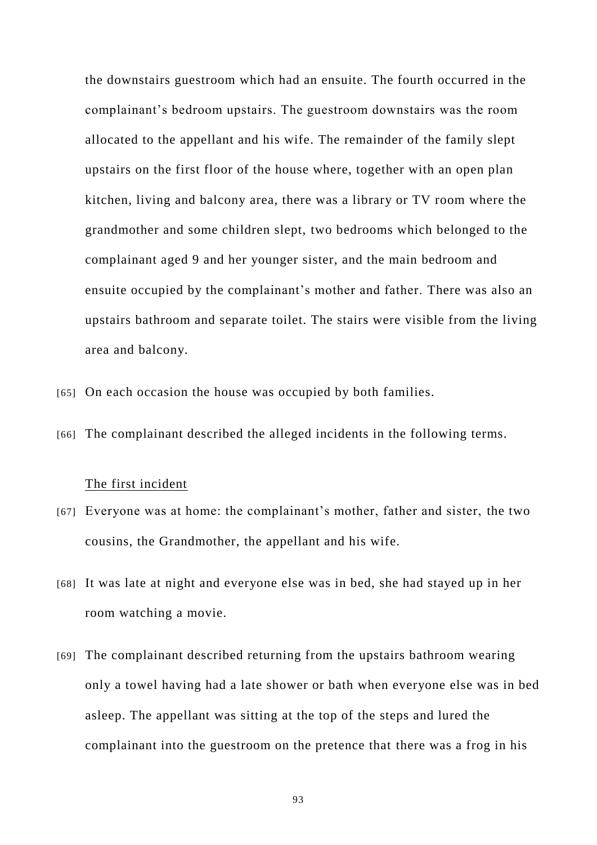the downstairs guestroom which had an ensuite. The fourth occurred in the complainant's bedroom upstairs. The guestroom downstairs was the room allocated to the appellant and his wife. The remainder of the family slept upstairs on the first floor of the house where, together with an open plan kitchen, living and balcony area, there was a library or TV room where the grandmother and some children slept, two bedrooms which belonged to the complainant aged 9 and her younger sister, and the main bedroom and ensuite occupied by the complainant's mother and father. There was also an upstairs bathroom and separate toilet. The stairs were visible from the living area and balcony.

[65] On each occasion the house was occupied by both families.

[66] The complainant described the alleged incidents in the following terms.

## The first incident

- [67] Everyone was at home: the complainant's mother, father and sister, the two cousins, the Grandmother, the appellant and his wife.
- [68] It was late at night and everyone else was in bed, she had stayed up in her room watching a movie.
- [69] The complainant described returning from the upstairs bathroom wearing only a towel having had a late shower or bath when everyone else was in bed asleep. The appellant was sitting at the top of the steps and lured the complainant into the guestroom on the pretence that there was a frog in his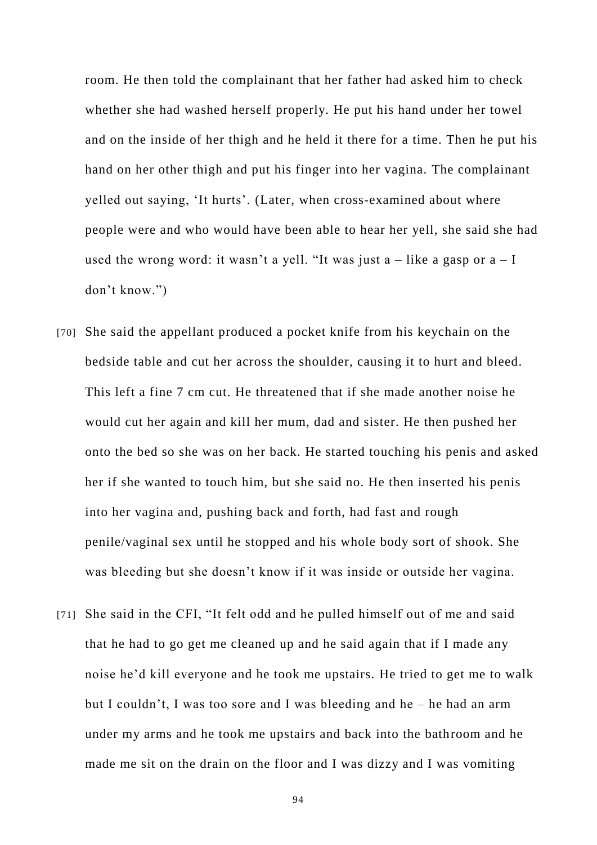room. He then told the complainant that her father had asked him to check whether she had washed herself properly. He put his hand under her towel and on the inside of her thigh and he held it there for a time. Then he put his hand on her other thigh and put his finger into her vagina. The complainant yelled out saying, 'It hurts'. (Later, when cross-examined about where people were and who would have been able to hear her yell, she said she had used the wrong word: it wasn't a yell. "It was just  $a$  – like a gasp or  $a - I$ don't know.")

- [70] She said the appellant produced a pocket knife from his keychain on the bedside table and cut her across the shoulder, causing it to hurt and bleed. This left a fine 7 cm cut. He threatened that if she made another noise he would cut her again and kill her mum, dad and sister. He then pushed her onto the bed so she was on her back. He started touching his penis and asked her if she wanted to touch him, but she said no. He then inserted his penis into her vagina and, pushing back and forth, had fast and rough penile/vaginal sex until he stopped and his whole body sort of shook. She was bleeding but she doesn't know if it was inside or outside her vagina.
- [71] She said in the CFI, "It felt odd and he pulled himself out of me and said that he had to go get me cleaned up and he said again that if I made any noise he'd kill everyone and he took me upstairs. He tried to get me to walk but I couldn't, I was too sore and I was bleeding and he – he had an arm under my arms and he took me upstairs and back into the bathroom and he made me sit on the drain on the floor and I was dizzy and I was vomiting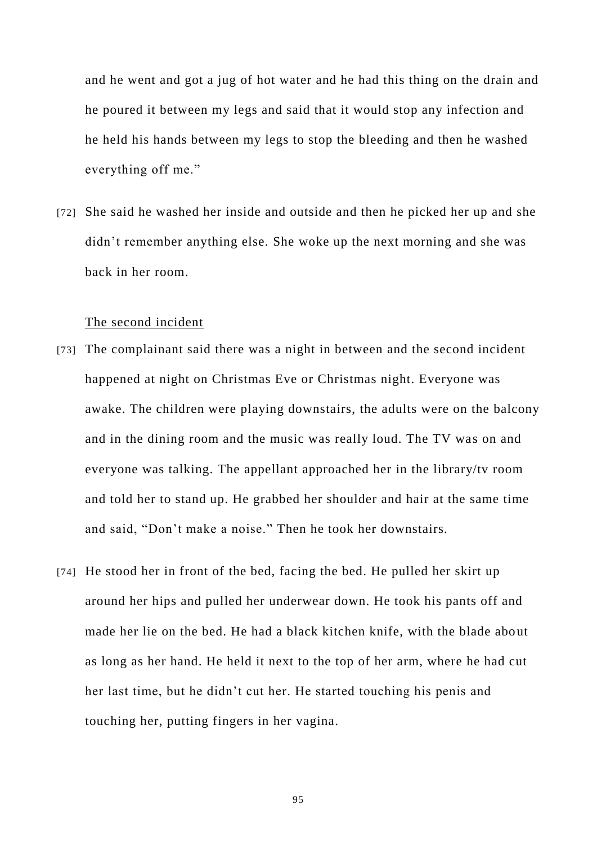and he went and got a jug of hot water and he had this thing on the drain and he poured it between my legs and said that it would stop any infection and he held his hands between my legs to stop the bleeding and then he washed everything off me."

[72] She said he washed her inside and outside and then he picked her up and she didn't remember anything else. She woke up the next morning and she was back in her room.

## The second incident

- [73] The complainant said there was a night in between and the second incident happened at night on Christmas Eve or Christmas night. Everyone was awake. The children were playing downstairs, the adults were on the balcony and in the dining room and the music was really loud. The TV was on and everyone was talking. The appellant approached her in the library/tv room and told her to stand up. He grabbed her shoulder and hair at the same time and said, "Don't make a noise." Then he took her downstairs.
- [74] He stood her in front of the bed, facing the bed. He pulled her skirt up around her hips and pulled her underwear down. He took his pants off and made her lie on the bed. He had a black kitchen knife, with the blade about as long as her hand. He held it next to the top of her arm, where he had cut her last time, but he didn't cut her. He started touching his penis and touching her, putting fingers in her vagina.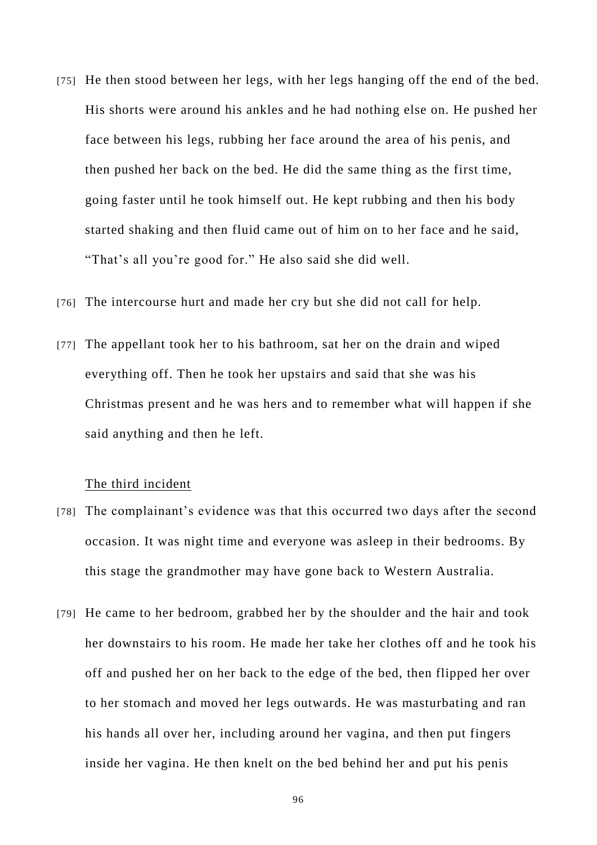- [75] He then stood between her legs, with her legs hanging off the end of the bed. His shorts were around his ankles and he had nothing else on. He pushed her face between his legs, rubbing her face around the area of his penis, and then pushed her back on the bed. He did the same thing as the first time, going faster until he took himself out. He kept rubbing and then his body started shaking and then fluid came out of him on to her face and he said, "That's all you're good for." He also said she did well.
- [76] The intercourse hurt and made her cry but she did not call for help.
- [77] The appellant took her to his bathroom, sat her on the drain and wiped everything off. Then he took her upstairs and said that she was his Christmas present and he was hers and to remember what will happen if she said anything and then he left.

## The third incident

- [78] The complainant's evidence was that this occurred two days after the second occasion. It was night time and everyone was asleep in their bedrooms. By this stage the grandmother may have gone back to Western Australia.
- [79] He came to her bedroom, grabbed her by the shoulder and the hair and took her downstairs to his room. He made her take her clothes off and he took his off and pushed her on her back to the edge of the bed, then flipped her over to her stomach and moved her legs outwards. He was masturbating and ran his hands all over her, including around her vagina, and then put fingers inside her vagina. He then knelt on the bed behind her and put his penis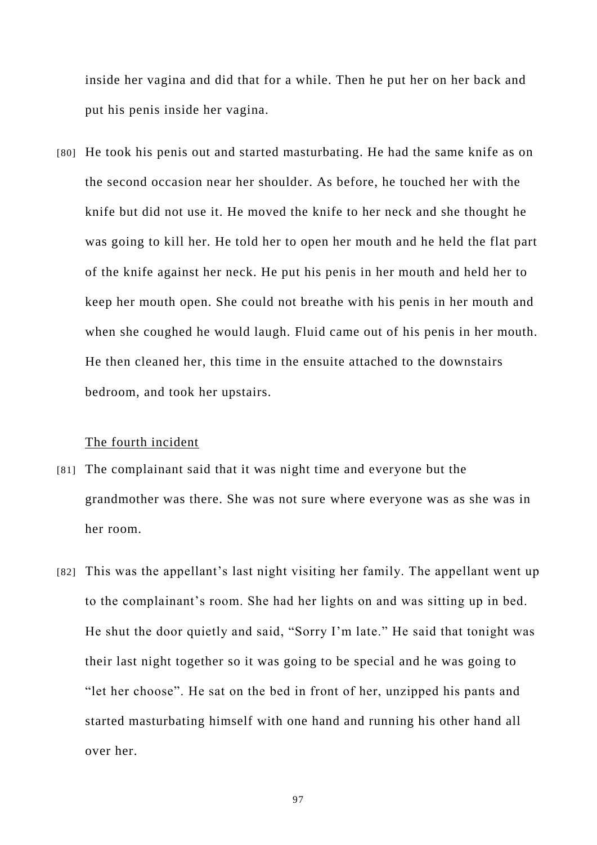inside her vagina and did that for a while. Then he put her on her back and put his penis inside her vagina.

[80] He took his penis out and started masturbating. He had the same knife as on the second occasion near her shoulder. As before, he touched her with the knife but did not use it. He moved the knife to her neck and she thought he was going to kill her. He told her to open her mouth and he held the flat part of the knife against her neck. He put his penis in her mouth and held her to keep her mouth open. She could not breathe with his penis in her mouth and when she coughed he would laugh. Fluid came out of his penis in her mouth. He then cleaned her, this time in the ensuite attached to the downstairs bedroom, and took her upstairs.

#### The fourth incident

- [81] The complainant said that it was night time and everyone but the grandmother was there. She was not sure where everyone was as she was in her room.
- [82] This was the appellant's last night visiting her family. The appellant went up to the complainant's room. She had her lights on and was sitting up in bed. He shut the door quietly and said, "Sorry I'm late." He said that tonight was their last night together so it was going to be special and he was going to "let her choose". He sat on the bed in front of her, unzipped his pants and started masturbating himself with one hand and running his other hand all over her.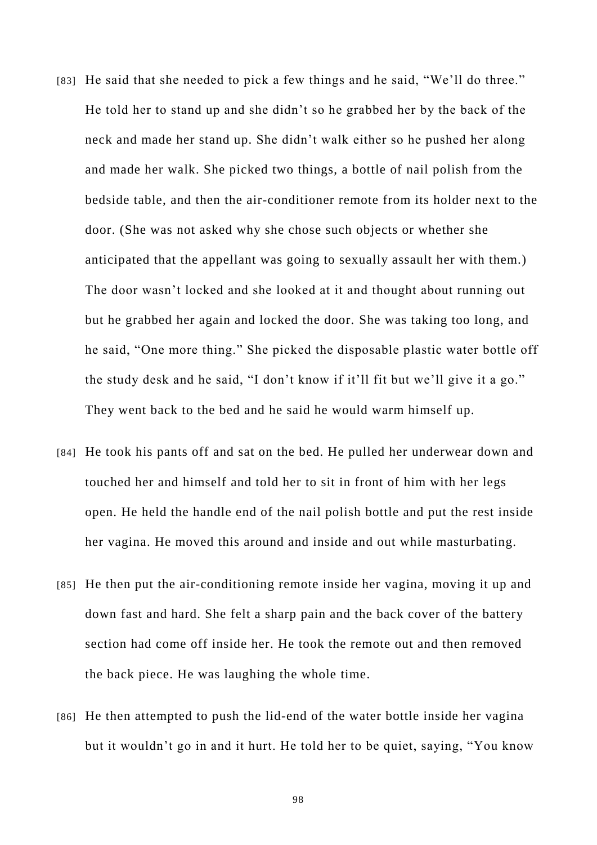- [83] He said that she needed to pick a few things and he said, "We'll do three." He told her to stand up and she didn't so he grabbed her by the back of the neck and made her stand up. She didn't walk either so he pushed her along and made her walk. She picked two things, a bottle of nail polish from the bedside table, and then the air-conditioner remote from its holder next to the door. (She was not asked why she chose such objects or whether she anticipated that the appellant was going to sexually assault her with them.) The door wasn't locked and she looked at it and thought about running out but he grabbed her again and locked the door. She was taking too long, and he said, "One more thing." She picked the disposable plastic water bottle off the study desk and he said, "I don't know if it'll fit but we'll give it a go." They went back to the bed and he said he would warm himself up.
- [84] He took his pants off and sat on the bed. He pulled her underwear down and touched her and himself and told her to sit in front of him with her legs open. He held the handle end of the nail polish bottle and put the rest inside her vagina. He moved this around and inside and out while masturbating.
- [85] He then put the air-conditioning remote inside her vagina, moving it up and down fast and hard. She felt a sharp pain and the back cover of the battery section had come off inside her. He took the remote out and then removed the back piece. He was laughing the whole time.
- [86] He then attempted to push the lid-end of the water bottle inside her vagina but it wouldn't go in and it hurt. He told her to be quiet, saying, "You know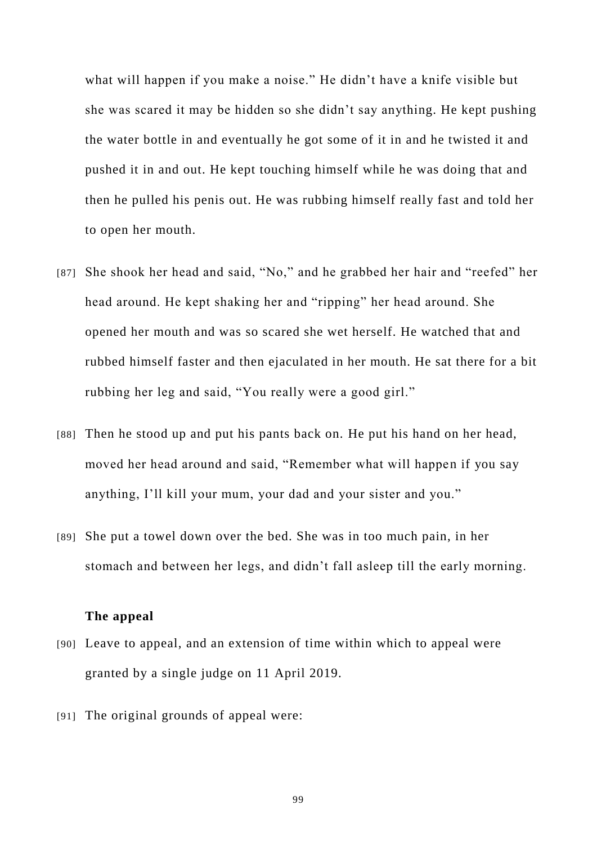what will happen if you make a noise." He didn't have a knife visible but she was scared it may be hidden so she didn't say anything. He kept pushing the water bottle in and eventually he got some of it in and he twisted it and pushed it in and out. He kept touching himself while he was doing that and then he pulled his penis out. He was rubbing himself really fast and told her to open her mouth.

- [87] She shook her head and said, "No," and he grabbed her hair and "reefed" her head around. He kept shaking her and "ripping" her head around. She opened her mouth and was so scared she wet herself. He watched that and rubbed himself faster and then ejaculated in her mouth. He sat there for a bit rubbing her leg and said, "You really were a good girl."
- [88] Then he stood up and put his pants back on. He put his hand on her head, moved her head around and said, "Remember what will happen if you say anything, I'll kill your mum, your dad and your sister and you."
- [89] She put a towel down over the bed. She was in too much pain, in her stomach and between her legs, and didn't fall asleep till the early morning.

#### **The appeal**

- [90] Leave to appeal, and an extension of time within which to appeal were granted by a single judge on 11 April 2019.
- [91] The original grounds of appeal were: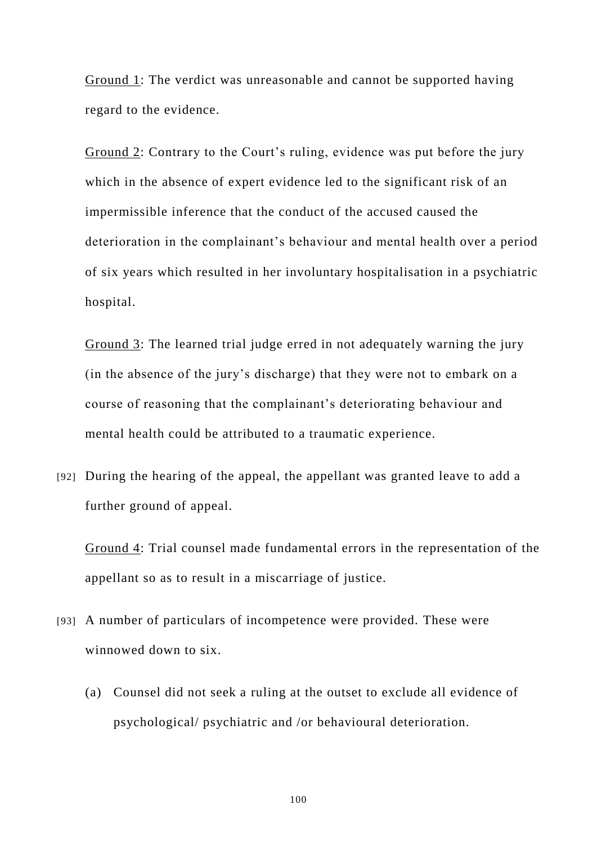Ground 1: The verdict was unreasonable and cannot be supported having regard to the evidence.

Ground 2: Contrary to the Court's ruling, evidence was put before the jury which in the absence of expert evidence led to the significant risk of an impermissible inference that the conduct of the accused caused the deterioration in the complainant's behaviour and mental health over a period of six years which resulted in her involuntary hospitalisation in a psychiatric hospital.

Ground 3: The learned trial judge erred in not adequately warning the jury (in the absence of the jury's discharge) that they were not to embark on a course of reasoning that the complainant's deteriorating behaviour and mental health could be attributed to a traumatic experience.

[92] During the hearing of the appeal, the appellant was granted leave to add a further ground of appeal.

Ground 4: Trial counsel made fundamental errors in the representation of the appellant so as to result in a miscarriage of justice.

- [93] A number of particulars of incompetence were provided. These were winnowed down to six.
	- (a) Counsel did not seek a ruling at the outset to exclude all evidence of psychological/ psychiatric and /or behavioural deterioration.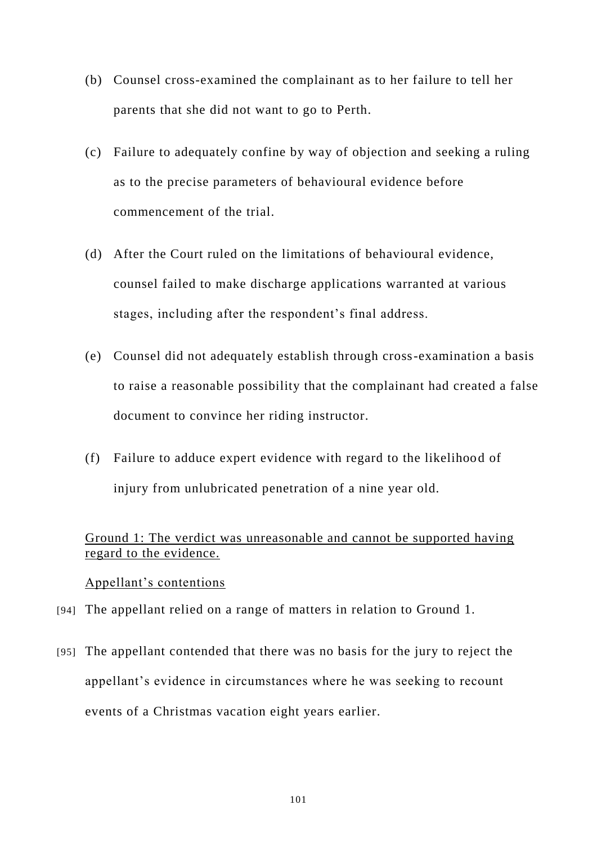- (b) Counsel cross-examined the complainant as to her failure to tell her parents that she did not want to go to Perth.
- (c) Failure to adequately confine by way of objection and seeking a ruling as to the precise parameters of behavioural evidence before commencement of the trial.
- (d) After the Court ruled on the limitations of behavioural evidence, counsel failed to make discharge applications warranted at various stages, including after the respondent's final address.
- (e) Counsel did not adequately establish through cross-examination a basis to raise a reasonable possibility that the complainant had created a false document to convince her riding instructor.
- (f) Failure to adduce expert evidence with regard to the likelihood of injury from unlubricated penetration of a nine year old.

# Ground 1: The verdict was unreasonable and cannot be supported having regard to the evidence.

## Appellant's contentions

- [94] The appellant relied on a range of matters in relation to Ground 1.
- [95] The appellant contended that there was no basis for the jury to reject the appellant's evidence in circumstances where he was seeking to recount events of a Christmas vacation eight years earlier.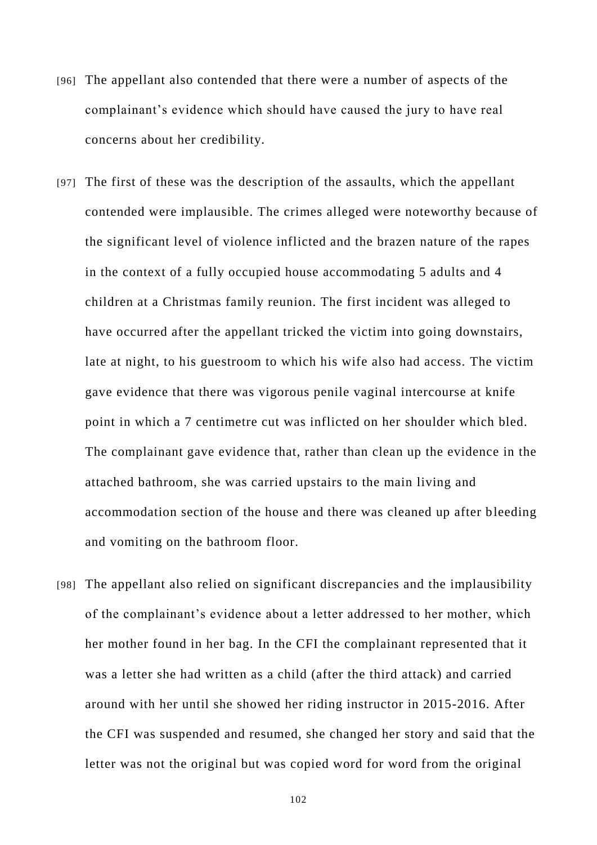- [96] The appellant also contended that there were a number of aspects of the complainant's evidence which should have caused the jury to have real concerns about her credibility.
- [97] The first of these was the description of the assaults, which the appellant contended were implausible. The crimes alleged were noteworthy because of the significant level of violence inflicted and the brazen nature of the rapes in the context of a fully occupied house accommodating 5 adults and 4 children at a Christmas family reunion. The first incident was alleged to have occurred after the appellant tricked the victim into going downstairs, late at night, to his guestroom to which his wife also had access. The victim gave evidence that there was vigorous penile vaginal intercourse at knife point in which a 7 centimetre cut was inflicted on her shoulder which bled. The complainant gave evidence that, rather than clean up the evidence in the attached bathroom, she was carried upstairs to the main living and accommodation section of the house and there was cleaned up after bleeding and vomiting on the bathroom floor.
- [98] The appellant also relied on significant discrepancies and the implausibility of the complainant's evidence about a letter addressed to her mother, which her mother found in her bag. In the CFI the complainant represented that it was a letter she had written as a child (after the third attack) and carried around with her until she showed her riding instructor in 2015-2016. After the CFI was suspended and resumed, she changed her story and said that the letter was not the original but was copied word for word from the original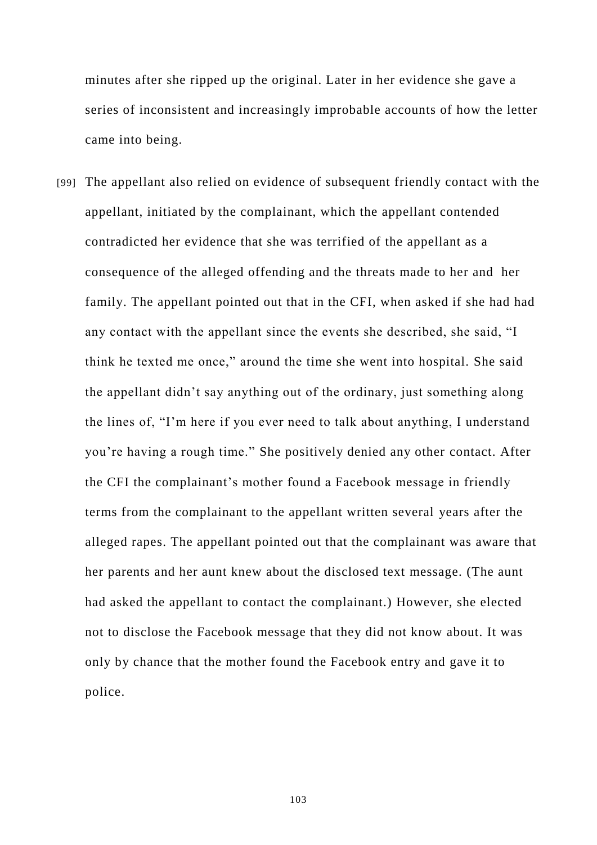minutes after she ripped up the original. Later in her evidence she gave a series of inconsistent and increasingly improbable accounts of how the letter came into being.

[99] The appellant also relied on evidence of subsequent friendly contact with the appellant, initiated by the complainant, which the appellant contended contradicted her evidence that she was terrified of the appellant as a consequence of the alleged offending and the threats made to her and her family. The appellant pointed out that in the CFI, when asked if she had had any contact with the appellant since the events she described, she said, "I think he texted me once," around the time she went into hospital. She said the appellant didn't say anything out of the ordinary, just something along the lines of, "I'm here if you ever need to talk about anything, I understand you're having a rough time." She positively denied any other contact. After the CFI the complainant's mother found a Facebook message in friendly terms from the complainant to the appellant written several years after the alleged rapes. The appellant pointed out that the complainant was aware that her parents and her aunt knew about the disclosed text message. (The aunt had asked the appellant to contact the complainant.) However, she elected not to disclose the Facebook message that they did not know about. It was only by chance that the mother found the Facebook entry and gave it to police.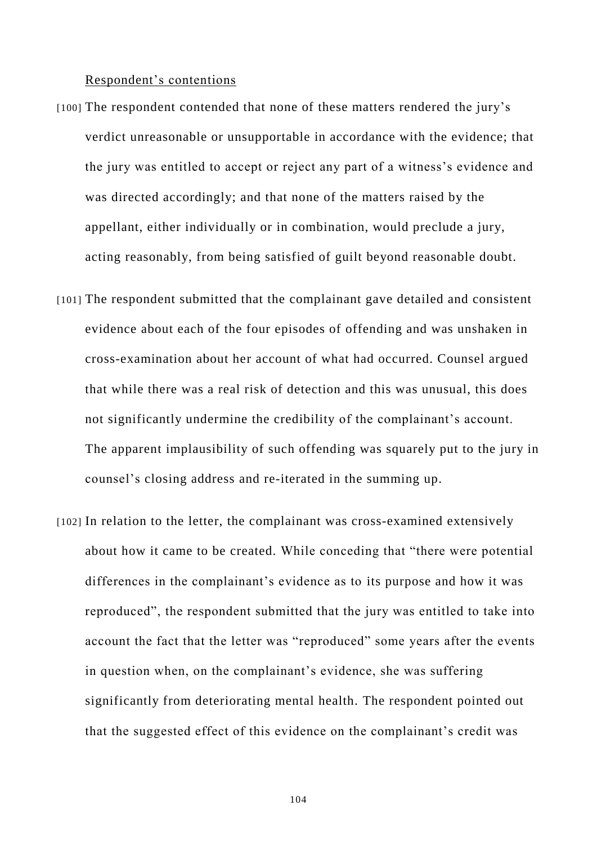#### Respondent's contentions

- [100] The respondent contended that none of these matters rendered the jury's verdict unreasonable or unsupportable in accordance with the evidence; that the jury was entitled to accept or reject any part of a witness's evidence and was directed accordingly; and that none of the matters raised by the appellant, either individually or in combination, would preclude a jury, acting reasonably, from being satisfied of guilt beyond reasonable doubt.
- [101] The respondent submitted that the complainant gave detailed and consistent evidence about each of the four episodes of offending and was unshaken in cross-examination about her account of what had occurred. Counsel argued that while there was a real risk of detection and this was unusual, this does not significantly undermine the credibility of the complainant's account. The apparent implausibility of such offending was squarely put to the jury in counsel's closing address and re-iterated in the summing up.
- [102] In relation to the letter, the complainant was cross-examined extensively about how it came to be created. While conceding that "there were potential differences in the complainant's evidence as to its purpose and how it was reproduced", the respondent submitted that the jury was entitled to take into account the fact that the letter was "reproduced" some years after the events in question when, on the complainant's evidence, she was suffering significantly from deteriorating mental health. The respondent pointed out that the suggested effect of this evidence on the complainant's credit was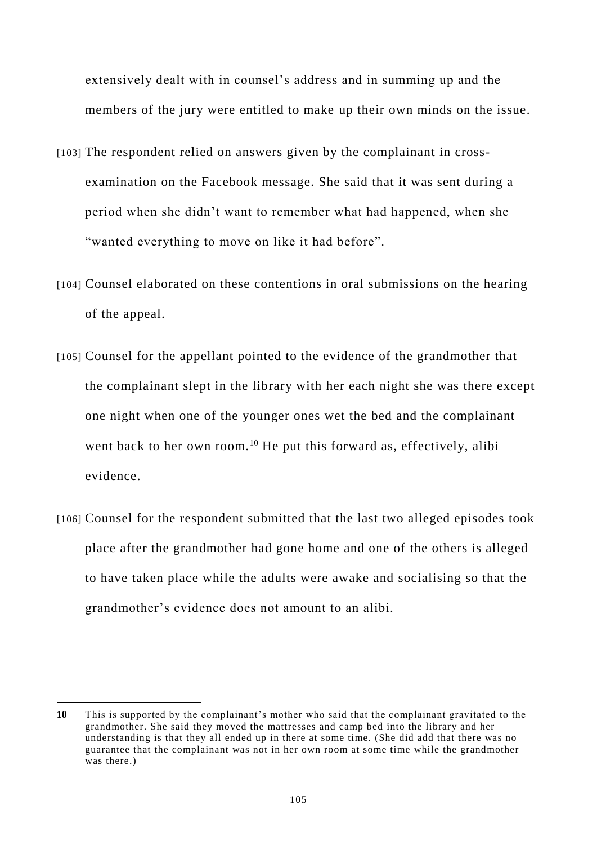extensively dealt with in counsel's address and in summing up and the members of the jury were entitled to make up their own minds on the issue.

- [103] The respondent relied on answers given by the complainant in crossexamination on the Facebook message. She said that it was sent during a period when she didn't want to remember what had happened, when she "wanted everything to move on like it had before".
- [104] Counsel elaborated on these contentions in oral submissions on the hearing of the appeal.
- [105] Counsel for the appellant pointed to the evidence of the grandmother that the complainant slept in the library with her each night she was there except one night when one of the younger ones wet the bed and the complainant went back to her own room.<sup>10</sup> He put this forward as, effectively, alibi evidence.
- [106] Counsel for the respondent submitted that the last two alleged episodes took place after the grandmother had gone home and one of the others is alleged to have taken place while the adults were awake and socialising so that the grandmother's evidence does not amount to an alibi.

-

**<sup>10</sup>** This is supported by the complainant's mother who said that the complainant gravitated to the grandmother. She said they moved the mattresses and camp bed into the library and her understanding is that they all ended up in there at some time. (She did add that there was no guarantee that the complainant was not in her own room at some time while the grandmother was there.)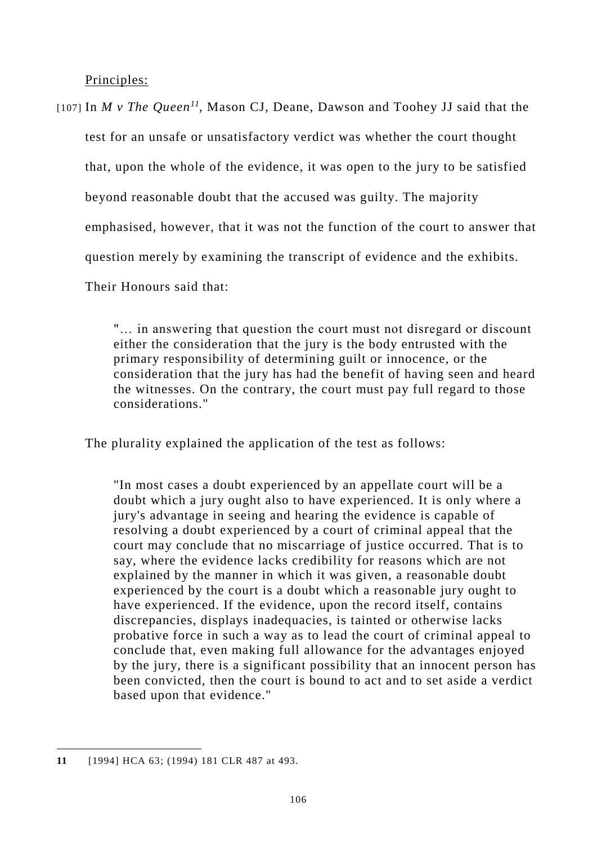Principles:

[107] In *M v The Queen<sup>11</sup>*, Mason CJ, Deane, Dawson and Toohey JJ said that the test for an unsafe or unsatisfactory verdict was whether the court thought that, upon the whole of the evidence, it was open to the jury to be satisfied beyond reasonable doubt that the accused was guilty. The majority emphasised, however, that it was not the function of the court to answer that question merely by examining the transcript of evidence and the exhibits. Their Honours said that:

> "… in answering that question the court must not disregard or discount either the consideration that the jury is the body entrusted with the primary responsibility of determining guilt or innocence, or the consideration that the jury has had the benefit of having seen and heard the witnesses. On the contrary, the court must pay full regard to those considerations."

The plurality explained the application of the test as follows:

"In most cases a doubt experienced by an appellate court will be a doubt which a jury ought also to have experienced. It is only where a jury's advantage in seeing and hearing the evidence is capable of resolving a doubt experienced by a court of criminal appeal that the court may conclude that no miscarriage of justice occurred. That is to say, where the evidence lacks credibility for reasons which are not explained by the manner in which it was given, a reasonable doubt experienced by the court is a doubt which a reasonable jury ought to have experienced. If the evidence, upon the record itself, contains discrepancies, displays inadequacies, is tainted or otherwise lacks probative force in such a way as to lead the court of criminal appeal to conclude that, even making full allowance for the advantages enjoyed by the jury, there is a significant possibility that an innocent person has been convicted, then the court is bound to act and to set aside a verdict based upon that evidence."

 $\overline{a}$ 

**<sup>11</sup>** [\[1994\] HCA 63;](http://www.austlii.edu.au/cgi-bin/viewdoc/au/cases/cth/HCA/1994/63.html) (1994) 181 CLR 487 at 493.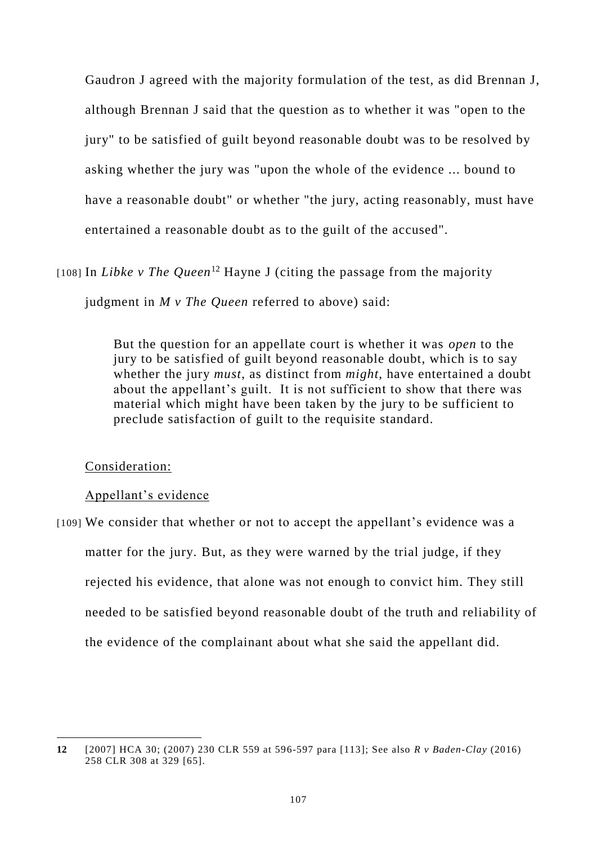Gaudron J agreed with the majority formulation of the test, as did Brennan J, although Brennan J said that the question as to whether it was "open to the jury" to be satisfied of guilt beyond reasonable doubt was to be resolved by asking whether the jury was "upon the whole of the evidence ... bound to have a reasonable doubt" or whether "the jury, acting reasonably, must have entertained a reasonable doubt as to the guilt of the accused".

[108] In *Libke v The Queen*<sup>12</sup> Hayne J (citing the passage from the majority judgment in *M v The Queen* referred to above) said:

> But the question for an appellate court is whether it was *open* to the jury to be satisfied of guilt beyond reasonable doubt, which is to say whether the jury *must*, as distinct from *might*, have entertained a doubt about the appellant's guilt. It is not sufficient to show that there was material which might have been taken by the jury to be sufficient to preclude satisfaction of guilt to the requisite standard.

# Consideration:

 $\overline{a}$ 

### Appellant's evidence

[109] We consider that whether or not to accept the appellant's evidence was a matter for the jury. But, as they were warned by the trial judge, if they rejected his evidence, that alone was not enough to convict him. They still needed to be satisfied beyond reasonable doubt of the truth and reliability of the evidence of the complainant about what she said the appellant did.

**<sup>12</sup>** [2007] HCA 30; (2007) 230 CLR 559 at 596-597 para [113]; See also *R v Baden-Clay* (2016) 258 CLR 308 at 329 [65].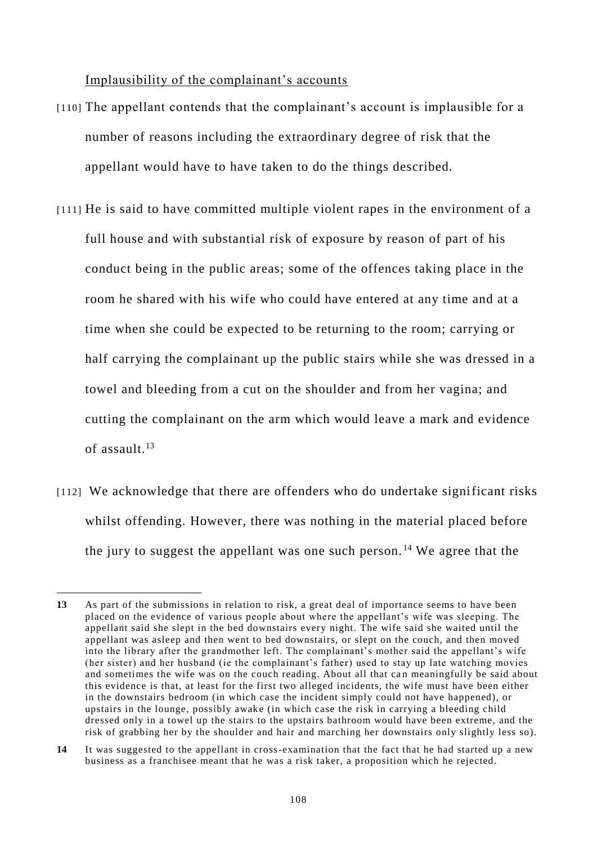Implausibility of the complainant's accounts

- [110] The appellant contends that the complainant's account is implausible for a number of reasons including the extraordinary degree of risk that the appellant would have to have taken to do the things described.
- [111] He is said to have committed multiple violent rapes in the environment of a full house and with substantial risk of exposure by reason of part of his conduct being in the public areas; some of the offences taking place in the room he shared with his wife who could have entered at any time and at a time when she could be expected to be returning to the room; carrying or half carrying the complainant up the public stairs while she was dressed in a towel and bleeding from a cut on the shoulder and from her vagina; and cutting the complainant on the arm which would leave a mark and evidence of assault  $13$
- [112] We acknowledge that there are offenders who do undertake significant risks whilst offending. However, there was nothing in the material placed before the jury to suggest the appellant was one such person.<sup>14</sup> We agree that the

-

**<sup>13</sup>** As part of the submissions in relation to risk, a great deal of importance seems to have been placed on the evidence of various people about where the appellant's wife was sleeping. The appellant said she slept in the bed downstairs every night. The wife said she waited until the appellant was asleep and then went to bed downstairs, or slept on the couch, and then moved into the library after the grandmother left. The complainant's mother said the appellant's wife (her sister) and her husband (ie the complainant's father) used to stay up late watching movies and sometimes the wife was on the couch reading. About all that can meaningfully be said about this evidence is that, at least for the first two alleged incidents, the wife must have been either in the downstairs bedroom (in which case the incident simply could not have happened), or upstairs in the lounge, possibly awake (in which case the risk in carrying a bleeding child dressed only in a towel up the stairs to the upstairs bathroom would have been extreme, and the risk of grabbing her by the shoulder and hair and marching her downstairs only slightly less so).

**<sup>14</sup>** It was suggested to the appellant in cross-examination that the fact that he had started up a new business as a franchisee meant that he was a risk taker, a proposition which he rejected.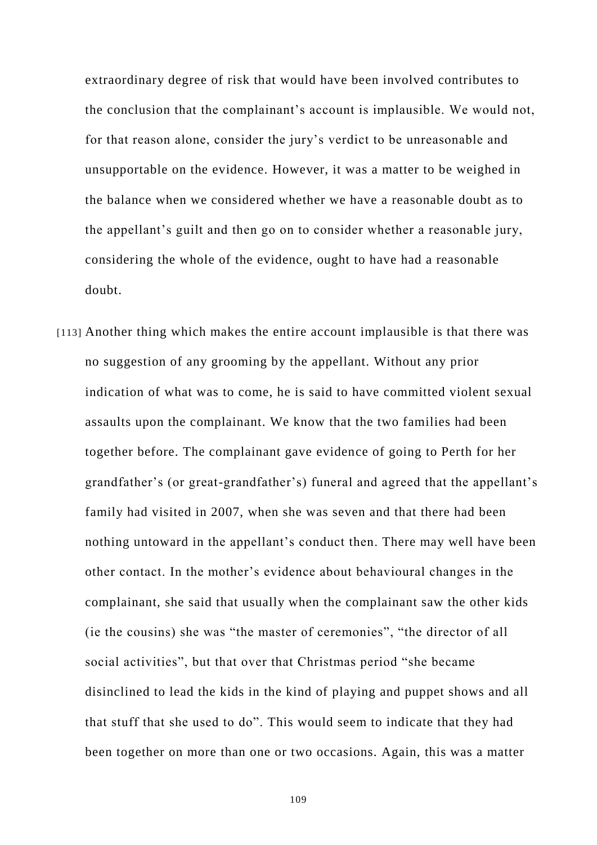extraordinary degree of risk that would have been involved contributes to the conclusion that the complainant's account is implausible. We would not, for that reason alone, consider the jury's verdict to be unreasonable and unsupportable on the evidence. However, it was a matter to be weighed in the balance when we considered whether we have a reasonable doubt as to the appellant's guilt and then go on to consider whether a reasonable jury, considering the whole of the evidence, ought to have had a reasonable doubt.

[113] Another thing which makes the entire account implausible is that there was no suggestion of any grooming by the appellant. Without any prior indication of what was to come, he is said to have committed violent sexual assaults upon the complainant. We know that the two families had been together before. The complainant gave evidence of going to Perth for her grandfather's (or great-grandfather's) funeral and agreed that the appellant's family had visited in 2007, when she was seven and that there had been nothing untoward in the appellant's conduct then. There may well have been other contact. In the mother's evidence about behavioural changes in the complainant, she said that usually when the complainant saw the other kids (ie the cousins) she was "the master of ceremonies", "the director of all social activities", but that over that Christmas period "she became disinclined to lead the kids in the kind of playing and puppet shows and all that stuff that she used to do". This would seem to indicate that they had been together on more than one or two occasions. Again, this was a matter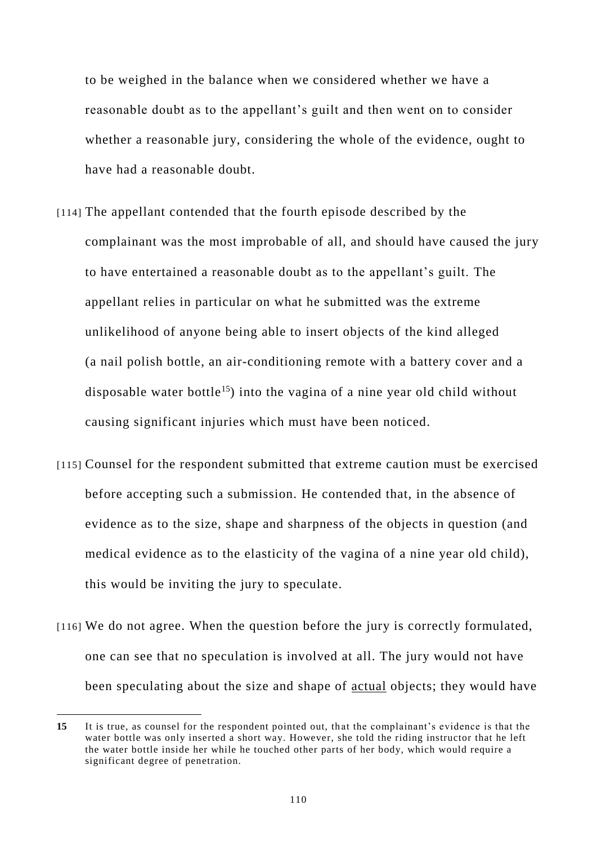to be weighed in the balance when we considered whether we have a reasonable doubt as to the appellant's guilt and then went on to consider whether a reasonable jury, considering the whole of the evidence, ought to have had a reasonable doubt.

- [114] The appellant contended that the fourth episode described by the complainant was the most improbable of all, and should have caused the jury to have entertained a reasonable doubt as to the appellant's guilt. The appellant relies in particular on what he submitted was the extreme unlikelihood of anyone being able to insert objects of the kind alleged (a nail polish bottle, an air-conditioning remote with a battery cover and a disposable water bottle<sup>15</sup>) into the vagina of a nine year old child without causing significant injuries which must have been noticed.
- [115] Counsel for the respondent submitted that extreme caution must be exercised before accepting such a submission. He contended that, in the absence of evidence as to the size, shape and sharpness of the objects in question (and medical evidence as to the elasticity of the vagina of a nine year old child), this would be inviting the jury to speculate.
- [116] We do not agree. When the question before the jury is correctly formulated, one can see that no speculation is involved at all. The jury would not have been speculating about the size and shape of actual objects; they would have

**<sup>15</sup>** It is true, as counsel for the respondent pointed out, that the complainant's evidence is that the water bottle was only inserted a short way. However, she told the riding instructor that he left the water bottle inside her while he touched other parts of her body, which would require a significant degree of penetration.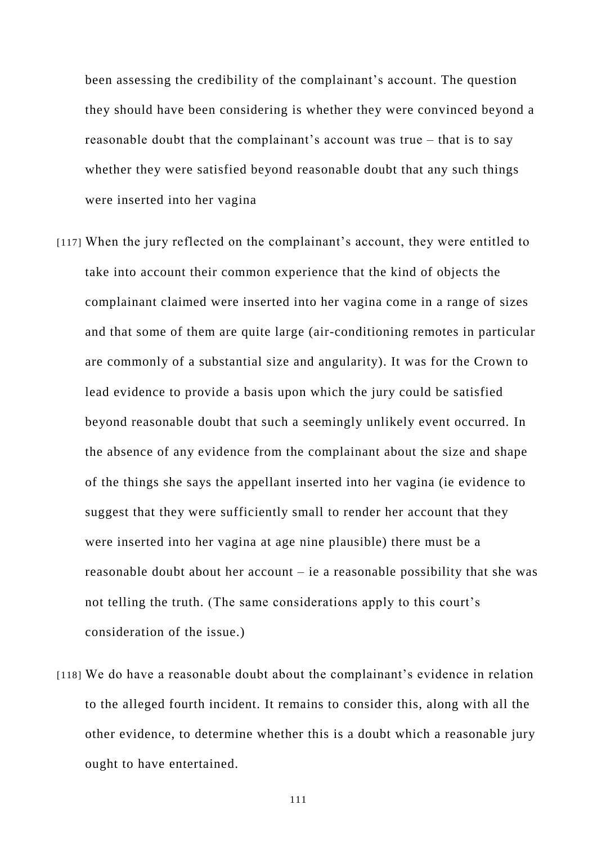been assessing the credibility of the complainant's account. The question they should have been considering is whether they were convinced beyond a reasonable doubt that the complainant's account was true – that is to say whether they were satisfied beyond reasonable doubt that any such things were inserted into her vagina

- [117] When the jury reflected on the complainant's account, they were entitled to take into account their common experience that the kind of objects the complainant claimed were inserted into her vagina come in a range of sizes and that some of them are quite large (air-conditioning remotes in particular are commonly of a substantial size and angularity). It was for the Crown to lead evidence to provide a basis upon which the jury could be satisfied beyond reasonable doubt that such a seemingly unlikely event occurred. In the absence of any evidence from the complainant about the size and shape of the things she says the appellant inserted into her vagina (ie evidence to suggest that they were sufficiently small to render her account that they were inserted into her vagina at age nine plausible) there must be a reasonable doubt about her account – ie a reasonable possibility that she was not telling the truth. (The same considerations apply to this court's consideration of the issue.)
- [118] We do have a reasonable doubt about the complainant's evidence in relation to the alleged fourth incident. It remains to consider this, along with all the other evidence, to determine whether this is a doubt which a reasonable jury ought to have entertained.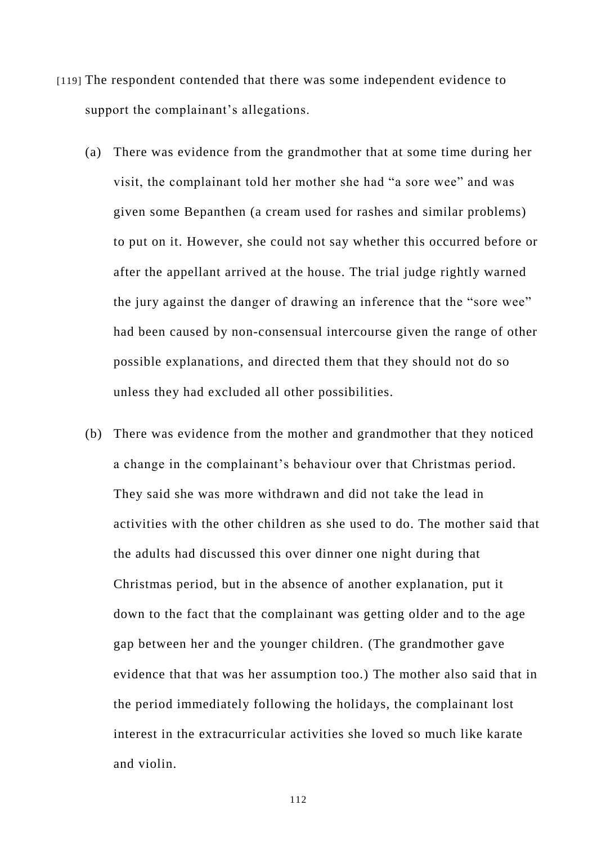- [119] The respondent contended that there was some independent evidence to support the complainant's allegations.
	- (a) There was evidence from the grandmother that at some time during her visit, the complainant told her mother she had "a sore wee" and was given some Bepanthen (a cream used for rashes and similar problems) to put on it. However, she could not say whether this occurred before or after the appellant arrived at the house. The trial judge rightly warned the jury against the danger of drawing an inference that the "sore wee" had been caused by non-consensual intercourse given the range of other possible explanations, and directed them that they should not do so unless they had excluded all other possibilities.
	- (b) There was evidence from the mother and grandmother that they noticed a change in the complainant's behaviour over that Christmas period. They said she was more withdrawn and did not take the lead in activities with the other children as she used to do. The mother said that the adults had discussed this over dinner one night during that Christmas period, but in the absence of another explanation, put it down to the fact that the complainant was getting older and to the age gap between her and the younger children. (The grandmother gave evidence that that was her assumption too.) The mother also said that in the period immediately following the holidays, the complainant lost interest in the extracurricular activities she loved so much like karate and violin.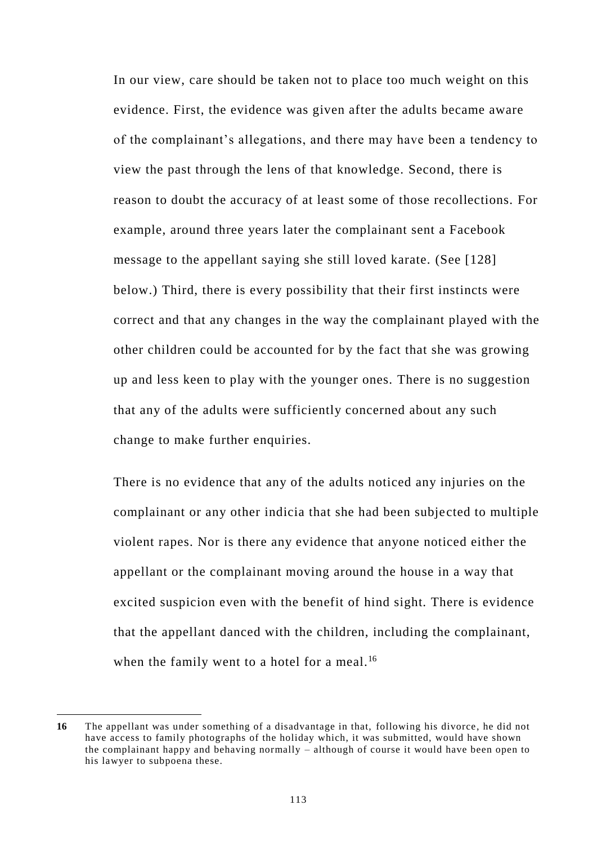In our view, care should be taken not to place too much weight on this evidence. First, the evidence was given after the adults became aware of the complainant's allegations, and there may have been a tendency to view the past through the lens of that knowledge. Second, there is reason to doubt the accuracy of at least some of those recollections. For example, around three years later the complainant sent a Facebook message to the appellant saying she still loved karate. (See [\[128\]](#page-132-0) below.) Third, there is every possibility that their first instincts were correct and that any changes in the way the complainant played with the other children could be accounted for by the fact that she was growing up and less keen to play with the younger ones. There is no suggestion that any of the adults were sufficiently concerned about any such change to make further enquiries.

There is no evidence that any of the adults noticed any injuries on the complainant or any other indicia that she had been subjected to multiple violent rapes. Nor is there any evidence that anyone noticed either the appellant or the complainant moving around the house in a way that excited suspicion even with the benefit of hind sight. There is evidence that the appellant danced with the children, including the complainant, when the family went to a hotel for a meal.<sup>16</sup>

**<sup>16</sup>** The appellant was under something of a disadvantage in that, following his divorce, he did not have access to family photographs of the holiday which, it was submitted, would have shown the complainant happy and behaving normally – although of course it would have been open to his lawyer to subpoena these.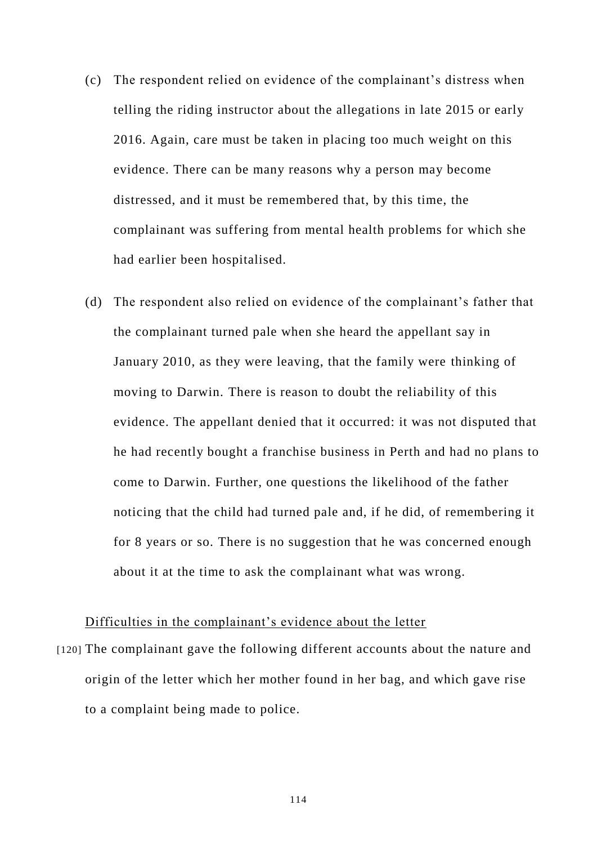- (c) The respondent relied on evidence of the complainant's distress when telling the riding instructor about the allegations in late 2015 or early 2016. Again, care must be taken in placing too much weight on this evidence. There can be many reasons why a person may become distressed, and it must be remembered that, by this time, the complainant was suffering from mental health problems for which she had earlier been hospitalised.
- (d) The respondent also relied on evidence of the complainant's father that the complainant turned pale when she heard the appellant say in January 2010, as they were leaving, that the family were thinking of moving to Darwin. There is reason to doubt the reliability of this evidence. The appellant denied that it occurred: it was not disputed that he had recently bought a franchise business in Perth and had no plans to come to Darwin. Further, one questions the likelihood of the father noticing that the child had turned pale and, if he did, of remembering it for 8 years or so. There is no suggestion that he was concerned enough about it at the time to ask the complainant what was wrong.

# Difficulties in the complainant's evidence about the letter

[120] The complainant gave the following different accounts about the nature and origin of the letter which her mother found in her bag, and which gave rise to a complaint being made to police.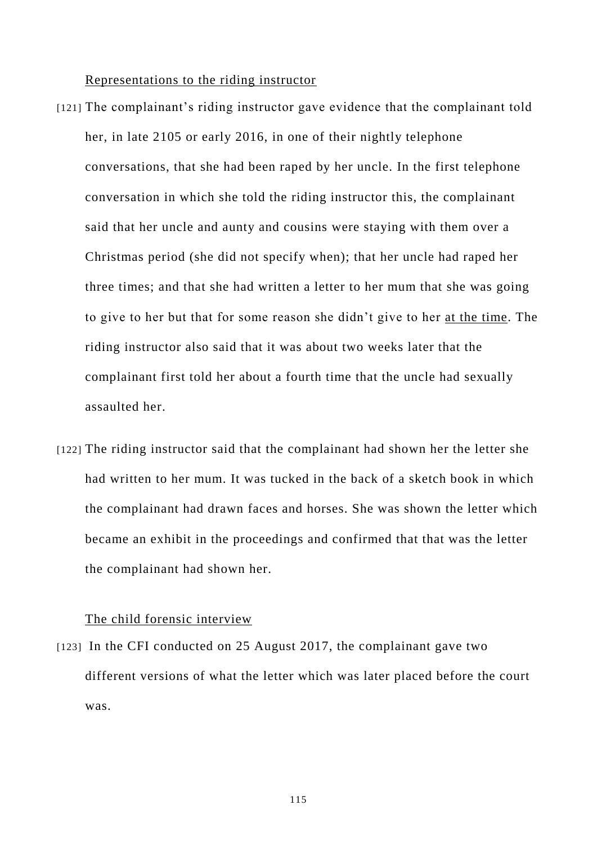#### Representations to the riding instructor

- [121] The complainant's riding instructor gave evidence that the complainant told her, in late 2105 or early 2016, in one of their nightly telephone conversations, that she had been raped by her uncle. In the first telephone conversation in which she told the riding instructor this, the complainant said that her uncle and aunty and cousins were staying with them over a Christmas period (she did not specify when); that her uncle had raped her three times; and that she had written a letter to her mum that she was going to give to her but that for some reason she didn't give to her at the time. The riding instructor also said that it was about two weeks later that the complainant first told her about a fourth time that the uncle had sexually assaulted her.
- [122] The riding instructor said that the complainant had shown her the letter she had written to her mum. It was tucked in the back of a sketch book in which the complainant had drawn faces and horses. She was shown the letter which became an exhibit in the proceedings and confirmed that that was the letter the complainant had shown her.

#### The child forensic interview

[123] In the CFI conducted on 25 August 2017, the complainant gave two different versions of what the letter which was later placed before the court was.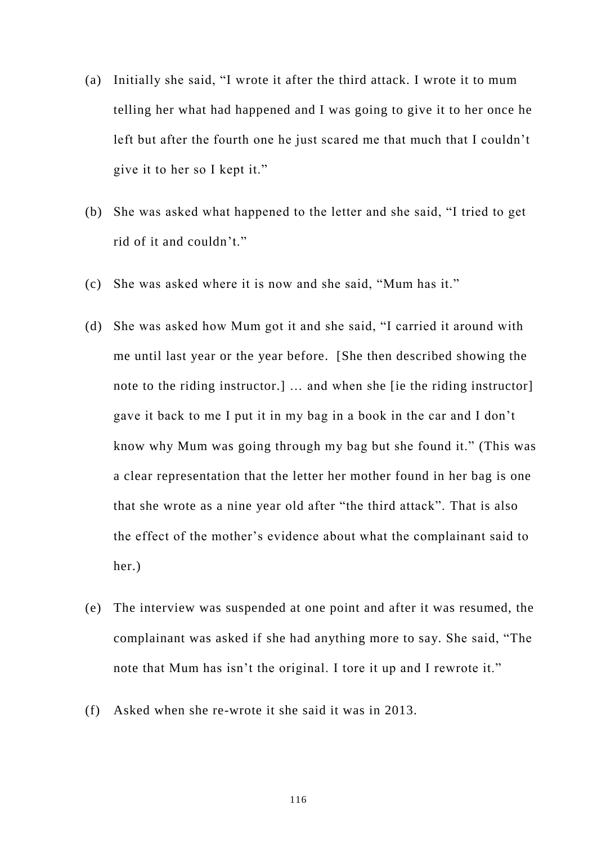- (a) Initially she said, "I wrote it after the third attack. I wrote it to mum telling her what had happened and I was going to give it to her once he left but after the fourth one he just scared me that much that I couldn't give it to her so I kept it."
- (b) She was asked what happened to the letter and she said, "I tried to get rid of it and couldn't."
- (c) She was asked where it is now and she said, "Mum has it."
- (d) She was asked how Mum got it and she said, "I carried it around with me until last year or the year before. [She then described showing the note to the riding instructor.] … and when she [ie the riding instructor] gave it back to me I put it in my bag in a book in the car and I don't know why Mum was going through my bag but she found it." (This was a clear representation that the letter her mother found in her bag is one that she wrote as a nine year old after "the third attack". That is also the effect of the mother's evidence about what the complainant said to her.)
- (e) The interview was suspended at one point and after it was resumed, the complainant was asked if she had anything more to say. She said, "The note that Mum has isn't the original. I tore it up and I rewrote it."
- (f) Asked when she re-wrote it she said it was in 2013.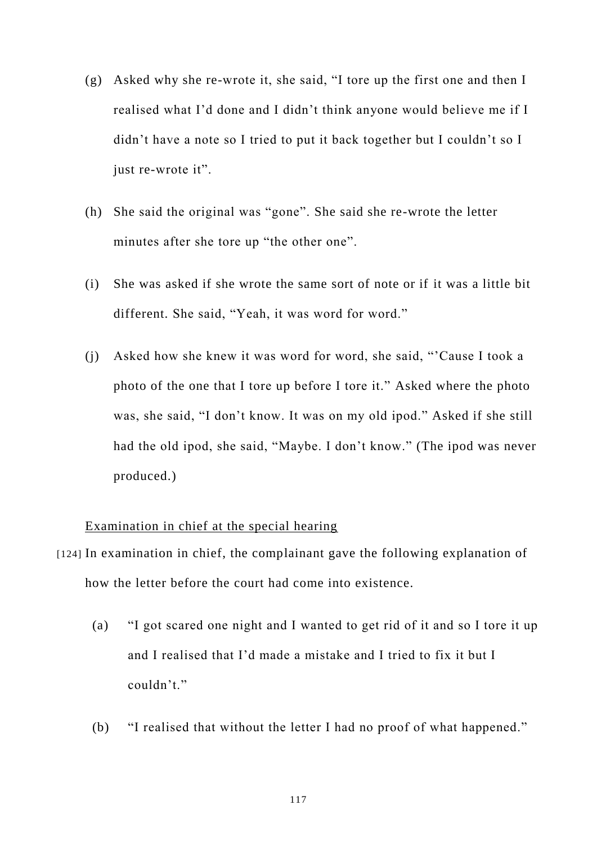- (g) Asked why she re-wrote it, she said, "I tore up the first one and then I realised what I'd done and I didn't think anyone would believe me if I didn't have a note so I tried to put it back together but I couldn't so I just re-wrote it".
- (h) She said the original was "gone". She said she re-wrote the letter minutes after she tore up "the other one".
- (i) She was asked if she wrote the same sort of note or if it was a little bit different. She said, "Yeah, it was word for word."
- (j) Asked how she knew it was word for word, she said, "'Cause I took a photo of the one that I tore up before I tore it." Asked where the photo was, she said, "I don't know. It was on my old ipod." Asked if she still had the old ipod, she said, "Maybe. I don't know." (The ipod was never produced.)

# Examination in chief at the special hearing

- [124] In examination in chief, the complainant gave the following explanation of how the letter before the court had come into existence.
	- (a) "I got scared one night and I wanted to get rid of it and so I tore it up and I realised that I'd made a mistake and I tried to fix it but I couldn't."
	- (b) "I realised that without the letter I had no proof of what happened."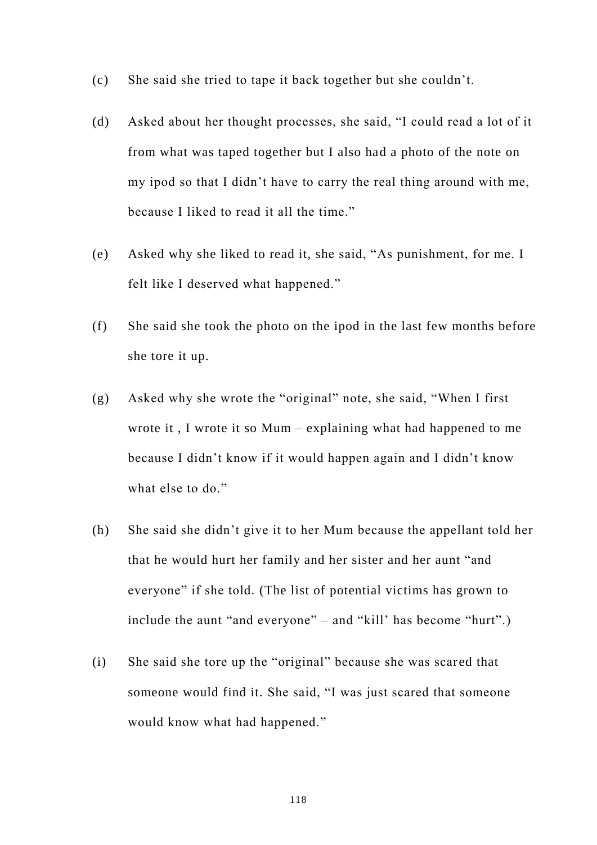- (c) She said she tried to tape it back together but she couldn't.
- (d) Asked about her thought processes, she said, "I could read a lot of it from what was taped together but I also had a photo of the note on my ipod so that I didn't have to carry the real thing around with me, because I liked to read it all the time."
- (e) Asked why she liked to read it, she said, "As punishment, for me. I felt like I deserved what happened."
- (f) She said she took the photo on the ipod in the last few months before she tore it up.
- (g) Asked why she wrote the "original" note, she said, "When I first wrote it , I wrote it so Mum – explaining what had happened to me because I didn't know if it would happen again and I didn't know what else to do."
- (h) She said she didn't give it to her Mum because the appellant told her that he would hurt her family and her sister and her aunt "and everyone" if she told. (The list of potential victims has grown to include the aunt "and everyone" – and "kill' has become "hurt".)
- (i) She said she tore up the "original" because she was scared that someone would find it. She said, "I was just scared that someone would know what had happened."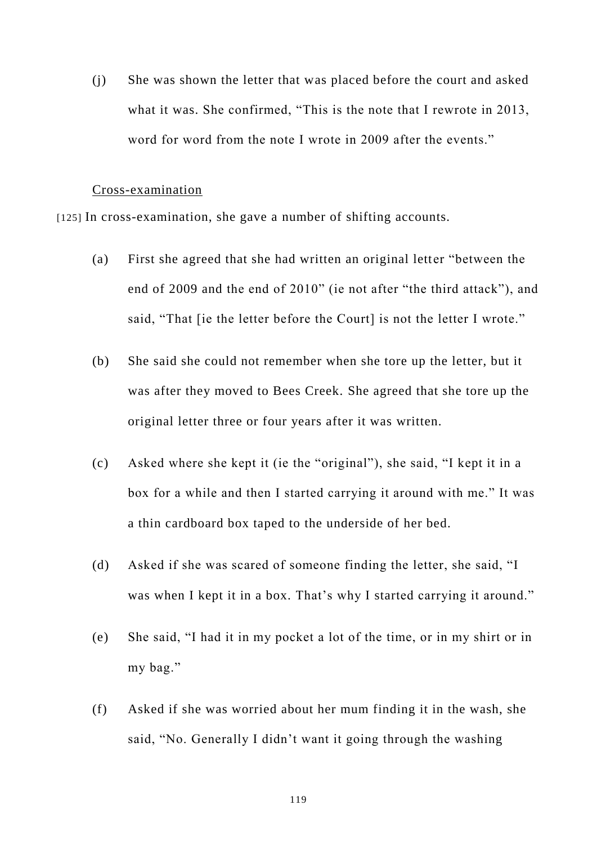(j) She was shown the letter that was placed before the court and asked what it was. She confirmed, "This is the note that I rewrote in 2013, word for word from the note I wrote in 2009 after the events."

#### Cross-examination

[125] In cross-examination, she gave a number of shifting accounts.

- (a) First she agreed that she had written an original letter "between the end of 2009 and the end of 2010" (ie not after "the third attack"), and said, "That *fie the letter before the Court is not the letter I wrote.*"
- (b) She said she could not remember when she tore up the letter, but it was after they moved to Bees Creek. She agreed that she tore up the original letter three or four years after it was written.
- (c) Asked where she kept it (ie the "original"), she said, "I kept it in a box for a while and then I started carrying it around with me." It was a thin cardboard box taped to the underside of her bed.
- (d) Asked if she was scared of someone finding the letter, she said, "I was when I kept it in a box. That's why I started carrying it around."
- (e) She said, "I had it in my pocket a lot of the time, or in my shirt or in my bag."
- (f) Asked if she was worried about her mum finding it in the wash, she said, "No. Generally I didn't want it going through the washing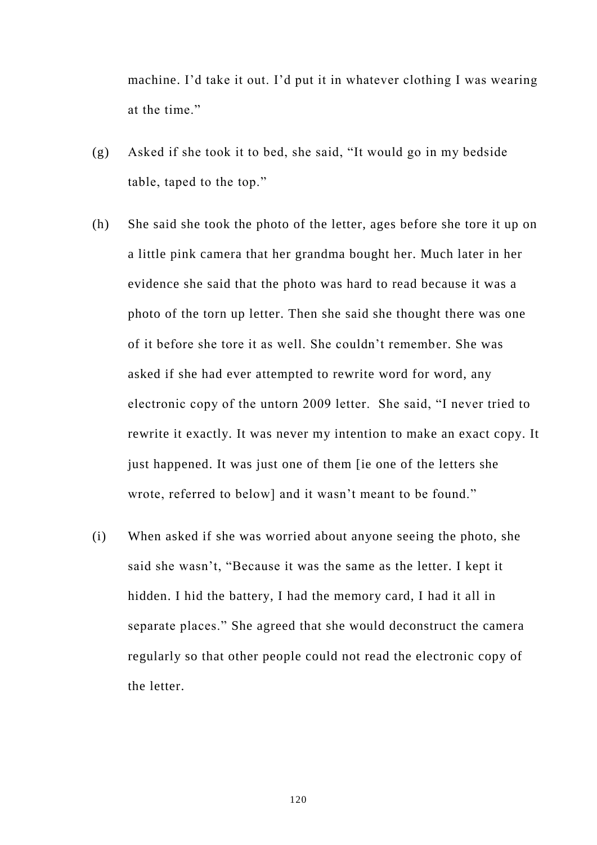machine. I'd take it out. I'd put it in whatever clothing I was wearing at the time."

- (g) Asked if she took it to bed, she said, "It would go in my bedside table, taped to the top."
- (h) She said she took the photo of the letter, ages before she tore it up on a little pink camera that her grandma bought her. Much later in her evidence she said that the photo was hard to read because it was a photo of the torn up letter. Then she said she thought there was one of it before she tore it as well. She couldn't remember. She was asked if she had ever attempted to rewrite word for word, any electronic copy of the untorn 2009 letter. She said, "I never tried to rewrite it exactly. It was never my intention to make an exact copy. It just happened. It was just one of them [ie one of the letters she wrote, referred to below] and it wasn't meant to be found."
- (i) When asked if she was worried about anyone seeing the photo, she said she wasn't, "Because it was the same as the letter. I kept it hidden. I hid the battery, I had the memory card, I had it all in separate places." She agreed that she would deconstruct the camera regularly so that other people could not read the electronic copy of the letter.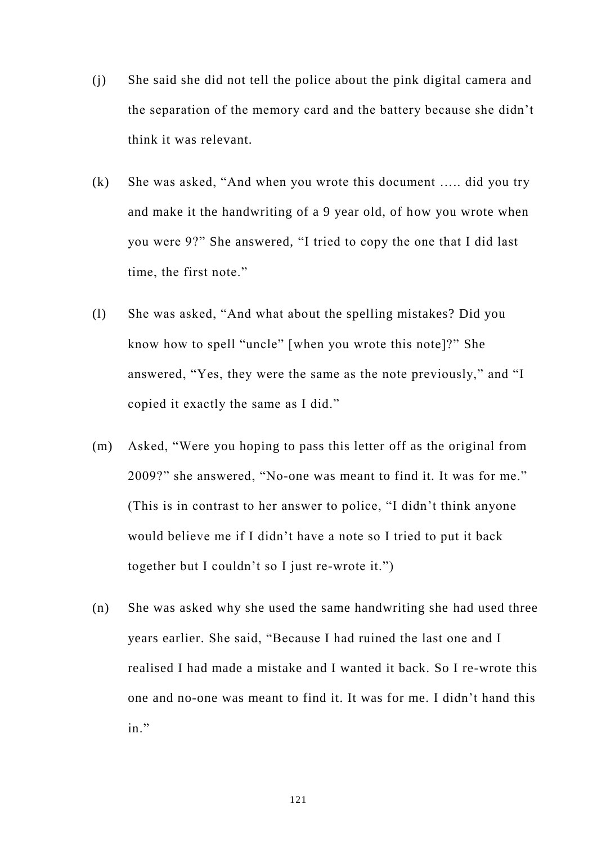- (j) She said she did not tell the police about the pink digital camera and the separation of the memory card and the battery because she didn't think it was relevant.
- (k) She was asked, "And when you wrote this document ….. did you try and make it the handwriting of a 9 year old, of how you wrote when you were 9?" She answered, "I tried to copy the one that I did last time, the first note."
- (l) She was asked, "And what about the spelling mistakes? Did you know how to spell "uncle" [when you wrote this note]?" She answered, "Yes, they were the same as the note previously," and "I copied it exactly the same as I did."
- (m) Asked, "Were you hoping to pass this letter off as the original from 2009?" she answered, "No-one was meant to find it. It was for me." (This is in contrast to her answer to police, "I didn't think anyone would believe me if I didn't have a note so I tried to put it back together but I couldn't so I just re-wrote it.")
- (n) She was asked why she used the same handwriting she had used three years earlier. She said, "Because I had ruined the last one and I realised I had made a mistake and I wanted it back. So I re-wrote this one and no-one was meant to find it. It was for me. I didn't hand this in."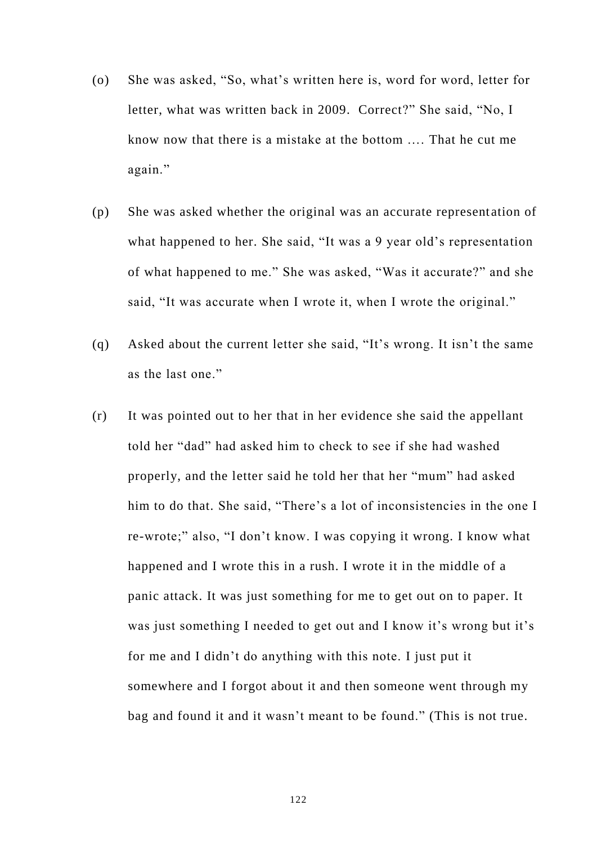- (o) She was asked, "So, what's written here is, word for word, letter for letter, what was written back in 2009. Correct?" She said, "No, I know now that there is a mistake at the bottom …. That he cut me again."
- (p) She was asked whether the original was an accurate represent ation of what happened to her. She said, "It was a 9 year old's representation of what happened to me." She was asked, "Was it accurate?" and she said, "It was accurate when I wrote it, when I wrote the original."
- (q) Asked about the current letter she said, "It's wrong. It isn't the same as the last one."
- (r) It was pointed out to her that in her evidence she said the appellant told her "dad" had asked him to check to see if she had washed properly, and the letter said he told her that her "mum" had asked him to do that. She said, "There's a lot of inconsistencies in the one I re-wrote;" also, "I don't know. I was copying it wrong. I know what happened and I wrote this in a rush. I wrote it in the middle of a panic attack. It was just something for me to get out on to paper. It was just something I needed to get out and I know it's wrong but it's for me and I didn't do anything with this note. I just put it somewhere and I forgot about it and then someone went through my bag and found it and it wasn't meant to be found." (This is not true.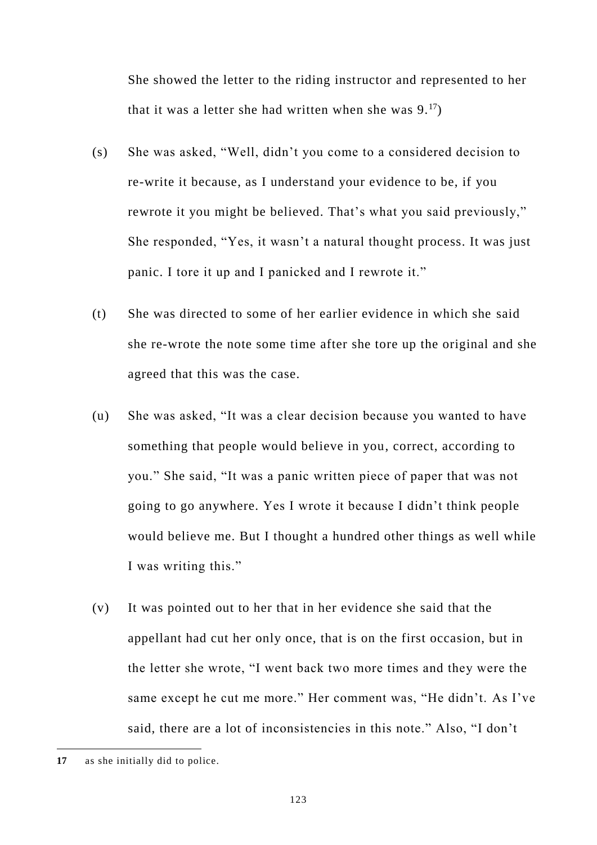She showed the letter to the riding instructor and represented to her that it was a letter she had written when she was  $9.17$ )

- (s) She was asked, "Well, didn't you come to a considered decision to re-write it because, as I understand your evidence to be, if you rewrote it you might be believed. That's what you said previously," She responded, "Yes, it wasn't a natural thought process. It was just panic. I tore it up and I panicked and I rewrote it."
- (t) She was directed to some of her earlier evidence in which she said she re-wrote the note some time after she tore up the original and she agreed that this was the case.
- (u) She was asked, "It was a clear decision because you wanted to have something that people would believe in you, correct, according to you." She said, "It was a panic written piece of paper that was not going to go anywhere. Yes I wrote it because I didn't think people would believe me. But I thought a hundred other things as well while I was writing this."
- (v) It was pointed out to her that in her evidence she said that the appellant had cut her only once, that is on the first occasion, but in the letter she wrote, "I went back two more times and they were the same except he cut me more." Her comment was, "He didn't. As I've said, there are a lot of inconsistencies in this note." Also, "I don't

**<sup>17</sup>** as she initially did to police.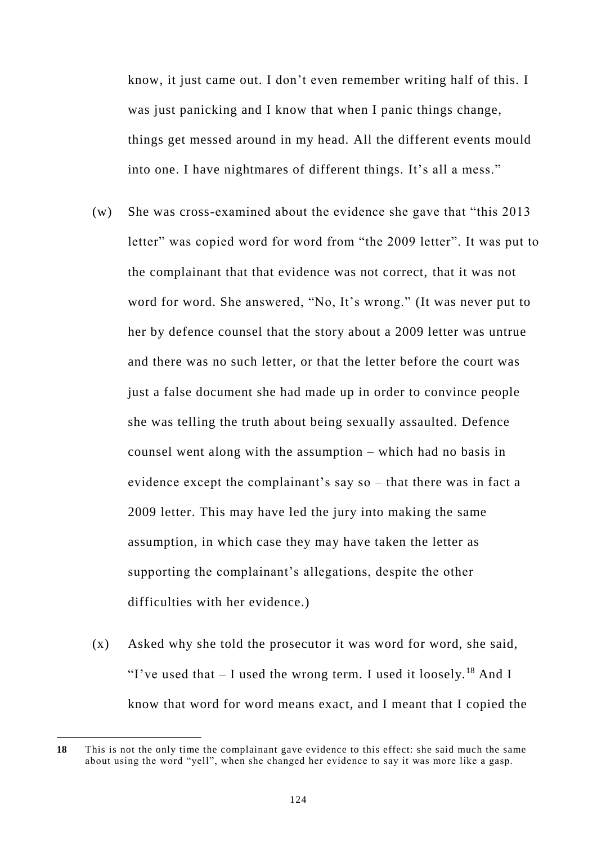know, it just came out. I don't even remember writing half of this. I was just panicking and I know that when I panic things change, things get messed around in my head. All the different events mould into one. I have nightmares of different things. It's all a mess."

- (w) She was cross-examined about the evidence she gave that "this 2013 letter" was copied word for word from "the 2009 letter". It was put to the complainant that that evidence was not correct, that it was not word for word. She answered, "No, It's wrong." (It was never put to her by defence counsel that the story about a 2009 letter was untrue and there was no such letter, or that the letter before the court was just a false document she had made up in order to convince people she was telling the truth about being sexually assaulted. Defence counsel went along with the assumption – which had no basis in evidence except the complainant's say so – that there was in fact a 2009 letter. This may have led the jury into making the same assumption, in which case they may have taken the letter as supporting the complainant's allegations, despite the other difficulties with her evidence.)
- (x) Asked why she told the prosecutor it was word for word, she said, "I've used that  $- I$  used the wrong term. I used it loosely.<sup>18</sup> And I know that word for word means exact, and I meant that I copied the

**<sup>18</sup>** This is not the only time the complainant gave evidence to this effect: she said much the same about using the word "yell", when she changed her evidence to say it was more like a gasp.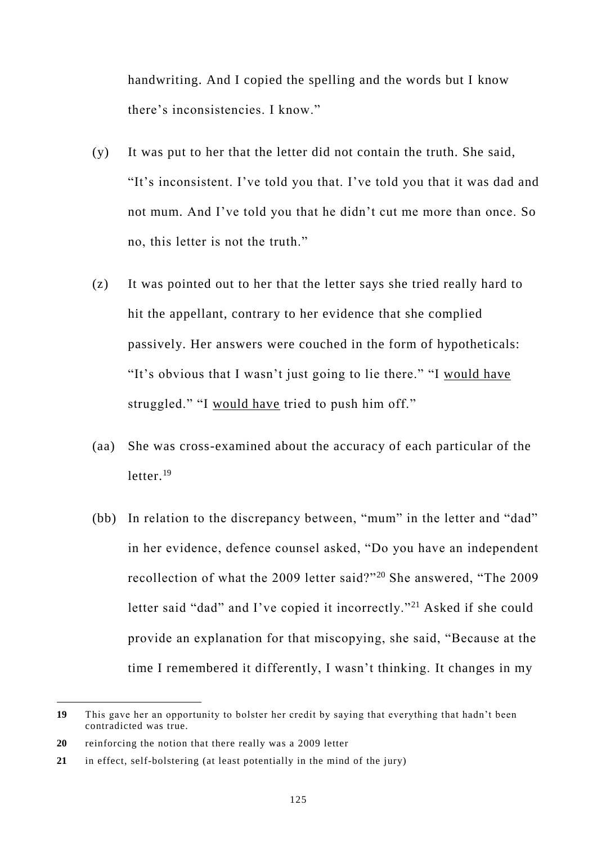handwriting. And I copied the spelling and the words but I know there's inconsistencies. I know."

- (y) It was put to her that the letter did not contain the truth. She said, "It's inconsistent. I've told you that. I've told you that it was dad and not mum. And I've told you that he didn't cut me more than once. So no, this letter is not the truth."
- (z) It was pointed out to her that the letter says she tried really hard to hit the appellant, contrary to her evidence that she complied passively. Her answers were couched in the form of hypotheticals: "It's obvious that I wasn't just going to lie there." "I would have struggled." "I would have tried to push him off."
- (aa) She was cross-examined about the accuracy of each particular of the letter.<sup>19</sup>
- (bb) In relation to the discrepancy between, "mum" in the letter and "dad" in her evidence, defence counsel asked, "Do you have an independent recollection of what the 2009 letter said?"<sup>20</sup> She answered, "The 2009 letter said "dad" and I've copied it incorrectly."<sup>21</sup> Asked if she could provide an explanation for that miscopying, she said, "Because at the time I remembered it differently, I wasn't thinking. It changes in my

**<sup>19</sup>** This gave her an opportunity to bolster her credit by saying that everything that hadn't been contradicted was true.

**<sup>20</sup>** reinforcing the notion that there really was a 2009 letter

**<sup>21</sup>** in effect, self-bolstering (at least potentially in the mind of the jury)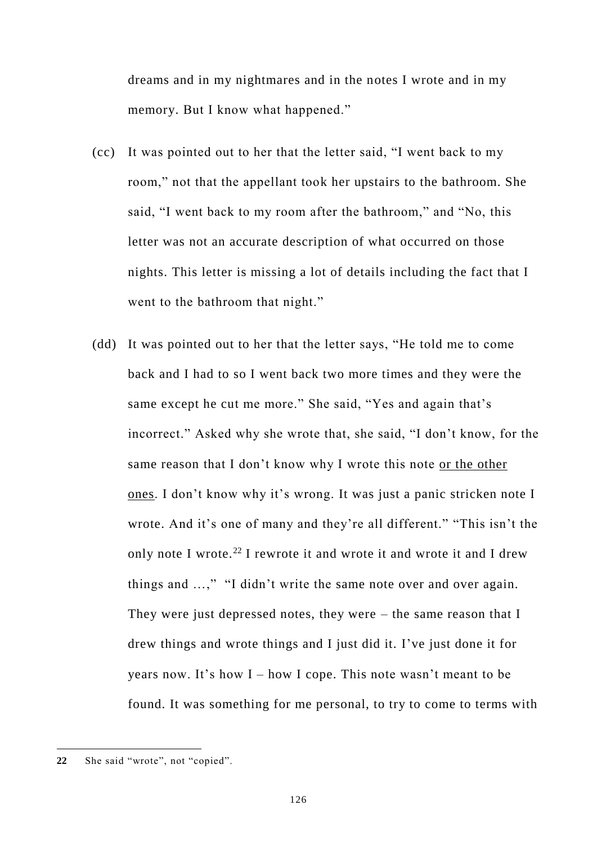dreams and in my nightmares and in the notes I wrote and in my memory. But I know what happened."

- (cc) It was pointed out to her that the letter said, "I went back to my room," not that the appellant took her upstairs to the bathroom. She said, "I went back to my room after the bathroom," and "No, this letter was not an accurate description of what occurred on those nights. This letter is missing a lot of details including the fact that I went to the bathroom that night."
- (dd) It was pointed out to her that the letter says, "He told me to come back and I had to so I went back two more times and they were the same except he cut me more." She said, "Yes and again that's incorrect." Asked why she wrote that, she said, "I don't know, for the same reason that I don't know why I wrote this note or the other ones. I don't know why it's wrong. It was just a panic stricken note I wrote. And it's one of many and they're all different." "This isn't the only note I wrote.<sup>22</sup> I rewrote it and wrote it and wrote it and I drew things and …," "I didn't write the same note over and over again. They were just depressed notes, they were – the same reason that I drew things and wrote things and I just did it. I've just done it for years now. It's how I – how I cope. This note wasn't meant to be found. It was something for me personal, to try to come to terms with

**<sup>22</sup>** She said "wrote", not "copied".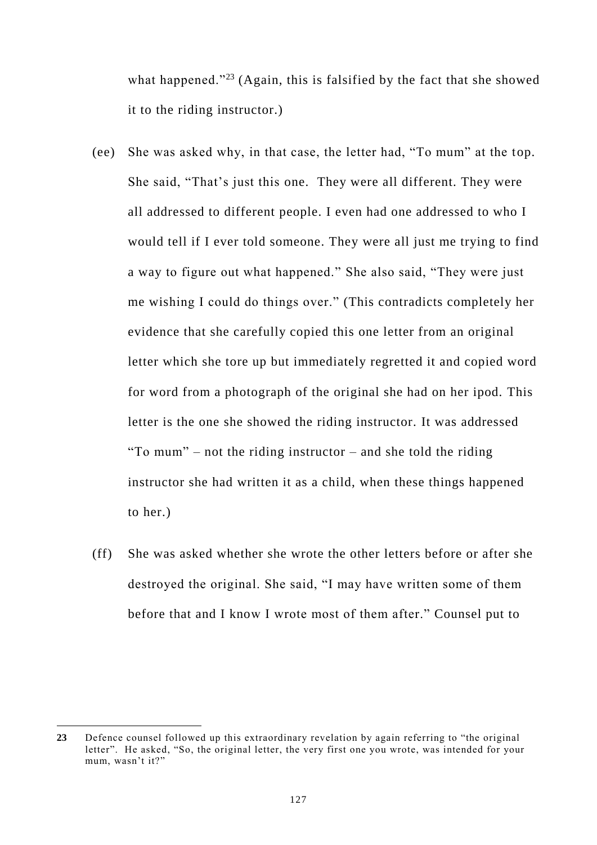what happened."<sup>23</sup> (Again, this is falsified by the fact that she showed it to the riding instructor.)

- (ee) She was asked why, in that case, the letter had, "To mum" at the top. She said, "That's just this one. They were all different. They were all addressed to different people. I even had one addressed to who I would tell if I ever told someone. They were all just me trying to find a way to figure out what happened." She also said, "They were just me wishing I could do things over." (This contradicts completely her evidence that she carefully copied this one letter from an original letter which she tore up but immediately regretted it and copied word for word from a photograph of the original she had on her ipod. This letter is the one she showed the riding instructor. It was addressed "To mum" – not the riding instructor – and she told the riding instructor she had written it as a child, when these things happened to her.)
- (ff) She was asked whether she wrote the other letters before or after she destroyed the original. She said, "I may have written some of them before that and I know I wrote most of them after." Counsel put to

**<sup>23</sup>** Defence counsel followed up this extraordinary revelation by again referring to "the original letter". He asked, "So, the original letter, the very first one you wrote, was intended for your mum, wasn't it?"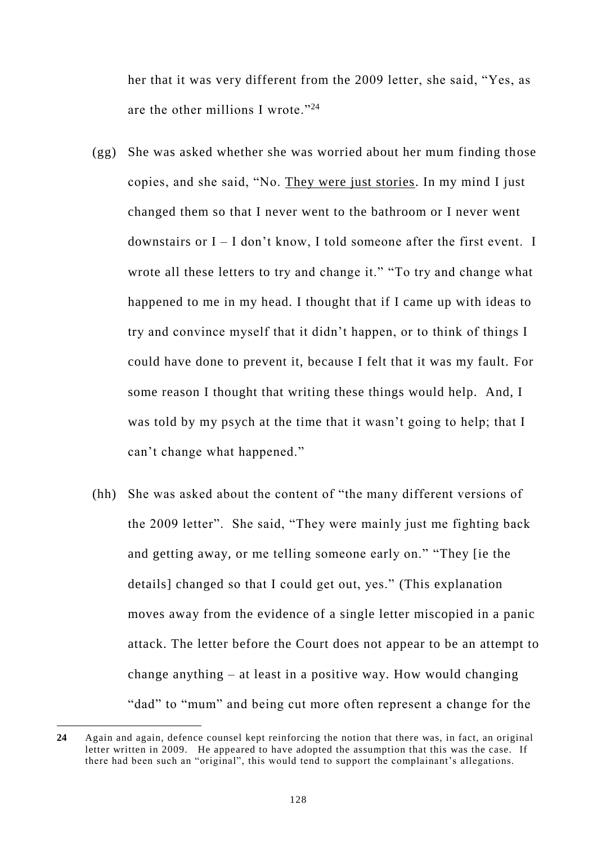her that it was very different from the 2009 letter, she said, "Yes, as are the other millions I wrote."<sup>24</sup>

- (gg) She was asked whether she was worried about her mum finding those copies, and she said, "No. They were just stories. In my mind I just changed them so that I never went to the bathroom or I never went downstairs or  $I - I$  don't know, I told someone after the first event. I wrote all these letters to try and change it." "To try and change what happened to me in my head. I thought that if I came up with ideas to try and convince myself that it didn't happen, or to think of things I could have done to prevent it, because I felt that it was my fault. For some reason I thought that writing these things would help. And, I was told by my psych at the time that it wasn't going to help; that I can't change what happened."
- (hh) She was asked about the content of "the many different versions of the 2009 letter". She said, "They were mainly just me fighting back and getting away, or me telling someone early on." "They [ie the details] changed so that I could get out, yes." (This explanation moves away from the evidence of a single letter miscopied in a panic attack. The letter before the Court does not appear to be an attempt to change anything – at least in a positive way. How would changing "dad" to "mum" and being cut more often represent a change for the

**<sup>24</sup>** Again and again, defence counsel kept reinforcing the notion that there was, in fact, an original letter written in 2009. He appeared to have adopted the assumption that this was the case. If there had been such an "original", this would tend to support the complainant's allegations.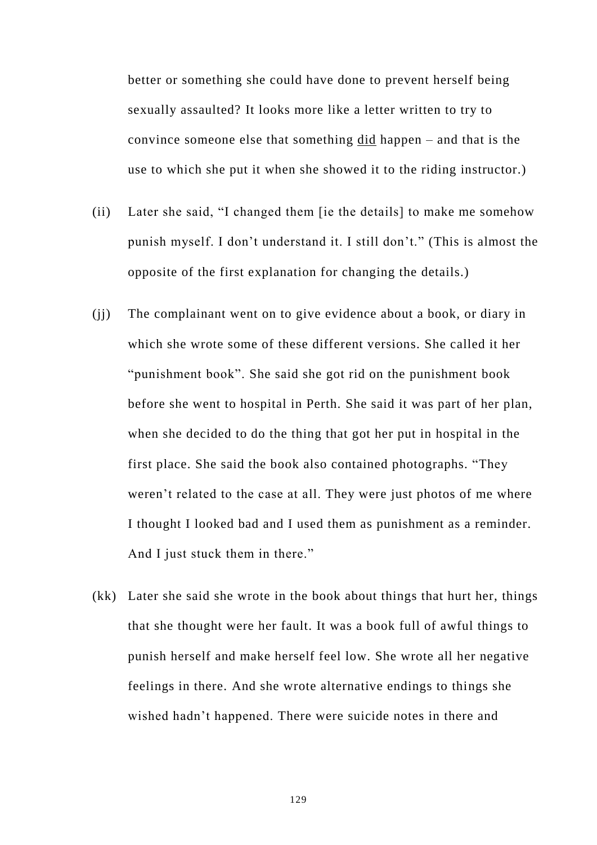better or something she could have done to prevent herself being sexually assaulted? It looks more like a letter written to try to convince someone else that something did happen – and that is the use to which she put it when she showed it to the riding instructor.)

- (ii) Later she said, "I changed them [ie the details] to make me somehow punish myself. I don't understand it. I still don't." (This is almost the opposite of the first explanation for changing the details.)
- (jj) The complainant went on to give evidence about a book, or diary in which she wrote some of these different versions. She called it her "punishment book". She said she got rid on the punishment book before she went to hospital in Perth. She said it was part of her plan, when she decided to do the thing that got her put in hospital in the first place. She said the book also contained photographs. "They weren't related to the case at all. They were just photos of me where I thought I looked bad and I used them as punishment as a reminder. And I just stuck them in there."
- (kk) Later she said she wrote in the book about things that hurt her, things that she thought were her fault. It was a book full of awful things to punish herself and make herself feel low. She wrote all her negative feelings in there. And she wrote alternative endings to things she wished hadn't happened. There were suicide notes in there and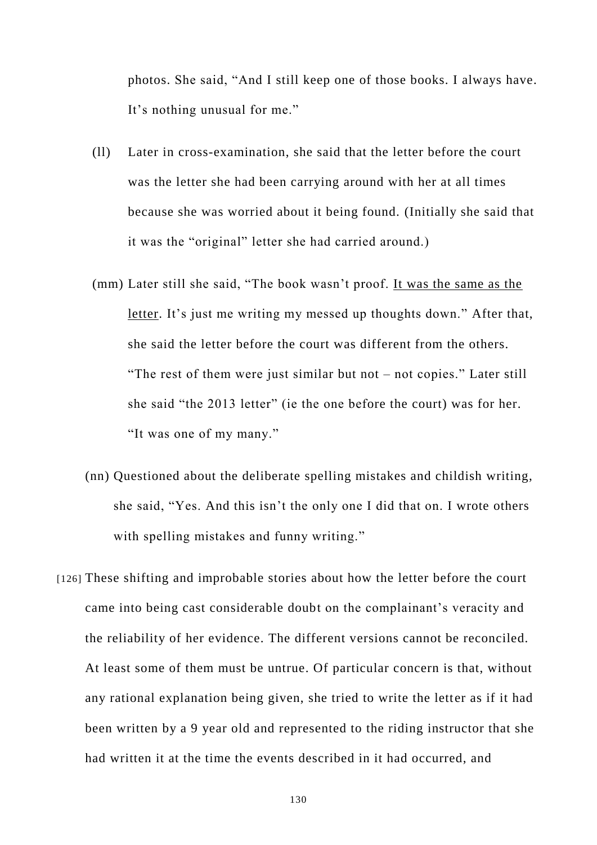photos. She said, "And I still keep one of those books. I always have. It's nothing unusual for me."

- (ll) Later in cross-examination, she said that the letter before the court was the letter she had been carrying around with her at all times because she was worried about it being found. (Initially she said that it was the "original" letter she had carried around.)
- (mm) Later still she said, "The book wasn't proof. It was the same as the letter. It's just me writing my messed up thoughts down." After that, she said the letter before the court was different from the others. "The rest of them were just similar but not – not copies." Later still she said "the 2013 letter" (ie the one before the court) was for her. "It was one of my many."
- (nn) Questioned about the deliberate spelling mistakes and childish writing, she said, "Yes. And this isn't the only one I did that on. I wrote others with spelling mistakes and funny writing."
- [126] These shifting and improbable stories about how the letter before the court came into being cast considerable doubt on the complainant's veracity and the reliability of her evidence. The different versions cannot be reconciled. At least some of them must be untrue. Of particular concern is that, without any rational explanation being given, she tried to write the letter as if it had been written by a 9 year old and represented to the riding instructor that she had written it at the time the events described in it had occurred, and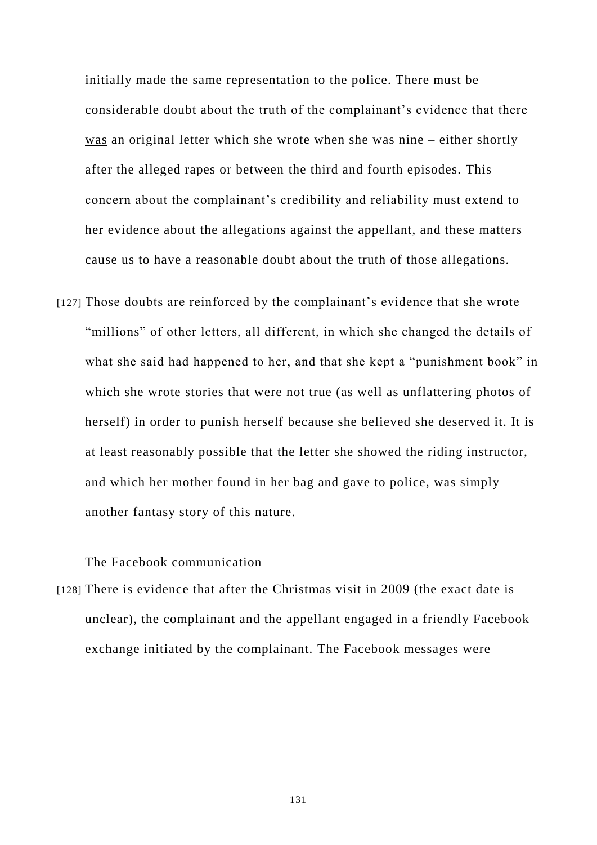initially made the same representation to the police. There must be considerable doubt about the truth of the complainant's evidence that there was an original letter which she wrote when she was nine – either shortly after the alleged rapes or between the third and fourth episodes. This concern about the complainant's credibility and reliability must extend to her evidence about the allegations against the appellant, and these matters cause us to have a reasonable doubt about the truth of those allegations.

[127] Those doubts are reinforced by the complainant's evidence that she wrote "millions" of other letters, all different, in which she changed the details of what she said had happened to her, and that she kept a "punishment book" in which she wrote stories that were not true (as well as unflattering photos of herself) in order to punish herself because she believed she deserved it. It is at least reasonably possible that the letter she showed the riding instructor, and which her mother found in her bag and gave to police, was simply another fantasy story of this nature.

### The Facebook communication

<span id="page-132-0"></span>[128] There is evidence that after the Christmas visit in 2009 (the exact date is unclear), the complainant and the appellant engaged in a friendly Facebook exchange initiated by the complainant. The Facebook messages were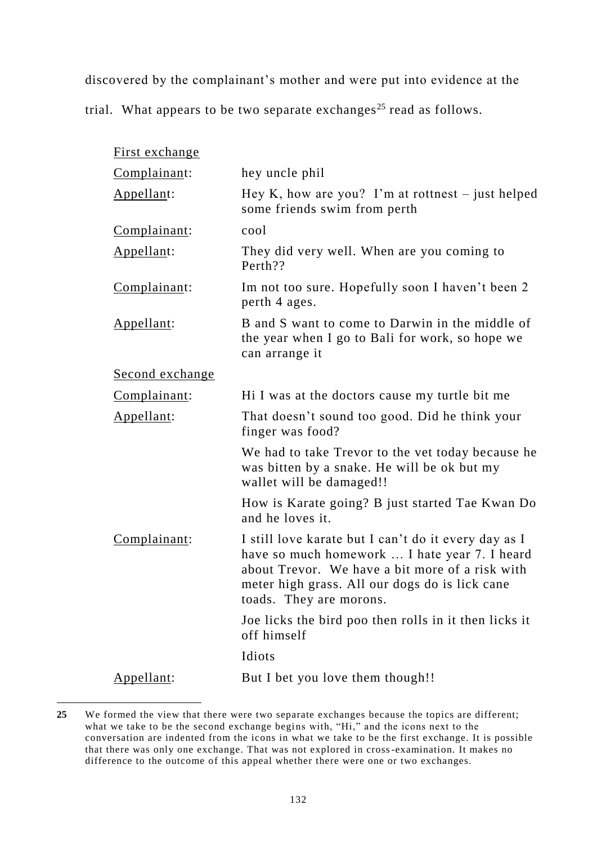discovered by the complainant's mother and were put into evidence at the

trial. What appears to be two separate exchanges<sup>25</sup> read as follows.

| First exchange  |                                                                                                                                                                                                                                       |
|-----------------|---------------------------------------------------------------------------------------------------------------------------------------------------------------------------------------------------------------------------------------|
| Complainant:    | hey uncle phil                                                                                                                                                                                                                        |
| Appellant:      | Hey K, how are you? I'm at rottnest $-$ just helped<br>some friends swim from perth                                                                                                                                                   |
| Complainant:    | cool                                                                                                                                                                                                                                  |
| Appellant:      | They did very well. When are you coming to<br>Perth??                                                                                                                                                                                 |
| Complainant:    | Im not too sure. Hopefully soon I haven't been 2<br>perth 4 ages.                                                                                                                                                                     |
| Appellant:      | B and S want to come to Darwin in the middle of<br>the year when I go to Bali for work, so hope we<br>can arrange it                                                                                                                  |
| Second exchange |                                                                                                                                                                                                                                       |
| Complainant:    | Hi I was at the doctors cause my turtle bit me                                                                                                                                                                                        |
| Appellant:      | That doesn't sound too good. Did he think your<br>finger was food?                                                                                                                                                                    |
|                 | We had to take Trevor to the vet today because he<br>was bitten by a snake. He will be ok but my<br>wallet will be damaged!!                                                                                                          |
|                 | How is Karate going? B just started Tae Kwan Do<br>and he loves it.                                                                                                                                                                   |
| Complainant:    | I still love karate but I can't do it every day as I<br>have so much homework  I hate year 7. I heard<br>about Trevor. We have a bit more of a risk with<br>meter high grass. All our dogs do is lick cane<br>toads. They are morons. |
|                 | Joe licks the bird poo then rolls in it then licks it<br>off himself                                                                                                                                                                  |
|                 | Idiots                                                                                                                                                                                                                                |
| Appellant:      | But I bet you love them though!!                                                                                                                                                                                                      |

**<sup>25</sup>** We formed the view that there were two separate exchanges because the topics are different; what we take to be the second exchange begins with, "Hi," and the icons next to the conversation are indented from the icons in what we take to be the first exchange. It is possible that there was only one exchange. That was not explored in cross-examination. It makes no difference to the outcome of this appeal whether there were one or two exchanges.

-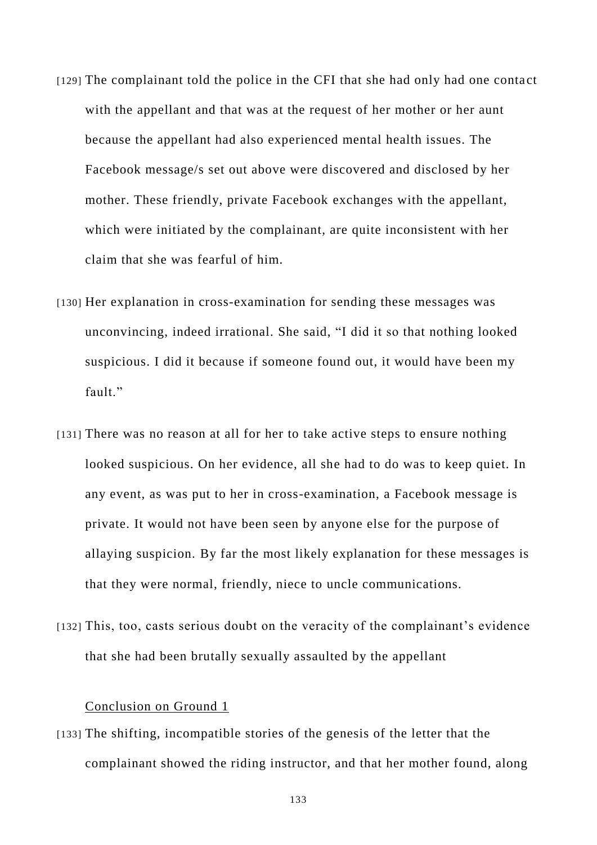- [129] The complainant told the police in the CFI that she had only had one contact with the appellant and that was at the request of her mother or her aunt because the appellant had also experienced mental health issues. The Facebook message/s set out above were discovered and disclosed by her mother. These friendly, private Facebook exchanges with the appellant, which were initiated by the complainant, are quite inconsistent with her claim that she was fearful of him.
- [130] Her explanation in cross-examination for sending these messages was unconvincing, indeed irrational. She said, "I did it so that nothing looked suspicious. I did it because if someone found out, it would have been my fault."
- [131] There was no reason at all for her to take active steps to ensure nothing looked suspicious. On her evidence, all she had to do was to keep quiet. In any event, as was put to her in cross-examination, a Facebook message is private. It would not have been seen by anyone else for the purpose of allaying suspicion. By far the most likely explanation for these messages is that they were normal, friendly, niece to uncle communications.
- [132] This, too, casts serious doubt on the veracity of the complainant's evidence that she had been brutally sexually assaulted by the appellant

# Conclusion on Ground 1

[133] The shifting, incompatible stories of the genesis of the letter that the complainant showed the riding instructor, and that her mother found, along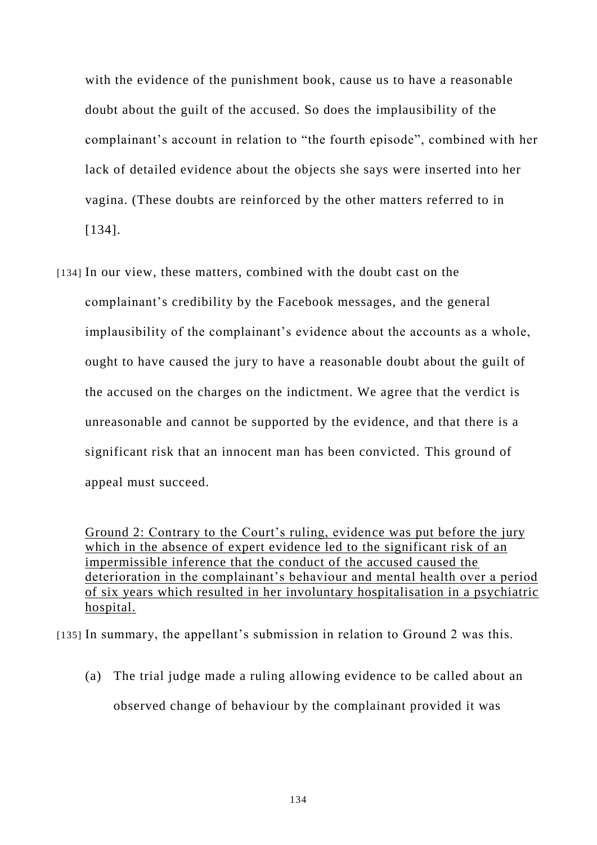with the evidence of the punishment book, cause us to have a reasonable doubt about the guilt of the accused. So does the implausibility of the complainant's account in relation to "the fourth episode", combined with her lack of detailed evidence about the objects she says were inserted into her vagina. (These doubts are reinforced by the other matters referred to in [\[134\].](#page-135-0)

<span id="page-135-0"></span>[134] In our view, these matters, combined with the doubt cast on the complainant's credibility by the Facebook messages, and the general implausibility of the complainant's evidence about the accounts as a whole, ought to have caused the jury to have a reasonable doubt about the guilt of the accused on the charges on the indictment. We agree that the verdict is unreasonable and cannot be supported by the evidence, and that there is a significant risk that an innocent man has been convicted. This ground of appeal must succeed.

Ground 2: Contrary to the Court's ruling, evidence was put before the jury which in the absence of expert evidence led to the significant risk of an impermissible inference that the conduct of the accused caused the deterioration in the complainant's behaviour and mental health over a period of six years which resulted in her involuntary hospitalisation in a psychiatric hospital.

<span id="page-135-1"></span>[135] In summary, the appellant's submission in relation to Ground 2 was this.

(a) The trial judge made a ruling allowing evidence to be called about an observed change of behaviour by the complainant provided it was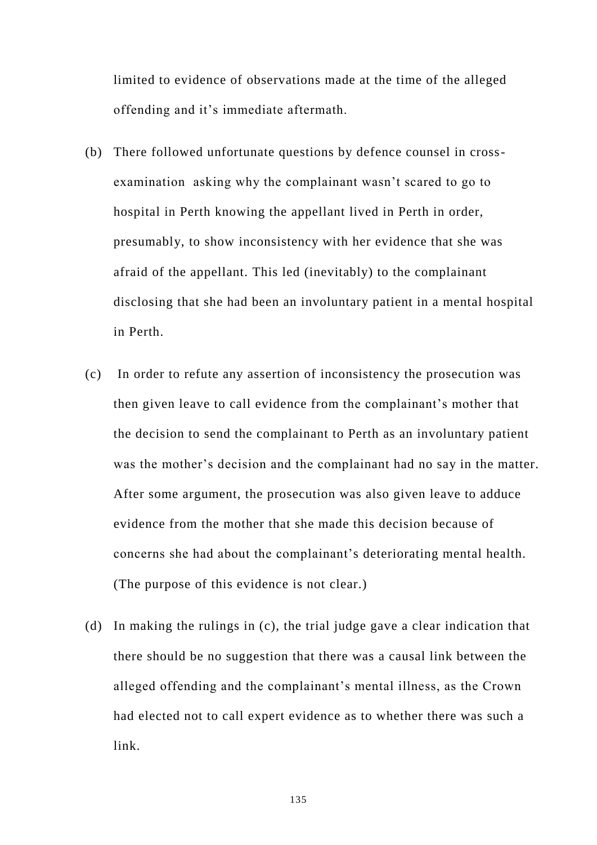limited to evidence of observations made at the time of the alleged offending and it's immediate aftermath.

- (b) There followed unfortunate questions by defence counsel in crossexamination asking why the complainant wasn't scared to go to hospital in Perth knowing the appellant lived in Perth in order, presumably, to show inconsistency with her evidence that she was afraid of the appellant. This led (inevitably) to the complainant disclosing that she had been an involuntary patient in a mental hospital in Perth.
- (c) In order to refute any assertion of inconsistency the prosecution was then given leave to call evidence from the complainant's mother that the decision to send the complainant to Perth as an involuntary patient was the mother's decision and the complainant had no say in the matter. After some argument, the prosecution was also given leave to adduce evidence from the mother that she made this decision because of concerns she had about the complainant's deteriorating mental health. (The purpose of this evidence is not clear.)
- (d) In making the rulings in (c), the trial judge gave a clear indication that there should be no suggestion that there was a causal link between the alleged offending and the complainant's mental illness, as the Crown had elected not to call expert evidence as to whether there was such a link.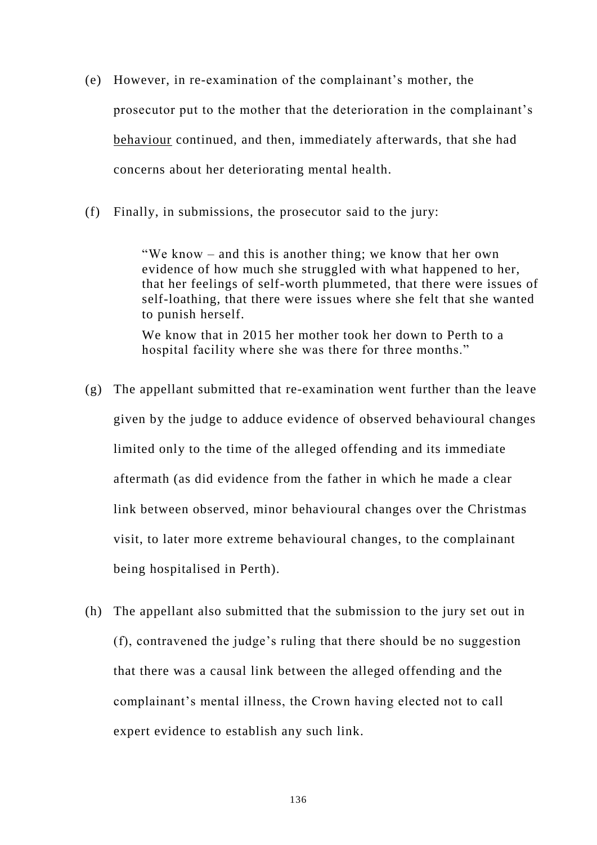- (e) However, in re-examination of the complainant's mother, the prosecutor put to the mother that the deterioration in the complainant's behaviour continued, and then, immediately afterwards, that she had concerns about her deteriorating mental health.
- (f) Finally, in submissions, the prosecutor said to the jury:

"We know – and this is another thing; we know that her own evidence of how much she struggled with what happened to her, that her feelings of self-worth plummeted, that there were issues of self-loathing, that there were issues where she felt that she wanted to punish herself.

We know that in 2015 her mother took her down to Perth to a hospital facility where she was there for three months."

- (g) The appellant submitted that re-examination went further than the leave given by the judge to adduce evidence of observed behavioural changes limited only to the time of the alleged offending and its immediate aftermath (as did evidence from the father in which he made a clear link between observed, minor behavioural changes over the Christmas visit, to later more extreme behavioural changes, to the complainant being hospitalised in Perth).
- (h) The appellant also submitted that the submission to the jury set out in (f), contravened the judge's ruling that there should be no suggestion that there was a causal link between the alleged offending and the complainant's mental illness, the Crown having elected not to call expert evidence to establish any such link.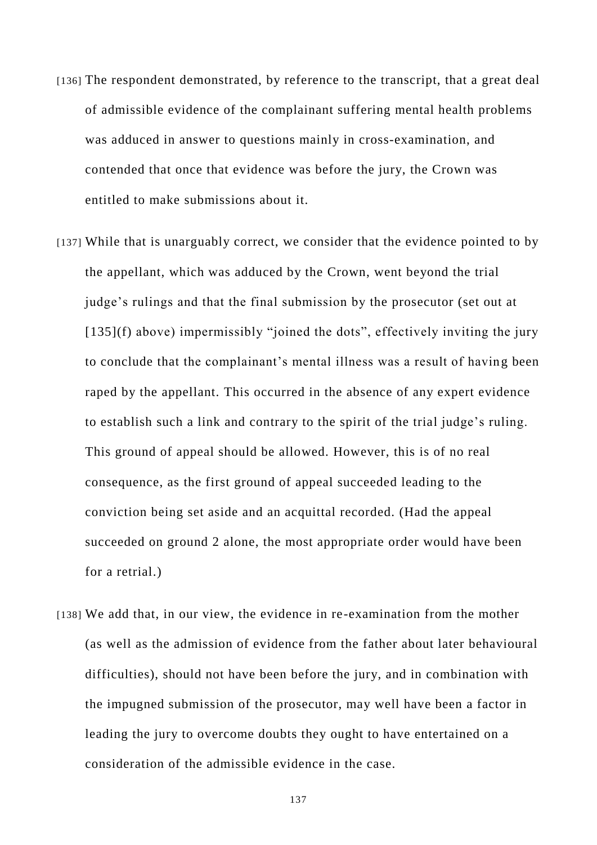- [136] The respondent demonstrated, by reference to the transcript, that a great deal of admissible evidence of the complainant suffering mental health problems was adduced in answer to questions mainly in cross-examination, and contended that once that evidence was before the jury, the Crown was entitled to make submissions about it.
- [137] While that is unarguably correct, we consider that the evidence pointed to by the appellant, which was adduced by the Crown, went beyond the trial judge's rulings and that the final submission by the prosecutor (set out at [\[135\]\(f\)](#page-135-1) above) impermissibly "joined the dots", effectively inviting the jury to conclude that the complainant's mental illness was a result of having been raped by the appellant. This occurred in the absence of any expert evidence to establish such a link and contrary to the spirit of the trial judge's ruling. This ground of appeal should be allowed. However, this is of no real consequence, as the first ground of appeal succeeded leading to the conviction being set aside and an acquittal recorded. (Had the appeal succeeded on ground 2 alone, the most appropriate order would have been for a retrial.)
- [138] We add that, in our view, the evidence in re-examination from the mother (as well as the admission of evidence from the father about later behavioural difficulties), should not have been before the jury, and in combination with the impugned submission of the prosecutor, may well have been a factor in leading the jury to overcome doubts they ought to have entertained on a consideration of the admissible evidence in the case.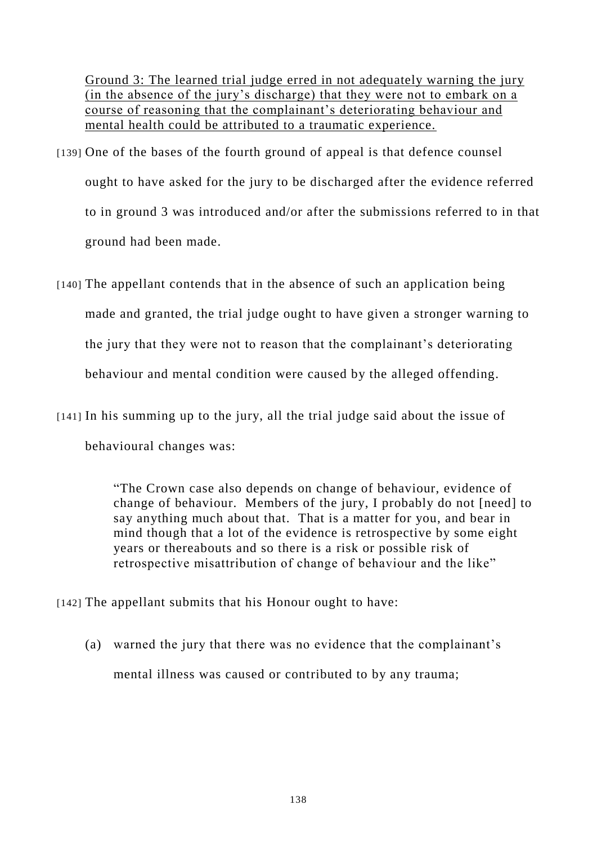Ground 3: The learned trial judge erred in not adequately warning the jury (in the absence of the jury's discharge) that they were not to embark on a course of reasoning that the complainant's deteriorating behaviour and mental health could be attributed to a traumatic experience.

- [139] One of the bases of the fourth ground of appeal is that defence counsel ought to have asked for the jury to be discharged after the evidence referred to in ground 3 was introduced and/or after the submissions referred to in that ground had been made.
- [140] The appellant contends that in the absence of such an application being made and granted, the trial judge ought to have given a stronger warning to the jury that they were not to reason that the complainant's deteriorating behaviour and mental condition were caused by the alleged offending.
- [141] In his summing up to the jury, all the trial judge said about the issue of behavioural changes was:

"The Crown case also depends on change of behaviour, evidence of change of behaviour. Members of the jury, I probably do not [need] to say anything much about that. That is a matter for you, and bear in mind though that a lot of the evidence is retrospective by some eight years or thereabouts and so there is a risk or possible risk of retrospective misattribution of change of behaviour and the like"

- [142] The appellant submits that his Honour ought to have:
	- (a) warned the jury that there was no evidence that the complainant's mental illness was caused or contributed to by any trauma;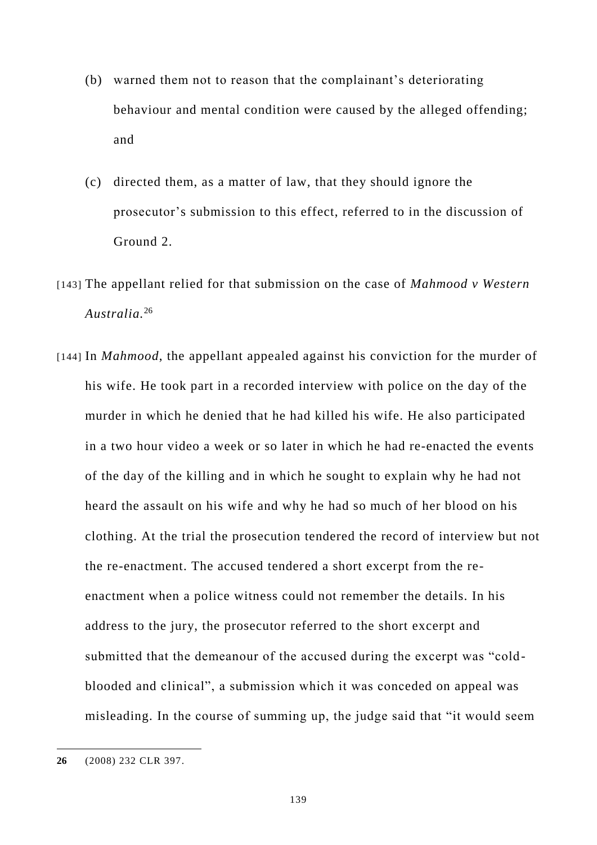- (b) warned them not to reason that the complainant's deteriorating behaviour and mental condition were caused by the alleged offending; and
- (c) directed them, as a matter of law, that they should ignore the prosecutor's submission to this effect, referred to in the discussion of Ground 2.
- [143] The appellant relied for that submission on the case of *Mahmood v Western Australia.*<sup>26</sup>
- [144] In *Mahmood*, the appellant appealed against his conviction for the murder of his wife. He took part in a recorded interview with police on the day of the murder in which he denied that he had killed his wife. He also participated in a two hour video a week or so later in which he had re-enacted the events of the day of the killing and in which he sought to explain why he had not heard the assault on his wife and why he had so much of her blood on his clothing. At the trial the prosecution tendered the record of interview but not the re-enactment. The accused tendered a short excerpt from the reenactment when a police witness could not remember the details. In his address to the jury, the prosecutor referred to the short excerpt and submitted that the demeanour of the accused during the excerpt was "coldblooded and clinical", a submission which it was conceded on appeal was misleading. In the course of summing up, the judge said that "it would seem

**<sup>26</sup>** (2008) 232 CLR 397.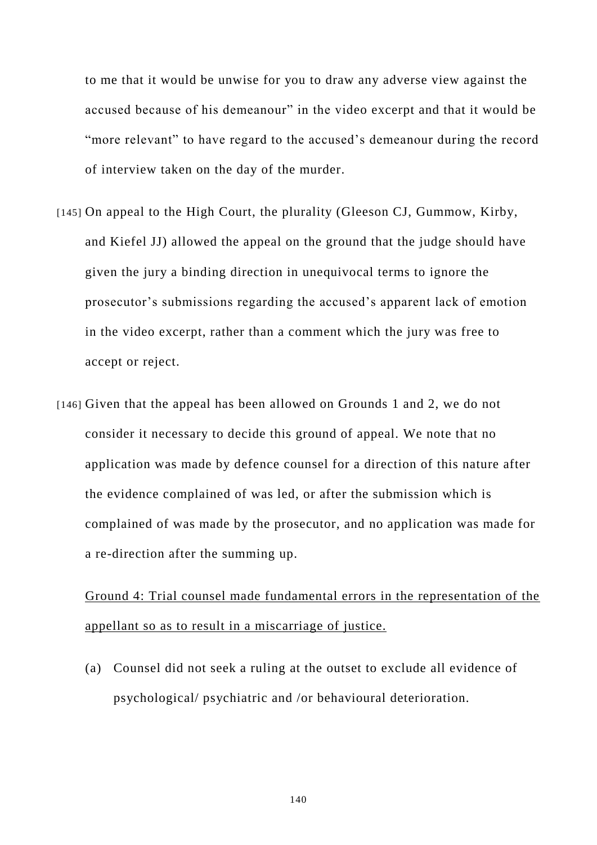to me that it would be unwise for you to draw any adverse view against the accused because of his demeanour" in the video excerpt and that it would be "more relevant" to have regard to the accused's demeanour during the record of interview taken on the day of the murder.

- [145] On appeal to the High Court, the plurality (Gleeson CJ, Gummow, Kirby, and Kiefel JJ) allowed the appeal on the ground that the judge should have given the jury a binding direction in unequivocal terms to ignore the prosecutor's submissions regarding the accused's apparent lack of emotion in the video excerpt, rather than a comment which the jury was free to accept or reject.
- [146] Given that the appeal has been allowed on Grounds 1 and 2, we do not consider it necessary to decide this ground of appeal. We note that no application was made by defence counsel for a direction of this nature after the evidence complained of was led, or after the submission which is complained of was made by the prosecutor, and no application was made for a re-direction after the summing up.

Ground 4: Trial counsel made fundamental errors in the representation of the appellant so as to result in a miscarriage of justice.

(a) Counsel did not seek a ruling at the outset to exclude all evidence of psychological/ psychiatric and /or behavioural deterioration.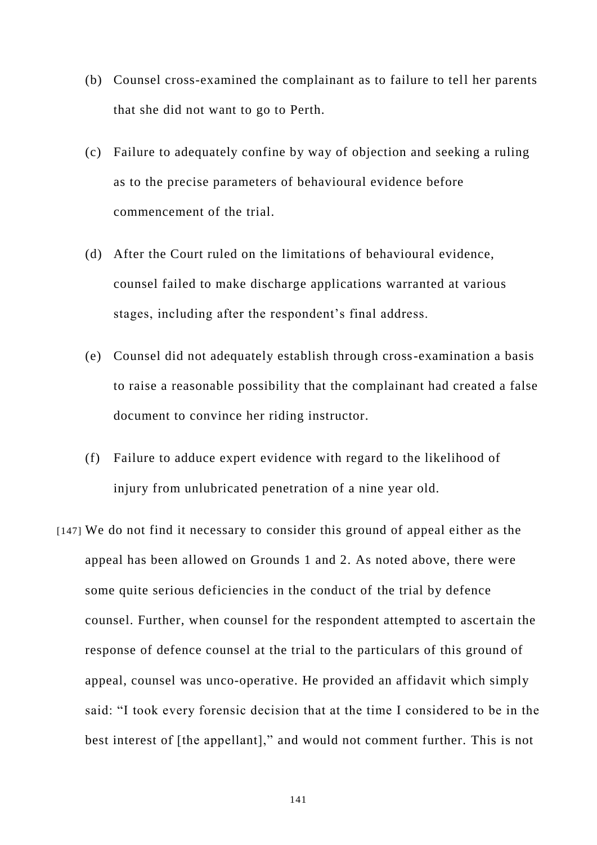- (b) Counsel cross-examined the complainant as to failure to tell her parents that she did not want to go to Perth.
- (c) Failure to adequately confine by way of objection and seeking a ruling as to the precise parameters of behavioural evidence before commencement of the trial.
- (d) After the Court ruled on the limitations of behavioural evidence, counsel failed to make discharge applications warranted at various stages, including after the respondent's final address.
- (e) Counsel did not adequately establish through cross-examination a basis to raise a reasonable possibility that the complainant had created a false document to convince her riding instructor.
- (f) Failure to adduce expert evidence with regard to the likelihood of injury from unlubricated penetration of a nine year old.
- [147] We do not find it necessary to consider this ground of appeal either as the appeal has been allowed on Grounds 1 and 2. As noted above, there were some quite serious deficiencies in the conduct of the trial by defence counsel. Further, when counsel for the respondent attempted to ascertain the response of defence counsel at the trial to the particulars of this ground of appeal, counsel was unco-operative. He provided an affidavit which simply said: "I took every forensic decision that at the time I considered to be in the best interest of [the appellant]," and would not comment further. This is not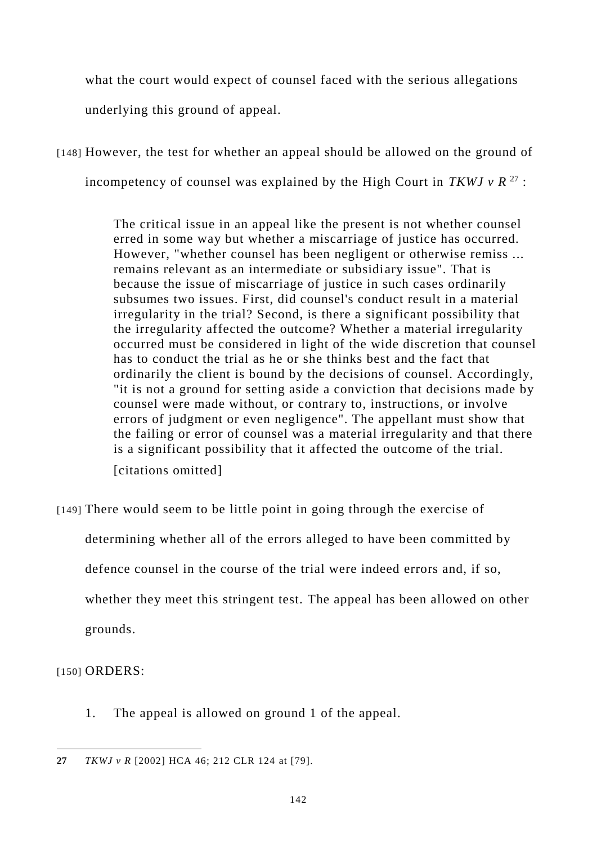what the court would expect of counsel faced with the serious allegations underlying this ground of appeal.

[148] However, the test for whether an appeal should be allowed on the ground of incompetency of counsel was explained by the High Court in *TKWJ v R*<sup>27</sup>:

> The critical issue in an appeal like the present is not whether counsel erred in some way but whether a miscarriage of justice has occurred. However, "whether counsel has been negligent or otherwise remiss ... remains relevant as an intermediate or subsidiary issue". That is because the issue of miscarriage of justice in such cases ordinarily subsumes two issues. First, did counsel's conduct result in a material irregularity in the trial? Second, is there a significant possibility that the irregularity affected the outcome? Whether a material irregularity occurred must be considered in light of the wide discretion that counsel has to conduct the trial as he or she thinks best and the fact that ordinarily the client is bound by the decisions of counsel. Accordingly, "it is not a ground for setting aside a conviction that decisions made by counsel were made without, or contrary to, instructions, or involve errors of judgment or even negligence". The appellant must show that the failing or error of counsel was a material irregularity and that there is a significant possibility that it affected the outcome of the trial. [citations omitted]

[149] There would seem to be little point in going through the exercise of

determining whether all of the errors alleged to have been committed by

defence counsel in the course of the trial were indeed errors and, if so,

whether they meet this stringent test. The appeal has been allowed on other

grounds.

[150] **ORDERS:** 

1. The appeal is allowed on ground 1 of the appeal.

 $\overline{a}$ **27** *TKWJ v R* [2002] HCA 46; 212 CLR 124 at [79].